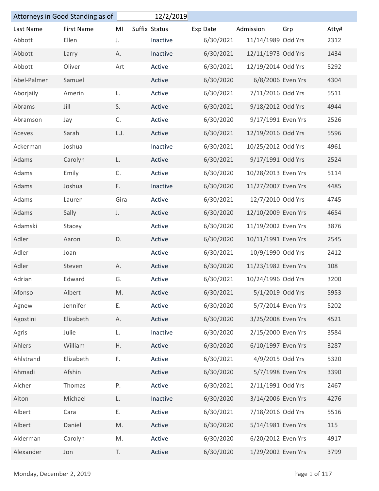|                          | Attorneys in Good Standing as of |      | 12/2/2019     |           |                     |     |               |
|--------------------------|----------------------------------|------|---------------|-----------|---------------------|-----|---------------|
| Last Name                | <b>First Name</b>                | MI   | Suffix Status | Exp Date  | Admission           | Grp | Atty#         |
| Abbott                   | Ellen                            | J.   | Inactive      | 6/30/2021 | 11/14/1989 Odd Yrs  |     | 2312          |
| Abbott                   | Larry                            | Α.   | Inactive      | 6/30/2021 | 12/11/1973 Odd Yrs  |     | 1434          |
| Abbott                   | Oliver                           | Art  | Active        | 6/30/2021 | 12/19/2014 Odd Yrs  |     | 5292          |
| Abel-Palmer              | Samuel                           |      | Active        | 6/30/2020 | 6/8/2006 Even Yrs   |     | 4304          |
| Aborjaily                | Amerin                           | L.   | Active        | 6/30/2021 | 7/11/2016 Odd Yrs   |     | 5511          |
| Abrams                   | Jill                             | S.   | Active        | 6/30/2021 | 9/18/2012 Odd Yrs   |     | 4944          |
| Abramson                 | Jay                              | C.   | Active        | 6/30/2020 | 9/17/1991 Even Yrs  |     | 2526          |
| Aceves                   | Sarah                            | L.J. | Active        | 6/30/2021 | 12/19/2016 Odd Yrs  |     | 5596          |
| Ackerman                 | Joshua                           |      | Inactive      | 6/30/2021 | 10/25/2012 Odd Yrs  |     | 4961          |
| Adams                    | Carolyn                          | L.   | Active        | 6/30/2021 | 9/17/1991 Odd Yrs   |     | 2524          |
| Adams                    | Emily                            | C.   | Active        | 6/30/2020 | 10/28/2013 Even Yrs |     | 5114          |
| Adams                    | Joshua                           | F.   | Inactive      | 6/30/2020 | 11/27/2007 Even Yrs |     | 4485          |
| Adams                    | Lauren                           | Gira | Active        | 6/30/2021 | 12/7/2010 Odd Yrs   |     | 4745          |
| Adams                    | Sally                            | J.   | Active        | 6/30/2020 | 12/10/2009 Even Yrs |     | 4654          |
| Adamski                  | Stacey                           |      | Active        | 6/30/2020 | 11/19/2002 Even Yrs |     | 3876          |
| Adler                    | Aaron                            | D.   | Active        | 6/30/2020 | 10/11/1991 Even Yrs |     | 2545          |
| Adler                    | Joan                             |      | Active        | 6/30/2021 | 10/9/1990 Odd Yrs   |     | 2412          |
| Adler                    | Steven                           | Α.   | Active        | 6/30/2020 | 11/23/1982 Even Yrs |     | 108           |
| Adrian                   | Edward                           | G.   | Active        | 6/30/2021 | 10/24/1996 Odd Yrs  |     | 3200          |
| Afonso                   | Albert                           | M.   | Active        | 6/30/2021 | 5/1/2019 Odd Yrs    |     | 5953          |
| Agnew                    | Jennifer                         | Ε.   | Active        | 6/30/2020 | 5/7/2014 Even Yrs   |     | 5202          |
| Agostini                 | Elizabeth                        | А.   | Active        | 6/30/2020 | 3/25/2008 Even Yrs  |     | 4521          |
| Agris                    | Julie                            | L.   | Inactive      | 6/30/2020 | 2/15/2000 Even Yrs  |     | 3584          |
| Ahlers                   | William                          | Η.   | Active        | 6/30/2020 | 6/10/1997 Even Yrs  |     | 3287          |
| Ahlstrand                | Elizabeth                        | F.   | Active        | 6/30/2021 | 4/9/2015 Odd Yrs    |     | 5320          |
| Ahmadi                   | Afshin                           |      | Active        | 6/30/2020 | 5/7/1998 Even Yrs   |     | 3390          |
| Aicher                   | Thomas                           | P.   | Active        | 6/30/2021 | 2/11/1991 Odd Yrs   |     | 2467          |
| Aiton                    | Michael                          | L.   | Inactive      | 6/30/2020 | 3/14/2006 Even Yrs  |     | 4276          |
| Albert                   | Cara                             | Ε.   | Active        | 6/30/2021 | 7/18/2016 Odd Yrs   |     | 5516          |
| Albert                   | Daniel                           | M.   | Active        | 6/30/2020 | 5/14/1981 Even Yrs  |     | 115           |
| Alderman                 | Carolyn                          | M.   | Active        | 6/30/2020 | 6/20/2012 Even Yrs  |     | 4917          |
| Alexander                | Jon                              | T.   | Active        | 6/30/2020 | 1/29/2002 Even Yrs  |     | 3799          |
| Monday, December 2, 2019 |                                  |      |               |           |                     |     | Page 1 of 117 |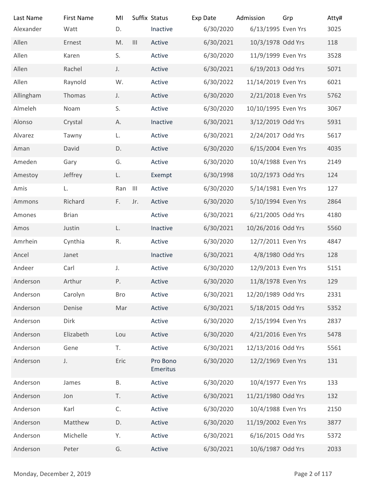| Last Name                | <b>First Name</b> | MI         |                | Suffix Status        | Exp Date  | Admission           | Grp           | Atty# |
|--------------------------|-------------------|------------|----------------|----------------------|-----------|---------------------|---------------|-------|
| Alexander                | Watt              | D.         |                | Inactive             | 6/30/2020 | 6/13/1995 Even Yrs  |               | 3025  |
| Allen                    | Ernest            | M.         | $\mathbf{III}$ | Active               | 6/30/2021 | 10/3/1978 Odd Yrs   |               | 118   |
| Allen                    | Karen             | S.         |                | Active               | 6/30/2020 | 11/9/1999 Even Yrs  |               | 3528  |
| Allen                    | Rachel            | J.         |                | Active               | 6/30/2021 | 6/19/2013 Odd Yrs   |               | 5071  |
| Allen                    | Raynold           | W.         |                | Active               | 6/30/2022 | 11/14/2019 Even Yrs |               | 6021  |
| Allingham                | Thomas            | J.         |                | Active               | 6/30/2020 | 2/21/2018 Even Yrs  |               | 5762  |
| Almeleh                  | Noam              | S.         |                | Active               | 6/30/2020 | 10/10/1995 Even Yrs |               | 3067  |
| Alonso                   | Crystal           | А.         |                | Inactive             | 6/30/2021 | 3/12/2019 Odd Yrs   |               | 5931  |
| Alvarez                  | Tawny             | L.         |                | Active               | 6/30/2021 | 2/24/2017 Odd Yrs   |               | 5617  |
| Aman                     | David             | D.         |                | Active               | 6/30/2020 | 6/15/2004 Even Yrs  |               | 4035  |
| Ameden                   | Gary              | G.         |                | Active               | 6/30/2020 | 10/4/1988 Even Yrs  |               | 2149  |
| Amestoy                  | Jeffrey           | L.         |                | Exempt               | 6/30/1998 | 10/2/1973 Odd Yrs   |               | 124   |
| Amis                     | L.                | Ran III    |                | Active               | 6/30/2020 | 5/14/1981 Even Yrs  |               | 127   |
| Ammons                   | Richard           | F.         | Jr.            | Active               | 6/30/2020 | 5/10/1994 Even Yrs  |               | 2864  |
| Amones                   | <b>Brian</b>      |            |                | Active               | 6/30/2021 | 6/21/2005 Odd Yrs   |               | 4180  |
| Amos                     | Justin            | L.         |                | Inactive             | 6/30/2021 | 10/26/2016 Odd Yrs  |               | 5560  |
| Amrhein                  | Cynthia           | R.         |                | Active               | 6/30/2020 | 12/7/2011 Even Yrs  |               | 4847  |
| Ancel                    | Janet             |            |                | Inactive             | 6/30/2021 | 4/8/1980 Odd Yrs    |               | 128   |
| Andeer                   | Carl              | J.         |                | Active               | 6/30/2020 | 12/9/2013 Even Yrs  |               | 5151  |
| Anderson                 | Arthur            | Ρ.         |                | Active               | 6/30/2020 | 11/8/1978 Even Yrs  |               | 129   |
| Anderson                 | Carolyn           | <b>Bro</b> |                | Active               | 6/30/2021 | 12/20/1989 Odd Yrs  |               | 2331  |
| Anderson                 | Denise            | Mar        |                | Active               | 6/30/2021 | 5/18/2015 Odd Yrs   |               | 5352  |
| Anderson                 | Dirk              |            |                | Active               | 6/30/2020 | 2/15/1994 Even Yrs  |               | 2837  |
| Anderson                 | Elizabeth         | Lou        |                | Active               | 6/30/2020 | 4/21/2016 Even Yrs  |               | 5478  |
| Anderson                 | Gene              | T.         |                | Active               | 6/30/2021 | 12/13/2016 Odd Yrs  |               | 5561  |
| Anderson                 | J.                | Eric       |                | Pro Bono<br>Emeritus | 6/30/2020 | 12/2/1969 Even Yrs  |               | 131   |
| Anderson                 | James             | Β.         |                | Active               | 6/30/2020 | 10/4/1977 Even Yrs  |               | 133   |
| Anderson                 | Jon               | T.         |                | Active               | 6/30/2021 | 11/21/1980 Odd Yrs  |               | 132   |
| Anderson                 | Karl              | C.         |                | Active               | 6/30/2020 | 10/4/1988 Even Yrs  |               | 2150  |
| Anderson                 | Matthew           | D.         |                | Active               | 6/30/2020 | 11/19/2002 Even Yrs |               | 3877  |
| Anderson                 | Michelle          | Υ.         |                | Active               | 6/30/2021 | 6/16/2015 Odd Yrs   |               | 5372  |
| Anderson                 | Peter             | G.         |                | Active               | 6/30/2021 | 10/6/1987 Odd Yrs   |               | 2033  |
|                          |                   |            |                |                      |           |                     |               |       |
| Monday, December 2, 2019 |                   |            |                |                      |           |                     | Page 2 of 117 |       |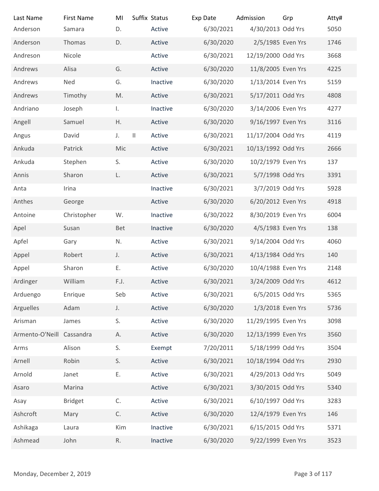| Last Name                 | <b>First Name</b> | MI                  | Suffix Status    | Exp Date               | Admission                               | Grp | Atty#         |
|---------------------------|-------------------|---------------------|------------------|------------------------|-----------------------------------------|-----|---------------|
| Anderson                  | Samara            | D.                  | Active           | 6/30/2021              | 4/30/2013 Odd Yrs                       |     | 5050          |
| Anderson<br>Andreson      | Thomas<br>Nicole  | D.                  | Active<br>Active | 6/30/2020<br>6/30/2021 | 2/5/1985 Even Yrs<br>12/19/2000 Odd Yrs |     | 1746<br>3668  |
| Andrews                   | Alisa             | G.                  | Active           | 6/30/2020              | 11/8/2005 Even Yrs                      |     | 4225          |
| Andrews                   | Ned               | G.                  | Inactive         | 6/30/2020              | 1/13/2014 Even Yrs                      |     | 5159          |
| Andrews                   | Timothy           | M.                  | Active           | 6/30/2021              | 5/17/2011 Odd Yrs                       |     | 4808          |
| Andriano                  | Joseph            | Ι.                  | Inactive         | 6/30/2020              | 3/14/2006 Even Yrs                      |     | 4277          |
| Angell                    | Samuel            | Η.                  | Active           | 6/30/2020              | 9/16/1997 Even Yrs                      |     | 3116          |
| Angus                     | David             | $\mathbf{  }$<br>J. | Active           | 6/30/2021              | 11/17/2004 Odd Yrs                      |     | 4119          |
| Ankuda                    | Patrick           | Mic                 | Active           | 6/30/2021              | 10/13/1992 Odd Yrs                      |     | 2666          |
| Ankuda                    | Stephen           | S.                  | Active           | 6/30/2020              | 10/2/1979 Even Yrs                      |     | 137           |
| Annis                     | Sharon            | L.                  | Active           | 6/30/2021              | 5/7/1998 Odd Yrs                        |     | 3391          |
| Anta                      | Irina             |                     | Inactive         | 6/30/2021              | 3/7/2019 Odd Yrs                        |     | 5928          |
| Anthes                    | George            |                     | Active           | 6/30/2020              | 6/20/2012 Even Yrs                      |     | 4918          |
| Antoine                   | Christopher       | W.                  | Inactive         | 6/30/2022              | 8/30/2019 Even Yrs                      |     | 6004          |
| Apel                      | Susan             | Bet                 | Inactive         | 6/30/2020              | 4/5/1983 Even Yrs                       |     | 138           |
| Apfel                     | Gary              | N.                  | Active           | 6/30/2021              | 9/14/2004 Odd Yrs                       |     | 4060          |
| Appel                     | Robert            | J.                  | Active           | 6/30/2021              | 4/13/1984 Odd Yrs                       |     | 140           |
| Appel                     | Sharon            | Ε.                  | Active           | 6/30/2020              | 10/4/1988 Even Yrs                      |     | 2148          |
| Ardinger                  | William           | F.J.                | Active           | 6/30/2021              | 3/24/2009 Odd Yrs                       |     | 4612          |
| Arduengo                  | Enrique           | Seb                 | Active           | 6/30/2021              | 6/5/2015 Odd Yrs                        |     | 5365          |
| Arguelles                 | Adam              | J.                  | Active           | 6/30/2020              | 1/3/2018 Even Yrs                       |     | 5736          |
| Arisman                   | James             | S.                  | Active           | 6/30/2020              | 11/29/1995 Even Yrs                     |     | 3098          |
| Armento-O'Neill Cassandra |                   | Α.                  | Active           | 6/30/2020              | 12/13/1999 Even Yrs                     |     | 3560          |
| Arms                      | Alison            | S.                  | Exempt           | 7/20/2011              | 5/18/1999 Odd Yrs                       |     | 3504          |
| Arnell                    | Robin             | S.                  | Active           | 6/30/2021              | 10/18/1994 Odd Yrs                      |     | 2930          |
| Arnold                    | Janet             | Ε.                  | Active           | 6/30/2021              | 4/29/2013 Odd Yrs                       |     | 5049          |
| Asaro                     | Marina            |                     | Active           | 6/30/2021              | 3/30/2015 Odd Yrs                       |     | 5340          |
| Asay                      | <b>Bridget</b>    | C.                  | Active           | 6/30/2021              | 6/10/1997 Odd Yrs                       |     | 3283          |
| Ashcroft                  | Mary              | С.                  | Active           | 6/30/2020              | 12/4/1979 Even Yrs                      |     | 146           |
| Ashikaga                  | Laura             | Kim                 | Inactive         | 6/30/2021              | 6/15/2015 Odd Yrs                       |     | 5371          |
| Ashmead                   | John              | R.                  | Inactive         | 6/30/2020              | 9/22/1999 Even Yrs                      |     | 3523          |
|                           |                   |                     |                  |                        |                                         |     |               |
| Monday, December 2, 2019  |                   |                     |                  |                        |                                         |     | Page 3 of 117 |
|                           |                   |                     |                  |                        |                                         |     |               |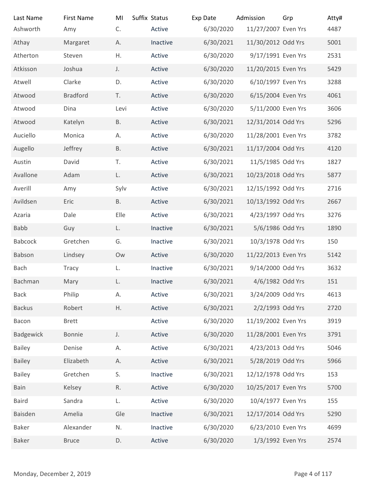| <b>First Name</b> | MI                                                                                                                              |                                               | Exp Date                                                                                            | Admission                                        | Grp                                                                                                                                                                                                                                                 | Atty#<br>4487                                                                                                                                                                                                                                                                                                                                                                                                                                                                                                                                                                                                                                                                                                                          |
|-------------------|---------------------------------------------------------------------------------------------------------------------------------|-----------------------------------------------|-----------------------------------------------------------------------------------------------------|--------------------------------------------------|-----------------------------------------------------------------------------------------------------------------------------------------------------------------------------------------------------------------------------------------------------|----------------------------------------------------------------------------------------------------------------------------------------------------------------------------------------------------------------------------------------------------------------------------------------------------------------------------------------------------------------------------------------------------------------------------------------------------------------------------------------------------------------------------------------------------------------------------------------------------------------------------------------------------------------------------------------------------------------------------------------|
|                   |                                                                                                                                 |                                               |                                                                                                     |                                                  |                                                                                                                                                                                                                                                     | 5001                                                                                                                                                                                                                                                                                                                                                                                                                                                                                                                                                                                                                                                                                                                                   |
| Steven            | Η.                                                                                                                              | Active                                        |                                                                                                     |                                                  |                                                                                                                                                                                                                                                     | 2531                                                                                                                                                                                                                                                                                                                                                                                                                                                                                                                                                                                                                                                                                                                                   |
| Joshua            | J.                                                                                                                              | Active                                        | 6/30/2020                                                                                           |                                                  |                                                                                                                                                                                                                                                     | 5429                                                                                                                                                                                                                                                                                                                                                                                                                                                                                                                                                                                                                                                                                                                                   |
| Clarke            | D.                                                                                                                              | Active                                        |                                                                                                     |                                                  |                                                                                                                                                                                                                                                     | 3288                                                                                                                                                                                                                                                                                                                                                                                                                                                                                                                                                                                                                                                                                                                                   |
| <b>Bradford</b>   | T.                                                                                                                              | Active                                        | 6/30/2020                                                                                           |                                                  |                                                                                                                                                                                                                                                     | 4061                                                                                                                                                                                                                                                                                                                                                                                                                                                                                                                                                                                                                                                                                                                                   |
| Dina              | Levi                                                                                                                            | Active                                        |                                                                                                     |                                                  |                                                                                                                                                                                                                                                     | 3606                                                                                                                                                                                                                                                                                                                                                                                                                                                                                                                                                                                                                                                                                                                                   |
| Katelyn           | <b>B.</b>                                                                                                                       | Active                                        | 6/30/2021                                                                                           |                                                  |                                                                                                                                                                                                                                                     | 5296                                                                                                                                                                                                                                                                                                                                                                                                                                                                                                                                                                                                                                                                                                                                   |
| Monica            | А.                                                                                                                              | Active                                        |                                                                                                     |                                                  |                                                                                                                                                                                                                                                     | 3782                                                                                                                                                                                                                                                                                                                                                                                                                                                                                                                                                                                                                                                                                                                                   |
| Jeffrey           | <b>B.</b>                                                                                                                       | Active                                        | 6/30/2021                                                                                           |                                                  |                                                                                                                                                                                                                                                     | 4120                                                                                                                                                                                                                                                                                                                                                                                                                                                                                                                                                                                                                                                                                                                                   |
| David             | T.                                                                                                                              | Active                                        |                                                                                                     |                                                  |                                                                                                                                                                                                                                                     | 1827                                                                                                                                                                                                                                                                                                                                                                                                                                                                                                                                                                                                                                                                                                                                   |
| Adam              | L.                                                                                                                              | Active                                        | 6/30/2021                                                                                           |                                                  |                                                                                                                                                                                                                                                     | 5877                                                                                                                                                                                                                                                                                                                                                                                                                                                                                                                                                                                                                                                                                                                                   |
| Amy               | Sylv                                                                                                                            | Active                                        | 6/30/2021                                                                                           |                                                  |                                                                                                                                                                                                                                                     | 2716                                                                                                                                                                                                                                                                                                                                                                                                                                                                                                                                                                                                                                                                                                                                   |
| Eric              | <b>B.</b>                                                                                                                       | Active                                        | 6/30/2021                                                                                           |                                                  |                                                                                                                                                                                                                                                     | 2667                                                                                                                                                                                                                                                                                                                                                                                                                                                                                                                                                                                                                                                                                                                                   |
| Dale              | Elle                                                                                                                            | Active                                        |                                                                                                     |                                                  |                                                                                                                                                                                                                                                     | 3276                                                                                                                                                                                                                                                                                                                                                                                                                                                                                                                                                                                                                                                                                                                                   |
| Guy               | L.                                                                                                                              | Inactive                                      | 6/30/2021                                                                                           |                                                  |                                                                                                                                                                                                                                                     | 1890                                                                                                                                                                                                                                                                                                                                                                                                                                                                                                                                                                                                                                                                                                                                   |
| Gretchen          | G.                                                                                                                              | Inactive                                      |                                                                                                     |                                                  |                                                                                                                                                                                                                                                     | 150                                                                                                                                                                                                                                                                                                                                                                                                                                                                                                                                                                                                                                                                                                                                    |
| Lindsey           | Ow                                                                                                                              | Active                                        |                                                                                                     |                                                  |                                                                                                                                                                                                                                                     | 5142                                                                                                                                                                                                                                                                                                                                                                                                                                                                                                                                                                                                                                                                                                                                   |
| Tracy             | L.                                                                                                                              | Inactive                                      |                                                                                                     |                                                  |                                                                                                                                                                                                                                                     | 3632                                                                                                                                                                                                                                                                                                                                                                                                                                                                                                                                                                                                                                                                                                                                   |
| Mary              | L.                                                                                                                              | Inactive                                      |                                                                                                     |                                                  |                                                                                                                                                                                                                                                     | 151                                                                                                                                                                                                                                                                                                                                                                                                                                                                                                                                                                                                                                                                                                                                    |
| Philip            | А.                                                                                                                              | Active                                        |                                                                                                     |                                                  |                                                                                                                                                                                                                                                     | 4613                                                                                                                                                                                                                                                                                                                                                                                                                                                                                                                                                                                                                                                                                                                                   |
| Robert            | Η.                                                                                                                              | Active                                        | 6/30/2021                                                                                           |                                                  |                                                                                                                                                                                                                                                     | 2720                                                                                                                                                                                                                                                                                                                                                                                                                                                                                                                                                                                                                                                                                                                                   |
| <b>Brett</b>      |                                                                                                                                 | Active                                        |                                                                                                     |                                                  |                                                                                                                                                                                                                                                     | 3919                                                                                                                                                                                                                                                                                                                                                                                                                                                                                                                                                                                                                                                                                                                                   |
| Bonnie            | J.                                                                                                                              | Active                                        |                                                                                                     |                                                  |                                                                                                                                                                                                                                                     | 3791                                                                                                                                                                                                                                                                                                                                                                                                                                                                                                                                                                                                                                                                                                                                   |
| Denise            | А.                                                                                                                              | Active                                        |                                                                                                     |                                                  |                                                                                                                                                                                                                                                     | 5046                                                                                                                                                                                                                                                                                                                                                                                                                                                                                                                                                                                                                                                                                                                                   |
|                   | А.                                                                                                                              |                                               |                                                                                                     |                                                  |                                                                                                                                                                                                                                                     | 5966                                                                                                                                                                                                                                                                                                                                                                                                                                                                                                                                                                                                                                                                                                                                   |
|                   |                                                                                                                                 | Inactive                                      |                                                                                                     |                                                  |                                                                                                                                                                                                                                                     | 153                                                                                                                                                                                                                                                                                                                                                                                                                                                                                                                                                                                                                                                                                                                                    |
|                   |                                                                                                                                 |                                               |                                                                                                     |                                                  |                                                                                                                                                                                                                                                     | 5700                                                                                                                                                                                                                                                                                                                                                                                                                                                                                                                                                                                                                                                                                                                                   |
|                   |                                                                                                                                 |                                               |                                                                                                     |                                                  |                                                                                                                                                                                                                                                     | 155                                                                                                                                                                                                                                                                                                                                                                                                                                                                                                                                                                                                                                                                                                                                    |
|                   |                                                                                                                                 |                                               |                                                                                                     |                                                  |                                                                                                                                                                                                                                                     | 5290                                                                                                                                                                                                                                                                                                                                                                                                                                                                                                                                                                                                                                                                                                                                   |
|                   |                                                                                                                                 |                                               |                                                                                                     |                                                  |                                                                                                                                                                                                                                                     | 4699                                                                                                                                                                                                                                                                                                                                                                                                                                                                                                                                                                                                                                                                                                                                   |
|                   |                                                                                                                                 |                                               |                                                                                                     |                                                  |                                                                                                                                                                                                                                                     | 2574                                                                                                                                                                                                                                                                                                                                                                                                                                                                                                                                                                                                                                                                                                                                   |
|                   |                                                                                                                                 |                                               |                                                                                                     |                                                  |                                                                                                                                                                                                                                                     |                                                                                                                                                                                                                                                                                                                                                                                                                                                                                                                                                                                                                                                                                                                                        |
|                   |                                                                                                                                 |                                               |                                                                                                     |                                                  |                                                                                                                                                                                                                                                     |                                                                                                                                                                                                                                                                                                                                                                                                                                                                                                                                                                                                                                                                                                                                        |
|                   | Amy<br>Margaret<br>Elizabeth<br>Gretchen<br>Kelsey<br>Sandra<br>Amelia<br>Alexander<br><b>Bruce</b><br>Monday, December 2, 2019 | C.<br>А.<br>S.<br>R.<br>L.<br>Gle<br>N.<br>D. | Suffix Status<br>Active<br>Inactive<br>Active<br>Active<br>Active<br>Inactive<br>Inactive<br>Active | 6/30/2021<br>6/30/2021<br>6/30/2021<br>6/30/2021 | 6/30/2020<br>6/30/2020<br>6/30/2020<br>6/30/2020<br>6/30/2020<br>6/30/2021<br>6/30/2021<br>6/30/2021<br>6/30/2020<br>6/30/2021<br>6/30/2021<br>6/30/2021<br>6/30/2020<br>6/30/2020<br>6/30/2021<br>6/30/2020<br>6/30/2020<br>6/30/2020<br>6/30/2020 | 11/27/2007 Even Yrs<br>11/30/2012 Odd Yrs<br>9/17/1991 Even Yrs<br>11/20/2015 Even Yrs<br>6/10/1997 Even Yrs<br>6/15/2004 Even Yrs<br>5/11/2000 Even Yrs<br>12/31/2014 Odd Yrs<br>11/28/2001 Even Yrs<br>11/17/2004 Odd Yrs<br>11/5/1985 Odd Yrs<br>10/23/2018 Odd Yrs<br>12/15/1992 Odd Yrs<br>10/13/1992 Odd Yrs<br>4/23/1997 Odd Yrs<br>5/6/1986 Odd Yrs<br>10/3/1978 Odd Yrs<br>11/22/2013 Even Yrs<br>9/14/2000 Odd Yrs<br>4/6/1982 Odd Yrs<br>3/24/2009 Odd Yrs<br>2/2/1993 Odd Yrs<br>11/19/2002 Even Yrs<br>11/28/2001 Even Yrs<br>4/23/2013 Odd Yrs<br>5/28/2019 Odd Yrs<br>12/12/1978 Odd Yrs<br>10/25/2017 Even Yrs<br>10/4/1977 Even Yrs<br>12/17/2014 Odd Yrs<br>6/23/2010 Even Yrs<br>1/3/1992 Even Yrs<br>Page 4 of 117 |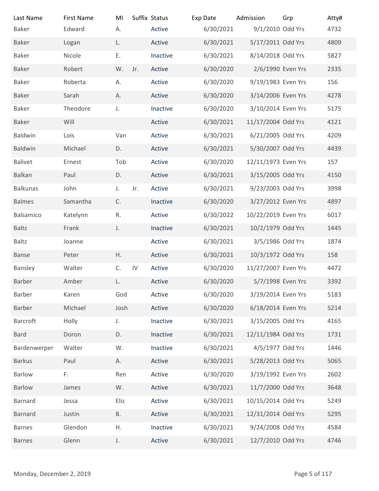| Last Name                | <b>First Name</b> | MI          |               | Suffix Status | Exp Date  | Admission           | Grp           | Atty# |
|--------------------------|-------------------|-------------|---------------|---------------|-----------|---------------------|---------------|-------|
| <b>Baker</b>             | Edward            | А.          |               | Active        | 6/30/2021 | 9/1/2010 Odd Yrs    |               | 4732  |
| <b>Baker</b>             | Logan             | L.          |               | Active        | 6/30/2021 | 5/17/2011 Odd Yrs   |               | 4809  |
| Baker                    | Nicole            | Ε.          |               | Inactive      | 6/30/2021 | 8/14/2018 Odd Yrs   |               | 5827  |
| Baker                    | Robert            | W.          | Jr.           | Active        | 6/30/2020 | 2/6/1990 Even Yrs   |               | 2335  |
| Baker                    | Roberta           | А.          |               | Active        | 6/30/2020 | 9/19/1983 Even Yrs  |               | 156   |
| <b>Baker</b>             | Sarah             | А.          |               | Active        | 6/30/2020 | 3/14/2006 Even Yrs  |               | 4278  |
| <b>Baker</b>             | Theodore          | J.          |               | Inactive      | 6/30/2020 | 3/10/2014 Even Yrs  |               | 5175  |
| <b>Baker</b>             | Will              |             |               | Active        | 6/30/2021 | 11/17/2004 Odd Yrs  |               | 4121  |
| <b>Baldwin</b>           | Lois              | Van         |               | Active        | 6/30/2021 | 6/21/2005 Odd Yrs   |               | 4209  |
| Baldwin                  | Michael           | D.          |               | Active        | 6/30/2021 | 5/30/2007 Odd Yrs   |               | 4439  |
| Balivet                  | Ernest            | Tob         |               | Active        | 6/30/2020 | 12/11/1973 Even Yrs |               | 157   |
| Balkan                   | Paul              | D.          |               | Active        | 6/30/2021 | 3/15/2005 Odd Yrs   |               | 4150  |
| <b>Balkunas</b>          | John              | J.          | Jr.           | Active        | 6/30/2021 | 9/23/2003 Odd Yrs   |               | 3998  |
| <b>Balmes</b>            | Samantha          | C.          |               | Inactive      | 6/30/2020 | 3/27/2012 Even Yrs  |               | 4897  |
| Balsamico                | Katelynn          | R.          |               | Active        | 6/30/2022 | 10/22/2019 Even Yrs |               | 6017  |
| Baltz                    | Frank             | J.          |               | Inactive      | 6/30/2021 | 10/2/1979 Odd Yrs   |               | 1445  |
| Baltz                    | Joanne            |             |               | Active        | 6/30/2021 | 3/5/1986 Odd Yrs    |               | 1874  |
| Banse                    | Peter             | Η.          |               | Active        | 6/30/2021 | 10/3/1972 Odd Yrs   |               | 158   |
| Bansley                  | Walter            | C.          | $\mathsf{IV}$ | Active        | 6/30/2020 | 11/27/2007 Even Yrs |               | 4472  |
| Barber                   | Amber             | L.          |               | Active        | 6/30/2020 | 5/7/1998 Even Yrs   |               | 3392  |
| Barber                   | Karen             | God         |               | Active        | 6/30/2020 | 3/19/2014 Even Yrs  |               | 5183  |
| Barber                   | Michael           | Josh        |               |               |           | 6/18/2014 Even Yrs  |               |       |
|                          |                   |             |               | Active        | 6/30/2020 |                     |               | 5214  |
| Barcroft                 | Holly             | $J_{\star}$ |               | Inactive      | 6/30/2021 | 3/15/2005 Odd Yrs   |               | 4165  |
| <b>Bard</b>              | Doron             | D.          |               | Inactive      | 6/30/2021 | 12/11/1984 Odd Yrs  |               | 1731  |
| Bardenwerper             | Walter            | W.          |               | Inactive      | 6/30/2021 | 4/5/1977 Odd Yrs    |               | 1446  |
| <b>Barkus</b>            | Paul              | А.          |               | Active        | 6/30/2021 | 5/28/2013 Odd Yrs   |               | 5065  |
| Barlow                   | F.                | Ren         |               | Active        | 6/30/2020 | 3/19/1992 Even Yrs  |               | 2602  |
| Barlow                   | James             | W.          |               | Active        | 6/30/2021 | 11/7/2000 Odd Yrs   |               | 3648  |
| Barnard                  | Jessa             | Eliz        |               | Active        | 6/30/2021 | 10/15/2014 Odd Yrs  |               | 5249  |
| Barnard                  | Justin            | Β.          |               | Active        | 6/30/2021 | 12/31/2014 Odd Yrs  |               | 5295  |
| <b>Barnes</b>            | Glendon           | Η.          |               | Inactive      | 6/30/2021 | 9/24/2008 Odd Yrs   |               | 4584  |
| <b>Barnes</b>            | Glenn             | J.          |               | Active        | 6/30/2021 | 12/7/2010 Odd Yrs   |               | 4746  |
|                          |                   |             |               |               |           |                     |               |       |
| Monday, December 2, 2019 |                   |             |               |               |           |                     | Page 5 of 117 |       |
|                          |                   |             |               |               |           |                     |               |       |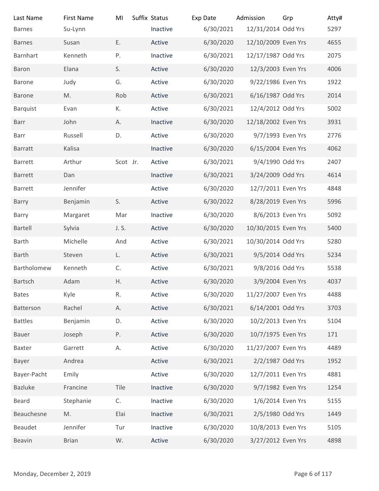| Last Name                | <b>First Name</b> | MI       | Suffix Status | Exp Date  | Admission           | Grp           | Atty# |
|--------------------------|-------------------|----------|---------------|-----------|---------------------|---------------|-------|
| <b>Barnes</b>            | Su-Lynn           |          | Inactive      | 6/30/2021 | 12/31/2014 Odd Yrs  |               | 5297  |
| <b>Barnes</b>            | Susan             | Ε.       | Active        | 6/30/2020 | 12/10/2009 Even Yrs |               | 4655  |
| Barnhart                 | Kenneth           | P.       | Inactive      | 6/30/2021 | 12/17/1987 Odd Yrs  |               | 2075  |
| Baron                    | Elana             | S.       | Active        | 6/30/2020 | 12/3/2003 Even Yrs  |               | 4006  |
| Barone                   | Judy              | G.       | Active        | 6/30/2020 | 9/22/1986 Even Yrs  |               | 1922  |
| <b>Barone</b>            | M.                | Rob      | Active        | 6/30/2021 | 6/16/1987 Odd Yrs   |               | 2014  |
| <b>Barquist</b>          | Evan              | К.       | Active        | 6/30/2021 | 12/4/2012 Odd Yrs   |               | 5002  |
| Barr                     | John              | Α.       | Inactive      | 6/30/2020 | 12/18/2002 Even Yrs |               | 3931  |
| Barr                     | Russell           | D.       | Active        | 6/30/2020 | 9/7/1993 Even Yrs   |               | 2776  |
| <b>Barratt</b>           | Kalisa            |          | Inactive      | 6/30/2020 | 6/15/2004 Even Yrs  |               | 4062  |
| Barrett                  | Arthur            | Scot Jr. | Active        | 6/30/2021 | 9/4/1990 Odd Yrs    |               | 2407  |
| Barrett                  | Dan               |          | Inactive      | 6/30/2021 | 3/24/2009 Odd Yrs   |               | 4614  |
| Barrett                  | Jennifer          |          | Active        | 6/30/2020 | 12/7/2011 Even Yrs  |               | 4848  |
| Barry                    | Benjamin          | S.       | Active        | 6/30/2022 | 8/28/2019 Even Yrs  |               | 5996  |
| Barry                    | Margaret          | Mar      | Inactive      | 6/30/2020 | 8/6/2013 Even Yrs   |               | 5092  |
| Bartell                  | Sylvia            | J. S.    | Active        | 6/30/2020 | 10/30/2015 Even Yrs |               | 5400  |
| Barth                    | Michelle          | And      | Active        | 6/30/2021 | 10/30/2014 Odd Yrs  |               | 5280  |
| Barth                    | Steven            | L.       | Active        | 6/30/2021 | 9/5/2014 Odd Yrs    |               | 5234  |
| Bartholomew              | Kenneth           | C.       | Active        | 6/30/2021 | 9/8/2016 Odd Yrs    |               | 5538  |
| Bartsch                  | Adam              | Η.       | Active        | 6/30/2020 | 3/9/2004 Even Yrs   |               | 4037  |
| <b>Bates</b>             | Kyle              | R.       | Active        | 6/30/2020 | 11/27/2007 Even Yrs |               | 4488  |
| Batterson                | Rachel            | А.       | Active        | 6/30/2021 | 6/14/2001 Odd Yrs   |               | 3703  |
| <b>Battles</b>           | Benjamin          | D.       | Active        | 6/30/2020 | 10/2/2013 Even Yrs  |               | 5104  |
| Bauer                    | Joseph            | P.       | Active        | 6/30/2020 | 10/7/1975 Even Yrs  |               | 171   |
| Baxter                   | Garrett           | А.       | Active        | 6/30/2020 | 11/27/2007 Even Yrs |               | 4489  |
| Bayer                    | Andrea            |          | Active        | 6/30/2021 | 2/2/1987 Odd Yrs    |               | 1952  |
| Bayer-Pacht              | Emily             |          | Active        | 6/30/2020 | 12/7/2011 Even Yrs  |               | 4881  |
| <b>Bazluke</b>           | Francine          | Tile     | Inactive      | 6/30/2020 | 9/7/1982 Even Yrs   |               | 1254  |
| Beard                    | Stephanie         | C.       | Inactive      | 6/30/2020 | 1/6/2014 Even Yrs   |               | 5155  |
| Beauchesne               | M.                | Elai     | Inactive      | 6/30/2021 | 2/5/1980 Odd Yrs    |               | 1449  |
| Beaudet                  | Jennifer          | Tur      | Inactive      | 6/30/2020 | 10/8/2013 Even Yrs  |               | 5105  |
| Beavin                   | <b>Brian</b>      | W.       | Active        | 6/30/2020 | 3/27/2012 Even Yrs  |               | 4898  |
|                          |                   |          |               |           |                     |               |       |
|                          |                   |          |               |           |                     |               |       |
| Monday, December 2, 2019 |                   |          |               |           |                     | Page 6 of 117 |       |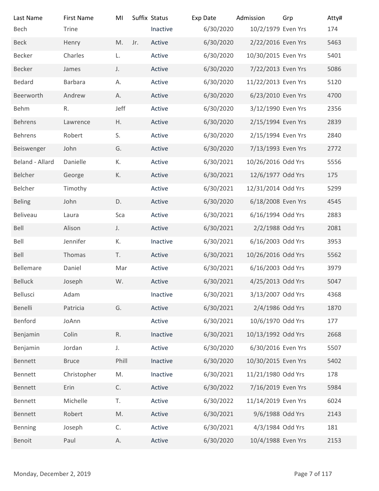| Last Name                | <b>First Name</b> | MI           |     | Suffix Status | Exp Date  | Admission           | Grp           | Atty# |
|--------------------------|-------------------|--------------|-----|---------------|-----------|---------------------|---------------|-------|
| Bech                     | Trine             |              |     | Inactive      | 6/30/2020 | 10/2/1979 Even Yrs  |               | 174   |
| <b>Beck</b>              | Henry             | M.           | Jr. | Active        | 6/30/2020 | 2/22/2016 Even Yrs  |               | 5463  |
| Becker                   | Charles           | L.           |     | Active        | 6/30/2020 | 10/30/2015 Even Yrs |               | 5401  |
| Becker                   | James             | J.           |     | Active        | 6/30/2020 | 7/22/2013 Even Yrs  |               | 5086  |
| Bedard                   | Barbara           | А.           |     | Active        | 6/30/2020 | 11/22/2013 Even Yrs |               | 5120  |
| Beerworth                | Andrew            | А.           |     | Active        | 6/30/2020 | 6/23/2010 Even Yrs  |               | 4700  |
| <b>Behm</b>              | R.                | Jeff         |     | Active        | 6/30/2020 | 3/12/1990 Even Yrs  |               | 2356  |
| Behrens                  | Lawrence          | H.           |     | Active        | 6/30/2020 | 2/15/1994 Even Yrs  |               | 2839  |
| <b>Behrens</b>           | Robert            | S.           |     | Active        | 6/30/2020 | 2/15/1994 Even Yrs  |               | 2840  |
| Beiswenger               | John              | G.           |     | Active        | 6/30/2020 | 7/13/1993 Even Yrs  |               | 2772  |
| Beland - Allard          | Danielle          | К.           |     | Active        | 6/30/2021 | 10/26/2016 Odd Yrs  |               | 5556  |
| Belcher                  | George            | К.           |     | Active        | 6/30/2021 | 12/6/1977 Odd Yrs   |               | 175   |
| Belcher                  | Timothy           |              |     | Active        | 6/30/2021 | 12/31/2014 Odd Yrs  |               | 5299  |
| <b>Beling</b>            | John              | D.           |     | Active        | 6/30/2020 | 6/18/2008 Even Yrs  |               | 4545  |
| Beliveau                 | Laura             | Sca          |     | Active        | 6/30/2021 | 6/16/1994 Odd Yrs   |               | 2883  |
| Bell                     | Alison            | J.           |     | Active        | 6/30/2021 | 2/2/1988 Odd Yrs    |               | 2081  |
| Bell                     | Jennifer          | К.           |     | Inactive      | 6/30/2021 | 6/16/2003 Odd Yrs   |               | 3953  |
| Bell                     | Thomas            | T.           |     | Active        | 6/30/2021 | 10/26/2016 Odd Yrs  |               | 5562  |
| Bellemare                | Daniel            | Mar          |     | Active        | 6/30/2021 | 6/16/2003 Odd Yrs   |               | 3979  |
| Belluck                  | Joseph            | W.           |     | Active        | 6/30/2021 | 4/25/2013 Odd Yrs   |               | 5047  |
| Bellusci                 | Adam              |              |     | Inactive      | 6/30/2021 | 3/13/2007 Odd Yrs   |               | 4368  |
| Benelli                  | Patricia          | G.           |     | Active        | 6/30/2021 | 2/4/1986 Odd Yrs    |               | 1870  |
| Benford                  | JoAnn             |              |     | Active        | 6/30/2021 | 10/6/1970 Odd Yrs   |               | 177   |
| Benjamin                 | Colin             | $\mathsf R.$ |     | Inactive      | 6/30/2021 | 10/13/1992 Odd Yrs  |               | 2668  |
| Benjamin                 | Jordan            | J.           |     | Active        | 6/30/2020 | 6/30/2016 Even Yrs  |               | 5507  |
| Bennett                  | <b>Bruce</b>      | Phill        |     | Inactive      | 6/30/2020 | 10/30/2015 Even Yrs |               | 5402  |
| Bennett                  | Christopher       | M.           |     | Inactive      | 6/30/2021 | 11/21/1980 Odd Yrs  |               | 178   |
| Bennett                  | Erin              | C.           |     | Active        | 6/30/2022 | 7/16/2019 Even Yrs  |               | 5984  |
|                          |                   |              |     |               |           |                     |               |       |
| Bennett                  | Michelle          | T.           |     | Active        | 6/30/2022 | 11/14/2019 Even Yrs |               | 6024  |
| Bennett                  | Robert            | M.           |     | Active        | 6/30/2021 | 9/6/1988 Odd Yrs    |               | 2143  |
| Benning                  | Joseph            | C.           |     | Active        | 6/30/2021 | 4/3/1984 Odd Yrs    |               | 181   |
| Benoit                   | Paul              | А.           |     | Active        | 6/30/2020 | 10/4/1988 Even Yrs  |               | 2153  |
|                          |                   |              |     |               |           |                     |               |       |
| Monday, December 2, 2019 |                   |              |     |               |           |                     | Page 7 of 117 |       |
|                          |                   |              |     |               |           |                     |               |       |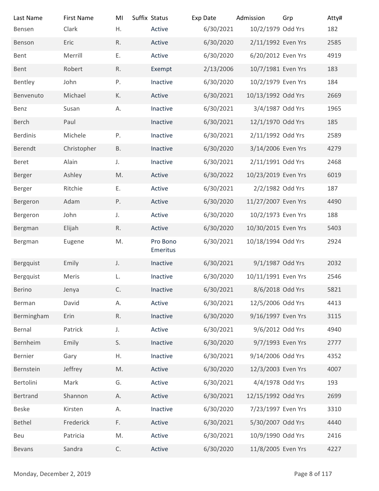| Last Name                | <b>First Name</b> | MI            | Suffix Status      | Exp Date               | Admission                                 | Grp | Atty#         |
|--------------------------|-------------------|---------------|--------------------|------------------------|-------------------------------------------|-----|---------------|
| Bensen                   | Clark             | Η.            | Active             | 6/30/2021              | 10/2/1979 Odd Yrs                         |     | 182           |
| Benson                   | Eric              | R.            | Active             | 6/30/2020              | 2/11/1992 Even Yrs                        |     | 2585          |
| Bent                     | Merrill           | Ε.            | Active             | 6/30/2020              | 6/20/2012 Even Yrs                        |     | 4919          |
| Bent                     | Robert            | R.            | Exempt             | 2/13/2006              | 10/7/1981 Even Yrs                        |     | 183           |
| Bentley                  | John              | P.            | Inactive           | 6/30/2020              | 10/2/1979 Even Yrs                        |     | 184           |
| Benvenuto                | Michael           | К.            | Active             | 6/30/2021              | 10/13/1992 Odd Yrs                        |     | 2669          |
| Benz                     | Susan             | А.            | Inactive           | 6/30/2021              | 3/4/1987 Odd Yrs                          |     | 1965          |
| <b>Berch</b>             | Paul              |               | Inactive           | 6/30/2021              | 12/1/1970 Odd Yrs                         |     | 185           |
| <b>Berdinis</b>          | Michele           | Ρ.            | Inactive           | 6/30/2021              | 2/11/1992 Odd Yrs                         |     | 2589          |
| Berendt                  | Christopher       | <b>B.</b>     | Inactive           | 6/30/2020              | 3/14/2006 Even Yrs                        |     | 4279          |
| Beret                    | Alain             | J.            | Inactive           | 6/30/2021              | 2/11/1991 Odd Yrs                         |     | 2468          |
| Berger                   | Ashley            | M.            | Active             | 6/30/2022              | 10/23/2019 Even Yrs                       |     | 6019          |
| Berger                   | Ritchie           | Ε.            | Active             | 6/30/2021              | 2/2/1982 Odd Yrs                          |     | 187           |
| Bergeron                 | Adam              | P.            | Active             | 6/30/2020              | 11/27/2007 Even Yrs                       |     | 4490          |
| Bergeron                 | John              | J.            | Active             | 6/30/2020              | 10/2/1973 Even Yrs                        |     | 188           |
| Bergman                  | Elijah            | R.<br>M.      | Active<br>Pro Bono | 6/30/2020<br>6/30/2021 | 10/30/2015 Even Yrs<br>10/18/1994 Odd Yrs |     | 5403<br>2924  |
| Bergman                  | Eugene            |               | Emeritus           |                        |                                           |     |               |
| Bergquist                | Emily             | J.            | Inactive           | 6/30/2021              | 9/1/1987 Odd Yrs                          |     | 2032          |
| Bergquist                | Meris             | L.            | Inactive           | 6/30/2020              | 10/11/1991 Even Yrs                       |     | 2546          |
| Berino                   | Jenya             | C.            | Inactive           | 6/30/2021              | 8/6/2018 Odd Yrs                          |     | 5821          |
| Berman                   | David             | А.            | Active             | 6/30/2021              | 12/5/2006 Odd Yrs                         |     | 4413          |
| Bermingham               | Erin              | R.            | Inactive           | 6/30/2020              | 9/16/1997 Even Yrs                        |     | 3115          |
| Bernal                   | Patrick           | J.            | Active             | 6/30/2021              | 9/6/2012 Odd Yrs                          |     | 4940          |
| Bernheim                 | Emily             | S.            | Inactive           | 6/30/2020              | 9/7/1993 Even Yrs                         |     | 2777          |
| Bernier                  | Gary              | Η.            | Inactive           | 6/30/2021              | 9/14/2006 Odd Yrs                         |     | 4352          |
| Bernstein                | Jeffrey           | M.            | Active             | 6/30/2020              | 12/3/2003 Even Yrs                        |     | 4007          |
| Bertolini                | Mark              | G.            | Active             | 6/30/2021              | 4/4/1978 Odd Yrs                          |     | 193           |
| Bertrand                 | Shannon           | А.            | Active             | 6/30/2021              | 12/15/1992 Odd Yrs                        |     | 2699          |
| <b>Beske</b>             | Kirsten           | А.            | Inactive           | 6/30/2020              | 7/23/1997 Even Yrs                        |     | 3310          |
| Bethel                   | Frederick         | $\mathsf{F}.$ | Active             | 6/30/2021              | 5/30/2007 Odd Yrs                         |     | 4440          |
| Beu                      | Patricia          | M.            | Active             | 6/30/2021              | 10/9/1990 Odd Yrs                         |     | 2416          |
| <b>Bevans</b>            | Sandra            | $\mathsf C.$  | Active             | 6/30/2020              | 11/8/2005 Even Yrs                        |     | 4227          |
| Monday, December 2, 2019 |                   |               |                    |                        |                                           |     | Page 8 of 117 |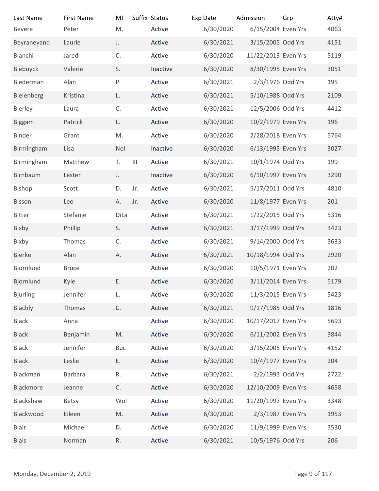| Last Name                | <b>First Name</b>    | MI            |                    | Suffix Status    | Exp Date               | Admission                                | Grp           | Atty#       |
|--------------------------|----------------------|---------------|--------------------|------------------|------------------------|------------------------------------------|---------------|-------------|
| <b>Bevere</b>            | Peter                | M.            |                    | Active           | 6/30/2020              | 6/15/2004 Even Yrs                       |               | 4063        |
| Beyranevand              | Laurie               | J.            |                    | Active           | 6/30/2021              | 3/15/2005 Odd Yrs                        |               | 4151        |
| Bianchi                  | Jared                | C.            |                    | Active           | 6/30/2020              | 11/22/2013 Even Yrs                      |               | 5119        |
| Biebuyck                 | Valerie              | S.            |                    | Inactive         | 6/30/2020              | 8/30/1995 Even Yrs                       |               | 3051        |
| Biederman                | Alan                 | P.            |                    | Active           | 6/30/2021              | 2/3/1976 Odd Yrs                         |               | 195         |
| Bielenberg               | Kristina             | L.            |                    | Active           | 6/30/2021              | 5/10/1988 Odd Yrs                        |               | 2109        |
| Bierley                  | Laura                | C.            |                    | Active           | 6/30/2021              | 12/5/2006 Odd Yrs                        |               | 4412        |
| <b>Biggam</b>            | Patrick              | L.            |                    | Active           | 6/30/2020              | 10/2/1979 Even Yrs                       |               | 196         |
| Binder                   | Grant                | M.            |                    | Active           | 6/30/2020              | 2/28/2018 Even Yrs                       |               | 5764        |
| Birmingham               | Lisa                 | Nol           |                    | Inactive         | 6/30/2020              | 6/13/1995 Even Yrs                       |               | 3027        |
| Birmingham               | Matthew              | T.            | $\mathop{\rm III}$ | Active           | 6/30/2021              | 10/1/1974 Odd Yrs                        |               | 199         |
| Birnbaum                 | Lester               | J.            |                    | Inactive         | 6/30/2020              | 6/10/1997 Even Yrs                       |               | 3290        |
| Bishop                   | Scott                | D.            | Jr.                | Active           | 6/30/2021              | 5/17/2011 Odd Yrs                        |               | 4810        |
| Bisson                   | Leo                  | А.            | Jr.                | Active           | 6/30/2020              | 11/8/1977 Even Yrs                       |               | 201         |
| Bitter                   | Stefanie             | DiLa          |                    | Active           | 6/30/2021              | 1/22/2015 Odd Yrs                        |               | 5316        |
| Bixby                    | Phillip              | S.            |                    | Active           | 6/30/2021              | 3/17/1999 Odd Yrs                        |               | 3423        |
| Bixby                    | Thomas               | C.            |                    | Active           | 6/30/2021              | 9/14/2000 Odd Yrs                        |               | 3633        |
| <b>Bjerke</b>            | Alan                 | Α.            |                    | Active           | 6/30/2021              | 10/18/1994 Odd Yrs                       |               | 2920        |
| Bjornlund<br>Bjornlund   | <b>Bruce</b><br>Kyle | Ε.            |                    | Active<br>Active | 6/30/2020<br>6/30/2020 | 10/5/1971 Even Yrs<br>3/11/2014 Even Yrs |               | 202<br>5179 |
| <b>Bjurling</b>          | Jennifer             | L.            |                    | Active           | 6/30/2020              | 11/3/2015 Even Yrs                       |               | 5423        |
|                          | Thomas               | $\mathsf{C}.$ |                    | Active           | 6/30/2021              | 9/17/1985 Odd Yrs                        |               | 1816        |
| Blachly<br>Black         | Anna                 |               |                    | Active           | 6/30/2020              | 10/17/2017 Even Yrs                      |               | 5693        |
| <b>Black</b>             | Benjamin             | M.            |                    | Active           | 6/30/2020              | 6/11/2002 Even Yrs                       |               | 3844        |
| <b>Black</b>             | Jennifer             | Buc           |                    | Active           | 6/30/2020              | 3/15/2005 Even Yrs                       |               | 4152        |
| <b>Black</b>             | Leslie               | Ε.            |                    | Active           | 6/30/2020              | 10/4/1977 Even Yrs                       |               | 204         |
| Blackman                 | Barbara              | $\mathsf R.$  |                    | Active           | 6/30/2021              | 2/2/1993 Odd Yrs                         |               | 2722        |
| Blackmore                | Jeanne               | C.            |                    | Active           | 6/30/2020              | 12/10/2009 Even Yrs                      |               | 4658        |
| Blackshaw                | <b>Betsy</b>         | Wol           |                    | Active           | 6/30/2020              | 11/20/1997 Even Yrs                      |               | 3348        |
| Blackwood                | Eileen               | M.            |                    | Active           | 6/30/2020              | 2/3/1987 Even Yrs                        |               | 1953        |
| Blair                    | Michael              | D.            |                    | Active           | 6/30/2020              | 11/9/1999 Even Yrs                       |               | 3530        |
| <b>Blais</b>             | Norman               | $\mathsf R.$  |                    | Active           | 6/30/2021              | 10/5/1976 Odd Yrs                        |               | 206         |
|                          |                      |               |                    |                  |                        |                                          |               |             |
|                          |                      |               |                    |                  |                        |                                          |               |             |
| Monday, December 2, 2019 |                      |               |                    |                  |                        |                                          | Page 9 of 117 |             |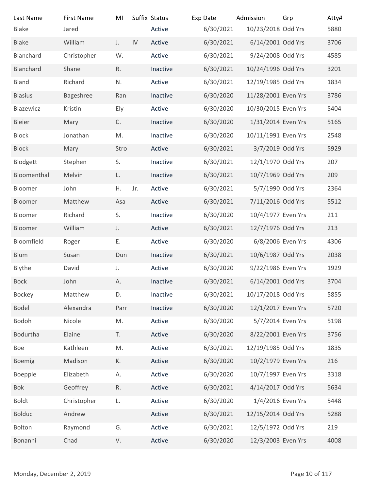| Suffix Status<br><b>First Name</b><br>Exp Date<br>Admission<br>Last Name<br>MI<br>6/30/2021<br><b>Blake</b><br>Active<br>Jared<br>William<br>IV<br>6/30/2021<br><b>Blake</b><br>Active<br>J.<br>6/30/2021<br>Blanchard<br>Christopher<br>W.<br>Active<br>R.<br>6/30/2021<br>Blanchard<br>Shane<br>Inactive<br>6/30/2021<br>Richard<br>Active<br><b>Bland</b><br>N.<br><b>Blasius</b><br>Bageshree<br>6/30/2020<br>Ran<br>Inactive<br>Blazewicz<br>Active<br>6/30/2020<br>Kristin<br>Ely<br>C.<br>6/30/2020<br>Bleier<br>Mary<br>Inactive<br>6/30/2020<br><b>Block</b><br>Jonathan<br>M.<br>Inactive<br>6/30/2021<br><b>Block</b><br>Active<br>Mary<br>Stro<br>Blodgett<br>6/30/2021<br>Stephen<br>S.<br>Inactive<br>Bloomenthal<br>6/30/2021<br>Melvin<br>Inactive<br>L.<br>Η.<br>Jr.<br>6/30/2021<br>John<br>Bloomer<br>Active<br>Bloomer<br>Matthew<br>6/30/2021<br>Active<br>Asa<br>6/30/2020<br>Bloomer<br>Richard<br>S.<br>Inactive<br>Bloomer<br>William<br>Active<br>6/30/2021<br>J.<br>Bloomfield<br>Ε.<br>6/30/2020<br>Active<br>Roger<br>6/30/2021<br>Blum<br>Susan<br>Dun<br>Inactive<br>6/30/2020<br>Blythe<br>David<br>Active<br>$J_{+}$<br>Bock<br>John<br>Inactive<br>6/30/2021<br>Α.<br>Matthew<br>6/30/2021<br>Bockey<br>Inactive<br>D.<br><b>Bodel</b><br>Alexandra<br>Inactive<br>6/30/2020<br>Parr<br>6/30/2020<br>Bodoh<br>Nicole<br>M.<br>Active<br>Bodurtha<br>Active<br>6/30/2020<br>Elaine<br>T.<br>6/30/2021<br>Kathleen<br>M.<br>Active<br>Boe<br>6/30/2020<br>Boemig<br>Madison<br>К.<br>Active<br>6/30/2020<br>Elizabeth<br>А.<br>Active<br>Boepple<br>Geoffrey<br>6/30/2021<br>Bok<br>R.<br>Active | 10/23/2018 Odd Yrs<br>6/14/2001 Odd Yrs<br>9/24/2008 Odd Yrs<br>10/24/1996 Odd Yrs<br>12/19/1985 Odd Yrs<br>11/28/2001 Even Yrs<br>10/30/2015 Even Yrs<br>1/31/2014 Even Yrs<br>10/11/1991 Even Yrs<br>3/7/2019 Odd Yrs<br>12/1/1970 Odd Yrs<br>10/7/1969 Odd Yrs<br>5/7/1990 Odd Yrs<br>7/11/2016 Odd Yrs | Grp | Atty#<br>5880<br>3706<br>4585<br>3201<br>1834<br>3786<br>5404<br>5165<br>2548<br>5929<br>207<br>209<br>2364<br>5512 |
|----------------------------------------------------------------------------------------------------------------------------------------------------------------------------------------------------------------------------------------------------------------------------------------------------------------------------------------------------------------------------------------------------------------------------------------------------------------------------------------------------------------------------------------------------------------------------------------------------------------------------------------------------------------------------------------------------------------------------------------------------------------------------------------------------------------------------------------------------------------------------------------------------------------------------------------------------------------------------------------------------------------------------------------------------------------------------------------------------------------------------------------------------------------------------------------------------------------------------------------------------------------------------------------------------------------------------------------------------------------------------------------------------------------------------------------------------------------------------------------------------------------------------------------------------------------------------------------------------------------------------------|------------------------------------------------------------------------------------------------------------------------------------------------------------------------------------------------------------------------------------------------------------------------------------------------------------|-----|---------------------------------------------------------------------------------------------------------------------|
|                                                                                                                                                                                                                                                                                                                                                                                                                                                                                                                                                                                                                                                                                                                                                                                                                                                                                                                                                                                                                                                                                                                                                                                                                                                                                                                                                                                                                                                                                                                                                                                                                                  |                                                                                                                                                                                                                                                                                                            |     |                                                                                                                     |
|                                                                                                                                                                                                                                                                                                                                                                                                                                                                                                                                                                                                                                                                                                                                                                                                                                                                                                                                                                                                                                                                                                                                                                                                                                                                                                                                                                                                                                                                                                                                                                                                                                  |                                                                                                                                                                                                                                                                                                            |     |                                                                                                                     |
|                                                                                                                                                                                                                                                                                                                                                                                                                                                                                                                                                                                                                                                                                                                                                                                                                                                                                                                                                                                                                                                                                                                                                                                                                                                                                                                                                                                                                                                                                                                                                                                                                                  |                                                                                                                                                                                                                                                                                                            |     |                                                                                                                     |
|                                                                                                                                                                                                                                                                                                                                                                                                                                                                                                                                                                                                                                                                                                                                                                                                                                                                                                                                                                                                                                                                                                                                                                                                                                                                                                                                                                                                                                                                                                                                                                                                                                  |                                                                                                                                                                                                                                                                                                            |     |                                                                                                                     |
|                                                                                                                                                                                                                                                                                                                                                                                                                                                                                                                                                                                                                                                                                                                                                                                                                                                                                                                                                                                                                                                                                                                                                                                                                                                                                                                                                                                                                                                                                                                                                                                                                                  |                                                                                                                                                                                                                                                                                                            |     |                                                                                                                     |
|                                                                                                                                                                                                                                                                                                                                                                                                                                                                                                                                                                                                                                                                                                                                                                                                                                                                                                                                                                                                                                                                                                                                                                                                                                                                                                                                                                                                                                                                                                                                                                                                                                  |                                                                                                                                                                                                                                                                                                            |     |                                                                                                                     |
|                                                                                                                                                                                                                                                                                                                                                                                                                                                                                                                                                                                                                                                                                                                                                                                                                                                                                                                                                                                                                                                                                                                                                                                                                                                                                                                                                                                                                                                                                                                                                                                                                                  |                                                                                                                                                                                                                                                                                                            |     |                                                                                                                     |
|                                                                                                                                                                                                                                                                                                                                                                                                                                                                                                                                                                                                                                                                                                                                                                                                                                                                                                                                                                                                                                                                                                                                                                                                                                                                                                                                                                                                                                                                                                                                                                                                                                  |                                                                                                                                                                                                                                                                                                            |     |                                                                                                                     |
|                                                                                                                                                                                                                                                                                                                                                                                                                                                                                                                                                                                                                                                                                                                                                                                                                                                                                                                                                                                                                                                                                                                                                                                                                                                                                                                                                                                                                                                                                                                                                                                                                                  |                                                                                                                                                                                                                                                                                                            |     |                                                                                                                     |
|                                                                                                                                                                                                                                                                                                                                                                                                                                                                                                                                                                                                                                                                                                                                                                                                                                                                                                                                                                                                                                                                                                                                                                                                                                                                                                                                                                                                                                                                                                                                                                                                                                  |                                                                                                                                                                                                                                                                                                            |     |                                                                                                                     |
|                                                                                                                                                                                                                                                                                                                                                                                                                                                                                                                                                                                                                                                                                                                                                                                                                                                                                                                                                                                                                                                                                                                                                                                                                                                                                                                                                                                                                                                                                                                                                                                                                                  |                                                                                                                                                                                                                                                                                                            |     |                                                                                                                     |
|                                                                                                                                                                                                                                                                                                                                                                                                                                                                                                                                                                                                                                                                                                                                                                                                                                                                                                                                                                                                                                                                                                                                                                                                                                                                                                                                                                                                                                                                                                                                                                                                                                  |                                                                                                                                                                                                                                                                                                            |     |                                                                                                                     |
|                                                                                                                                                                                                                                                                                                                                                                                                                                                                                                                                                                                                                                                                                                                                                                                                                                                                                                                                                                                                                                                                                                                                                                                                                                                                                                                                                                                                                                                                                                                                                                                                                                  |                                                                                                                                                                                                                                                                                                            |     |                                                                                                                     |
|                                                                                                                                                                                                                                                                                                                                                                                                                                                                                                                                                                                                                                                                                                                                                                                                                                                                                                                                                                                                                                                                                                                                                                                                                                                                                                                                                                                                                                                                                                                                                                                                                                  |                                                                                                                                                                                                                                                                                                            |     |                                                                                                                     |
|                                                                                                                                                                                                                                                                                                                                                                                                                                                                                                                                                                                                                                                                                                                                                                                                                                                                                                                                                                                                                                                                                                                                                                                                                                                                                                                                                                                                                                                                                                                                                                                                                                  |                                                                                                                                                                                                                                                                                                            |     |                                                                                                                     |
|                                                                                                                                                                                                                                                                                                                                                                                                                                                                                                                                                                                                                                                                                                                                                                                                                                                                                                                                                                                                                                                                                                                                                                                                                                                                                                                                                                                                                                                                                                                                                                                                                                  |                                                                                                                                                                                                                                                                                                            |     |                                                                                                                     |
|                                                                                                                                                                                                                                                                                                                                                                                                                                                                                                                                                                                                                                                                                                                                                                                                                                                                                                                                                                                                                                                                                                                                                                                                                                                                                                                                                                                                                                                                                                                                                                                                                                  |                                                                                                                                                                                                                                                                                                            |     |                                                                                                                     |
|                                                                                                                                                                                                                                                                                                                                                                                                                                                                                                                                                                                                                                                                                                                                                                                                                                                                                                                                                                                                                                                                                                                                                                                                                                                                                                                                                                                                                                                                                                                                                                                                                                  | 10/4/1977 Even Yrs                                                                                                                                                                                                                                                                                         |     | 211                                                                                                                 |
|                                                                                                                                                                                                                                                                                                                                                                                                                                                                                                                                                                                                                                                                                                                                                                                                                                                                                                                                                                                                                                                                                                                                                                                                                                                                                                                                                                                                                                                                                                                                                                                                                                  | 12/7/1976 Odd Yrs                                                                                                                                                                                                                                                                                          |     | 213                                                                                                                 |
|                                                                                                                                                                                                                                                                                                                                                                                                                                                                                                                                                                                                                                                                                                                                                                                                                                                                                                                                                                                                                                                                                                                                                                                                                                                                                                                                                                                                                                                                                                                                                                                                                                  | 6/8/2006 Even Yrs                                                                                                                                                                                                                                                                                          |     | 4306                                                                                                                |
|                                                                                                                                                                                                                                                                                                                                                                                                                                                                                                                                                                                                                                                                                                                                                                                                                                                                                                                                                                                                                                                                                                                                                                                                                                                                                                                                                                                                                                                                                                                                                                                                                                  | 10/6/1987 Odd Yrs                                                                                                                                                                                                                                                                                          |     | 2038                                                                                                                |
|                                                                                                                                                                                                                                                                                                                                                                                                                                                                                                                                                                                                                                                                                                                                                                                                                                                                                                                                                                                                                                                                                                                                                                                                                                                                                                                                                                                                                                                                                                                                                                                                                                  | 9/22/1986 Even Yrs                                                                                                                                                                                                                                                                                         |     | 1929                                                                                                                |
|                                                                                                                                                                                                                                                                                                                                                                                                                                                                                                                                                                                                                                                                                                                                                                                                                                                                                                                                                                                                                                                                                                                                                                                                                                                                                                                                                                                                                                                                                                                                                                                                                                  | 6/14/2001 Odd Yrs                                                                                                                                                                                                                                                                                          |     | 3704                                                                                                                |
|                                                                                                                                                                                                                                                                                                                                                                                                                                                                                                                                                                                                                                                                                                                                                                                                                                                                                                                                                                                                                                                                                                                                                                                                                                                                                                                                                                                                                                                                                                                                                                                                                                  | 10/17/2018 Odd Yrs                                                                                                                                                                                                                                                                                         |     | 5855                                                                                                                |
|                                                                                                                                                                                                                                                                                                                                                                                                                                                                                                                                                                                                                                                                                                                                                                                                                                                                                                                                                                                                                                                                                                                                                                                                                                                                                                                                                                                                                                                                                                                                                                                                                                  | 12/1/2017 Even Yrs                                                                                                                                                                                                                                                                                         |     | 5720                                                                                                                |
|                                                                                                                                                                                                                                                                                                                                                                                                                                                                                                                                                                                                                                                                                                                                                                                                                                                                                                                                                                                                                                                                                                                                                                                                                                                                                                                                                                                                                                                                                                                                                                                                                                  | 5/7/2014 Even Yrs                                                                                                                                                                                                                                                                                          |     | 5198                                                                                                                |
|                                                                                                                                                                                                                                                                                                                                                                                                                                                                                                                                                                                                                                                                                                                                                                                                                                                                                                                                                                                                                                                                                                                                                                                                                                                                                                                                                                                                                                                                                                                                                                                                                                  | 8/22/2001 Even Yrs                                                                                                                                                                                                                                                                                         |     | 3756                                                                                                                |
|                                                                                                                                                                                                                                                                                                                                                                                                                                                                                                                                                                                                                                                                                                                                                                                                                                                                                                                                                                                                                                                                                                                                                                                                                                                                                                                                                                                                                                                                                                                                                                                                                                  | 12/19/1985 Odd Yrs                                                                                                                                                                                                                                                                                         |     | 1835                                                                                                                |
|                                                                                                                                                                                                                                                                                                                                                                                                                                                                                                                                                                                                                                                                                                                                                                                                                                                                                                                                                                                                                                                                                                                                                                                                                                                                                                                                                                                                                                                                                                                                                                                                                                  | 10/2/1979 Even Yrs                                                                                                                                                                                                                                                                                         |     | 216                                                                                                                 |
|                                                                                                                                                                                                                                                                                                                                                                                                                                                                                                                                                                                                                                                                                                                                                                                                                                                                                                                                                                                                                                                                                                                                                                                                                                                                                                                                                                                                                                                                                                                                                                                                                                  | 10/7/1997 Even Yrs                                                                                                                                                                                                                                                                                         |     | 3318                                                                                                                |
|                                                                                                                                                                                                                                                                                                                                                                                                                                                                                                                                                                                                                                                                                                                                                                                                                                                                                                                                                                                                                                                                                                                                                                                                                                                                                                                                                                                                                                                                                                                                                                                                                                  | 4/14/2017 Odd Yrs                                                                                                                                                                                                                                                                                          |     | 5634                                                                                                                |
| 6/30/2020<br>Boldt<br>Christopher<br>Active<br>L.                                                                                                                                                                                                                                                                                                                                                                                                                                                                                                                                                                                                                                                                                                                                                                                                                                                                                                                                                                                                                                                                                                                                                                                                                                                                                                                                                                                                                                                                                                                                                                                | 1/4/2016 Even Yrs                                                                                                                                                                                                                                                                                          |     | 5448                                                                                                                |
| 6/30/2021<br><b>Bolduc</b><br>Andrew<br>Active                                                                                                                                                                                                                                                                                                                                                                                                                                                                                                                                                                                                                                                                                                                                                                                                                                                                                                                                                                                                                                                                                                                                                                                                                                                                                                                                                                                                                                                                                                                                                                                   | 12/15/2014 Odd Yrs                                                                                                                                                                                                                                                                                         |     | 5288                                                                                                                |
| 6/30/2021<br>G.<br>Bolton<br>Raymond<br>Active                                                                                                                                                                                                                                                                                                                                                                                                                                                                                                                                                                                                                                                                                                                                                                                                                                                                                                                                                                                                                                                                                                                                                                                                                                                                                                                                                                                                                                                                                                                                                                                   |                                                                                                                                                                                                                                                                                                            |     | 219                                                                                                                 |
| Active<br>6/30/2020<br>Chad<br>V.<br>Bonanni                                                                                                                                                                                                                                                                                                                                                                                                                                                                                                                                                                                                                                                                                                                                                                                                                                                                                                                                                                                                                                                                                                                                                                                                                                                                                                                                                                                                                                                                                                                                                                                     |                                                                                                                                                                                                                                                                                                            |     | 4008                                                                                                                |
|                                                                                                                                                                                                                                                                                                                                                                                                                                                                                                                                                                                                                                                                                                                                                                                                                                                                                                                                                                                                                                                                                                                                                                                                                                                                                                                                                                                                                                                                                                                                                                                                                                  | 12/5/1972 Odd Yrs                                                                                                                                                                                                                                                                                          |     |                                                                                                                     |
|                                                                                                                                                                                                                                                                                                                                                                                                                                                                                                                                                                                                                                                                                                                                                                                                                                                                                                                                                                                                                                                                                                                                                                                                                                                                                                                                                                                                                                                                                                                                                                                                                                  | 12/3/2003 Even Yrs                                                                                                                                                                                                                                                                                         |     |                                                                                                                     |
| Monday, December 2, 2019                                                                                                                                                                                                                                                                                                                                                                                                                                                                                                                                                                                                                                                                                                                                                                                                                                                                                                                                                                                                                                                                                                                                                                                                                                                                                                                                                                                                                                                                                                                                                                                                         |                                                                                                                                                                                                                                                                                                            |     | Page 10 of 117                                                                                                      |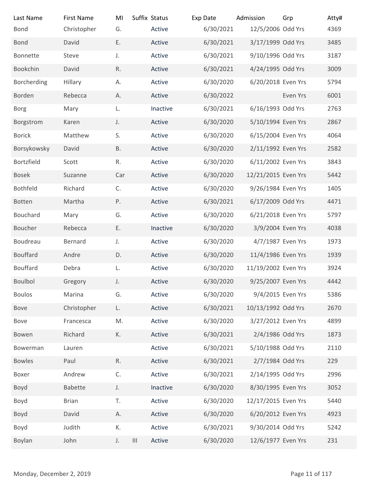| Last Name                | <b>First Name</b> | MI                      | Suffix Status | Exp Date  | Admission           | Grp            | Atty# |
|--------------------------|-------------------|-------------------------|---------------|-----------|---------------------|----------------|-------|
| <b>Bond</b>              | Christopher       | G.                      | Active        | 6/30/2021 | 12/5/2006 Odd Yrs   |                | 4369  |
| <b>Bond</b>              | David             | Ε.                      | Active        | 6/30/2021 | 3/17/1999 Odd Yrs   |                | 3485  |
| Bonnette                 | Steve             | J.                      | Active        | 6/30/2021 | 9/10/1996 Odd Yrs   |                | 3187  |
| Bookchin                 | David             | R.                      | Active        | 6/30/2021 | 4/24/1995 Odd Yrs   |                | 3009  |
| Borcherding              | Hillary           | А.                      | Active        | 6/30/2020 | 6/20/2018 Even Yrs  |                | 5794  |
| Borden                   | Rebecca           | А.                      | Active        | 6/30/2022 |                     | Even Yrs       | 6001  |
| <b>Borg</b>              | Mary              | L.                      | Inactive      | 6/30/2021 | 6/16/1993 Odd Yrs   |                | 2763  |
| Borgstrom                | Karen             | J.                      | Active        | 6/30/2020 | 5/10/1994 Even Yrs  |                | 2867  |
| <b>Borick</b>            | Matthew           | S.                      | Active        | 6/30/2020 | 6/15/2004 Even Yrs  |                | 4064  |
| Borsykowsky              | David             | <b>B.</b>               | Active        | 6/30/2020 | 2/11/1992 Even Yrs  |                | 2582  |
| Bortzfield               | Scott             | R.                      | Active        | 6/30/2020 | 6/11/2002 Even Yrs  |                | 3843  |
| Bosek                    | Suzanne           | Car                     | Active        | 6/30/2020 | 12/21/2015 Even Yrs |                | 5442  |
| Bothfeld                 | Richard           | C.                      | Active        | 6/30/2020 | 9/26/1984 Even Yrs  |                | 1405  |
| Botten                   | Martha            | Ρ.                      | Active        | 6/30/2021 | 6/17/2009 Odd Yrs   |                | 4471  |
| Bouchard                 | Mary              | G.                      | Active        | 6/30/2020 | 6/21/2018 Even Yrs  |                | 5797  |
| Boucher                  | Rebecca           | Ε.                      | Inactive      | 6/30/2020 | 3/9/2004 Even Yrs   |                | 4038  |
| Boudreau                 | Bernard           | J.                      | Active        | 6/30/2020 | 4/7/1987 Even Yrs   |                | 1973  |
| Bouffard                 | Andre             | D.                      | Active        | 6/30/2020 | 11/4/1986 Even Yrs  |                | 1939  |
| Bouffard                 | Debra             | L.                      | Active        | 6/30/2020 | 11/19/2002 Even Yrs |                | 3924  |
| Boulbol                  | Gregory           | J.                      | Active        | 6/30/2020 | 9/25/2007 Even Yrs  |                | 4442  |
| <b>Boulos</b>            | Marina            | G.                      | Active        | 6/30/2020 | 9/4/2015 Even Yrs   |                | 5386  |
| Bove                     | Christopher       | L.                      | Active        | 6/30/2021 | 10/13/1992 Odd Yrs  |                | 2670  |
| Bove                     | Francesca         | M.                      | Active        | 6/30/2020 | 3/27/2012 Even Yrs  |                | 4899  |
| Bowen                    | Richard           | К.                      | Active        | 6/30/2021 | 2/4/1986 Odd Yrs    |                | 1873  |
| Bowerman                 | Lauren            |                         | Active        | 6/30/2021 | 5/10/1988 Odd Yrs   |                | 2110  |
| <b>Bowles</b>            | Paul              | R.                      | Active        | 6/30/2021 | 2/7/1984 Odd Yrs    |                | 229   |
| Boxer                    | Andrew            | $\mathsf C.$            | Active        | 6/30/2021 | 2/14/1995 Odd Yrs   |                | 2996  |
| Boyd                     | Babette           | J.                      | Inactive      | 6/30/2020 | 8/30/1995 Even Yrs  |                | 3052  |
| Boyd                     | <b>Brian</b>      | T.                      | Active        | 6/30/2020 | 12/17/2015 Even Yrs |                | 5440  |
| Boyd                     | David             | А.                      | Active        | 6/30/2020 | 6/20/2012 Even Yrs  |                | 4923  |
| Boyd                     | Judith            | К.                      | Active        | 6/30/2021 | 9/30/2014 Odd Yrs   |                | 5242  |
| Boylan                   | John              | $\vert\vert\vert$<br>J. | Active        | 6/30/2020 | 12/6/1977 Even Yrs  |                | 231   |
|                          |                   |                         |               |           |                     |                |       |
|                          |                   |                         |               |           |                     |                |       |
| Monday, December 2, 2019 |                   |                         |               |           |                     | Page 11 of 117 |       |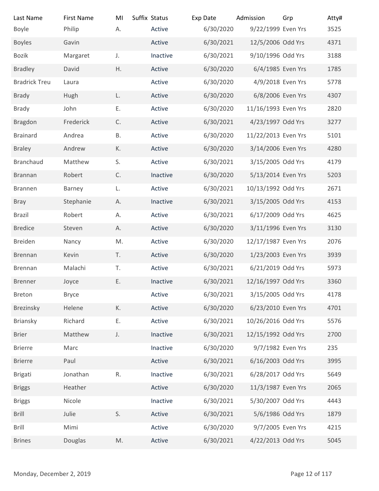|              |                                                                                                                  |                            |                                                                     |                                                                                                     |                | Atty#                                                                                                                                                                                                                                                                                                                                                                                                                                                                                                                                                                                                                                                                                                               |
|--------------|------------------------------------------------------------------------------------------------------------------|----------------------------|---------------------------------------------------------------------|-----------------------------------------------------------------------------------------------------|----------------|---------------------------------------------------------------------------------------------------------------------------------------------------------------------------------------------------------------------------------------------------------------------------------------------------------------------------------------------------------------------------------------------------------------------------------------------------------------------------------------------------------------------------------------------------------------------------------------------------------------------------------------------------------------------------------------------------------------------|
| Philip       | А.                                                                                                               | Active                     | 6/30/2020                                                           |                                                                                                     |                | 3525                                                                                                                                                                                                                                                                                                                                                                                                                                                                                                                                                                                                                                                                                                                |
| Gavin        |                                                                                                                  | Active                     | 6/30/2021                                                           |                                                                                                     |                | 4371                                                                                                                                                                                                                                                                                                                                                                                                                                                                                                                                                                                                                                                                                                                |
| Margaret     | J.                                                                                                               | Inactive                   | 6/30/2021                                                           |                                                                                                     |                | 3188                                                                                                                                                                                                                                                                                                                                                                                                                                                                                                                                                                                                                                                                                                                |
| David        | H.                                                                                                               | Active                     | 6/30/2020                                                           |                                                                                                     |                | 1785                                                                                                                                                                                                                                                                                                                                                                                                                                                                                                                                                                                                                                                                                                                |
| Laura        |                                                                                                                  | Active                     | 6/30/2020                                                           |                                                                                                     |                | 5778                                                                                                                                                                                                                                                                                                                                                                                                                                                                                                                                                                                                                                                                                                                |
| Hugh         | L.                                                                                                               | Active                     | 6/30/2020                                                           |                                                                                                     |                | 4307                                                                                                                                                                                                                                                                                                                                                                                                                                                                                                                                                                                                                                                                                                                |
| John         | Ε.                                                                                                               | Active                     | 6/30/2020                                                           |                                                                                                     |                | 2820                                                                                                                                                                                                                                                                                                                                                                                                                                                                                                                                                                                                                                                                                                                |
| Frederick    | C.                                                                                                               | Active                     | 6/30/2021                                                           |                                                                                                     |                | 3277                                                                                                                                                                                                                                                                                                                                                                                                                                                                                                                                                                                                                                                                                                                |
| Andrea       | В.                                                                                                               | Active                     | 6/30/2020                                                           |                                                                                                     |                | 5101                                                                                                                                                                                                                                                                                                                                                                                                                                                                                                                                                                                                                                                                                                                |
| Andrew       | К.                                                                                                               | Active                     | 6/30/2020                                                           |                                                                                                     |                | 4280                                                                                                                                                                                                                                                                                                                                                                                                                                                                                                                                                                                                                                                                                                                |
| Matthew      | S.                                                                                                               | Active                     | 6/30/2021                                                           |                                                                                                     |                | 4179                                                                                                                                                                                                                                                                                                                                                                                                                                                                                                                                                                                                                                                                                                                |
| Robert       | C.                                                                                                               | Inactive                   | 6/30/2020                                                           |                                                                                                     |                | 5203                                                                                                                                                                                                                                                                                                                                                                                                                                                                                                                                                                                                                                                                                                                |
|              |                                                                                                                  | Active                     | 6/30/2021                                                           |                                                                                                     |                | 2671                                                                                                                                                                                                                                                                                                                                                                                                                                                                                                                                                                                                                                                                                                                |
| Stephanie    | Α.                                                                                                               | Inactive                   | 6/30/2021                                                           |                                                                                                     |                | 4153                                                                                                                                                                                                                                                                                                                                                                                                                                                                                                                                                                                                                                                                                                                |
| Robert       | Α.                                                                                                               | Active                     | 6/30/2021                                                           |                                                                                                     |                | 4625                                                                                                                                                                                                                                                                                                                                                                                                                                                                                                                                                                                                                                                                                                                |
| Steven       | Α.                                                                                                               | Active                     | 6/30/2020                                                           |                                                                                                     |                | 3130                                                                                                                                                                                                                                                                                                                                                                                                                                                                                                                                                                                                                                                                                                                |
| Nancy        | M.                                                                                                               | Active                     | 6/30/2020                                                           |                                                                                                     |                | 2076                                                                                                                                                                                                                                                                                                                                                                                                                                                                                                                                                                                                                                                                                                                |
| Kevin        | T.                                                                                                               | Active                     | 6/30/2020                                                           |                                                                                                     |                | 3939                                                                                                                                                                                                                                                                                                                                                                                                                                                                                                                                                                                                                                                                                                                |
| Malachi      | Τ.                                                                                                               | Active                     | 6/30/2021                                                           |                                                                                                     |                | 5973                                                                                                                                                                                                                                                                                                                                                                                                                                                                                                                                                                                                                                                                                                                |
| Joyce        | Ε.                                                                                                               | Inactive                   | 6/30/2021                                                           |                                                                                                     |                | 3360                                                                                                                                                                                                                                                                                                                                                                                                                                                                                                                                                                                                                                                                                                                |
| <b>Bryce</b> |                                                                                                                  | Active                     | 6/30/2021                                                           |                                                                                                     |                | 4178                                                                                                                                                                                                                                                                                                                                                                                                                                                                                                                                                                                                                                                                                                                |
| Helene       | К.                                                                                                               | Active                     | 6/30/2020                                                           |                                                                                                     |                | 4701                                                                                                                                                                                                                                                                                                                                                                                                                                                                                                                                                                                                                                                                                                                |
| Richard      | Ε.                                                                                                               | Active                     | 6/30/2021                                                           |                                                                                                     |                | 5576                                                                                                                                                                                                                                                                                                                                                                                                                                                                                                                                                                                                                                                                                                                |
| Matthew      | J.                                                                                                               | Inactive                   | 6/30/2021                                                           |                                                                                                     |                | 2700                                                                                                                                                                                                                                                                                                                                                                                                                                                                                                                                                                                                                                                                                                                |
| Marc         |                                                                                                                  | Inactive                   |                                                                     |                                                                                                     |                | 235                                                                                                                                                                                                                                                                                                                                                                                                                                                                                                                                                                                                                                                                                                                 |
| Paul         |                                                                                                                  | Active                     |                                                                     |                                                                                                     |                | 3995                                                                                                                                                                                                                                                                                                                                                                                                                                                                                                                                                                                                                                                                                                                |
|              |                                                                                                                  |                            |                                                                     |                                                                                                     |                | 5649                                                                                                                                                                                                                                                                                                                                                                                                                                                                                                                                                                                                                                                                                                                |
| Heather      |                                                                                                                  | Active                     | 6/30/2020                                                           |                                                                                                     |                | 2065                                                                                                                                                                                                                                                                                                                                                                                                                                                                                                                                                                                                                                                                                                                |
|              |                                                                                                                  |                            |                                                                     |                                                                                                     |                | 4443                                                                                                                                                                                                                                                                                                                                                                                                                                                                                                                                                                                                                                                                                                                |
|              |                                                                                                                  |                            |                                                                     |                                                                                                     |                | 1879                                                                                                                                                                                                                                                                                                                                                                                                                                                                                                                                                                                                                                                                                                                |
|              |                                                                                                                  |                            |                                                                     |                                                                                                     |                | 4215                                                                                                                                                                                                                                                                                                                                                                                                                                                                                                                                                                                                                                                                                                                |
|              |                                                                                                                  |                            |                                                                     |                                                                                                     |                | 5045                                                                                                                                                                                                                                                                                                                                                                                                                                                                                                                                                                                                                                                                                                                |
|              |                                                                                                                  |                            |                                                                     |                                                                                                     |                |                                                                                                                                                                                                                                                                                                                                                                                                                                                                                                                                                                                                                                                                                                                     |
|              |                                                                                                                  |                            |                                                                     |                                                                                                     |                |                                                                                                                                                                                                                                                                                                                                                                                                                                                                                                                                                                                                                                                                                                                     |
|              |                                                                                                                  |                            |                                                                     |                                                                                                     | Page 12 of 117 |                                                                                                                                                                                                                                                                                                                                                                                                                                                                                                                                                                                                                                                                                                                     |
|              | <b>First Name</b><br><b>Barney</b><br>Jonathan<br>Nicole<br>Julie<br>Mimi<br>Douglas<br>Monday, December 2, 2019 | MI<br>L.<br>R.<br>S.<br>M. | Suffix Status<br>Inactive<br>Inactive<br>Active<br>Active<br>Active | Exp Date<br>6/30/2020<br>6/30/2021<br>6/30/2021<br>6/30/2021<br>6/30/2021<br>6/30/2020<br>6/30/2021 | Admission      | Grp<br>9/22/1999 Even Yrs<br>12/5/2006 Odd Yrs<br>9/10/1996 Odd Yrs<br>6/4/1985 Even Yrs<br>4/9/2018 Even Yrs<br>6/8/2006 Even Yrs<br>11/16/1993 Even Yrs<br>4/23/1997 Odd Yrs<br>11/22/2013 Even Yrs<br>3/14/2006 Even Yrs<br>3/15/2005 Odd Yrs<br>5/13/2014 Even Yrs<br>10/13/1992 Odd Yrs<br>3/15/2005 Odd Yrs<br>6/17/2009 Odd Yrs<br>3/11/1996 Even Yrs<br>12/17/1987 Even Yrs<br>1/23/2003 Even Yrs<br>6/21/2019 Odd Yrs<br>12/16/1997 Odd Yrs<br>3/15/2005 Odd Yrs<br>6/23/2010 Even Yrs<br>10/26/2016 Odd Yrs<br>12/15/1992 Odd Yrs<br>9/7/1982 Even Yrs<br>6/16/2003 Odd Yrs<br>6/28/2017 Odd Yrs<br>11/3/1987 Even Yrs<br>5/30/2007 Odd Yrs<br>5/6/1986 Odd Yrs<br>9/7/2005 Even Yrs<br>4/22/2013 Odd Yrs |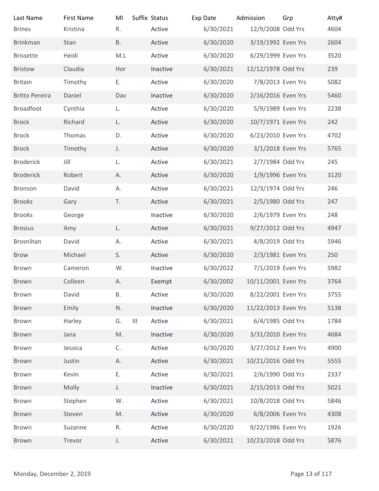| Last Name                | <b>First Name</b> | MI            | Suffix Status | Exp Date  | Admission           | Grp            | Atty# |
|--------------------------|-------------------|---------------|---------------|-----------|---------------------|----------------|-------|
| <b>Brines</b>            | Kristina          | R.            | Active        | 6/30/2021 | 12/9/2008 Odd Yrs   |                | 4604  |
| <b>Brinkman</b>          | Stan              | <b>B.</b>     | Active        | 6/30/2020 | 3/19/1992 Even Yrs  |                | 2604  |
| <b>Brissette</b>         | Heidi             | M.L           | Active        | 6/30/2020 | 6/29/1999 Even Yrs  |                | 3520  |
| <b>Bristow</b>           | Claudia           | Hor           | Inactive      | 6/30/2021 | 12/12/1978 Odd Yrs  |                | 239   |
| <b>Britain</b>           | Timothy           | Ε.            | Active        | 6/30/2020 | 7/8/2013 Even Yrs   |                | 5082  |
| <b>Britto Pereira</b>    | Daniel            | Dav           | Inactive      | 6/30/2020 | 2/16/2016 Even Yrs  |                | 5460  |
| <b>Broadfoot</b>         | Cynthia           | L.            | Active        | 6/30/2020 | 5/9/1989 Even Yrs   |                | 2238  |
| <b>Brock</b>             | Richard           | L.            | Active        | 6/30/2020 | 10/7/1971 Even Yrs  |                | 242   |
| <b>Brock</b>             | Thomas            | D.            | Active        | 6/30/2020 | 6/23/2010 Even Yrs  |                | 4702  |
| <b>Brock</b>             | Timothy           | J.            | Active        | 6/30/2020 | 3/1/2018 Even Yrs   |                | 5765  |
| <b>Broderick</b>         | Jill              | L.            | Active        | 6/30/2021 | 2/7/1984 Odd Yrs    |                | 245   |
| <b>Broderick</b>         | Robert            | А.            | Active        | 6/30/2020 | 1/9/1996 Even Yrs   |                | 3120  |
| Bronson                  | David             | А.            | Active        | 6/30/2021 | 12/3/1974 Odd Yrs   |                | 246   |
| <b>Brooks</b>            | Gary              | T.            | Active        | 6/30/2021 | 2/5/1980 Odd Yrs    |                | 247   |
| <b>Brooks</b>            | George            |               | Inactive      | 6/30/2020 | 2/6/1979 Even Yrs   |                | 248   |
| <b>Brosius</b>           | Amy               | L.            | Active        | 6/30/2021 | 9/27/2012 Odd Yrs   |                | 4947  |
| Brosnihan                | David             | А.            | Active        | 6/30/2021 | 4/8/2019 Odd Yrs    |                | 5946  |
| Brow                     | Michael           | S.            | Active        | 6/30/2020 | 2/3/1981 Even Yrs   |                | 250   |
| Brown                    | Cameron           | W.            | Inactive      | 6/30/2022 | 7/1/2019 Even Yrs   |                | 5982  |
| Brown                    | Colleen           | А.            | Exempt        | 6/30/2002 | 10/11/2001 Even Yrs |                | 3764  |
| Brown                    | David             | Β.            | Active        | 6/30/2020 | 8/22/2001 Even Yrs  |                | 3755  |
| Brown                    | Emily             | N.            | Inactive      | 6/30/2020 | 11/22/2013 Even Yrs |                | 5138  |
| Brown                    | Harley            | G.<br>$\  \ $ | Active        | 6/30/2021 | 6/4/1985 Odd Yrs    |                | 1784  |
| Brown                    | Jana              | $\mathsf{M}.$ | Inactive      | 6/30/2020 | 3/31/2010 Even Yrs  |                | 4684  |
| Brown                    | Jessica           | C.            | Active        | 6/30/2020 | 3/27/2012 Even Yrs  |                | 4900  |
| Brown                    | Justin            | А.            | Active        | 6/30/2021 | 10/21/2016 Odd Yrs  |                | 5555  |
| Brown                    | Kevin             | Ε.            | Active        | 6/30/2021 | 2/6/1990 Odd Yrs    |                | 2337  |
| Brown                    | Molly             | J.            | Inactive      | 6/30/2021 | 2/15/2013 Odd Yrs   |                | 5021  |
| Brown                    | Stephen           | W.            | Active        | 6/30/2021 | 10/8/2018 Odd Yrs   |                | 5846  |
| Brown                    | Steven            | M.            | Active        | 6/30/2020 | 6/8/2006 Even Yrs   |                | 4308  |
| Brown                    | Suzanne           | R.            | Active        | 6/30/2020 | 9/22/1986 Even Yrs  |                | 1926  |
| Brown                    | Trevor            | J.            | Active        | 6/30/2021 | 10/23/2018 Odd Yrs  |                | 5876  |
|                          |                   |               |               |           |                     |                |       |
| Monday, December 2, 2019 |                   |               |               |           |                     | Page 13 of 117 |       |
|                          |                   |               |               |           |                     |                |       |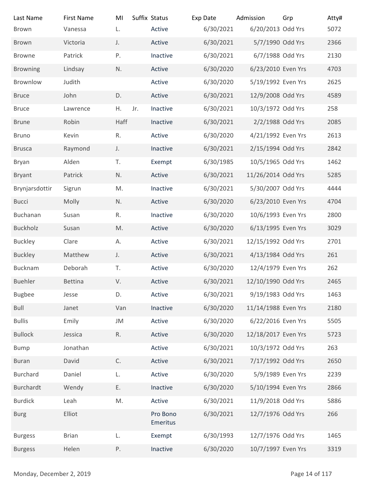| Suffix Status<br><b>First Name</b><br>MI<br>Exp Date<br>Admission<br>Grp<br>Last Name<br>6/30/2021<br>6/20/2013 Odd Yrs<br>L.<br>Active<br>Brown<br>Vanessa<br>6/30/2021<br>5/7/1990 Odd Yrs<br>Active<br>Victoria<br>J.<br>Brown<br>6/30/2021<br>6/7/1988 Odd Yrs<br>Patrick<br>Ρ.<br>Inactive<br>Browne<br>6/30/2020<br><b>Browning</b><br>Lindsay<br>N.<br>Active<br>6/23/2010 Even Yrs<br>6/30/2020<br>Brownlow<br>Judith<br>Active<br>5/19/1992 Even Yrs<br>D.<br>Active<br>12/9/2008 Odd Yrs<br>John<br>6/30/2021<br><b>Bruce</b><br>6/30/2021<br>10/3/1972 Odd Yrs<br>Η.<br>Jr.<br>Inactive<br><b>Bruce</b><br>Lawrence<br>Haff<br>Robin<br>6/30/2021<br>2/2/1988 Odd Yrs<br>Inactive<br><b>Brune</b><br>6/30/2020<br>4/21/1992 Even Yrs<br>Kevin<br>R.<br>Active<br><b>Bruno</b><br>Raymond<br>6/30/2021<br>2/15/1994 Odd Yrs<br>Inactive<br><b>Brusca</b><br>J.<br>T.<br>6/30/1985<br>10/5/1965 Odd Yrs<br>Alden<br>Exempt<br>Bryan<br>Active<br>6/30/2021<br>11/26/2014 Odd Yrs<br>Bryant<br>Patrick<br>N.<br>6/30/2021<br>5/30/2007 Odd Yrs<br>Brynjarsdottir<br>M.<br>Inactive<br>Sigrun<br>Active<br>6/30/2020<br>6/23/2010 Even Yrs<br><b>Bucci</b><br>Molly<br>N.<br>Buchanan<br>6/30/2020<br>10/6/1993 Even Yrs<br>R.<br>Inactive<br>Susan<br>Buckholz<br>$\mathsf{M}.$<br>Active<br>6/30/2020<br>6/13/1995 Even Yrs<br>Susan<br>6/30/2021<br>12/15/1992 Odd Yrs<br><b>Buckley</b><br>Active<br>Clare<br>А.<br>Matthew<br>Active<br>6/30/2021<br>4/13/1984 Odd Yrs<br><b>Buckley</b><br>J.<br>Bucknam<br>Deborah<br>6/30/2020<br>12/4/1979 Even Yrs<br>T.<br>Active<br>V.<br>12/10/1990 Odd Yrs<br>Buehler<br>Active<br>6/30/2021<br>Bettina<br>6/30/2021<br>9/19/1983 Odd Yrs<br><b>Bugbee</b><br>D.<br>Active<br>Jesse<br><b>Bull</b><br>11/14/1988 Even Yrs<br>Van<br>Inactive<br>6/30/2020<br>Janet<br><b>Bullis</b><br>6/30/2020<br>6/22/2016 Even Yrs<br>Emily<br>JM<br>Active<br>$\mathsf R.$<br>Active<br>6/30/2020<br>12/18/2017 Even Yrs<br><b>Bullock</b><br>Jessica<br>6/30/2021<br>10/3/1972 Odd Yrs<br>Jonathan<br>Active<br><b>Bump</b><br>C.<br>6/30/2021<br>7/17/1992 Odd Yrs<br>David<br>Active<br><b>Buran</b><br>6/30/2020<br>5/9/1989 Even Yrs<br>Burchard<br>L.<br>Active<br>Daniel<br>Ε.<br>6/30/2020<br>5/10/1994 Even Yrs<br>Burchardt<br>Inactive<br>Wendy<br>6/30/2021<br>11/9/2018 Odd Yrs<br><b>Burdick</b><br>Leah<br>M.<br>Active | Atty#<br>5072 |
|----------------------------------------------------------------------------------------------------------------------------------------------------------------------------------------------------------------------------------------------------------------------------------------------------------------------------------------------------------------------------------------------------------------------------------------------------------------------------------------------------------------------------------------------------------------------------------------------------------------------------------------------------------------------------------------------------------------------------------------------------------------------------------------------------------------------------------------------------------------------------------------------------------------------------------------------------------------------------------------------------------------------------------------------------------------------------------------------------------------------------------------------------------------------------------------------------------------------------------------------------------------------------------------------------------------------------------------------------------------------------------------------------------------------------------------------------------------------------------------------------------------------------------------------------------------------------------------------------------------------------------------------------------------------------------------------------------------------------------------------------------------------------------------------------------------------------------------------------------------------------------------------------------------------------------------------------------------------------------------------------------------------------------------------------------------------------------------------------------------------------------------------------------------------------------------------------------------------------------------------------------------------------------------------------------------------------------------------------------------------------------|---------------|
|                                                                                                                                                                                                                                                                                                                                                                                                                                                                                                                                                                                                                                                                                                                                                                                                                                                                                                                                                                                                                                                                                                                                                                                                                                                                                                                                                                                                                                                                                                                                                                                                                                                                                                                                                                                                                                                                                                                                                                                                                                                                                                                                                                                                                                                                                                                                                                                  |               |
|                                                                                                                                                                                                                                                                                                                                                                                                                                                                                                                                                                                                                                                                                                                                                                                                                                                                                                                                                                                                                                                                                                                                                                                                                                                                                                                                                                                                                                                                                                                                                                                                                                                                                                                                                                                                                                                                                                                                                                                                                                                                                                                                                                                                                                                                                                                                                                                  |               |
|                                                                                                                                                                                                                                                                                                                                                                                                                                                                                                                                                                                                                                                                                                                                                                                                                                                                                                                                                                                                                                                                                                                                                                                                                                                                                                                                                                                                                                                                                                                                                                                                                                                                                                                                                                                                                                                                                                                                                                                                                                                                                                                                                                                                                                                                                                                                                                                  |               |
|                                                                                                                                                                                                                                                                                                                                                                                                                                                                                                                                                                                                                                                                                                                                                                                                                                                                                                                                                                                                                                                                                                                                                                                                                                                                                                                                                                                                                                                                                                                                                                                                                                                                                                                                                                                                                                                                                                                                                                                                                                                                                                                                                                                                                                                                                                                                                                                  |               |
|                                                                                                                                                                                                                                                                                                                                                                                                                                                                                                                                                                                                                                                                                                                                                                                                                                                                                                                                                                                                                                                                                                                                                                                                                                                                                                                                                                                                                                                                                                                                                                                                                                                                                                                                                                                                                                                                                                                                                                                                                                                                                                                                                                                                                                                                                                                                                                                  |               |
|                                                                                                                                                                                                                                                                                                                                                                                                                                                                                                                                                                                                                                                                                                                                                                                                                                                                                                                                                                                                                                                                                                                                                                                                                                                                                                                                                                                                                                                                                                                                                                                                                                                                                                                                                                                                                                                                                                                                                                                                                                                                                                                                                                                                                                                                                                                                                                                  |               |
|                                                                                                                                                                                                                                                                                                                                                                                                                                                                                                                                                                                                                                                                                                                                                                                                                                                                                                                                                                                                                                                                                                                                                                                                                                                                                                                                                                                                                                                                                                                                                                                                                                                                                                                                                                                                                                                                                                                                                                                                                                                                                                                                                                                                                                                                                                                                                                                  |               |
|                                                                                                                                                                                                                                                                                                                                                                                                                                                                                                                                                                                                                                                                                                                                                                                                                                                                                                                                                                                                                                                                                                                                                                                                                                                                                                                                                                                                                                                                                                                                                                                                                                                                                                                                                                                                                                                                                                                                                                                                                                                                                                                                                                                                                                                                                                                                                                                  |               |
|                                                                                                                                                                                                                                                                                                                                                                                                                                                                                                                                                                                                                                                                                                                                                                                                                                                                                                                                                                                                                                                                                                                                                                                                                                                                                                                                                                                                                                                                                                                                                                                                                                                                                                                                                                                                                                                                                                                                                                                                                                                                                                                                                                                                                                                                                                                                                                                  | 2366          |
|                                                                                                                                                                                                                                                                                                                                                                                                                                                                                                                                                                                                                                                                                                                                                                                                                                                                                                                                                                                                                                                                                                                                                                                                                                                                                                                                                                                                                                                                                                                                                                                                                                                                                                                                                                                                                                                                                                                                                                                                                                                                                                                                                                                                                                                                                                                                                                                  | 2130          |
|                                                                                                                                                                                                                                                                                                                                                                                                                                                                                                                                                                                                                                                                                                                                                                                                                                                                                                                                                                                                                                                                                                                                                                                                                                                                                                                                                                                                                                                                                                                                                                                                                                                                                                                                                                                                                                                                                                                                                                                                                                                                                                                                                                                                                                                                                                                                                                                  | 4703          |
|                                                                                                                                                                                                                                                                                                                                                                                                                                                                                                                                                                                                                                                                                                                                                                                                                                                                                                                                                                                                                                                                                                                                                                                                                                                                                                                                                                                                                                                                                                                                                                                                                                                                                                                                                                                                                                                                                                                                                                                                                                                                                                                                                                                                                                                                                                                                                                                  | 2625          |
|                                                                                                                                                                                                                                                                                                                                                                                                                                                                                                                                                                                                                                                                                                                                                                                                                                                                                                                                                                                                                                                                                                                                                                                                                                                                                                                                                                                                                                                                                                                                                                                                                                                                                                                                                                                                                                                                                                                                                                                                                                                                                                                                                                                                                                                                                                                                                                                  | 4589          |
|                                                                                                                                                                                                                                                                                                                                                                                                                                                                                                                                                                                                                                                                                                                                                                                                                                                                                                                                                                                                                                                                                                                                                                                                                                                                                                                                                                                                                                                                                                                                                                                                                                                                                                                                                                                                                                                                                                                                                                                                                                                                                                                                                                                                                                                                                                                                                                                  | 258           |
|                                                                                                                                                                                                                                                                                                                                                                                                                                                                                                                                                                                                                                                                                                                                                                                                                                                                                                                                                                                                                                                                                                                                                                                                                                                                                                                                                                                                                                                                                                                                                                                                                                                                                                                                                                                                                                                                                                                                                                                                                                                                                                                                                                                                                                                                                                                                                                                  | 2085          |
|                                                                                                                                                                                                                                                                                                                                                                                                                                                                                                                                                                                                                                                                                                                                                                                                                                                                                                                                                                                                                                                                                                                                                                                                                                                                                                                                                                                                                                                                                                                                                                                                                                                                                                                                                                                                                                                                                                                                                                                                                                                                                                                                                                                                                                                                                                                                                                                  | 2613          |
|                                                                                                                                                                                                                                                                                                                                                                                                                                                                                                                                                                                                                                                                                                                                                                                                                                                                                                                                                                                                                                                                                                                                                                                                                                                                                                                                                                                                                                                                                                                                                                                                                                                                                                                                                                                                                                                                                                                                                                                                                                                                                                                                                                                                                                                                                                                                                                                  | 2842          |
|                                                                                                                                                                                                                                                                                                                                                                                                                                                                                                                                                                                                                                                                                                                                                                                                                                                                                                                                                                                                                                                                                                                                                                                                                                                                                                                                                                                                                                                                                                                                                                                                                                                                                                                                                                                                                                                                                                                                                                                                                                                                                                                                                                                                                                                                                                                                                                                  | 1462          |
|                                                                                                                                                                                                                                                                                                                                                                                                                                                                                                                                                                                                                                                                                                                                                                                                                                                                                                                                                                                                                                                                                                                                                                                                                                                                                                                                                                                                                                                                                                                                                                                                                                                                                                                                                                                                                                                                                                                                                                                                                                                                                                                                                                                                                                                                                                                                                                                  | 5285          |
|                                                                                                                                                                                                                                                                                                                                                                                                                                                                                                                                                                                                                                                                                                                                                                                                                                                                                                                                                                                                                                                                                                                                                                                                                                                                                                                                                                                                                                                                                                                                                                                                                                                                                                                                                                                                                                                                                                                                                                                                                                                                                                                                                                                                                                                                                                                                                                                  | 4444          |
|                                                                                                                                                                                                                                                                                                                                                                                                                                                                                                                                                                                                                                                                                                                                                                                                                                                                                                                                                                                                                                                                                                                                                                                                                                                                                                                                                                                                                                                                                                                                                                                                                                                                                                                                                                                                                                                                                                                                                                                                                                                                                                                                                                                                                                                                                                                                                                                  | 4704          |
|                                                                                                                                                                                                                                                                                                                                                                                                                                                                                                                                                                                                                                                                                                                                                                                                                                                                                                                                                                                                                                                                                                                                                                                                                                                                                                                                                                                                                                                                                                                                                                                                                                                                                                                                                                                                                                                                                                                                                                                                                                                                                                                                                                                                                                                                                                                                                                                  | 2800          |
|                                                                                                                                                                                                                                                                                                                                                                                                                                                                                                                                                                                                                                                                                                                                                                                                                                                                                                                                                                                                                                                                                                                                                                                                                                                                                                                                                                                                                                                                                                                                                                                                                                                                                                                                                                                                                                                                                                                                                                                                                                                                                                                                                                                                                                                                                                                                                                                  | 3029          |
|                                                                                                                                                                                                                                                                                                                                                                                                                                                                                                                                                                                                                                                                                                                                                                                                                                                                                                                                                                                                                                                                                                                                                                                                                                                                                                                                                                                                                                                                                                                                                                                                                                                                                                                                                                                                                                                                                                                                                                                                                                                                                                                                                                                                                                                                                                                                                                                  | 2701          |
|                                                                                                                                                                                                                                                                                                                                                                                                                                                                                                                                                                                                                                                                                                                                                                                                                                                                                                                                                                                                                                                                                                                                                                                                                                                                                                                                                                                                                                                                                                                                                                                                                                                                                                                                                                                                                                                                                                                                                                                                                                                                                                                                                                                                                                                                                                                                                                                  | 261           |
|                                                                                                                                                                                                                                                                                                                                                                                                                                                                                                                                                                                                                                                                                                                                                                                                                                                                                                                                                                                                                                                                                                                                                                                                                                                                                                                                                                                                                                                                                                                                                                                                                                                                                                                                                                                                                                                                                                                                                                                                                                                                                                                                                                                                                                                                                                                                                                                  | 262           |
|                                                                                                                                                                                                                                                                                                                                                                                                                                                                                                                                                                                                                                                                                                                                                                                                                                                                                                                                                                                                                                                                                                                                                                                                                                                                                                                                                                                                                                                                                                                                                                                                                                                                                                                                                                                                                                                                                                                                                                                                                                                                                                                                                                                                                                                                                                                                                                                  | 2465          |
|                                                                                                                                                                                                                                                                                                                                                                                                                                                                                                                                                                                                                                                                                                                                                                                                                                                                                                                                                                                                                                                                                                                                                                                                                                                                                                                                                                                                                                                                                                                                                                                                                                                                                                                                                                                                                                                                                                                                                                                                                                                                                                                                                                                                                                                                                                                                                                                  | 1463          |
|                                                                                                                                                                                                                                                                                                                                                                                                                                                                                                                                                                                                                                                                                                                                                                                                                                                                                                                                                                                                                                                                                                                                                                                                                                                                                                                                                                                                                                                                                                                                                                                                                                                                                                                                                                                                                                                                                                                                                                                                                                                                                                                                                                                                                                                                                                                                                                                  | 2180          |
|                                                                                                                                                                                                                                                                                                                                                                                                                                                                                                                                                                                                                                                                                                                                                                                                                                                                                                                                                                                                                                                                                                                                                                                                                                                                                                                                                                                                                                                                                                                                                                                                                                                                                                                                                                                                                                                                                                                                                                                                                                                                                                                                                                                                                                                                                                                                                                                  | 5505          |
|                                                                                                                                                                                                                                                                                                                                                                                                                                                                                                                                                                                                                                                                                                                                                                                                                                                                                                                                                                                                                                                                                                                                                                                                                                                                                                                                                                                                                                                                                                                                                                                                                                                                                                                                                                                                                                                                                                                                                                                                                                                                                                                                                                                                                                                                                                                                                                                  | 5723          |
|                                                                                                                                                                                                                                                                                                                                                                                                                                                                                                                                                                                                                                                                                                                                                                                                                                                                                                                                                                                                                                                                                                                                                                                                                                                                                                                                                                                                                                                                                                                                                                                                                                                                                                                                                                                                                                                                                                                                                                                                                                                                                                                                                                                                                                                                                                                                                                                  | 263           |
|                                                                                                                                                                                                                                                                                                                                                                                                                                                                                                                                                                                                                                                                                                                                                                                                                                                                                                                                                                                                                                                                                                                                                                                                                                                                                                                                                                                                                                                                                                                                                                                                                                                                                                                                                                                                                                                                                                                                                                                                                                                                                                                                                                                                                                                                                                                                                                                  | 2650          |
|                                                                                                                                                                                                                                                                                                                                                                                                                                                                                                                                                                                                                                                                                                                                                                                                                                                                                                                                                                                                                                                                                                                                                                                                                                                                                                                                                                                                                                                                                                                                                                                                                                                                                                                                                                                                                                                                                                                                                                                                                                                                                                                                                                                                                                                                                                                                                                                  | 2239          |
|                                                                                                                                                                                                                                                                                                                                                                                                                                                                                                                                                                                                                                                                                                                                                                                                                                                                                                                                                                                                                                                                                                                                                                                                                                                                                                                                                                                                                                                                                                                                                                                                                                                                                                                                                                                                                                                                                                                                                                                                                                                                                                                                                                                                                                                                                                                                                                                  | 2866          |
|                                                                                                                                                                                                                                                                                                                                                                                                                                                                                                                                                                                                                                                                                                                                                                                                                                                                                                                                                                                                                                                                                                                                                                                                                                                                                                                                                                                                                                                                                                                                                                                                                                                                                                                                                                                                                                                                                                                                                                                                                                                                                                                                                                                                                                                                                                                                                                                  | 5886          |
| 6/30/2021<br>12/7/1976 Odd Yrs<br>Elliot<br>Pro Bono<br><b>Burg</b><br>Emeritus                                                                                                                                                                                                                                                                                                                                                                                                                                                                                                                                                                                                                                                                                                                                                                                                                                                                                                                                                                                                                                                                                                                                                                                                                                                                                                                                                                                                                                                                                                                                                                                                                                                                                                                                                                                                                                                                                                                                                                                                                                                                                                                                                                                                                                                                                                  | 266           |
| 12/7/1976 Odd Yrs<br>Exempt<br>6/30/1993<br><b>Brian</b><br><b>Burgess</b><br>L.                                                                                                                                                                                                                                                                                                                                                                                                                                                                                                                                                                                                                                                                                                                                                                                                                                                                                                                                                                                                                                                                                                                                                                                                                                                                                                                                                                                                                                                                                                                                                                                                                                                                                                                                                                                                                                                                                                                                                                                                                                                                                                                                                                                                                                                                                                 | 1465          |
| Helen<br>Ρ.<br>6/30/2020<br>10/7/1997 Even Yrs<br><b>Burgess</b><br>Inactive                                                                                                                                                                                                                                                                                                                                                                                                                                                                                                                                                                                                                                                                                                                                                                                                                                                                                                                                                                                                                                                                                                                                                                                                                                                                                                                                                                                                                                                                                                                                                                                                                                                                                                                                                                                                                                                                                                                                                                                                                                                                                                                                                                                                                                                                                                     | 3319          |
|                                                                                                                                                                                                                                                                                                                                                                                                                                                                                                                                                                                                                                                                                                                                                                                                                                                                                                                                                                                                                                                                                                                                                                                                                                                                                                                                                                                                                                                                                                                                                                                                                                                                                                                                                                                                                                                                                                                                                                                                                                                                                                                                                                                                                                                                                                                                                                                  |               |
| Monday, December 2, 2019<br>Page 14 of 117                                                                                                                                                                                                                                                                                                                                                                                                                                                                                                                                                                                                                                                                                                                                                                                                                                                                                                                                                                                                                                                                                                                                                                                                                                                                                                                                                                                                                                                                                                                                                                                                                                                                                                                                                                                                                                                                                                                                                                                                                                                                                                                                                                                                                                                                                                                                       |               |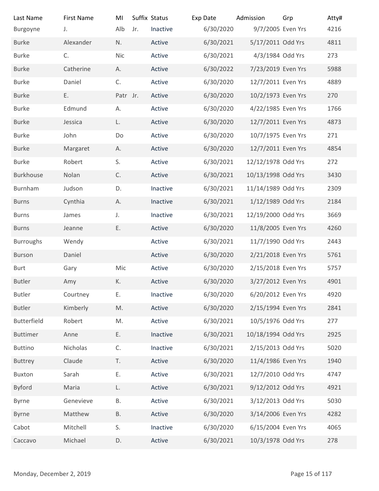| Last Name                | <b>First Name</b> | MI        |     | Suffix Status | Exp Date  | Admission          | Grp            | Atty# |
|--------------------------|-------------------|-----------|-----|---------------|-----------|--------------------|----------------|-------|
| Burgoyne                 | J.                | Alb       | Jr. | Inactive      | 6/30/2020 | 9/7/2005 Even Yrs  |                | 4216  |
| <b>Burke</b>             | Alexander         | N.        |     | Active        | 6/30/2021 | 5/17/2011 Odd Yrs  |                | 4811  |
| <b>Burke</b>             | C.                | Nic       |     | Active        | 6/30/2021 | 4/3/1984 Odd Yrs   |                | 273   |
| <b>Burke</b>             | Catherine         | А.        |     | Active        | 6/30/2022 | 7/23/2019 Even Yrs |                | 5988  |
| <b>Burke</b>             | Daniel            | C.        |     | Active        | 6/30/2020 | 12/7/2011 Even Yrs |                | 4889  |
| <b>Burke</b>             | Ε.                | Patr Jr.  |     | Active        | 6/30/2020 | 10/2/1973 Even Yrs |                | 270   |
| <b>Burke</b>             | Edmund            | А.        |     | Active        | 6/30/2020 | 4/22/1985 Even Yrs |                | 1766  |
| <b>Burke</b>             | Jessica           | L.        |     | Active        | 6/30/2020 | 12/7/2011 Even Yrs |                | 4873  |
| <b>Burke</b>             | John              | Do        |     | Active        | 6/30/2020 | 10/7/1975 Even Yrs |                | 271   |
| <b>Burke</b>             | Margaret          | Α.        |     | Active        | 6/30/2020 | 12/7/2011 Even Yrs |                | 4854  |
| <b>Burke</b>             | Robert            | S.        |     | Active        | 6/30/2021 | 12/12/1978 Odd Yrs |                | 272   |
| Burkhouse                | Nolan             | C.        |     | Active        | 6/30/2021 | 10/13/1998 Odd Yrs |                | 3430  |
| Burnham                  | Judson            | D.        |     | Inactive      | 6/30/2021 | 11/14/1989 Odd Yrs |                | 2309  |
| <b>Burns</b>             | Cynthia           | А.        |     | Inactive      | 6/30/2021 | 1/12/1989 Odd Yrs  |                | 2184  |
| <b>Burns</b>             | James             | J.        |     | Inactive      | 6/30/2021 | 12/19/2000 Odd Yrs |                | 3669  |
| <b>Burns</b>             | Jeanne            | Ε.        |     | Active        | 6/30/2020 | 11/8/2005 Even Yrs |                | 4260  |
| <b>Burroughs</b>         | Wendy             |           |     | Active        | 6/30/2021 | 11/7/1990 Odd Yrs  |                | 2443  |
| Burson                   | Daniel            |           |     | Active        | 6/30/2020 | 2/21/2018 Even Yrs |                | 5761  |
| Burt                     | Gary              | Mic       |     | Active        | 6/30/2020 | 2/15/2018 Even Yrs |                | 5757  |
| <b>Butler</b>            | Amy               | К.        |     | Active        | 6/30/2020 | 3/27/2012 Even Yrs |                | 4901  |
| Butler                   | Courtney          | Ε.        |     | Inactive      | 6/30/2020 | 6/20/2012 Even Yrs |                | 4920  |
| <b>Butler</b>            | Kimberly          | M.        |     | Active        | 6/30/2020 | 2/15/1994 Even Yrs |                | 2841  |
| Butterfield              | Robert            | M.        |     | Active        | 6/30/2021 | 10/5/1976 Odd Yrs  |                | 277   |
| <b>Buttimer</b>          | Anne              | Ε.        |     | Inactive      | 6/30/2021 | 10/18/1994 Odd Yrs |                | 2925  |
| <b>Buttino</b>           | Nicholas          | C.        |     | Inactive      | 6/30/2021 | 2/15/2013 Odd Yrs  |                | 5020  |
| <b>Buttrey</b>           | Claude            | T.        |     | Active        | 6/30/2020 | 11/4/1986 Even Yrs |                | 1940  |
| Buxton                   | Sarah             | Ε.        |     | Active        | 6/30/2021 | 12/7/2010 Odd Yrs  |                | 4747  |
| <b>Byford</b>            | Maria             | L.        |     | Active        | 6/30/2021 | 9/12/2012 Odd Yrs  |                | 4921  |
| <b>Byrne</b>             | Genevieve         | <b>B.</b> |     | Active        | 6/30/2021 | 3/12/2013 Odd Yrs  |                | 5030  |
| <b>Byrne</b>             | Matthew           | Β.        |     | Active        | 6/30/2020 | 3/14/2006 Even Yrs |                | 4282  |
| Cabot                    | Mitchell          | S.        |     | Inactive      | 6/30/2020 | 6/15/2004 Even Yrs |                | 4065  |
| Caccavo                  | Michael           | D.        |     | Active        | 6/30/2021 | 10/3/1978 Odd Yrs  |                | 278   |
|                          |                   |           |     |               |           |                    |                |       |
|                          |                   |           |     |               |           |                    |                |       |
| Monday, December 2, 2019 |                   |           |     |               |           |                    | Page 15 of 117 |       |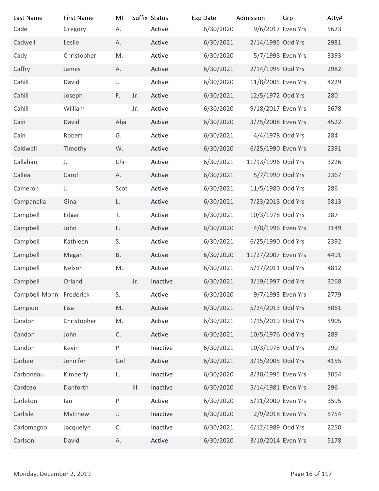| Last Name                | <b>First Name</b> | MI            |                   | Suffix Status | Exp Date  | Admission           | Grp            | Atty# |
|--------------------------|-------------------|---------------|-------------------|---------------|-----------|---------------------|----------------|-------|
| Cade                     | Gregory           | А.            |                   | Active        | 6/30/2020 | 9/6/2017 Even Yrs   |                | 5673  |
| Cadwell                  | Leslie            | А.            |                   | Active        | 6/30/2021 | 2/14/1995 Odd Yrs   |                | 2981  |
| Cady                     | Christopher       | M.            |                   | Active        | 6/30/2020 | 5/7/1998 Even Yrs   |                | 3393  |
| Caffry                   | James             | Α.            |                   | Active        | 6/30/2021 | 2/14/1995 Odd Yrs   |                | 2982  |
| Cahill                   | David             | J.            |                   | Active        | 6/30/2020 | 11/8/2005 Even Yrs  |                | 4229  |
| Cahill                   | Joseph            | F.            | Jr.               | Active        | 6/30/2021 | 12/5/1972 Odd Yrs   |                | 280   |
| Cahill                   | William           |               | Jr.               | Active        | 6/30/2020 | 9/18/2017 Even Yrs  |                | 5678  |
| Cain                     | David             | Aba           |                   | Active        | 6/30/2020 | 3/25/2008 Even Yrs  |                | 4522  |
| Cain                     | Robert            | G.            |                   | Active        | 6/30/2021 | 4/4/1978 Odd Yrs    |                | 284   |
| Caldwell                 | Timothy           | W.            |                   | Active        | 6/30/2020 | 6/25/1990 Even Yrs  |                | 2391  |
| Callahan                 | J.                | Chri          |                   | Active        | 6/30/2021 | 11/13/1996 Odd Yrs  |                | 3226  |
| Callea                   | Carol             | А.            |                   | Active        | 6/30/2021 | 5/7/1990 Odd Yrs    |                | 2367  |
| Cameron                  | J.                | Scot          |                   | Active        | 6/30/2021 | 11/5/1980 Odd Yrs   |                | 286   |
| Campanella               | Gina              | L.            |                   | Active        | 6/30/2021 | 7/23/2018 Odd Yrs   |                | 5813  |
| Campbell                 | Edgar             | T.            |                   | Active        | 6/30/2021 | 10/3/1978 Odd Yrs   |                | 287   |
| Campbell                 | John              | F.            |                   | Active        | 6/30/2020 | 4/8/1996 Even Yrs   |                | 3149  |
| Campbell                 | Kathleen          | S.            |                   | Active        | 6/30/2021 | 6/25/1990 Odd Yrs   |                | 2392  |
| Campbell                 | Megan             | <b>B.</b>     |                   | Active        | 6/30/2020 | 11/27/2007 Even Yrs |                | 4491  |
| Campbell                 | Nelson            | M.            |                   | Active        | 6/30/2021 | 5/17/2011 Odd Yrs   |                | 4812  |
| Campbell                 | Orland            |               | Jr.               | Inactive      | 6/30/2021 | 3/19/1997 Odd Yrs   |                | 3268  |
| Campbell-Mohn Frederick  |                   | S.            |                   | Active        | 6/30/2020 | 9/7/1993 Even Yrs   |                | 2779  |
| Campion                  | Lisa              | $\mathsf{M}.$ |                   | Active        | 6/30/2021 | 5/24/2013 Odd Yrs   |                | 5061  |
| Candon                   | Christopher       | M.            |                   | Active        | 6/30/2021 | 1/15/2019 Odd Yrs   |                | 5905  |
| Candon                   | John              | C.            |                   | Active        | 6/30/2021 | 10/5/1976 Odd Yrs   |                | 289   |
| Candon                   | Kevin             | Ρ.            |                   | Inactive      | 6/30/2021 | 10/3/1978 Odd Yrs   |                | 290   |
| Carbee                   | Jennifer          | Gel           |                   | Active        | 6/30/2021 | 3/15/2005 Odd Yrs   |                | 4155  |
| Carboneau                | Kimberly          | L.            |                   | Inactive      | 6/30/2020 | 8/30/1995 Even Yrs  |                | 3054  |
| Cardozo                  | Danforth          |               | $\vert\vert\vert$ | Inactive      | 6/30/2020 | 5/14/1981 Even Yrs  |                | 296   |
| Carleton                 | lan               | P.            |                   | Active        | 6/30/2020 | 5/11/2000 Even Yrs  |                | 3595  |
| Carlisle                 | Matthew           | J.            |                   | Inactive      | 6/30/2020 | 2/9/2018 Even Yrs   |                | 5754  |
| Carlomagno               | Jacquelyn         | C.            |                   | Inactive      | 6/30/2021 | 6/12/1989 Odd Yrs   |                | 2250  |
| Carlson                  | David             | А.            |                   | Active        | 6/30/2020 | 3/10/2014 Even Yrs  |                | 5178  |
|                          |                   |               |                   |               |           |                     |                |       |
| Monday, December 2, 2019 |                   |               |                   |               |           |                     | Page 16 of 117 |       |
|                          |                   |               |                   |               |           |                     |                |       |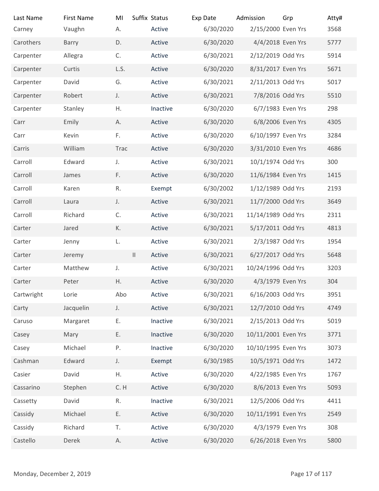| Last Name                | <b>First Name</b> | MI           | Suffix Status      | Exp Date               | Admission                               | Grp            | Atty#        |
|--------------------------|-------------------|--------------|--------------------|------------------------|-----------------------------------------|----------------|--------------|
| Carney                   | Vaughn            | А.           | Active             | 6/30/2020              | 2/15/2000 Even Yrs                      |                | 3568         |
| Carothers                | Barry             | D.           | Active             | 6/30/2020              | 4/4/2018 Even Yrs                       |                | 5777         |
| Carpenter                | Allegra           | C.           | Active             | 6/30/2021              | 2/12/2019 Odd Yrs                       |                | 5914         |
| Carpenter                | Curtis            | L.S.         | Active             | 6/30/2020              | 8/31/2017 Even Yrs                      |                | 5671         |
| Carpenter                | David             | G.           | Active             | 6/30/2021              | 2/11/2013 Odd Yrs                       |                | 5017         |
| Carpenter                | Robert            | J.           | Active             | 6/30/2021              | 7/8/2016 Odd Yrs                        |                | 5510         |
| Carpenter                | Stanley           | Η.           | Inactive           | 6/30/2020              | 6/7/1983 Even Yrs                       |                | 298          |
| Carr                     | Emily             | А.           | Active             | 6/30/2020              | 6/8/2006 Even Yrs                       |                | 4305         |
| Carr                     | Kevin             | F.           | Active             | 6/30/2020              | 6/10/1997 Even Yrs                      |                | 3284         |
| Carris                   | William           | Trac         | Active             | 6/30/2020              | 3/31/2010 Even Yrs                      |                | 4686         |
| Carroll                  | Edward            | $J_{\star}$  | Active             | 6/30/2021              | 10/1/1974 Odd Yrs                       |                | 300          |
| Carroll                  | James             | F.           | Active             | 6/30/2020              | 11/6/1984 Even Yrs                      |                | 1415         |
| Carroll                  | Karen             | R.           | Exempt             | 6/30/2002              | 1/12/1989 Odd Yrs                       |                | 2193         |
| Carroll                  | Laura             | $\mathsf J.$ | Active             | 6/30/2021              | 11/7/2000 Odd Yrs                       |                | 3649         |
| Carroll                  | Richard           | C.           | Active             | 6/30/2021              | 11/14/1989 Odd Yrs                      |                | 2311         |
| Carter                   | Jared             | К.           | Active             | 6/30/2021              | 5/17/2011 Odd Yrs                       |                | 4813         |
| Carter                   | Jenny             | L.           | Active             | 6/30/2021              | 2/3/1987 Odd Yrs                        |                | 1954         |
| Carter                   | Jeremy            | $\vert\vert$ | Active             | 6/30/2021              | 6/27/2017 Odd Yrs                       |                | 5648         |
| Carter                   | Matthew           | $J_{\star}$  | Active             | 6/30/2021              | 10/24/1996 Odd Yrs                      |                | 3203         |
| Carter                   | Peter             | H.           | Active             | 6/30/2020              | 4/3/1979 Even Yrs                       |                | 304          |
| Cartwright               | Lorie             | Abo          | Active             | 6/30/2021              | 6/16/2003 Odd Yrs                       |                | 3951         |
| Carty                    | Jacquelin         | J.           | Active             | 6/30/2021              | 12/7/2010 Odd Yrs                       |                | 4749         |
| Caruso                   | Margaret          | Ε.           | Inactive           | 6/30/2021              | 2/15/2013 Odd Yrs                       |                | 5019         |
| Casey                    | Mary              | Ε.           | Inactive           | 6/30/2020              | 10/11/2001 Even Yrs                     |                | 3771         |
| Casey                    | Michael           | Ρ.           | Inactive           | 6/30/2020              | 10/10/1995 Even Yrs                     |                | 3073         |
| Cashman                  | Edward            | J.           | Exempt             | 6/30/1985              | 10/5/1971 Odd Yrs                       |                | 1472         |
| Casier                   | David             | Η.           | Active             | 6/30/2020              | 4/22/1985 Even Yrs<br>8/6/2013 Even Yrs |                | 1767<br>5093 |
| Cassarino                | Stephen           | C.H          | Active             | 6/30/2020              | 12/5/2006 Odd Yrs                       |                |              |
| Cassetty                 | David<br>Michael  | R.<br>Ε.     | Inactive<br>Active | 6/30/2021<br>6/30/2020 | 10/11/1991 Even Yrs                     |                | 4411<br>2549 |
| Cassidy<br>Cassidy       | Richard           | T.           | Active             | 6/30/2020              | 4/3/1979 Even Yrs                       |                | 308          |
| Castello                 | Derek             | Α.           | Active             | 6/30/2020              | 6/26/2018 Even Yrs                      |                | 5800         |
|                          |                   |              |                    |                        |                                         |                |              |
|                          |                   |              |                    |                        |                                         |                |              |
| Monday, December 2, 2019 |                   |              |                    |                        |                                         | Page 17 of 117 |              |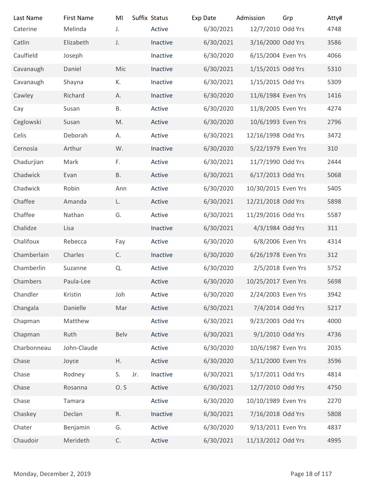| Last Name<br>Caterine    | <b>First Name</b><br>Melinda | MI<br>J.  | Suffix Status<br>Active | Exp Date<br>6/30/2021 | Admission<br>12/7/2010 Odd Yrs | Grp            | Atty#<br>4748 |
|--------------------------|------------------------------|-----------|-------------------------|-----------------------|--------------------------------|----------------|---------------|
| Catlin                   | Elizabeth                    | J.        | Inactive                | 6/30/2021             | 3/16/2000 Odd Yrs              |                | 3586          |
| Caulfield                | Joseph                       |           | Inactive                | 6/30/2020             | 6/15/2004 Even Yrs             |                | 4066          |
| Cavanaugh                | Daniel                       | Mic       | Inactive                | 6/30/2021             | 1/15/2015 Odd Yrs              |                | 5310          |
| Cavanaugh                | Shayna                       | К.        | Inactive                | 6/30/2021             | 1/15/2015 Odd Yrs              |                | 5309          |
| Cawley                   | Richard                      | Α.        | Inactive                | 6/30/2020             | 11/6/1984 Even Yrs             |                | 1416          |
| Cay                      | Susan                        | <b>B.</b> | Active                  | 6/30/2020             | 11/8/2005 Even Yrs             |                | 4274          |
| Ceglowski                | Susan                        | M.        | Active                  | 6/30/2020             | 10/6/1993 Even Yrs             |                | 2796          |
| Celis                    | Deborah                      | А.        | Active                  | 6/30/2021             | 12/16/1998 Odd Yrs             |                | 3472          |
| Cernosia                 | Arthur                       | W.        | Inactive                | 6/30/2020             | 5/22/1979 Even Yrs             |                | 310           |
| Chadurjian               | Mark                         | F.        | Active                  | 6/30/2021             | 11/7/1990 Odd Yrs              |                | 2444          |
| Chadwick                 | Evan                         | <b>B.</b> | Active                  | 6/30/2021             | 6/17/2013 Odd Yrs              |                | 5068          |
| Chadwick                 | Robin                        | Ann       | Active                  | 6/30/2020             | 10/30/2015 Even Yrs            |                | 5405          |
| Chaffee                  | Amanda                       | L.        | Active                  | 6/30/2021             | 12/21/2018 Odd Yrs             |                | 5898          |
| Chaffee                  | Nathan                       | G.        | Active                  | 6/30/2021             | 11/29/2016 Odd Yrs             |                | 5587          |
| Chalidze                 | Lisa                         |           | Inactive                | 6/30/2021             | 4/3/1984 Odd Yrs               |                | 311           |
| Chalifoux                | Rebecca                      | Fay       | Active                  | 6/30/2020             | 6/8/2006 Even Yrs              |                | 4314          |
| Chamberlain              | Charles                      | C.        | Inactive                | 6/30/2020             | 6/26/1978 Even Yrs             |                | 312           |
| Chamberlin               | Suzanne                      | Q.        | Active                  | 6/30/2020             | 2/5/2018 Even Yrs              |                | 5752          |
| Chambers                 | Paula-Lee                    |           | Active                  | 6/30/2020             | 10/25/2017 Even Yrs            |                | 5698          |
| Chandler                 | Kristin                      | Joh       | Active                  | 6/30/2020             | 2/24/2003 Even Yrs             |                | 3942          |
| Changala                 | Danielle                     | Mar       | Active                  | 6/30/2021             | 7/4/2014 Odd Yrs               |                | 5217          |
| Chapman                  | Matthew                      |           | Active                  | 6/30/2021             | 9/23/2003 Odd Yrs              |                | 4000          |
| Chapman                  | Ruth                         | Belv      | Active                  | 6/30/2021             | 9/1/2010 Odd Yrs               |                | 4736          |
| Charbonneau              | John-Claude                  |           | Active                  | 6/30/2020             | 10/6/1987 Even Yrs             |                | 2035          |
| Chase                    | Joyce                        | Η.        | Active                  | 6/30/2020             | 5/11/2000 Even Yrs             |                | 3596          |
| Chase                    | Rodney                       | S.<br>Jr. | Inactive                | 6/30/2021             | 5/17/2011 Odd Yrs              |                | 4814          |
| Chase                    | Rosanna                      | 0.5       | Active                  | 6/30/2021             | 12/7/2010 Odd Yrs              |                | 4750          |
| Chase                    | Tamara                       |           | Active                  | 6/30/2020             | 10/10/1989 Even Yrs            |                | 2270          |
| Chaskey                  | Declan                       | R.        | Inactive                | 6/30/2021             | 7/16/2018 Odd Yrs              |                | 5808          |
| Chater                   | Benjamin                     | G.        | Active                  | 6/30/2020             | 9/13/2011 Even Yrs             |                | 4837          |
| Chaudoir                 | Merideth                     | C.        | Active                  | 6/30/2021             | 11/13/2012 Odd Yrs             |                | 4995          |
|                          |                              |           |                         |                       |                                |                |               |
| Monday, December 2, 2019 |                              |           |                         |                       |                                | Page 18 of 117 |               |
|                          |                              |           |                         |                       |                                |                |               |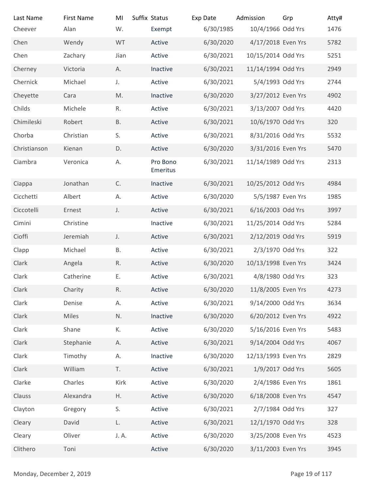| Last Name                | <b>First Name</b>    | MI           | Suffix Status        | Exp Date               | Admission                                | Grp            | Atty#        |
|--------------------------|----------------------|--------------|----------------------|------------------------|------------------------------------------|----------------|--------------|
| Cheever                  | Alan                 | W.           | Exempt               | 6/30/1985              | 10/4/1966 Odd Yrs                        |                | 1476         |
| Chen                     | Wendy                | WT           | Active               | 6/30/2020              | 4/17/2018 Even Yrs                       |                | 5782         |
| Chen                     | Zachary<br>Victoria  | Jian<br>A.   | Active<br>Inactive   | 6/30/2021<br>6/30/2021 | 10/15/2014 Odd Yrs<br>11/14/1994 Odd Yrs |                | 5251<br>2949 |
| Cherney<br>Chernick      | Michael              | J.           | Active               | 6/30/2021              | 5/4/1993 Odd Yrs                         |                | 2744         |
| Cheyette                 | Cara                 | M.           | Inactive             | 6/30/2020              | 3/27/2012 Even Yrs                       |                | 4902         |
| Childs                   | Michele              | R.           | Active               | 6/30/2021              | 3/13/2007 Odd Yrs                        |                | 4420         |
| Chimileski               | Robert               | <b>B.</b>    | Active               | 6/30/2021              | 10/6/1970 Odd Yrs                        |                | 320          |
| Chorba                   | Christian            | S.           | Active               | 6/30/2021              | 8/31/2016 Odd Yrs                        |                | 5532         |
| Christianson             | Kienan               | D.           | Active               | 6/30/2020              | 3/31/2016 Even Yrs                       |                | 5470         |
| Ciambra                  | Veronica             | А.           | Pro Bono<br>Emeritus | 6/30/2021              | 11/14/1989 Odd Yrs                       |                | 2313         |
| Ciappa                   | Jonathan             | C.           | Inactive             | 6/30/2021              | 10/25/2012 Odd Yrs                       |                | 4984         |
| Cicchetti                | Albert               | А.           | Active               | 6/30/2020              | 5/5/1987 Even Yrs                        |                | 1985         |
| Ciccotelli               | Ernest               | J.           | Active               | 6/30/2021              | 6/16/2003 Odd Yrs                        |                | 3997         |
| Cimini                   | Christine            |              | Inactive             | 6/30/2021              | 11/25/2014 Odd Yrs                       |                | 5284         |
| Cioffi                   | Jeremiah             | J.           | Active               | 6/30/2021              | 2/12/2019 Odd Yrs                        |                | 5919         |
| Clapp                    | Michael              | Β.           | Active               | 6/30/2021              | 2/3/1970 Odd Yrs                         |                | 322          |
| Clark                    | Angela               | $\mathsf R.$ | Active               | 6/30/2020              | 10/13/1998 Even Yrs                      |                | 3424         |
| Clark                    | Catherine            | Ε.           | Active               | 6/30/2021              | 4/8/1980 Odd Yrs                         |                | 323          |
| Clark                    | Charity              | ${\sf R}.$   | Active               | 6/30/2020              | 11/8/2005 Even Yrs                       |                | 4273         |
| Clark                    | Denise               | А.           | Active               | 6/30/2021              | 9/14/2000 Odd Yrs                        |                | 3634         |
| Clark                    | Miles                | N.           | Inactive             | 6/30/2020              | 6/20/2012 Even Yrs                       |                | 4922         |
| Clark                    | Shane                | К.           | Active               | 6/30/2020              | 5/16/2016 Even Yrs                       |                | 5483         |
| Clark                    | Stephanie            | Α.           | Active               | 6/30/2021              | 9/14/2004 Odd Yrs                        |                | 4067         |
| Clark                    | Timothy              | А.           | Inactive             | 6/30/2020              | 12/13/1993 Even Yrs                      |                | 2829         |
| Clark                    | William              | T.<br>Kirk   | Active               | 6/30/2021              | 1/9/2017 Odd Yrs                         |                | 5605         |
| Clarke<br>Clauss         | Charles<br>Alexandra | H.           | Active<br>Active     | 6/30/2020<br>6/30/2020 | 2/4/1986 Even Yrs<br>6/18/2008 Even Yrs  |                | 1861<br>4547 |
| Clayton                  | Gregory              | S.           | Active               | 6/30/2021              | 2/7/1984 Odd Yrs                         |                | 327          |
| Cleary                   | David                | L.           | Active               | 6/30/2021              | 12/1/1970 Odd Yrs                        |                | 328          |
| Cleary                   | Oliver               | J. A.        | Active               | 6/30/2020              | 3/25/2008 Even Yrs                       |                | 4523         |
| Clithero                 | Toni                 |              | Active               | 6/30/2020              | 3/11/2003 Even Yrs                       |                | 3945         |
|                          |                      |              |                      |                        |                                          |                |              |
| Monday, December 2, 2019 |                      |              |                      |                        |                                          | Page 19 of 117 |              |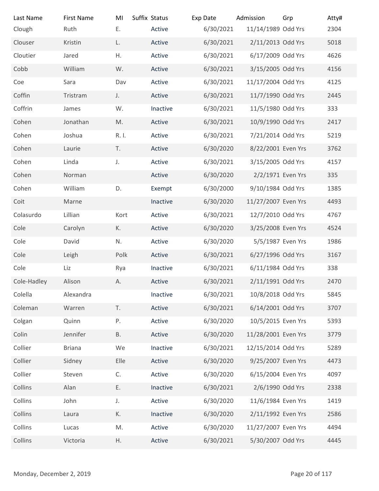| Last Name<br>Clough      | <b>First Name</b><br>Ruth | MI<br>Ε.  | Suffix Status<br>Active | Exp Date<br>6/30/2021 | Admission<br>11/14/1989 Odd Yrs | Grp            | Atty#<br>2304 |
|--------------------------|---------------------------|-----------|-------------------------|-----------------------|---------------------------------|----------------|---------------|
| Clouser                  | Kristin                   | L.        | Active                  | 6/30/2021             | 2/11/2013 Odd Yrs               |                | 5018          |
| Cloutier                 | Jared                     | Η.        | Active                  | 6/30/2021             | 6/17/2009 Odd Yrs               |                | 4626          |
| Cobb                     | William                   | W.        | Active                  | 6/30/2021             | 3/15/2005 Odd Yrs               |                | 4156          |
| Coe                      | Sara                      | Dav       | Active                  | 6/30/2021             | 11/17/2004 Odd Yrs              |                | 4125          |
| Coffin                   | Tristram                  | J.        | Active                  | 6/30/2021             | 11/7/1990 Odd Yrs               |                | 2445          |
| Coffrin                  | James                     | W.        | Inactive                | 6/30/2021             | 11/5/1980 Odd Yrs               |                | 333           |
| Cohen                    | Jonathan                  | M.        | Active                  | 6/30/2021             | 10/9/1990 Odd Yrs               |                | 2417          |
| Cohen                    | Joshua                    | R. I.     | Active                  | 6/30/2021             | 7/21/2014 Odd Yrs               |                | 5219          |
| Cohen                    | Laurie                    | T.        | Active                  | 6/30/2020             | 8/22/2001 Even Yrs              |                | 3762          |
| Cohen                    | Linda                     | J.        | Active                  | 6/30/2021             | 3/15/2005 Odd Yrs               |                | 4157          |
| Cohen                    | Norman                    |           | Active                  | 6/30/2020             | 2/2/1971 Even Yrs               |                | 335           |
| Cohen                    | William                   | D.        | Exempt                  | 6/30/2000             | 9/10/1984 Odd Yrs               |                | 1385          |
| Coit                     | Marne                     |           | Inactive                | 6/30/2020             | 11/27/2007 Even Yrs             |                | 4493          |
| Colasurdo                | Lillian                   | Kort      | Active                  | 6/30/2021             | 12/7/2010 Odd Yrs               |                | 4767          |
| Cole                     | Carolyn                   | К.        | Active                  | 6/30/2020             | 3/25/2008 Even Yrs              |                | 4524          |
| Cole                     | David                     | N.        | Active                  | 6/30/2020             | 5/5/1987 Even Yrs               |                | 1986          |
| Cole                     | Leigh                     | Polk      | Active                  | 6/30/2021             | 6/27/1996 Odd Yrs               |                | 3167          |
| Cole                     | Liz                       | Rya       | Inactive                | 6/30/2021             | 6/11/1984 Odd Yrs               |                | 338           |
| Cole-Hadley              | Alison                    | Α.        | Active                  | 6/30/2021             | 2/11/1991 Odd Yrs               |                | 2470          |
| Colella                  | Alexandra                 |           | Inactive                | 6/30/2021             | 10/8/2018 Odd Yrs               |                | 5845          |
| Coleman                  | Warren                    | T.        | Active                  | 6/30/2021             | 6/14/2001 Odd Yrs               |                | 3707          |
| Colgan                   | Quinn                     | Ρ.        | Active                  | 6/30/2020             | 10/5/2015 Even Yrs              |                | 5393          |
| Colin                    | Jennifer                  | <b>B.</b> | Active                  | 6/30/2020             | 11/28/2001 Even Yrs             |                | 3779          |
| Collier                  | <b>Briana</b>             | We        | Inactive                | 6/30/2021             | 12/15/2014 Odd Yrs              |                | 5289          |
| Collier                  | Sidney                    | Elle      | Active                  | 6/30/2020             | 9/25/2007 Even Yrs              |                | 4473          |
| Collier                  | Steven                    | C.        | Active                  | 6/30/2020             | 6/15/2004 Even Yrs              |                | 4097          |
| Collins                  | Alan                      | Ε.        | Inactive                | 6/30/2021             | 2/6/1990 Odd Yrs                |                | 2338          |
| Collins                  | John                      | J.        | Active                  | 6/30/2020             | 11/6/1984 Even Yrs              |                | 1419          |
| Collins                  | Laura                     | К.        | Inactive                | 6/30/2020             | 2/11/1992 Even Yrs              |                | 2586          |
| Collins                  | Lucas                     | M.        | Active                  | 6/30/2020             | 11/27/2007 Even Yrs             |                | 4494          |
| Collins                  | Victoria                  | Η.        | Active                  | 6/30/2021             | 5/30/2007 Odd Yrs               |                | 4445          |
|                          |                           |           |                         |                       |                                 |                |               |
| Monday, December 2, 2019 |                           |           |                         |                       |                                 | Page 20 of 117 |               |
|                          |                           |           |                         |                       |                                 |                |               |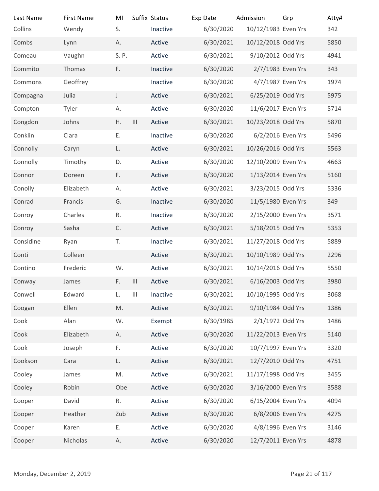| Last Name                | <b>First Name</b> | MI            |                                    | Suffix Status | Exp Date  | Admission           | Grp            | Atty# |
|--------------------------|-------------------|---------------|------------------------------------|---------------|-----------|---------------------|----------------|-------|
| Collins                  | Wendy             | S.            |                                    | Inactive      | 6/30/2020 | 10/12/1983 Even Yrs |                | 342   |
| Combs                    | Lynn              | А.            |                                    | Active        | 6/30/2021 | 10/12/2018 Odd Yrs  |                | 5850  |
| Comeau                   | Vaughn            | S. P.         |                                    | Active        | 6/30/2021 | 9/10/2012 Odd Yrs   |                | 4941  |
| Commito                  | Thomas            | F.            |                                    | Inactive      | 6/30/2020 | 2/7/1983 Even Yrs   |                | 343   |
| Commons                  | Geoffrey          |               |                                    | Inactive      | 6/30/2020 | 4/7/1987 Even Yrs   |                | 1974  |
| Compagna                 | Julia             | $\mathsf{J}$  |                                    | Active        | 6/30/2021 | 6/25/2019 Odd Yrs   |                | 5975  |
| Compton                  | Tyler             | А.            |                                    | Active        | 6/30/2020 | 11/6/2017 Even Yrs  |                | 5714  |
| Congdon                  | Johns             | Η.            | $\vert\vert\vert$                  | Active        | 6/30/2021 | 10/23/2018 Odd Yrs  |                | 5870  |
| Conklin                  | Clara             | Ε.            |                                    | Inactive      | 6/30/2020 | 6/2/2016 Even Yrs   |                | 5496  |
| Connolly                 | Caryn             | L.            |                                    | Active        | 6/30/2021 | 10/26/2016 Odd Yrs  |                | 5563  |
| Connolly                 | Timothy           | D.            |                                    | Active        | 6/30/2020 | 12/10/2009 Even Yrs |                | 4663  |
| Connor                   | Doreen            | F.            |                                    | Active        | 6/30/2020 | 1/13/2014 Even Yrs  |                | 5160  |
| Conolly                  | Elizabeth         | А.            |                                    | Active        | 6/30/2021 | 3/23/2015 Odd Yrs   |                | 5336  |
| Conrad                   | Francis           | G.            |                                    | Inactive      | 6/30/2020 | 11/5/1980 Even Yrs  |                | 349   |
| Conroy                   | Charles           | R.            |                                    | Inactive      | 6/30/2020 | 2/15/2000 Even Yrs  |                | 3571  |
| Conroy                   | Sasha             | C.            |                                    | Active        | 6/30/2021 | 5/18/2015 Odd Yrs   |                | 5353  |
| Considine                | Ryan              | T.            |                                    | Inactive      | 6/30/2021 | 11/27/2018 Odd Yrs  |                | 5889  |
| Conti                    | Colleen           |               |                                    | Active        | 6/30/2021 | 10/10/1989 Odd Yrs  |                | 2296  |
| Contino                  | Frederic          | W.            |                                    | Active        | 6/30/2021 | 10/14/2016 Odd Yrs  |                | 5550  |
| Conway                   | James             | F.            | $\vert\vert\vert$                  | Active        | 6/30/2021 | 6/16/2003 Odd Yrs   |                | 3980  |
| Conwell                  | Edward            | L.            | $\ensuremath{\mathsf{III}}\xspace$ | Inactive      | 6/30/2021 | 10/10/1995 Odd Yrs  |                | 3068  |
| Coogan                   | Ellen             | $\mathsf{M}.$ |                                    | Active        | 6/30/2021 | 9/10/1984 Odd Yrs   |                | 1386  |
| Cook                     | Alan              | W.            |                                    | Exempt        | 6/30/1985 | 2/1/1972 Odd Yrs    |                | 1486  |
| Cook                     | Elizabeth         | А.            |                                    | Active        | 6/30/2020 | 11/22/2013 Even Yrs |                | 5140  |
| Cook                     | Joseph            | F.            |                                    | Active        | 6/30/2020 | 10/7/1997 Even Yrs  |                | 3320  |
| Cookson                  | Cara              | L.            |                                    | Active        | 6/30/2021 | 12/7/2010 Odd Yrs   |                | 4751  |
| Cooley                   | James             | M.            |                                    | Active        | 6/30/2021 | 11/17/1998 Odd Yrs  |                | 3455  |
| Cooley                   | Robin             | Obe           |                                    | Active        | 6/30/2020 | 3/16/2000 Even Yrs  |                | 3588  |
| Cooper                   | David             | R.            |                                    | Active        | 6/30/2020 | 6/15/2004 Even Yrs  |                | 4094  |
| Cooper                   | Heather           | Zub           |                                    | Active        | 6/30/2020 | 6/8/2006 Even Yrs   |                | 4275  |
| Cooper                   | Karen             | Ε.            |                                    | Active        | 6/30/2020 | 4/8/1996 Even Yrs   |                | 3146  |
|                          | Nicholas          |               |                                    | Active        | 6/30/2020 | 12/7/2011 Even Yrs  |                | 4878  |
| Cooper                   |                   | А.            |                                    |               |           |                     |                |       |
|                          |                   |               |                                    |               |           |                     |                |       |
| Monday, December 2, 2019 |                   |               |                                    |               |           |                     | Page 21 of 117 |       |
|                          |                   |               |                                    |               |           |                     |                |       |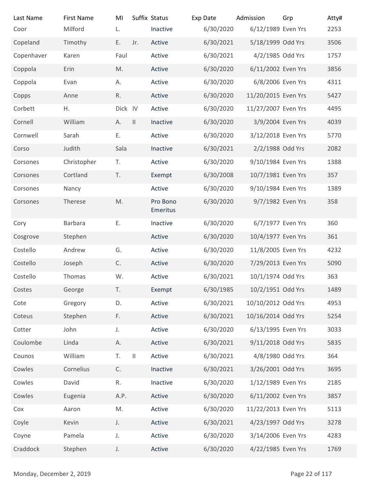| Last Name                | <b>First Name</b> | MI            |               | Suffix Status        | Exp Date  | Admission           | Grp            | Atty# |
|--------------------------|-------------------|---------------|---------------|----------------------|-----------|---------------------|----------------|-------|
| Coor                     | Milford           | L.            |               | Inactive             | 6/30/2020 | 6/12/1989 Even Yrs  |                | 2253  |
| Copeland                 | Timothy           | E.            | Jr.           | Active               | 6/30/2021 | 5/18/1999 Odd Yrs   |                | 3506  |
| Copenhaver               | Karen             | Faul          |               | Active               | 6/30/2021 | 4/2/1985 Odd Yrs    |                | 1757  |
| Coppola                  | Erin              | M.            |               | Active               | 6/30/2020 | 6/11/2002 Even Yrs  |                | 3856  |
| Coppola                  | Evan              | А.            |               | Active               | 6/30/2020 | 6/8/2006 Even Yrs   |                | 4311  |
| Copps                    | Anne              | R.            |               | Active               | 6/30/2020 | 11/20/2015 Even Yrs |                | 5427  |
| Corbett                  | Η.                | Dick IV       |               | Active               | 6/30/2020 | 11/27/2007 Even Yrs |                | 4495  |
| Cornell                  | William           | А.            | $\mathbf{  }$ | Inactive             | 6/30/2020 | 3/9/2004 Even Yrs   |                | 4039  |
| Cornwell                 | Sarah             | Ε.            |               | Active               | 6/30/2020 | 3/12/2018 Even Yrs  |                | 5770  |
| Corso                    | Judith            | Sala          |               | Inactive             | 6/30/2021 | 2/2/1988 Odd Yrs    |                | 2082  |
| Corsones                 | Christopher       | T.            |               | Active               | 6/30/2020 | 9/10/1984 Even Yrs  |                | 1388  |
| Corsones                 | Cortland          | T.            |               | Exempt               | 6/30/2008 | 10/7/1981 Even Yrs  |                | 357   |
| Corsones                 | Nancy             |               |               | Active               | 6/30/2020 | 9/10/1984 Even Yrs  |                | 1389  |
| Corsones                 | Therese           | M.            |               | Pro Bono<br>Emeritus | 6/30/2020 | 9/7/1982 Even Yrs   |                | 358   |
| Cory                     | Barbara           | Ε.            |               | Inactive             | 6/30/2020 | 6/7/1977 Even Yrs   |                | 360   |
| Cosgrove                 | Stephen           |               |               | Active               | 6/30/2020 | 10/4/1977 Even Yrs  |                | 361   |
| Costello                 | Andrew            | G.            |               | Active               | 6/30/2020 | 11/8/2005 Even Yrs  |                | 4232  |
| Costello                 | Joseph            | $\mathsf{C}.$ |               | Active               | 6/30/2020 | 7/29/2013 Even Yrs  |                | 5090  |
| Costello                 | Thomas            | W.            |               | Active               | 6/30/2021 | 10/1/1974 Odd Yrs   |                | 363   |
| Costes                   | George            | T.            |               | Exempt               | 6/30/1985 | 10/2/1951 Odd Yrs   |                | 1489  |
| Cote                     | Gregory           | D.            |               | Active               | 6/30/2021 | 10/10/2012 Odd Yrs  |                | 4953  |
| Coteus                   | Stephen           | F.            |               | Active               | 6/30/2021 | 10/16/2014 Odd Yrs  |                | 5254  |
| Cotter                   | John              | $J_{\star}$   |               | Active               | 6/30/2020 | 6/13/1995 Even Yrs  |                | 3033  |
| Coulombe                 | Linda             | Α.            |               | Active               | 6/30/2021 | 9/11/2018 Odd Yrs   |                | 5835  |
| Counos                   | William           | T.            | $\mathbf{  }$ | Active               | 6/30/2021 | 4/8/1980 Odd Yrs    |                | 364   |
| Cowles                   | Cornelius         | C.            |               | Inactive             | 6/30/2021 | 3/26/2001 Odd Yrs   |                | 3695  |
| Cowles                   | David             | R.            |               | Inactive             | 6/30/2020 | 1/12/1989 Even Yrs  |                | 2185  |
| Cowles                   | Eugenia           | A.P.          |               | Active               | 6/30/2020 | 6/11/2002 Even Yrs  |                | 3857  |
| Cox                      | Aaron             | M.            |               | Active               | 6/30/2020 | 11/22/2013 Even Yrs |                | 5113  |
| Coyle                    | Kevin             | $\mathsf J.$  |               | Active               | 6/30/2021 | 4/23/1997 Odd Yrs   |                | 3278  |
| Coyne                    | Pamela            | J.            |               | Active               | 6/30/2020 | 3/14/2006 Even Yrs  |                | 4283  |
| Craddock                 | Stephen           | J.            |               | Active               | 6/30/2020 | 4/22/1985 Even Yrs  |                | 1769  |
| Monday, December 2, 2019 |                   |               |               |                      |           |                     | Page 22 of 117 |       |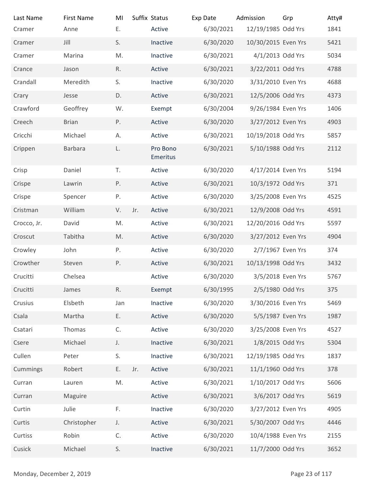| Last Name<br>Cramer      | <b>First Name</b><br>Anne | MI<br>Ε. | Suffix Status | Active               | Exp Date<br>6/30/2021 | Admission<br>12/19/1985 Odd Yrs | Grp            | Atty#<br>1841 |
|--------------------------|---------------------------|----------|---------------|----------------------|-----------------------|---------------------------------|----------------|---------------|
| Cramer                   | Jill                      | S.       |               | Inactive             | 6/30/2020             | 10/30/2015 Even Yrs             |                | 5421          |
| Cramer                   | Marina                    | M.       |               | Inactive             | 6/30/2021             | 4/1/2013 Odd Yrs                |                | 5034          |
| Crance                   | Jason                     | R.       |               | Active               | 6/30/2021             | 3/22/2011 Odd Yrs               |                | 4788          |
| Crandall                 | Meredith                  | S.       |               | Inactive             | 6/30/2020             | 3/31/2010 Even Yrs              |                | 4688          |
| Crary                    | Jesse                     | D.       |               | Active               | 6/30/2021             | 12/5/2006 Odd Yrs               |                | 4373          |
| Crawford                 | Geoffrey                  | W.       |               | Exempt               | 6/30/2004             | 9/26/1984 Even Yrs              |                | 1406          |
| Creech                   | <b>Brian</b>              | P.       |               | Active               | 6/30/2020             | 3/27/2012 Even Yrs              |                | 4903          |
| Cricchi                  | Michael                   | А.       |               | Active               | 6/30/2021             | 10/19/2018 Odd Yrs              |                | 5857          |
| Crippen                  | <b>Barbara</b>            | L.       |               | Pro Bono<br>Emeritus | 6/30/2021             | 5/10/1988 Odd Yrs               |                | 2112          |
| Crisp                    | Daniel                    | T.       |               | Active               | 6/30/2020             | 4/17/2014 Even Yrs              |                | 5194          |
| Crispe                   | Lawrin                    | Ρ.       |               | Active               | 6/30/2021             | 10/3/1972 Odd Yrs               |                | 371           |
| Crispe                   | Spencer                   | Ρ.       |               | Active               | 6/30/2020             | 3/25/2008 Even Yrs              |                | 4525          |
| Cristman                 | William                   | V.       | Jr.           | Active               | 6/30/2021             | 12/9/2008 Odd Yrs               |                | 4591          |
| Crocco, Jr.              | David                     | M.       |               | Active               | 6/30/2021             | 12/20/2016 Odd Yrs              |                | 5597          |
| Croscut                  | Tabitha                   | M.       |               | Active               | 6/30/2020             | 3/27/2012 Even Yrs              |                | 4904          |
| Crowley                  | John                      | Ρ.       |               | Active               | 6/30/2020             | 2/7/1967 Even Yrs               |                | 374           |
| Crowther                 | Steven                    | P.       |               | Active               | 6/30/2021             | 10/13/1998 Odd Yrs              |                | 3432          |
| Crucitti                 | Chelsea                   |          |               | Active               | 6/30/2020             | 3/5/2018 Even Yrs               |                | 5767          |
| Crucitti                 | James                     | R.       |               | Exempt               | 6/30/1995             | 2/5/1980 Odd Yrs                |                | 375           |
| Crusius                  | Elsbeth                   | Jan      |               | Inactive             | 6/30/2020             | 3/30/2016 Even Yrs              |                | 5469          |
| Csala                    | Martha                    | Ε.       |               | Active               | 6/30/2020             | 5/5/1987 Even Yrs               |                | 1987          |
| Csatari                  | Thomas                    | C.       |               | Active               | 6/30/2020             | 3/25/2008 Even Yrs              |                | 4527          |
| Csere                    | Michael                   | J.       |               | Inactive             | 6/30/2021             | 1/8/2015 Odd Yrs                |                | 5304          |
| Cullen                   | Peter                     | S.       |               | Inactive             | 6/30/2021             | 12/19/1985 Odd Yrs              |                | 1837          |
| Cummings                 | Robert                    | E.       | Jr.           | Active               | 6/30/2021             | 11/1/1960 Odd Yrs               |                | 378           |
| Curran                   | Lauren                    | M.       |               | Active               | 6/30/2021             | 1/10/2017 Odd Yrs               |                | 5606          |
| Curran                   | Maguire                   |          |               | Active               | 6/30/2021             | 3/6/2017 Odd Yrs                |                | 5619          |
| Curtin                   | Julie                     | F.       |               | Inactive             | 6/30/2020             | 3/27/2012 Even Yrs              |                | 4905          |
| Curtis                   | Christopher               | J.       |               | Active               | 6/30/2021             | 5/30/2007 Odd Yrs               |                | 4446          |
| Curtiss                  | Robin                     | C.       |               | Active               | 6/30/2020             | 10/4/1988 Even Yrs              |                | 2155          |
| Cusick                   | Michael                   | S.       |               | Inactive             | 6/30/2021             | 11/7/2000 Odd Yrs               |                | 3652          |
| Monday, December 2, 2019 |                           |          |               |                      |                       |                                 | Page 23 of 117 |               |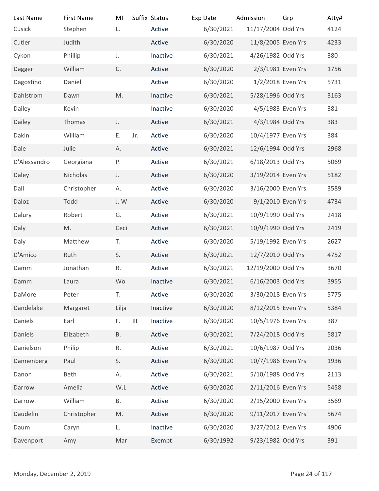| Suffix Status<br>Last Name<br><b>First Name</b><br>MI<br>Exp Date<br>Admission<br>Cusick<br>6/30/2021<br>Stephen<br>L.<br>Active<br>Cutler<br>Judith<br>Active<br>6/30/2020<br>Cykon<br>6/30/2021<br>Phillip<br>J.<br>Inactive<br>C.<br>6/30/2020<br>William<br>Active<br>Dagger<br>6/30/2020<br>Dagostino<br>Active<br>Daniel<br>M.<br>Dahlstrom<br>6/30/2021<br>Dawn<br>Inactive<br>6/30/2020<br>Dailey<br>Kevin<br>Inactive<br>4/3/1984 Odd Yrs<br>Thomas<br>Active<br>6/30/2021<br>Dailey<br>J.<br>Dakin<br>William<br>6/30/2020<br>10/4/1977 Even Yrs<br>Е.<br>Active<br>Jr.<br>6/30/2021<br>12/6/1994 Odd Yrs<br>Dale<br>Julie<br>Active<br>Α.<br>Ρ.<br>6/30/2021<br>6/18/2013 Odd Yrs<br>D'Alessandro<br>Georgiana<br>Active<br>Daley<br>Nicholas<br>Active<br>6/30/2020<br>3/19/2014 Even Yrs<br>J.<br>Dall<br>6/30/2020<br>3/16/2000 Even Yrs<br>Christopher<br>Active<br>А.<br>Active<br>6/30/2020<br>Daloz<br>Todd<br>J.W<br>Dalury<br>6/30/2021<br>10/9/1990 Odd Yrs<br>Robert<br>G.<br>Active<br>6/30/2021<br>10/9/1990 Odd Yrs<br>Daly<br>Active<br>M.<br>Ceci<br>Daly<br>Matthew<br>6/30/2020<br>5/19/1992 Even Yrs<br>Τ.<br>Active<br>S.<br>Active<br>6/30/2021<br>12/7/2010 Odd Yrs<br>D'Amico<br>Ruth<br>Jonathan<br>Active<br>6/30/2021<br>12/19/2000 Odd Yrs<br>R.<br>Damm<br>6/16/2003 Odd Yrs<br>Wo<br>Inactive<br>6/30/2021<br>Damm<br>Laura<br>6/30/2020<br>3/30/2018 Even Yrs<br>DaMore<br>Peter<br>Τ.<br>Active<br>Dandelake<br>Lilja<br>Inactive<br>6/30/2020<br>Margaret<br>F.<br>$\ensuremath{\mathsf{III}}\xspace$<br>6/30/2020<br>10/5/1976 Even Yrs<br>Daniels<br>Earl<br>Inactive<br>7/24/2018 Odd Yrs<br>Elizabeth<br><b>B.</b><br>Active<br>6/30/2021<br>Daniels<br>6/30/2021<br>10/6/1987 Odd Yrs<br>Danielson<br>${\sf R}.$<br>Philip<br>Active<br>6/30/2020<br>10/7/1986 Even Yrs<br>Dannenberg<br>Paul<br>S.<br>Active<br>6/30/2021<br>5/10/1988 Odd Yrs<br>Danon<br>Beth<br>Α.<br>Active<br>6/30/2020<br>2/11/2016 Even Yrs<br>Amelia<br>$\mathsf{W}.\mathsf{L}$<br>Active<br>Darrow<br>6/30/2020<br>William<br>Β.<br>Active<br>Darrow<br>6/30/2020<br>Daudelin<br>Christopher<br>Active<br>M. | Grp<br>11/17/2004 Odd Yrs<br>11/8/2005 Even Yrs<br>4/26/1982 Odd Yrs | Atty#<br>4124  |
|----------------------------------------------------------------------------------------------------------------------------------------------------------------------------------------------------------------------------------------------------------------------------------------------------------------------------------------------------------------------------------------------------------------------------------------------------------------------------------------------------------------------------------------------------------------------------------------------------------------------------------------------------------------------------------------------------------------------------------------------------------------------------------------------------------------------------------------------------------------------------------------------------------------------------------------------------------------------------------------------------------------------------------------------------------------------------------------------------------------------------------------------------------------------------------------------------------------------------------------------------------------------------------------------------------------------------------------------------------------------------------------------------------------------------------------------------------------------------------------------------------------------------------------------------------------------------------------------------------------------------------------------------------------------------------------------------------------------------------------------------------------------------------------------------------------------------------------------------------------------------------------------------------------------------------------------------------------------------------------------------------------------------------------------------------------------------------------------------------------------------------------|----------------------------------------------------------------------|----------------|
|                                                                                                                                                                                                                                                                                                                                                                                                                                                                                                                                                                                                                                                                                                                                                                                                                                                                                                                                                                                                                                                                                                                                                                                                                                                                                                                                                                                                                                                                                                                                                                                                                                                                                                                                                                                                                                                                                                                                                                                                                                                                                                                                        |                                                                      |                |
|                                                                                                                                                                                                                                                                                                                                                                                                                                                                                                                                                                                                                                                                                                                                                                                                                                                                                                                                                                                                                                                                                                                                                                                                                                                                                                                                                                                                                                                                                                                                                                                                                                                                                                                                                                                                                                                                                                                                                                                                                                                                                                                                        |                                                                      |                |
|                                                                                                                                                                                                                                                                                                                                                                                                                                                                                                                                                                                                                                                                                                                                                                                                                                                                                                                                                                                                                                                                                                                                                                                                                                                                                                                                                                                                                                                                                                                                                                                                                                                                                                                                                                                                                                                                                                                                                                                                                                                                                                                                        |                                                                      |                |
|                                                                                                                                                                                                                                                                                                                                                                                                                                                                                                                                                                                                                                                                                                                                                                                                                                                                                                                                                                                                                                                                                                                                                                                                                                                                                                                                                                                                                                                                                                                                                                                                                                                                                                                                                                                                                                                                                                                                                                                                                                                                                                                                        |                                                                      |                |
|                                                                                                                                                                                                                                                                                                                                                                                                                                                                                                                                                                                                                                                                                                                                                                                                                                                                                                                                                                                                                                                                                                                                                                                                                                                                                                                                                                                                                                                                                                                                                                                                                                                                                                                                                                                                                                                                                                                                                                                                                                                                                                                                        |                                                                      |                |
|                                                                                                                                                                                                                                                                                                                                                                                                                                                                                                                                                                                                                                                                                                                                                                                                                                                                                                                                                                                                                                                                                                                                                                                                                                                                                                                                                                                                                                                                                                                                                                                                                                                                                                                                                                                                                                                                                                                                                                                                                                                                                                                                        |                                                                      | 4233           |
|                                                                                                                                                                                                                                                                                                                                                                                                                                                                                                                                                                                                                                                                                                                                                                                                                                                                                                                                                                                                                                                                                                                                                                                                                                                                                                                                                                                                                                                                                                                                                                                                                                                                                                                                                                                                                                                                                                                                                                                                                                                                                                                                        |                                                                      | 380            |
|                                                                                                                                                                                                                                                                                                                                                                                                                                                                                                                                                                                                                                                                                                                                                                                                                                                                                                                                                                                                                                                                                                                                                                                                                                                                                                                                                                                                                                                                                                                                                                                                                                                                                                                                                                                                                                                                                                                                                                                                                                                                                                                                        | 2/3/1981 Even Yrs                                                    | 1756           |
|                                                                                                                                                                                                                                                                                                                                                                                                                                                                                                                                                                                                                                                                                                                                                                                                                                                                                                                                                                                                                                                                                                                                                                                                                                                                                                                                                                                                                                                                                                                                                                                                                                                                                                                                                                                                                                                                                                                                                                                                                                                                                                                                        | 1/2/2018 Even Yrs                                                    | 5731           |
|                                                                                                                                                                                                                                                                                                                                                                                                                                                                                                                                                                                                                                                                                                                                                                                                                                                                                                                                                                                                                                                                                                                                                                                                                                                                                                                                                                                                                                                                                                                                                                                                                                                                                                                                                                                                                                                                                                                                                                                                                                                                                                                                        | 5/28/1996 Odd Yrs                                                    | 3163           |
|                                                                                                                                                                                                                                                                                                                                                                                                                                                                                                                                                                                                                                                                                                                                                                                                                                                                                                                                                                                                                                                                                                                                                                                                                                                                                                                                                                                                                                                                                                                                                                                                                                                                                                                                                                                                                                                                                                                                                                                                                                                                                                                                        | 4/5/1983 Even Yrs                                                    | 381            |
|                                                                                                                                                                                                                                                                                                                                                                                                                                                                                                                                                                                                                                                                                                                                                                                                                                                                                                                                                                                                                                                                                                                                                                                                                                                                                                                                                                                                                                                                                                                                                                                                                                                                                                                                                                                                                                                                                                                                                                                                                                                                                                                                        |                                                                      | 383<br>384     |
|                                                                                                                                                                                                                                                                                                                                                                                                                                                                                                                                                                                                                                                                                                                                                                                                                                                                                                                                                                                                                                                                                                                                                                                                                                                                                                                                                                                                                                                                                                                                                                                                                                                                                                                                                                                                                                                                                                                                                                                                                                                                                                                                        |                                                                      |                |
|                                                                                                                                                                                                                                                                                                                                                                                                                                                                                                                                                                                                                                                                                                                                                                                                                                                                                                                                                                                                                                                                                                                                                                                                                                                                                                                                                                                                                                                                                                                                                                                                                                                                                                                                                                                                                                                                                                                                                                                                                                                                                                                                        |                                                                      | 2968<br>5069   |
|                                                                                                                                                                                                                                                                                                                                                                                                                                                                                                                                                                                                                                                                                                                                                                                                                                                                                                                                                                                                                                                                                                                                                                                                                                                                                                                                                                                                                                                                                                                                                                                                                                                                                                                                                                                                                                                                                                                                                                                                                                                                                                                                        |                                                                      |                |
|                                                                                                                                                                                                                                                                                                                                                                                                                                                                                                                                                                                                                                                                                                                                                                                                                                                                                                                                                                                                                                                                                                                                                                                                                                                                                                                                                                                                                                                                                                                                                                                                                                                                                                                                                                                                                                                                                                                                                                                                                                                                                                                                        |                                                                      | 5182           |
|                                                                                                                                                                                                                                                                                                                                                                                                                                                                                                                                                                                                                                                                                                                                                                                                                                                                                                                                                                                                                                                                                                                                                                                                                                                                                                                                                                                                                                                                                                                                                                                                                                                                                                                                                                                                                                                                                                                                                                                                                                                                                                                                        |                                                                      | 3589           |
|                                                                                                                                                                                                                                                                                                                                                                                                                                                                                                                                                                                                                                                                                                                                                                                                                                                                                                                                                                                                                                                                                                                                                                                                                                                                                                                                                                                                                                                                                                                                                                                                                                                                                                                                                                                                                                                                                                                                                                                                                                                                                                                                        | 9/1/2010 Even Yrs                                                    | 4734           |
|                                                                                                                                                                                                                                                                                                                                                                                                                                                                                                                                                                                                                                                                                                                                                                                                                                                                                                                                                                                                                                                                                                                                                                                                                                                                                                                                                                                                                                                                                                                                                                                                                                                                                                                                                                                                                                                                                                                                                                                                                                                                                                                                        |                                                                      | 2418<br>2419   |
|                                                                                                                                                                                                                                                                                                                                                                                                                                                                                                                                                                                                                                                                                                                                                                                                                                                                                                                                                                                                                                                                                                                                                                                                                                                                                                                                                                                                                                                                                                                                                                                                                                                                                                                                                                                                                                                                                                                                                                                                                                                                                                                                        |                                                                      | 2627           |
|                                                                                                                                                                                                                                                                                                                                                                                                                                                                                                                                                                                                                                                                                                                                                                                                                                                                                                                                                                                                                                                                                                                                                                                                                                                                                                                                                                                                                                                                                                                                                                                                                                                                                                                                                                                                                                                                                                                                                                                                                                                                                                                                        |                                                                      |                |
|                                                                                                                                                                                                                                                                                                                                                                                                                                                                                                                                                                                                                                                                                                                                                                                                                                                                                                                                                                                                                                                                                                                                                                                                                                                                                                                                                                                                                                                                                                                                                                                                                                                                                                                                                                                                                                                                                                                                                                                                                                                                                                                                        |                                                                      | 4752<br>3670   |
|                                                                                                                                                                                                                                                                                                                                                                                                                                                                                                                                                                                                                                                                                                                                                                                                                                                                                                                                                                                                                                                                                                                                                                                                                                                                                                                                                                                                                                                                                                                                                                                                                                                                                                                                                                                                                                                                                                                                                                                                                                                                                                                                        |                                                                      | 3955           |
|                                                                                                                                                                                                                                                                                                                                                                                                                                                                                                                                                                                                                                                                                                                                                                                                                                                                                                                                                                                                                                                                                                                                                                                                                                                                                                                                                                                                                                                                                                                                                                                                                                                                                                                                                                                                                                                                                                                                                                                                                                                                                                                                        |                                                                      |                |
|                                                                                                                                                                                                                                                                                                                                                                                                                                                                                                                                                                                                                                                                                                                                                                                                                                                                                                                                                                                                                                                                                                                                                                                                                                                                                                                                                                                                                                                                                                                                                                                                                                                                                                                                                                                                                                                                                                                                                                                                                                                                                                                                        |                                                                      | 5775           |
|                                                                                                                                                                                                                                                                                                                                                                                                                                                                                                                                                                                                                                                                                                                                                                                                                                                                                                                                                                                                                                                                                                                                                                                                                                                                                                                                                                                                                                                                                                                                                                                                                                                                                                                                                                                                                                                                                                                                                                                                                                                                                                                                        | 8/12/2015 Even Yrs                                                   | 5384           |
|                                                                                                                                                                                                                                                                                                                                                                                                                                                                                                                                                                                                                                                                                                                                                                                                                                                                                                                                                                                                                                                                                                                                                                                                                                                                                                                                                                                                                                                                                                                                                                                                                                                                                                                                                                                                                                                                                                                                                                                                                                                                                                                                        |                                                                      | 387            |
|                                                                                                                                                                                                                                                                                                                                                                                                                                                                                                                                                                                                                                                                                                                                                                                                                                                                                                                                                                                                                                                                                                                                                                                                                                                                                                                                                                                                                                                                                                                                                                                                                                                                                                                                                                                                                                                                                                                                                                                                                                                                                                                                        |                                                                      | 5817           |
|                                                                                                                                                                                                                                                                                                                                                                                                                                                                                                                                                                                                                                                                                                                                                                                                                                                                                                                                                                                                                                                                                                                                                                                                                                                                                                                                                                                                                                                                                                                                                                                                                                                                                                                                                                                                                                                                                                                                                                                                                                                                                                                                        |                                                                      | 2036           |
|                                                                                                                                                                                                                                                                                                                                                                                                                                                                                                                                                                                                                                                                                                                                                                                                                                                                                                                                                                                                                                                                                                                                                                                                                                                                                                                                                                                                                                                                                                                                                                                                                                                                                                                                                                                                                                                                                                                                                                                                                                                                                                                                        |                                                                      | 1936           |
|                                                                                                                                                                                                                                                                                                                                                                                                                                                                                                                                                                                                                                                                                                                                                                                                                                                                                                                                                                                                                                                                                                                                                                                                                                                                                                                                                                                                                                                                                                                                                                                                                                                                                                                                                                                                                                                                                                                                                                                                                                                                                                                                        |                                                                      | 2113           |
|                                                                                                                                                                                                                                                                                                                                                                                                                                                                                                                                                                                                                                                                                                                                                                                                                                                                                                                                                                                                                                                                                                                                                                                                                                                                                                                                                                                                                                                                                                                                                                                                                                                                                                                                                                                                                                                                                                                                                                                                                                                                                                                                        |                                                                      | 5458           |
|                                                                                                                                                                                                                                                                                                                                                                                                                                                                                                                                                                                                                                                                                                                                                                                                                                                                                                                                                                                                                                                                                                                                                                                                                                                                                                                                                                                                                                                                                                                                                                                                                                                                                                                                                                                                                                                                                                                                                                                                                                                                                                                                        | 2/15/2000 Even Yrs                                                   | 3569           |
|                                                                                                                                                                                                                                                                                                                                                                                                                                                                                                                                                                                                                                                                                                                                                                                                                                                                                                                                                                                                                                                                                                                                                                                                                                                                                                                                                                                                                                                                                                                                                                                                                                                                                                                                                                                                                                                                                                                                                                                                                                                                                                                                        | 9/11/2017 Even Yrs                                                   | 5674           |
| 6/30/2020<br>Inactive<br>Daum<br>Caryn<br>L.                                                                                                                                                                                                                                                                                                                                                                                                                                                                                                                                                                                                                                                                                                                                                                                                                                                                                                                                                                                                                                                                                                                                                                                                                                                                                                                                                                                                                                                                                                                                                                                                                                                                                                                                                                                                                                                                                                                                                                                                                                                                                           | 3/27/2012 Even Yrs                                                   | 4906           |
| 6/30/1992<br>Exempt<br>Mar<br>Davenport<br>Amy                                                                                                                                                                                                                                                                                                                                                                                                                                                                                                                                                                                                                                                                                                                                                                                                                                                                                                                                                                                                                                                                                                                                                                                                                                                                                                                                                                                                                                                                                                                                                                                                                                                                                                                                                                                                                                                                                                                                                                                                                                                                                         |                                                                      | 391            |
|                                                                                                                                                                                                                                                                                                                                                                                                                                                                                                                                                                                                                                                                                                                                                                                                                                                                                                                                                                                                                                                                                                                                                                                                                                                                                                                                                                                                                                                                                                                                                                                                                                                                                                                                                                                                                                                                                                                                                                                                                                                                                                                                        | 9/23/1982 Odd Yrs                                                    |                |
| Monday, December 2, 2019                                                                                                                                                                                                                                                                                                                                                                                                                                                                                                                                                                                                                                                                                                                                                                                                                                                                                                                                                                                                                                                                                                                                                                                                                                                                                                                                                                                                                                                                                                                                                                                                                                                                                                                                                                                                                                                                                                                                                                                                                                                                                                               |                                                                      | Page 24 of 117 |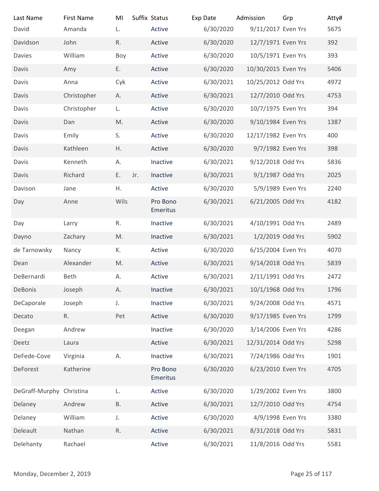| Last Name                | <b>First Name</b>  | MI        |     | Suffix Status        | Exp Date               | Admission                                | Grp | Atty#          |
|--------------------------|--------------------|-----------|-----|----------------------|------------------------|------------------------------------------|-----|----------------|
| David                    | Amanda             | L.        |     | Active               | 6/30/2020              | 9/11/2017 Even Yrs                       |     | 5675           |
| Davidson                 | John               | R.        |     | Active               | 6/30/2020              | 12/7/1971 Even Yrs                       |     | 392            |
| Davies                   | William            | Boy       |     | Active               | 6/30/2020              | 10/5/1971 Even Yrs                       |     | 393            |
| Davis                    | Amy                | Ε.        |     | Active               | 6/30/2020              | 10/30/2015 Even Yrs                      |     | 5406           |
| Davis                    | Anna               | Cyk       |     | Active               | 6/30/2021              | 10/25/2012 Odd Yrs                       |     | 4972           |
| Davis                    | Christopher        | А.        |     | Active               | 6/30/2021              | 12/7/2010 Odd Yrs                        |     | 4753           |
| Davis<br>Davis           | Christopher<br>Dan | L.<br>M.  |     | Active<br>Active     | 6/30/2020<br>6/30/2020 | 10/7/1975 Even Yrs<br>9/10/1984 Even Yrs |     | 394<br>1387    |
| Davis                    | Emily              | S.        |     | Active               | 6/30/2020              | 12/17/1982 Even Yrs                      |     | 400            |
| Davis                    | Kathleen           | Η.        |     | Active               | 6/30/2020              | 9/7/1982 Even Yrs                        |     | 398            |
| Davis                    | Kenneth            | А.        |     | Inactive             | 6/30/2021              | 9/12/2018 Odd Yrs                        |     | 5836           |
| Davis                    | Richard            | E.        | Jr. | Inactive             | 6/30/2021              | 9/1/1987 Odd Yrs                         |     | 2025           |
| Davison                  | Jane               | Η.        |     | Active               | 6/30/2020              | 5/9/1989 Even Yrs                        |     | 2240           |
| Day                      | Anne               | Wils      |     | Pro Bono             | 6/30/2021              | 6/21/2005 Odd Yrs                        |     | 4182           |
|                          |                    |           |     | Emeritus             |                        |                                          |     |                |
| Day                      | Larry              | R.        |     | Inactive             | 6/30/2021              | 4/10/1991 Odd Yrs                        |     | 2489           |
| Dayno                    | Zachary            | M.        |     | Inactive             | 6/30/2021              | 1/2/2019 Odd Yrs                         |     | 5902           |
| de Tarnowsky             | Nancy              | К.        |     | Active               | 6/30/2020              | 6/15/2004 Even Yrs                       |     | 4070           |
| Dean                     | Alexander          | M.        |     | Active               | 6/30/2021              | 9/14/2018 Odd Yrs                        |     | 5839           |
| DeBernardi               | Beth               | А.        |     | Active               | 6/30/2021              | 2/11/1991 Odd Yrs                        |     | 2472           |
| DeBonis                  | Joseph             | А.        |     | Inactive             | 6/30/2021              | 10/1/1968 Odd Yrs                        |     | 1796           |
| DeCaporale               | Joseph             | J.        |     | Inactive             | 6/30/2021              | 9/24/2008 Odd Yrs                        |     | 4571           |
| Decato<br>Deegan         | R.<br>Andrew       | Pet       |     | Active<br>Inactive   | 6/30/2020<br>6/30/2020 | 9/17/1985 Even Yrs<br>3/14/2006 Even Yrs |     | 1799<br>4286   |
| Deetz                    | Laura              |           |     | Active               | 6/30/2021              | 12/31/2014 Odd Yrs                       |     | 5298           |
| DeFede-Cove              | Virginia           | А.        |     | Inactive             | 6/30/2021              | 7/24/1986 Odd Yrs                        |     | 1901           |
| DeForest                 | Katherine          |           |     | Pro Bono<br>Emeritus | 6/30/2020              | 6/23/2010 Even Yrs                       |     | 4705           |
| DeGraff-Murphy Christina |                    | L.        |     | Active               | 6/30/2020              | 1/29/2002 Even Yrs                       |     | 3800           |
| Delaney                  | Andrew             | <b>B.</b> |     | Active               | 6/30/2021              | 12/7/2010 Odd Yrs                        |     | 4754           |
| Delaney                  | William            | J.        |     | Active               | 6/30/2020              | 4/9/1998 Even Yrs                        |     | 3380           |
| Deleault                 | Nathan             | R.        |     | Active               | 6/30/2021              | 8/31/2018 Odd Yrs                        |     | 5831           |
| Delehanty                | Rachael            |           |     | Active               | 6/30/2021              | 11/8/2016 Odd Yrs                        |     | 5581           |
|                          |                    |           |     |                      |                        |                                          |     |                |
| Monday, December 2, 2019 |                    |           |     |                      |                        |                                          |     | Page 25 of 117 |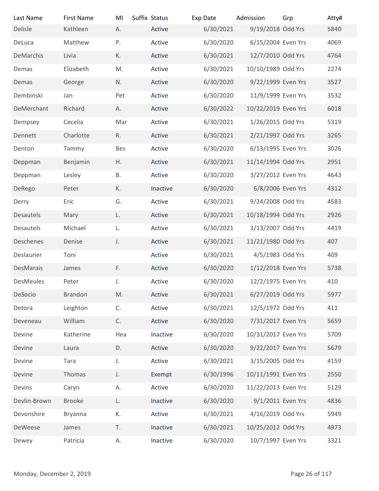| Last Name                | <b>First Name</b> | MI            | Suffix Status | Exp Date  | Admission           | Grp            | Atty# |
|--------------------------|-------------------|---------------|---------------|-----------|---------------------|----------------|-------|
| Delisle                  | Kathleen          | А.            | Active        | 6/30/2021 | 9/19/2018 Odd Yrs   |                | 5840  |
| DeLuca                   | Matthew           | P.            | Active        | 6/30/2020 | 6/15/2004 Even Yrs  |                | 4069  |
| DeMarchis                | Livia             | К.            | Active        | 6/30/2021 | 12/7/2010 Odd Yrs   |                | 4764  |
| Demas                    | Elizabeth         | M.            | Active        | 6/30/2021 | 10/10/1989 Odd Yrs  |                | 2274  |
| Demas                    | George            | N.            | Active        | 6/30/2020 | 9/22/1999 Even Yrs  |                | 3527  |
| Dembinski                | Jan               | Pet           | Active        | 6/30/2020 | 11/9/1999 Even Yrs  |                | 3532  |
| DeMerchant               | Richard           | А.            | Active        | 6/30/2022 | 10/22/2019 Even Yrs |                | 6018  |
| Dempsey                  | Cecelia           | Mar           | Active        | 6/30/2021 | 1/26/2015 Odd Yrs   |                | 5319  |
| Dennett                  | Charlotte         | R.            | Active        | 6/30/2021 | 2/21/1997 Odd Yrs   |                | 3265  |
| Denton                   | Tammy             | Bes           | Active        | 6/30/2020 | 6/13/1995 Even Yrs  |                | 3026  |
| Deppman                  | Benjamin          | H.            | Active        | 6/30/2021 | 11/14/1994 Odd Yrs  |                | 2951  |
| Deppman                  | Lesley            | <b>B.</b>     | Active        | 6/30/2020 | 3/27/2012 Even Yrs  |                | 4643  |
| DeRego                   | Peter             | К.            | Inactive      | 6/30/2020 | 6/8/2006 Even Yrs   |                | 4312  |
| Derry                    | Eric              | G.            | Active        | 6/30/2021 | 9/24/2008 Odd Yrs   |                | 4583  |
| Desautels                | Mary              | L.            | Active        | 6/30/2021 | 10/18/1994 Odd Yrs  |                | 2926  |
| Desautels                | Michael           | L.            | Active        | 6/30/2021 | 3/13/2007 Odd Yrs   |                | 4419  |
| Deschenes                | Denise            | J.            | Active        | 6/30/2021 | 11/21/1980 Odd Yrs  |                | 407   |
| Deslaurier               | Toni              |               | Active        | 6/30/2021 | 4/5/1983 Odd Yrs    |                | 409   |
| DesMarais                | James             | F.            | Active        | 6/30/2020 | 1/12/2018 Even Yrs  |                | 5738  |
| <b>DesMeules</b>         | Peter             | J.            | Active        | 6/30/2020 | 12/2/1975 Even Yrs  |                | 410   |
| DeSocio                  | Brandon           | M.            | Active        | 6/30/2021 | 6/27/2019 Odd Yrs   |                | 5977  |
|                          |                   | C.            | Active        |           | 12/5/1972 Odd Yrs   |                | 411   |
| Detora                   | Leighton          |               |               | 6/30/2021 |                     |                |       |
| Deveneau                 | William           | $\mathsf{C}.$ | Active        | 6/30/2020 | 7/31/2017 Even Yrs  |                | 5659  |
| Devine                   | Katherine         | Hea           | Inactive      | 6/30/2020 | 10/31/2017 Even Yrs |                | 5709  |
| Devine                   | Laura             | D.            | Active        | 6/30/2020 | 9/22/2017 Even Yrs  |                | 5679  |
| Devine                   | Tara              | J.            | Active        | 6/30/2021 | 3/15/2005 Odd Yrs   |                | 4159  |
| Devine                   | Thomas            | J.            | Exempt        | 6/30/1996 | 10/11/1991 Even Yrs |                | 2550  |
| Devins                   | Caryn             | А.            | Active        | 6/30/2020 | 11/22/2013 Even Yrs |                | 5129  |
| Devlin-Brown             | <b>Brooke</b>     | L.            | Inactive      | 6/30/2020 | 9/1/2011 Even Yrs   |                | 4836  |
| Devonshire               | Bryanna           | К.            | Active        | 6/30/2021 | 4/16/2019 Odd Yrs   |                | 5949  |
| DeWeese                  | James             | T.            | Inactive      | 6/30/2021 | 10/25/2012 Odd Yrs  |                | 4973  |
| Dewey                    | Patricia          | А.            | Inactive      | 6/30/2020 | 10/7/1997 Even Yrs  |                | 3321  |
|                          |                   |               |               |           |                     |                |       |
| Monday, December 2, 2019 |                   |               |               |           |                     | Page 26 of 117 |       |
|                          |                   |               |               |           |                     |                |       |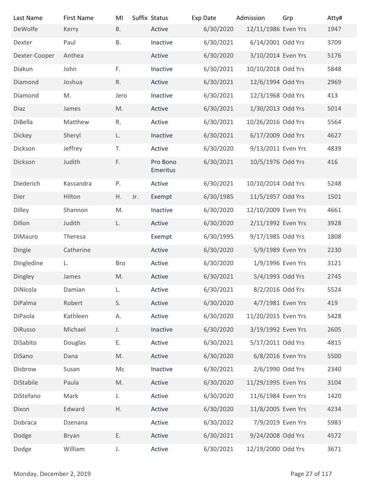| Last Name                | <b>First Name</b> | MI            | Suffix Status        | Exp Date  | Admission           | Grp            | Atty# |
|--------------------------|-------------------|---------------|----------------------|-----------|---------------------|----------------|-------|
| DeWolfe                  | Kerry             | <b>B.</b>     | Active               | 6/30/2020 | 12/11/1986 Even Yrs |                | 1947  |
| Dexter                   | Paul              | <b>B.</b>     | Inactive             | 6/30/2021 | 6/14/2001 Odd Yrs   |                | 3709  |
| Dexter-Cooper            | Anthea            |               | Active               | 6/30/2020 | 3/10/2014 Even Yrs  |                | 5176  |
| Diakun                   | John              | $F_{\star}$   | Inactive             | 6/30/2021 | 10/10/2018 Odd Yrs  |                | 5848  |
| Diamond                  | Joshua            | R.            | Active               | 6/30/2021 | 12/6/1994 Odd Yrs   |                | 2969  |
| Diamond                  | M.                | Jero          | Inactive             | 6/30/2021 | 12/3/1968 Odd Yrs   |                | 413   |
| Diaz                     | James             | M.            | Active               | 6/30/2021 | 1/30/2013 Odd Yrs   |                | 5014  |
| DiBella                  | Matthew           | R.            | Active               | 6/30/2021 | 10/26/2016 Odd Yrs  |                | 5564  |
| Dickey                   | Sheryl            | L.            | Inactive             | 6/30/2021 | 6/17/2009 Odd Yrs   |                | 4627  |
| Dickson                  | Jeffrey           | T.            | Active               | 6/30/2020 | 9/13/2011 Even Yrs  |                | 4839  |
| Dickson                  | Judith            | F.            | Pro Bono<br>Emeritus | 6/30/2021 | 10/5/1976 Odd Yrs   |                | 416   |
| Diederich                | Kassandra         | Ρ.            | Active               | 6/30/2021 | 10/10/2014 Odd Yrs  |                | 5248  |
| Dier                     | Hilton            | H.<br>Jr.     | Exempt               | 6/30/1985 | 11/5/1957 Odd Yrs   |                | 1501  |
| Dilley                   | Shannon           | M.            | Inactive             | 6/30/2020 | 12/10/2009 Even Yrs |                | 4661  |
| Dillon                   | Judith            | L.            | Active               | 6/30/2020 | 2/11/1992 Even Yrs  |                | 3928  |
| DiMauro                  | Theresa           |               | Exempt               | 6/30/1995 | 9/17/1985 Odd Yrs   |                | 1808  |
| Dingle                   | Catherine         |               | Active               | 6/30/2020 | 5/9/1989 Even Yrs   |                | 2230  |
| Dingledine               | L.                | <b>Bro</b>    | Active               | 6/30/2020 | 1/9/1996 Even Yrs   |                | 3121  |
| Dingley                  | James             | $\mathsf{M}.$ | Active               | 6/30/2021 | 5/4/1993 Odd Yrs    |                | 2745  |
| DiNicola                 | Damian            | L.            | Active               | 6/30/2021 | 8/2/2016 Odd Yrs    |                | 5524  |
| DiPalma                  | Robert            | S.            | Active               | 6/30/2020 | 4/7/1981 Even Yrs   |                | 419   |
| DiPaola                  | Kathleen          | А.            | Active               | 6/30/2020 | 11/20/2015 Even Yrs |                | 5428  |
| DiRusso                  | Michael           | J.            | Inactive             | 6/30/2020 | 3/19/1992 Even Yrs  |                | 2605  |
| DiSabito                 | Douglas           | Ε.            | Active               | 6/30/2021 | 5/17/2011 Odd Yrs   |                | 4815  |
| DiSano                   | Dana              | M.            | Active               | 6/30/2020 | 6/8/2016 Even Yrs   |                | 5500  |
| Disbrow                  | Susan             | Мc            | Inactive             | 6/30/2021 | 2/6/1990 Odd Yrs    |                | 2340  |
| DiStabile                | Paula             | M.            | Active               | 6/30/2020 | 11/29/1995 Even Yrs |                | 3104  |
| DiStefano                | Mark              | J.            | Active               | 6/30/2020 | 11/6/1984 Even Yrs  |                | 1420  |
| Dixon                    | Edward            | Η.            | Active               | 6/30/2020 | 11/8/2005 Even Yrs  |                | 4234  |
| Dobraca                  | Dzenana           |               | Active               | 6/30/2022 | 7/9/2019 Even Yrs   |                | 5983  |
| Dodge                    | Bryan             | Ε.            | Active               | 6/30/2021 | 9/24/2008 Odd Yrs   |                | 4572  |
| Dodge                    | William           | J.            | Active               | 6/30/2021 | 12/19/2000 Odd Yrs  |                | 3671  |
| Monday, December 2, 2019 |                   |               |                      |           |                     | Page 27 of 117 |       |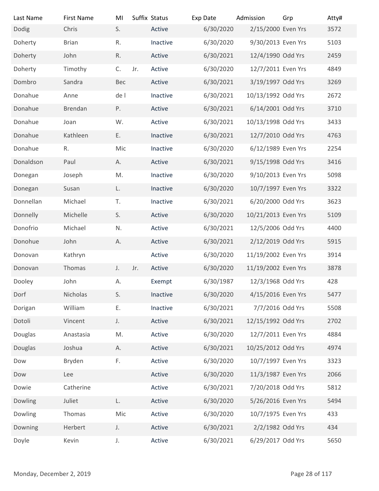| Last Name                | <b>First Name</b> | MI   |     | Suffix Status | Exp Date  | Admission           | Grp            | Atty# |
|--------------------------|-------------------|------|-----|---------------|-----------|---------------------|----------------|-------|
| Dodig                    | Chris             | S.   |     | Active        | 6/30/2020 | 2/15/2000 Even Yrs  |                | 3572  |
| Doherty                  | <b>Brian</b>      | R.   |     | Inactive      | 6/30/2020 | 9/30/2013 Even Yrs  |                | 5103  |
| Doherty                  | John              | R.   |     | Active        | 6/30/2021 | 12/4/1990 Odd Yrs   |                | 2459  |
| Doherty                  | Timothy           | C.   | Jr. | Active        | 6/30/2020 | 12/7/2011 Even Yrs  |                | 4849  |
| Dombro                   | Sandra            | Bec  |     | Active        | 6/30/2021 | 3/19/1997 Odd Yrs   |                | 3269  |
| Donahue                  | Anne              | de l |     | Inactive      | 6/30/2021 | 10/13/1992 Odd Yrs  |                | 2672  |
| Donahue                  | Brendan           | P.   |     | Active        | 6/30/2021 | 6/14/2001 Odd Yrs   |                | 3710  |
| Donahue                  | Joan              | W.   |     | Active        | 6/30/2021 | 10/13/1998 Odd Yrs  |                | 3433  |
| Donahue                  | Kathleen          | Ε.   |     | Inactive      | 6/30/2021 | 12/7/2010 Odd Yrs   |                | 4763  |
| Donahue                  | R.                | Mic  |     | Inactive      | 6/30/2020 | 6/12/1989 Even Yrs  |                | 2254  |
| Donaldson                | Paul              | Α.   |     | Active        | 6/30/2021 | 9/15/1998 Odd Yrs   |                | 3416  |
| Donegan                  | Joseph            | M.   |     | Inactive      | 6/30/2020 | 9/10/2013 Even Yrs  |                | 5098  |
| Donegan                  | Susan             | L.   |     | Inactive      | 6/30/2020 | 10/7/1997 Even Yrs  |                | 3322  |
| Donnellan                | Michael           | T.   |     | Inactive      | 6/30/2021 | 6/20/2000 Odd Yrs   |                | 3623  |
| Donnelly                 | Michelle          | S.   |     | Active        | 6/30/2020 | 10/21/2013 Even Yrs |                | 5109  |
| Donofrio                 | Michael           | N.   |     | Active        | 6/30/2021 | 12/5/2006 Odd Yrs   |                | 4400  |
| Donohue                  | John              | Α.   |     | Active        | 6/30/2021 | 2/12/2019 Odd Yrs   |                | 5915  |
| Donovan                  | Kathryn           |      |     | Active        | 6/30/2020 | 11/19/2002 Even Yrs |                | 3914  |
|                          |                   |      |     | Active        |           |                     |                |       |
| Donovan                  | Thomas            | J.   | Jr. |               | 6/30/2020 | 11/19/2002 Even Yrs |                | 3878  |
| Dooley                   | John              | А.   |     | Exempt        | 6/30/1987 | 12/3/1968 Odd Yrs   |                | 428   |
| Dorf                     | Nicholas          | S.   |     | Inactive      | 6/30/2020 | 4/15/2016 Even Yrs  |                | 5477  |
| Dorigan                  | William           | Ε.   |     | Inactive      | 6/30/2021 | 7/7/2016 Odd Yrs    |                | 5508  |
| Dotoli                   | Vincent           | J.   |     | Active        | 6/30/2021 | 12/15/1992 Odd Yrs  |                | 2702  |
| Douglas                  | Anastasia         | M.   |     | Active        | 6/30/2020 | 12/7/2011 Even Yrs  |                | 4884  |
| Douglas                  | Joshua            | Α.   |     | Active        | 6/30/2021 | 10/25/2012 Odd Yrs  |                | 4974  |
| Dow                      | Bryden            | F.   |     | Active        | 6/30/2020 | 10/7/1997 Even Yrs  |                | 3323  |
| Dow                      | Lee               |      |     | Active        | 6/30/2020 | 11/3/1987 Even Yrs  |                | 2066  |
| Dowie                    | Catherine         |      |     | Active        | 6/30/2021 | 7/20/2018 Odd Yrs   |                | 5812  |
| Dowling                  | Juliet            | L.   |     | Active        | 6/30/2020 | 5/26/2016 Even Yrs  |                | 5494  |
| Dowling                  | Thomas            | Mic  |     | Active        | 6/30/2020 | 10/7/1975 Even Yrs  |                | 433   |
| Downing                  | Herbert           | J.   |     | Active        | 6/30/2021 | 2/2/1982 Odd Yrs    |                | 434   |
| Doyle                    | Kevin             | J.   |     | Active        | 6/30/2021 | 6/29/2017 Odd Yrs   |                | 5650  |
|                          |                   |      |     |               |           |                     |                |       |
| Monday, December 2, 2019 |                   |      |     |               |           |                     | Page 28 of 117 |       |
|                          |                   |      |     |               |           |                     |                |       |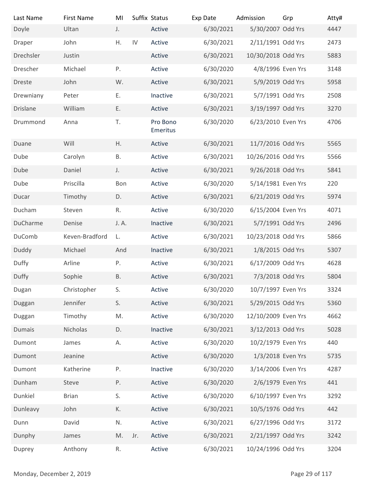| Last Name<br>Doyle       | <b>First Name</b><br>Ultan | MI<br>J.    |     | Suffix Status<br>Active | Exp Date<br>6/30/2021 | Admission<br>5/30/2007 Odd Yrs | Grp            | Atty#<br>4447 |
|--------------------------|----------------------------|-------------|-----|-------------------------|-----------------------|--------------------------------|----------------|---------------|
| Draper                   | John                       | Η.          | IV  | Active                  | 6/30/2021             | 2/11/1991 Odd Yrs              |                | 2473          |
| Drechsler                | Justin                     |             |     | Active                  | 6/30/2021             | 10/30/2018 Odd Yrs             |                | 5883          |
| Drescher                 | Michael                    | $P_{\cdot}$ |     | Active                  | 6/30/2020             | 4/8/1996 Even Yrs              |                | 3148          |
| Dreste                   | John                       | W.          |     | Active                  | 6/30/2021             | 5/9/2019 Odd Yrs               |                | 5958          |
| Drewniany                | Peter                      | Ε.          |     | Inactive                | 6/30/2021             | 5/7/1991 Odd Yrs               |                | 2508          |
| Drislane                 | William                    | Ε.          |     | Active                  | 6/30/2021             | 3/19/1997 Odd Yrs              |                | 3270          |
| Drummond                 | Anna                       | T.          |     | Pro Bono<br>Emeritus    | 6/30/2020             | 6/23/2010 Even Yrs             |                | 4706          |
| Duane                    | Will                       | Η.          |     | Active                  | 6/30/2021             | 11/7/2016 Odd Yrs              |                | 5565          |
| Dube                     | Carolyn                    | Β.          |     | Active                  | 6/30/2021             | 10/26/2016 Odd Yrs             |                | 5566          |
| Dube                     | Daniel                     | J.          |     | Active                  | 6/30/2021             | 9/26/2018 Odd Yrs              |                | 5841          |
| Dube                     | Priscilla                  | Bon         |     | Active                  | 6/30/2020             | 5/14/1981 Even Yrs             |                | 220           |
| Ducar                    | Timothy                    | D.          |     | Active                  | 6/30/2021             | 6/21/2019 Odd Yrs              |                | 5974          |
| Ducham                   | Steven                     | R.          |     | Active                  | 6/30/2020             | 6/15/2004 Even Yrs             |                | 4071          |
| DuCharme                 | Denise                     | J. A.       |     | Inactive                | 6/30/2021             | 5/7/1991 Odd Yrs               |                | 2496          |
| DuComb                   | Keven-Bradford             | L.          |     | Active                  | 6/30/2021             | 10/23/2018 Odd Yrs             |                | 5866          |
| Duddy                    | Michael                    | And         |     | Inactive                | 6/30/2021             | 1/8/2015 Odd Yrs               |                | 5307          |
| Duffy                    | Arline                     | Ρ.          |     | Active                  | 6/30/2021             | 6/17/2009 Odd Yrs              |                | 4628          |
| Duffy                    | Sophie                     | <b>B.</b>   |     | Active                  | 6/30/2021             | 7/3/2018 Odd Yrs               |                | 5804          |
| Dugan                    | Christopher                | S.          |     | Active                  | 6/30/2020             | 10/7/1997 Even Yrs             |                | 3324          |
| Duggan                   | Jennifer                   | S.          |     | Active                  | 6/30/2021             | 5/29/2015 Odd Yrs              |                | 5360          |
| Duggan                   | Timothy                    | M.          |     | Active                  | 6/30/2020             | 12/10/2009 Even Yrs            |                | 4662          |
| Dumais                   | Nicholas                   | D.          |     | Inactive                | 6/30/2021             | 3/12/2013 Odd Yrs              |                | 5028          |
| Dumont                   | James                      | А.          |     | Active                  | 6/30/2020             | 10/2/1979 Even Yrs             |                | 440           |
| Dumont                   | Jeanine                    |             |     | Active                  | 6/30/2020             | 1/3/2018 Even Yrs              |                | 5735          |
| Dumont                   | Katherine                  | Ρ.          |     | Inactive                | 6/30/2020             | 3/14/2006 Even Yrs             |                | 4287          |
| Dunham                   | Steve                      | Ρ.          |     | Active                  | 6/30/2020             | 2/6/1979 Even Yrs              |                | 441           |
| Dunkiel                  | <b>Brian</b>               | S.          |     | Active                  | 6/30/2020             | 6/10/1997 Even Yrs             |                | 3292          |
| Dunleavy                 | John                       | К.          |     | Active                  | 6/30/2021             | 10/5/1976 Odd Yrs              |                | 442           |
| Dunn                     | David                      | ${\sf N}.$  |     | Active                  | 6/30/2021             | 6/27/1996 Odd Yrs              |                | 3172          |
| Dunphy                   | James                      | M.          | Jr. | Active                  | 6/30/2021             | 2/21/1997 Odd Yrs              |                | 3242          |
| Duprey                   | Anthony                    | R.          |     | Active                  | 6/30/2021             | 10/24/1996 Odd Yrs             |                | 3204          |
| Monday, December 2, 2019 |                            |             |     |                         |                       |                                | Page 29 of 117 |               |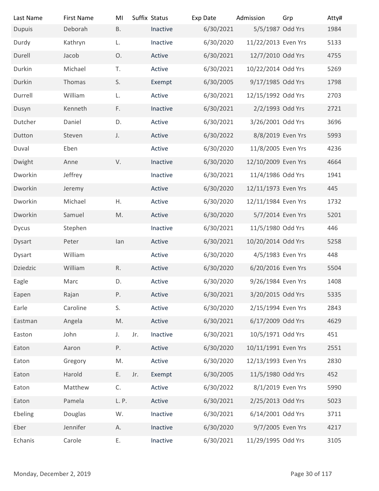| Last Name                | <b>First Name</b> | MI            | Suffix Status   | Exp Date  | Admission           | Grp            | Atty# |
|--------------------------|-------------------|---------------|-----------------|-----------|---------------------|----------------|-------|
| <b>Dupuis</b>            | Deborah           | <b>B.</b>     | Inactive        | 6/30/2021 | 5/5/1987 Odd Yrs    |                | 1984  |
| Durdy                    | Kathryn           | L.            | Inactive        | 6/30/2020 | 11/22/2013 Even Yrs |                | 5133  |
| Durell                   | Jacob             | 0.            | Active          | 6/30/2021 | 12/7/2010 Odd Yrs   |                | 4755  |
| Durkin                   | Michael           | T.            | Active          | 6/30/2021 | 10/22/2014 Odd Yrs  |                | 5269  |
| Durkin                   | Thomas            | S.            | Exempt          | 6/30/2005 | 9/17/1985 Odd Yrs   |                | 1798  |
| Durrell                  | William           | L.            | Active          | 6/30/2021 | 12/15/1992 Odd Yrs  |                | 2703  |
| Dusyn                    | Kenneth           | F.            | Inactive        | 6/30/2021 | 2/2/1993 Odd Yrs    |                | 2721  |
| Dutcher                  | Daniel            | D.            | Active          | 6/30/2021 | 3/26/2001 Odd Yrs   |                | 3696  |
| Dutton                   | Steven            | J.            | Active          | 6/30/2022 | 8/8/2019 Even Yrs   |                | 5993  |
| Duval                    | Eben              |               | Active          | 6/30/2020 | 11/8/2005 Even Yrs  |                | 4236  |
| Dwight                   | Anne              | V.            | Inactive        | 6/30/2020 | 12/10/2009 Even Yrs |                | 4664  |
| Dworkin                  | Jeffrey           |               | Inactive        | 6/30/2021 | 11/4/1986 Odd Yrs   |                | 1941  |
| Dworkin                  | Jeremy            |               | Active          | 6/30/2020 | 12/11/1973 Even Yrs |                | 445   |
| Dworkin                  | Michael           | Η.            | Active          | 6/30/2020 | 12/11/1984 Even Yrs |                | 1732  |
| Dworkin                  | Samuel            | $\mathsf{M}.$ | Active          | 6/30/2020 | 5/7/2014 Even Yrs   |                | 5201  |
| Dycus                    | Stephen           |               | Inactive        | 6/30/2021 | 11/5/1980 Odd Yrs   |                | 446   |
| Dysart                   | Peter             | lan           | Active          | 6/30/2021 | 10/20/2014 Odd Yrs  |                | 5258  |
| Dysart                   | William           |               | Active          | 6/30/2020 | 4/5/1983 Even Yrs   |                | 448   |
| Dziedzic                 | William           | $\mathsf R.$  | Active          | 6/30/2020 | 6/20/2016 Even Yrs  |                | 5504  |
| Eagle                    | Marc              | D.            | Active          | 6/30/2020 | 9/26/1984 Even Yrs  |                | 1408  |
| Eapen                    | Rajan             | P.            | Active          | 6/30/2021 | 3/20/2015 Odd Yrs   |                | 5335  |
| Earle                    | Caroline          | S.            | Active          | 6/30/2020 | 2/15/1994 Even Yrs  |                | 2843  |
| Eastman                  | Angela            | $\mathsf{M}.$ | Active          | 6/30/2021 | 6/17/2009 Odd Yrs   |                | 4629  |
| Easton                   | John              | $J_{+}$       | Jr.<br>Inactive | 6/30/2021 | 10/5/1971 Odd Yrs   |                | 451   |
| Eaton                    | Aaron             | Ρ.            | Active          | 6/30/2020 | 10/11/1991 Even Yrs |                | 2551  |
| Eaton                    | Gregory           | M.            | Active          | 6/30/2020 | 12/13/1993 Even Yrs |                | 2830  |
|                          |                   |               |                 |           |                     |                |       |
| Eaton                    | Harold            | Ε.            | Jr.<br>Exempt   | 6/30/2005 | 11/5/1980 Odd Yrs   |                | 452   |
| Eaton                    | Matthew           | C.            | Active          | 6/30/2022 | 8/1/2019 Even Yrs   |                | 5990  |
| Eaton                    | Pamela            | L.P.          | Active          | 6/30/2021 | 2/25/2013 Odd Yrs   |                | 5023  |
| Ebeling                  | Douglas           | W.            | Inactive        | 6/30/2021 | 6/14/2001 Odd Yrs   |                | 3711  |
| Eber                     | Jennifer          | А.            | Inactive        | 6/30/2020 | 9/7/2005 Even Yrs   |                | 4217  |
| Echanis                  | Carole            | Ε.            | Inactive        | 6/30/2021 | 11/29/1995 Odd Yrs  |                | 3105  |
|                          |                   |               |                 |           |                     |                |       |
| Monday, December 2, 2019 |                   |               |                 |           |                     | Page 30 of 117 |       |
|                          |                   |               |                 |           |                     |                |       |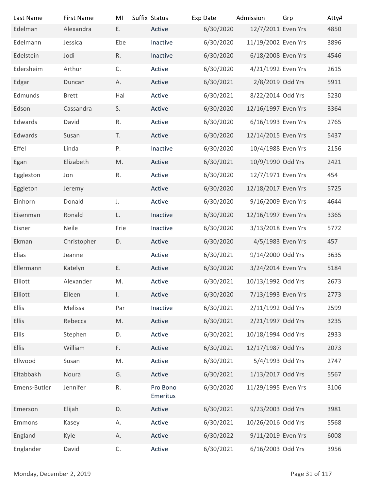| Last Name                | <b>First Name</b> | MI           | Suffix Status        | Exp Date  | Admission           | Grp            | Atty# |
|--------------------------|-------------------|--------------|----------------------|-----------|---------------------|----------------|-------|
| Edelman                  | Alexandra         | E.           | Active               | 6/30/2020 | 12/7/2011 Even Yrs  |                | 4850  |
| Edelmann                 | Jessica           | Ebe          | Inactive             | 6/30/2020 | 11/19/2002 Even Yrs |                | 3896  |
| Edelstein                | Jodi              | R.           | Inactive             | 6/30/2020 | 6/18/2008 Even Yrs  |                | 4546  |
| Edersheim                | Arthur            | C.           | Active               | 6/30/2020 | 4/21/1992 Even Yrs  |                | 2615  |
| Edgar                    | Duncan            | А.           | Active               | 6/30/2021 | 2/8/2019 Odd Yrs    |                | 5911  |
| Edmunds                  | <b>Brett</b>      | Hal          | Active               | 6/30/2021 | 8/22/2014 Odd Yrs   |                | 5230  |
| Edson                    | Cassandra         | S.           | Active               | 6/30/2020 | 12/16/1997 Even Yrs |                | 3364  |
| Edwards                  | David             | R.           | Active               | 6/30/2020 | 6/16/1993 Even Yrs  |                | 2765  |
| Edwards                  | Susan             | T.           | Active               | 6/30/2020 | 12/14/2015 Even Yrs |                | 5437  |
| Effel                    | Linda             | Ρ.           | Inactive             | 6/30/2020 | 10/4/1988 Even Yrs  |                | 2156  |
| Egan                     | Elizabeth         | M.           | Active               | 6/30/2021 | 10/9/1990 Odd Yrs   |                | 2421  |
| Eggleston                | Jon               | R.           | Active               | 6/30/2020 | 12/7/1971 Even Yrs  |                | 454   |
| Eggleton                 | Jeremy            |              | Active               | 6/30/2020 | 12/18/2017 Even Yrs |                | 5725  |
| Einhorn                  | Donald            | $J_{\star}$  | Active               | 6/30/2020 | 9/16/2009 Even Yrs  |                | 4644  |
| Eisenman                 | Ronald            | L.           | Inactive             | 6/30/2020 | 12/16/1997 Even Yrs |                | 3365  |
| Eisner                   | Neile             | Frie         | Inactive             | 6/30/2020 | 3/13/2018 Even Yrs  |                | 5772  |
| Ekman                    | Christopher       | D.           | Active               | 6/30/2020 | 4/5/1983 Even Yrs   |                | 457   |
| Elias                    | Jeanne            |              | Active               | 6/30/2021 | 9/14/2000 Odd Yrs   |                | 3635  |
| Ellermann                | Katelyn           | Ε.           | Active               | 6/30/2020 | 3/24/2014 Even Yrs  |                | 5184  |
| Elliott                  | Alexander         | M.           | Active               | 6/30/2021 | 10/13/1992 Odd Yrs  |                | 2673  |
| Elliott                  | Eileen            | $\mathsf{L}$ | Active               | 6/30/2020 | 7/13/1993 Even Yrs  |                | 2773  |
| Ellis                    | Melissa           | Par          | Inactive             | 6/30/2021 | 2/11/1992 Odd Yrs   |                | 2599  |
| <b>Ellis</b>             | Rebecca           | M.           | Active               | 6/30/2021 | 2/21/1997 Odd Yrs   |                | 3235  |
| Ellis                    | Stephen           | D.           | Active               | 6/30/2021 | 10/18/1994 Odd Yrs  |                | 2933  |
|                          |                   |              |                      | 6/30/2021 |                     |                | 2073  |
| <b>Ellis</b>             | William           | F.           | Active               |           | 12/17/1987 Odd Yrs  |                |       |
| Ellwood                  | Susan             | M.           | Active               | 6/30/2021 | 5/4/1993 Odd Yrs    |                | 2747  |
| Eltabbakh                | Noura             | G.           | Active               | 6/30/2021 | 1/13/2017 Odd Yrs   |                | 5567  |
| Emens-Butler             | Jennifer          | R.           | Pro Bono<br>Emeritus | 6/30/2020 | 11/29/1995 Even Yrs |                | 3106  |
| Emerson                  | Elijah            | D.           | Active               | 6/30/2021 | 9/23/2003 Odd Yrs   |                | 3981  |
| Emmons                   | Kasey             | А.           | Active               | 6/30/2021 | 10/26/2016 Odd Yrs  |                | 5568  |
| England                  | Kyle              | А.           | Active               | 6/30/2022 | 9/11/2019 Even Yrs  |                | 6008  |
| Englander                | David             | C.           | Active               | 6/30/2021 | 6/16/2003 Odd Yrs   |                | 3956  |
|                          |                   |              |                      |           |                     |                |       |
| Monday, December 2, 2019 |                   |              |                      |           |                     | Page 31 of 117 |       |
|                          |                   |              |                      |           |                     |                |       |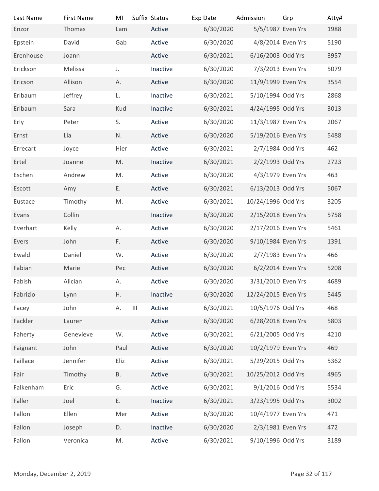| Last Name                | <b>First Name</b> | MI                   | Suffix Status | Exp Date  | Admission           | Grp            | Atty# |
|--------------------------|-------------------|----------------------|---------------|-----------|---------------------|----------------|-------|
| Enzor                    | Thomas            | Lam                  | Active        | 6/30/2020 | 5/5/1987 Even Yrs   |                | 1988  |
| Epstein                  | David             | Gab                  | Active        | 6/30/2020 | 4/8/2014 Even Yrs   |                | 5190  |
| Erenhouse                | Joann             |                      | Active        | 6/30/2021 | 6/16/2003 Odd Yrs   |                | 3957  |
| Erickson                 | Melissa           | J.                   | Inactive      | 6/30/2020 | 7/3/2013 Even Yrs   |                | 5079  |
| Ericson                  | Allison           | А.                   | Active        | 6/30/2020 | 11/9/1999 Even Yrs  |                | 3554  |
| Erlbaum                  | Jeffrey           | L.                   | Inactive      | 6/30/2021 | 5/10/1994 Odd Yrs   |                | 2868  |
| Erlbaum                  | Sara              | Kud                  | Inactive      | 6/30/2021 | 4/24/1995 Odd Yrs   |                | 3013  |
| Erly                     | Peter             | S.                   | Active        | 6/30/2020 | 11/3/1987 Even Yrs  |                | 2067  |
| Ernst                    | Lia               | N.                   | Active        | 6/30/2020 | 5/19/2016 Even Yrs  |                | 5488  |
| Errecart                 | Joyce             | Hier                 | Active        | 6/30/2021 | 2/7/1984 Odd Yrs    |                | 462   |
| Ertel                    | Joanne            | M.                   | Inactive      | 6/30/2021 | 2/2/1993 Odd Yrs    |                | 2723  |
| Eschen                   | Andrew            | M.                   | Active        | 6/30/2020 | 4/3/1979 Even Yrs   |                | 463   |
| Escott                   | Amy               | Ε.                   | Active        | 6/30/2021 | 6/13/2013 Odd Yrs   |                | 5067  |
| Eustace                  | Timothy           | M.                   | Active        | 6/30/2021 | 10/24/1996 Odd Yrs  |                | 3205  |
| Evans                    | Collin            |                      | Inactive      | 6/30/2020 | 2/15/2018 Even Yrs  |                | 5758  |
| Everhart                 | Kelly             | А.                   | Active        | 6/30/2020 | 2/17/2016 Even Yrs  |                | 5461  |
| Evers                    | John              | F.                   | Active        | 6/30/2020 | 9/10/1984 Even Yrs  |                | 1391  |
| Ewald                    | Daniel            | W.                   | Active        | 6/30/2020 | 2/7/1983 Even Yrs   |                | 466   |
| Fabian                   | Marie             | Pec                  | Active        | 6/30/2020 | 6/2/2014 Even Yrs   |                | 5208  |
| Fabish                   | Alician           | Α.                   | Active        | 6/30/2020 | 3/31/2010 Even Yrs  |                | 4689  |
| Fabrizio                 | Lynn              | Η.                   | Inactive      | 6/30/2020 | 12/24/2015 Even Yrs |                | 5445  |
| Facey                    | John              | $\mathbf{III}$<br>А. | Active        | 6/30/2021 | 10/5/1976 Odd Yrs   |                | 468   |
| Fackler                  | Lauren            |                      | Active        | 6/30/2020 | 6/28/2018 Even Yrs  |                | 5803  |
| Faherty                  | Genevieve         | W.                   | Active        | 6/30/2021 | 6/21/2005 Odd Yrs   |                | 4210  |
| Faignant                 | John              | Paul                 | Active        | 6/30/2020 | 10/2/1979 Even Yrs  |                | 469   |
| Faillace                 | Jennifer          | Eliz                 | Active        | 6/30/2021 | 5/29/2015 Odd Yrs   |                | 5362  |
| Fair                     | Timothy           | <b>B.</b>            | Active        | 6/30/2021 | 10/25/2012 Odd Yrs  |                | 4965  |
| Falkenham                | Eric              | G.                   | Active        | 6/30/2021 | 9/1/2016 Odd Yrs    |                | 5534  |
| Faller                   | Joel              | Ε.                   | Inactive      | 6/30/2021 | 3/23/1995 Odd Yrs   |                | 3002  |
| Fallon                   | Ellen             | Mer                  | Active        | 6/30/2020 | 10/4/1977 Even Yrs  |                | 471   |
| Fallon                   | Joseph            | D.                   | Inactive      | 6/30/2020 | 2/3/1981 Even Yrs   |                | 472   |
| Fallon                   | Veronica          | M.                   | Active        | 6/30/2021 | 9/10/1996 Odd Yrs   |                | 3189  |
|                          |                   |                      |               |           |                     |                |       |
|                          |                   |                      |               |           |                     |                |       |
| Monday, December 2, 2019 |                   |                      |               |           |                     | Page 32 of 117 |       |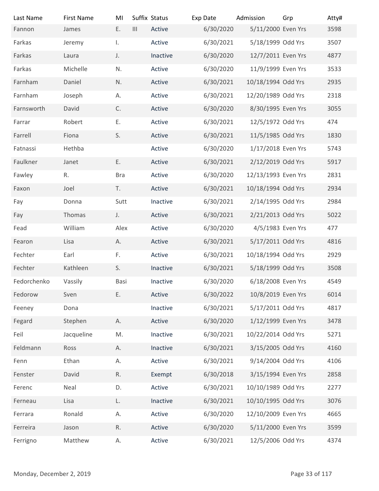| Last Name                | <b>First Name</b> | MI           | Suffix Status  |          | Exp Date  |                                 |                |               |
|--------------------------|-------------------|--------------|----------------|----------|-----------|---------------------------------|----------------|---------------|
| Fannon                   | James             | E.           | $\mathbf{III}$ | Active   | 6/30/2020 | Admission<br>5/11/2000 Even Yrs | Grp            | Atty#<br>3598 |
| Farkas                   | Jeremy            | Ι.           |                | Active   | 6/30/2021 | 5/18/1999 Odd Yrs               |                | 3507          |
| Farkas                   | Laura             | J.           |                | Inactive | 6/30/2020 | 12/7/2011 Even Yrs              |                | 4877          |
| Farkas                   | Michelle          | N.           |                | Active   | 6/30/2020 | 11/9/1999 Even Yrs              |                | 3533          |
| Farnham                  | Daniel            | N.           |                | Active   | 6/30/2021 | 10/18/1994 Odd Yrs              |                | 2935          |
| Farnham                  | Joseph            | А.           |                | Active   | 6/30/2021 | 12/20/1989 Odd Yrs              |                | 2318          |
|                          |                   |              |                |          |           |                                 |                | 3055          |
| Farnsworth               | David             | C.           |                | Active   | 6/30/2020 | 8/30/1995 Even Yrs              |                |               |
| Farrar                   | Robert            | Ε.           |                | Active   | 6/30/2021 | 12/5/1972 Odd Yrs               |                | 474           |
| Farrell                  | Fiona             | S.           |                | Active   | 6/30/2021 | 11/5/1985 Odd Yrs               |                | 1830          |
| Fatnassi                 | Hethba            |              |                | Active   | 6/30/2020 | 1/17/2018 Even Yrs              |                | 5743          |
| Faulkner                 | Janet             | Ε.           |                | Active   | 6/30/2021 | 2/12/2019 Odd Yrs               |                | 5917          |
| Fawley                   | R.                | <b>Bra</b>   |                | Active   | 6/30/2020 | 12/13/1993 Even Yrs             |                | 2831          |
| Faxon                    | Joel              | T.           |                | Active   | 6/30/2021 | 10/18/1994 Odd Yrs              |                | 2934          |
| Fay                      | Donna             | Sutt         |                | Inactive | 6/30/2021 | 2/14/1995 Odd Yrs               |                | 2984          |
| Fay                      | Thomas            | J.           |                | Active   | 6/30/2021 | 2/21/2013 Odd Yrs               |                | 5022          |
| Fead                     | William           | Alex         |                | Active   | 6/30/2020 | 4/5/1983 Even Yrs               |                | 477           |
| Fearon                   | Lisa              | А.           |                | Active   | 6/30/2021 | 5/17/2011 Odd Yrs               |                | 4816          |
| Fechter                  | Earl              | F.           |                | Active   | 6/30/2021 | 10/18/1994 Odd Yrs              |                | 2929          |
| Fechter                  | Kathleen          | S.           |                | Inactive | 6/30/2021 | 5/18/1999 Odd Yrs               |                | 3508          |
| Fedorchenko              | Vassily           | Basi         |                | Inactive | 6/30/2020 | 6/18/2008 Even Yrs              |                | 4549          |
| Fedorow                  | Sven              | Ε.           |                | Active   | 6/30/2022 | 10/8/2019 Even Yrs              |                | 6014          |
| Feeney                   | Dona              |              |                | Inactive | 6/30/2021 | 5/17/2011 Odd Yrs               |                | 4817          |
| Fegard                   | Stephen           | Α.           |                | Active   | 6/30/2020 | 1/12/1999 Even Yrs              |                | 3478          |
| Feil                     | Jacqueline        | M.           |                | Inactive | 6/30/2021 | 10/22/2014 Odd Yrs              |                | 5271          |
| Feldmann                 | Ross              | Α.           |                | Inactive | 6/30/2021 | 3/15/2005 Odd Yrs               |                | 4160          |
| Fenn                     | Ethan             | А.           |                | Active   | 6/30/2021 | 9/14/2004 Odd Yrs               |                | 4106          |
| Fenster                  | David             | R.           |                | Exempt   | 6/30/2018 | 3/15/1994 Even Yrs              |                | 2858          |
| Ferenc                   | Neal              | D.           |                | Active   | 6/30/2021 | 10/10/1989 Odd Yrs              |                | 2277          |
| Ferneau                  | Lisa              | L.           |                | Inactive | 6/30/2021 | 10/10/1995 Odd Yrs              |                | 3076          |
| Ferrara                  | Ronald            | А.           |                | Active   | 6/30/2020 | 12/10/2009 Even Yrs             |                | 4665          |
| Ferreira                 | Jason             | $\mathsf R.$ |                | Active   | 6/30/2020 | 5/11/2000 Even Yrs              |                | 3599          |
| Ferrigno                 | Matthew           | А.           |                | Active   | 6/30/2021 | 12/5/2006 Odd Yrs               |                | 4374          |
|                          |                   |              |                |          |           |                                 |                |               |
|                          |                   |              |                |          |           |                                 |                |               |
| Monday, December 2, 2019 |                   |              |                |          |           |                                 | Page 33 of 117 |               |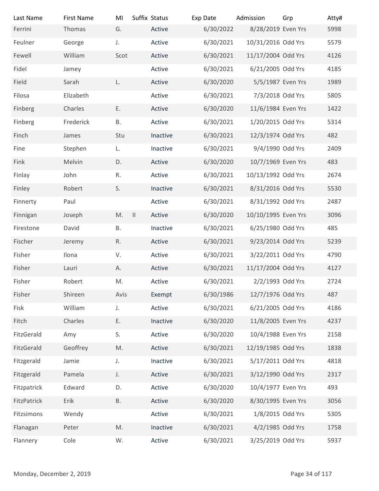| Last Name                | <b>First Name</b> | MI            | Suffix Status | Exp Date  | Admission           | Grp            | Atty# |
|--------------------------|-------------------|---------------|---------------|-----------|---------------------|----------------|-------|
| Ferrini                  | Thomas            | G.            | Active        | 6/30/2022 | 8/28/2019 Even Yrs  |                | 5998  |
| Feulner                  | George            | J.            | Active        | 6/30/2021 | 10/31/2016 Odd Yrs  |                | 5579  |
| Fewell                   | William           | Scot          | Active        | 6/30/2021 | 11/17/2004 Odd Yrs  |                | 4126  |
| Fidel                    | Jamey             |               | Active        | 6/30/2021 | 6/21/2005 Odd Yrs   |                | 4185  |
| Field                    | Sarah             | L.            | Active        | 6/30/2020 | 5/5/1987 Even Yrs   |                | 1989  |
| Filosa                   | Elizabeth         |               | Active        | 6/30/2021 | 7/3/2018 Odd Yrs    |                | 5805  |
| Finberg                  | Charles           | Ε.            | Active        | 6/30/2020 | 11/6/1984 Even Yrs  |                | 1422  |
| Finberg                  | Frederick         | В.            | Active        | 6/30/2021 | 1/20/2015 Odd Yrs   |                | 5314  |
| Finch                    | James             | Stu           | Inactive      | 6/30/2021 | 12/3/1974 Odd Yrs   |                | 482   |
| Fine                     | Stephen           | L.            | Inactive      | 6/30/2021 | 9/4/1990 Odd Yrs    |                | 2409  |
| Fink                     | Melvin            | D.            | Active        | 6/30/2020 | 10/7/1969 Even Yrs  |                | 483   |
| Finlay                   | John              | R.            | Active        | 6/30/2021 | 10/13/1992 Odd Yrs  |                | 2674  |
| Finley                   | Robert            | S.            | Inactive      | 6/30/2021 | 8/31/2016 Odd Yrs   |                | 5530  |
| Finnerty                 | Paul              |               | Active        | 6/30/2021 | 8/31/1992 Odd Yrs   |                | 2487  |
| Finnigan                 | Joseph            | M.            | Active        | 6/30/2020 | 10/10/1995 Even Yrs |                | 3096  |
| Firestone                | David             | Β.            | Inactive      | 6/30/2021 | 6/25/1980 Odd Yrs   |                | 485   |
| Fischer                  | Jeremy            | R.            | Active        | 6/30/2021 | 9/23/2014 Odd Yrs   |                | 5239  |
| Fisher                   | Ilona             | V.            | Active        | 6/30/2021 | 3/22/2011 Odd Yrs   |                | 4790  |
| Fisher                   | Lauri             | А.            | Active        | 6/30/2021 | 11/17/2004 Odd Yrs  |                | 4127  |
| Fisher                   | Robert            | M.            | Active        | 6/30/2021 | 2/2/1993 Odd Yrs    |                | 2724  |
| Fisher                   | Shireen           | Avis          | Exempt        | 6/30/1986 | 12/7/1976 Odd Yrs   |                | 487   |
| Fisk                     | William           | J.            | Active        | 6/30/2021 | 6/21/2005 Odd Yrs   |                | 4186  |
| Fitch                    | Charles           | Ε.            | Inactive      | 6/30/2020 | 11/8/2005 Even Yrs  |                | 4237  |
|                          |                   | S.            |               |           | 10/4/1988 Even Yrs  |                | 2158  |
| FitzGerald               | Amy               |               | Active        | 6/30/2020 |                     |                |       |
| FitzGerald               | Geoffrey          | M.            | Active        | 6/30/2021 | 12/19/1985 Odd Yrs  |                | 1838  |
| Fitzgerald               | Jamie             | J.            | Inactive      | 6/30/2021 | 5/17/2011 Odd Yrs   |                | 4818  |
| Fitzgerald               | Pamela            | J.            | Active        | 6/30/2021 | 3/12/1990 Odd Yrs   |                | 2317  |
| Fitzpatrick              | Edward            | D.            | Active        | 6/30/2020 | 10/4/1977 Even Yrs  |                | 493   |
| FitzPatrick              | Erik              | <b>B.</b>     | Active        | 6/30/2020 | 8/30/1995 Even Yrs  |                | 3056  |
| Fitzsimons               | Wendy             |               | Active        | 6/30/2021 | 1/8/2015 Odd Yrs    |                | 5305  |
| Flanagan                 | Peter             | $\mathsf{M}.$ | Inactive      | 6/30/2021 | 4/2/1985 Odd Yrs    |                | 1758  |
| Flannery                 | Cole              | W.            | Active        | 6/30/2021 | 3/25/2019 Odd Yrs   |                | 5937  |
|                          |                   |               |               |           |                     |                |       |
| Monday, December 2, 2019 |                   |               |               |           |                     | Page 34 of 117 |       |
|                          |                   |               |               |           |                     |                |       |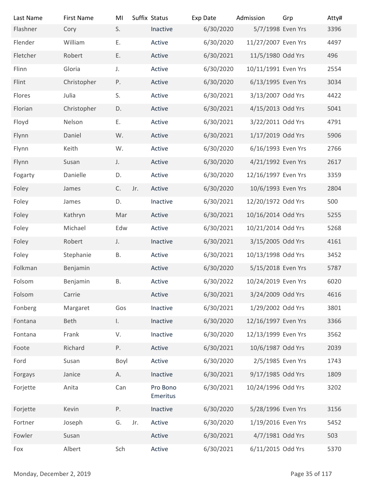| Last Name                | <b>First Name</b> | MI            |     | Suffix Status        | Exp Date  | Admission           | Grp            | Atty# |
|--------------------------|-------------------|---------------|-----|----------------------|-----------|---------------------|----------------|-------|
| Flashner                 | Cory              | S.            |     | Inactive             | 6/30/2020 | 5/7/1998 Even Yrs   |                | 3396  |
| Flender                  | William           | E.            |     | Active               | 6/30/2020 | 11/27/2007 Even Yrs |                | 4497  |
| Fletcher                 | Robert            | Ε.            |     | Active               | 6/30/2021 | 11/5/1980 Odd Yrs   |                | 496   |
| Flinn                    | Gloria            | J.            |     | Active               | 6/30/2020 | 10/11/1991 Even Yrs |                | 2554  |
| Flint                    | Christopher       | P.            |     | Active               | 6/30/2020 | 6/13/1995 Even Yrs  |                | 3034  |
| Flores                   | Julia             | S.            |     | Active               | 6/30/2021 | 3/13/2007 Odd Yrs   |                | 4422  |
| Florian                  | Christopher       | D.            |     | Active               | 6/30/2021 | 4/15/2013 Odd Yrs   |                | 5041  |
| Floyd                    | Nelson            | Ε.            |     | Active               | 6/30/2021 | 3/22/2011 Odd Yrs   |                | 4791  |
| Flynn                    | Daniel            | W.            |     | Active               | 6/30/2021 | 1/17/2019 Odd Yrs   |                | 5906  |
| Flynn                    | Keith             | W.            |     | Active               | 6/30/2020 | 6/16/1993 Even Yrs  |                | 2766  |
| Flynn                    | Susan             | J.            |     | Active               | 6/30/2020 | 4/21/1992 Even Yrs  |                | 2617  |
| Fogarty                  | Danielle          | D.            |     | Active               | 6/30/2020 | 12/16/1997 Even Yrs |                | 3359  |
| Foley                    | James             | $\mathsf{C}.$ | Jr. | Active               | 6/30/2020 | 10/6/1993 Even Yrs  |                | 2804  |
| Foley                    | James             | D.            |     | Inactive             | 6/30/2021 | 12/20/1972 Odd Yrs  |                | 500   |
| Foley                    | Kathryn           | Mar           |     | Active               | 6/30/2021 | 10/16/2014 Odd Yrs  |                | 5255  |
| Foley                    | Michael           | Edw           |     | Active               | 6/30/2021 | 10/21/2014 Odd Yrs  |                | 5268  |
| Foley                    | Robert            | J.            |     | Inactive             | 6/30/2021 | 3/15/2005 Odd Yrs   |                | 4161  |
| Foley                    | Stephanie         | <b>B.</b>     |     | Active               | 6/30/2021 | 10/13/1998 Odd Yrs  |                | 3452  |
| Folkman                  | Benjamin          |               |     | Active               | 6/30/2020 | 5/15/2018 Even Yrs  |                | 5787  |
| Folsom                   | Benjamin          | <b>B.</b>     |     | Active               | 6/30/2022 | 10/24/2019 Even Yrs |                | 6020  |
| Folsom                   | Carrie            |               |     | Active               | 6/30/2021 | 3/24/2009 Odd Yrs   |                | 4616  |
| Fonberg                  | Margaret          | Gos           |     | Inactive             | 6/30/2021 | 1/29/2002 Odd Yrs   |                | 3801  |
| Fontana                  | Beth              | $\mathbf{L}$  |     | Inactive             | 6/30/2020 | 12/16/1997 Even Yrs |                | 3366  |
|                          | Frank             | V.            |     | Inactive             | 6/30/2020 | 12/13/1999 Even Yrs |                | 3562  |
| Fontana<br>Foote         | Richard           | Ρ.            |     | Active               | 6/30/2021 | 10/6/1987 Odd Yrs   |                | 2039  |
|                          |                   |               |     |                      |           |                     |                |       |
| Ford                     | Susan             | Boyl          |     | Active               | 6/30/2020 | 2/5/1985 Even Yrs   |                | 1743  |
| Forgays                  | Janice            | А.            |     | Inactive             | 6/30/2021 | 9/17/1985 Odd Yrs   |                | 1809  |
| Forjette                 | Anita             | Can           |     | Pro Bono<br>Emeritus | 6/30/2021 | 10/24/1996 Odd Yrs  |                | 3202  |
| Forjette                 | Kevin             | P.            |     | Inactive             | 6/30/2020 | 5/28/1996 Even Yrs  |                | 3156  |
| Fortner                  | Joseph            | G.            | Jr. | Active               | 6/30/2020 | 1/19/2016 Even Yrs  |                | 5452  |
| Fowler                   | Susan             |               |     | Active               | 6/30/2021 | 4/7/1981 Odd Yrs    |                | 503   |
| Fox                      | Albert            | Sch           |     | Active               | 6/30/2021 | 6/11/2015 Odd Yrs   |                | 5370  |
|                          |                   |               |     |                      |           |                     |                |       |
| Monday, December 2, 2019 |                   |               |     |                      |           |                     | Page 35 of 117 |       |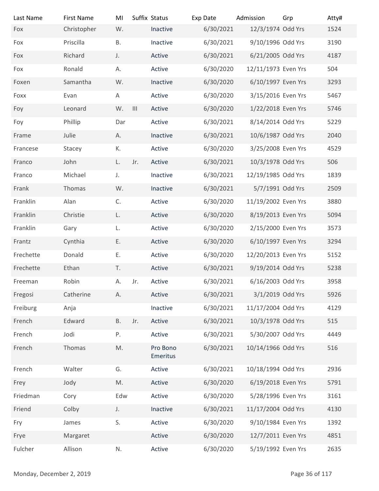| Last Name<br>Fox         | <b>First Name</b><br>Christopher | MI<br>W.      |               | Suffix Status<br>Inactive | Exp Date<br>6/30/2021 | Admission<br>12/3/1974 Odd Yrs | Grp            | Atty#<br>1524 |
|--------------------------|----------------------------------|---------------|---------------|---------------------------|-----------------------|--------------------------------|----------------|---------------|
| Fox                      | Priscilla                        | <b>B.</b>     |               | Inactive                  | 6/30/2021             | 9/10/1996 Odd Yrs              |                | 3190          |
| Fox                      | Richard                          | J.            |               | Active                    | 6/30/2021             | 6/21/2005 Odd Yrs              |                | 4187          |
| Fox                      | Ronald                           | А.            |               | Active                    | 6/30/2020             | 12/11/1973 Even Yrs            |                | 504           |
|                          |                                  |               |               |                           |                       |                                |                |               |
| Foxen                    | Samantha                         | W.            |               | Inactive                  | 6/30/2020             | 6/10/1997 Even Yrs             |                | 3293          |
| Foxx                     | Evan                             | A             |               | Active                    | 6/30/2020             | 3/15/2016 Even Yrs             |                | 5467          |
| Foy                      | Leonard                          | W.            | $\  \cdot \ $ | Active                    | 6/30/2020             | 1/22/2018 Even Yrs             |                | 5746          |
| Foy                      | Phillip                          | Dar           |               | Active                    | 6/30/2021             | 8/14/2014 Odd Yrs              |                | 5229          |
| Frame                    | Julie                            | А.            |               | Inactive                  | 6/30/2021             | 10/6/1987 Odd Yrs              |                | 2040          |
| Francese                 | Stacey                           | К.            |               | Active                    | 6/30/2020             | 3/25/2008 Even Yrs             |                | 4529          |
| Franco                   | John                             | L.            | Jr.           | Active                    | 6/30/2021             | 10/3/1978 Odd Yrs              |                | 506           |
| Franco                   | Michael                          | J.            |               | Inactive                  | 6/30/2021             | 12/19/1985 Odd Yrs             |                | 1839          |
| Frank                    | Thomas                           | W.            |               | Inactive                  | 6/30/2021             | 5/7/1991 Odd Yrs               |                | 2509          |
| Franklin                 | Alan                             | C.            |               | Active                    | 6/30/2020             | 11/19/2002 Even Yrs            |                | 3880          |
| Franklin                 | Christie                         | L.            |               | Active                    | 6/30/2020             | 8/19/2013 Even Yrs             |                | 5094          |
| Franklin                 | Gary                             | L.            |               | Active                    | 6/30/2020             | 2/15/2000 Even Yrs             |                | 3573          |
| Frantz                   | Cynthia                          | Ε.            |               | Active                    | 6/30/2020             | 6/10/1997 Even Yrs             |                | 3294          |
| Frechette                | Donald                           | Ε.            |               | Active                    | 6/30/2020             | 12/20/2013 Even Yrs            |                | 5152          |
| Frechette                | Ethan                            | T.            |               | Active                    | 6/30/2021             | 9/19/2014 Odd Yrs              |                | 5238          |
| Freeman                  | Robin                            | А.            | Jr.           | Active                    | 6/30/2021             | 6/16/2003 Odd Yrs              |                | 3958          |
| Fregosi                  | Catherine                        | А.            |               | Active                    | 6/30/2021             | 3/1/2019 Odd Yrs               |                | 5926          |
| Freiburg                 | Anja                             |               |               | Inactive                  | 6/30/2021             | 11/17/2004 Odd Yrs             |                | 4129          |
| French                   | Edward                           | <b>B.</b>     | Jr.           | Active                    | 6/30/2021             | 10/3/1978 Odd Yrs              |                | 515           |
| French                   | Jodi                             | Ρ.            |               | Active                    | 6/30/2021             | 5/30/2007 Odd Yrs              |                | 4449          |
| French                   | Thomas                           | $\mathsf{M}.$ |               | Pro Bono<br>Emeritus      | 6/30/2021             | 10/14/1966 Odd Yrs             |                | 516           |
| French                   | Walter                           | G.            |               | Active                    | 6/30/2021             | 10/18/1994 Odd Yrs             |                | 2936          |
| Frey                     | Jody                             | M.            |               | Active                    | 6/30/2020             | 6/19/2018 Even Yrs             |                | 5791          |
| Friedman                 | Cory                             | Edw           |               | Active                    | 6/30/2020             | 5/28/1996 Even Yrs             |                | 3161          |
| Friend                   | Colby                            | J.            |               | Inactive                  | 6/30/2021             | 11/17/2004 Odd Yrs             |                | 4130          |
| Fry                      | James                            | S.            |               | Active                    | 6/30/2020             | 9/10/1984 Even Yrs             |                | 1392          |
| Frye                     | Margaret                         |               |               | Active                    | 6/30/2020             | 12/7/2011 Even Yrs             |                | 4851          |
| Fulcher                  | Allison                          | ${\sf N}.$    |               | Active                    | 6/30/2020             | 5/19/1992 Even Yrs             |                | 2635          |
|                          |                                  |               |               |                           |                       |                                |                |               |
| Monday, December 2, 2019 |                                  |               |               |                           |                       |                                | Page 36 of 117 |               |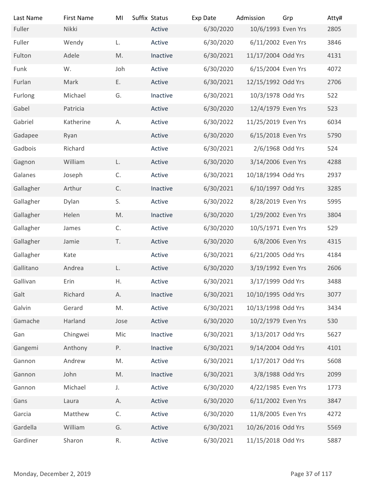| Last Name                | <b>First Name</b> | MI            | Suffix Status | Exp Date  | Admission           | Grp            | Atty# |
|--------------------------|-------------------|---------------|---------------|-----------|---------------------|----------------|-------|
| Fuller                   | Nikki             |               | Active        | 6/30/2020 | 10/6/1993 Even Yrs  |                | 2805  |
| Fuller                   | Wendy             | L.            | Active        | 6/30/2020 | 6/11/2002 Even Yrs  |                | 3846  |
| Fulton                   | Adele             | M.            | Inactive      | 6/30/2021 | 11/17/2004 Odd Yrs  |                | 4131  |
| Funk                     | W.                | Joh           | Active        | 6/30/2020 | 6/15/2004 Even Yrs  |                | 4072  |
| Furlan                   | Mark              | E.            | Active        | 6/30/2021 | 12/15/1992 Odd Yrs  |                | 2706  |
| Furlong                  | Michael           | G.            | Inactive      | 6/30/2021 | 10/3/1978 Odd Yrs   |                | 522   |
| Gabel                    | Patricia          |               | Active        | 6/30/2020 | 12/4/1979 Even Yrs  |                | 523   |
| Gabriel                  | Katherine         | А.            | Active        | 6/30/2022 | 11/25/2019 Even Yrs |                | 6034  |
| Gadapee                  | Ryan              |               | Active        | 6/30/2020 | 6/15/2018 Even Yrs  |                | 5790  |
| Gadbois                  | Richard           |               | Active        | 6/30/2021 | 2/6/1968 Odd Yrs    |                | 524   |
| Gagnon                   | William           | L.            | Active        | 6/30/2020 | 3/14/2006 Even Yrs  |                | 4288  |
| Galanes                  | Joseph            | C.            | Active        | 6/30/2021 | 10/18/1994 Odd Yrs  |                | 2937  |
| Gallagher                | Arthur            | $\mathsf C.$  | Inactive      | 6/30/2021 | 6/10/1997 Odd Yrs   |                | 3285  |
| Gallagher                | Dylan             | S.            | Active        | 6/30/2022 | 8/28/2019 Even Yrs  |                | 5995  |
| Gallagher                | Helen             | $\mathsf{M}.$ | Inactive      | 6/30/2020 | 1/29/2002 Even Yrs  |                | 3804  |
| Gallagher                | James             | C.            | Active        | 6/30/2020 | 10/5/1971 Even Yrs  |                | 529   |
| Gallagher                | Jamie             | T.            | Active        | 6/30/2020 | 6/8/2006 Even Yrs   |                | 4315  |
| Gallagher                | Kate              |               | Active        | 6/30/2021 | 6/21/2005 Odd Yrs   |                | 4184  |
| Gallitano                | Andrea            | L.            | Active        | 6/30/2020 | 3/19/1992 Even Yrs  |                | 2606  |
| Gallivan                 | Erin              | Η.            | Active        | 6/30/2021 | 3/17/1999 Odd Yrs   |                | 3488  |
| Galt                     | Richard           | Α.            | Inactive      | 6/30/2021 | 10/10/1995 Odd Yrs  |                | 3077  |
| Galvin                   | Gerard            | M.            | Active        | 6/30/2021 | 10/13/1998 Odd Yrs  |                | 3434  |
| Gamache                  | Harland           | Jose          | Active        | 6/30/2020 | 10/2/1979 Even Yrs  |                | 530   |
| Gan                      | Chingwei          | Mic           | Inactive      | 6/30/2021 | 3/13/2017 Odd Yrs   |                | 5627  |
| Gangemi                  | Anthony           | Ρ.            | Inactive      | 6/30/2021 | 9/14/2004 Odd Yrs   |                | 4101  |
| Gannon                   | Andrew            | M.            | Active        | 6/30/2021 | 1/17/2017 Odd Yrs   |                | 5608  |
| Gannon                   | John              | $\mathsf{M}.$ | Inactive      | 6/30/2021 | 3/8/1988 Odd Yrs    |                | 2099  |
| Gannon                   | Michael           | J.            | Active        | 6/30/2020 | 4/22/1985 Even Yrs  |                | 1773  |
| Gans                     | Laura             | А.            | Active        | 6/30/2020 | 6/11/2002 Even Yrs  |                | 3847  |
| Garcia                   | Matthew           | C.            | Active        | 6/30/2020 | 11/8/2005 Even Yrs  |                | 4272  |
| Gardella                 | William           | G.            | Active        | 6/30/2021 | 10/26/2016 Odd Yrs  |                | 5569  |
| Gardiner                 | Sharon            | R.            | Active        | 6/30/2021 | 11/15/2018 Odd Yrs  |                | 5887  |
|                          |                   |               |               |           |                     |                |       |
|                          |                   |               |               |           |                     |                |       |
| Monday, December 2, 2019 |                   |               |               |           |                     | Page 37 of 117 |       |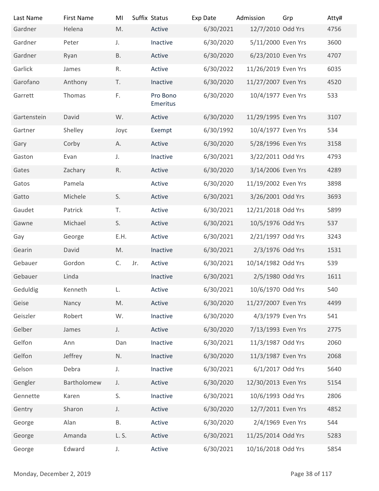| Last Name                | <b>First Name</b> | MI            | Suffix Status |                      | Exp Date  | Admission           | Grp            | Atty# |
|--------------------------|-------------------|---------------|---------------|----------------------|-----------|---------------------|----------------|-------|
| Gardner                  | Helena            | M.            |               | Active               | 6/30/2021 | 12/7/2010 Odd Yrs   |                | 4756  |
| Gardner                  | Peter             | J.            |               | Inactive             | 6/30/2020 | 5/11/2000 Even Yrs  |                | 3600  |
| Gardner                  | Ryan              | Β.            |               | Active               | 6/30/2020 | 6/23/2010 Even Yrs  |                | 4707  |
| Garlick                  | James             | R.            |               | Active               | 6/30/2022 | 11/26/2019 Even Yrs |                | 6035  |
| Garofano                 | Anthony           | T.            |               | Inactive             | 6/30/2020 | 11/27/2007 Even Yrs |                | 4520  |
| Garrett                  | Thomas            | $\mathsf{F}.$ |               | Pro Bono<br>Emeritus | 6/30/2020 | 10/4/1977 Even Yrs  |                | 533   |
| Gartenstein              | David             | W.            |               | Active               | 6/30/2020 | 11/29/1995 Even Yrs |                | 3107  |
| Gartner                  | Shelley           | Joyc          |               | Exempt               | 6/30/1992 | 10/4/1977 Even Yrs  |                | 534   |
| Gary                     | Corby             | Α.            |               | Active               | 6/30/2020 | 5/28/1996 Even Yrs  |                | 3158  |
| Gaston                   | Evan              | J.            |               | Inactive             | 6/30/2021 | 3/22/2011 Odd Yrs   |                | 4793  |
| Gates                    | Zachary           | R.            |               | Active               | 6/30/2020 | 3/14/2006 Even Yrs  |                | 4289  |
| Gatos                    | Pamela            |               |               | Active               | 6/30/2020 | 11/19/2002 Even Yrs |                | 3898  |
| Gatto                    | Michele           | S.            |               | Active               | 6/30/2021 | 3/26/2001 Odd Yrs   |                | 3693  |
| Gaudet                   | Patrick           | T.            |               | Active               | 6/30/2021 | 12/21/2018 Odd Yrs  |                | 5899  |
| Gawne                    | Michael           | S.            |               | Active               | 6/30/2021 | 10/5/1976 Odd Yrs   |                | 537   |
| Gay                      | George            | E.H.          |               | Active               | 6/30/2021 | 2/21/1997 Odd Yrs   |                | 3243  |
| Gearin                   | David             | M.            |               | Inactive             | 6/30/2021 | 2/3/1976 Odd Yrs    |                | 1531  |
| Gebauer                  | Gordon            | C.            | Jr.           | Active               | 6/30/2021 | 10/14/1982 Odd Yrs  |                | 539   |
| Gebauer                  | Linda             |               |               | Inactive             | 6/30/2021 | 2/5/1980 Odd Yrs    |                | 1611  |
| Geduldig                 | Kenneth           | L.            |               | Active               | 6/30/2021 | 10/6/1970 Odd Yrs   |                | 540   |
| Geise                    | Nancy             | M.            |               | Active               | 6/30/2020 | 11/27/2007 Even Yrs |                | 4499  |
| Geiszler                 | Robert            | W.            |               | Inactive             | 6/30/2020 | 4/3/1979 Even Yrs   |                | 541   |
| Gelber                   | James             | J.            |               | Active               | 6/30/2020 | 7/13/1993 Even Yrs  |                | 2775  |
| Gelfon                   | Ann               | Dan           |               | Inactive             | 6/30/2021 | 11/3/1987 Odd Yrs   |                | 2060  |
| Gelfon                   | Jeffrey           | N.            |               | Inactive             | 6/30/2020 | 11/3/1987 Even Yrs  |                | 2068  |
| Gelson                   | Debra             | J.            |               | Inactive             | 6/30/2021 | 6/1/2017 Odd Yrs    |                | 5640  |
| Gengler                  | Bartholomew       | J.            |               | Active               | 6/30/2020 | 12/30/2013 Even Yrs |                | 5154  |
| Gennette                 | Karen             | S.            |               | Inactive             | 6/30/2021 | 10/6/1993 Odd Yrs   |                | 2806  |
| Gentry                   | Sharon            | J.            |               | Active               | 6/30/2020 | 12/7/2011 Even Yrs  |                | 4852  |
| George                   | Alan              | Β.            |               | Active               | 6/30/2020 | 2/4/1969 Even Yrs   |                | 544   |
| George                   | Amanda            | L. S.         |               | Active               | 6/30/2021 | 11/25/2014 Odd Yrs  |                | 5283  |
| George                   | Edward            | $J_{\star}$   |               | Active               | 6/30/2021 | 10/16/2018 Odd Yrs  |                | 5854  |
| Monday, December 2, 2019 |                   |               |               |                      |           |                     | Page 38 of 117 |       |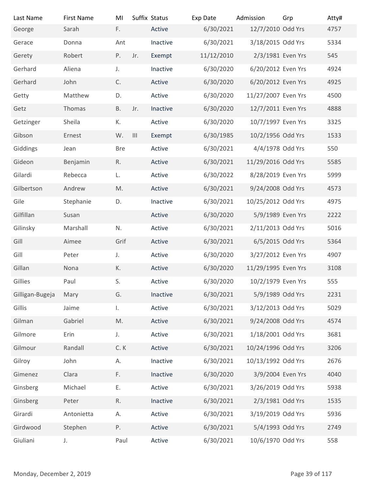| Last Name                | <b>First Name</b> | MI            |                | Suffix Status | Exp Date   | Admission           | Grp            | Atty# |
|--------------------------|-------------------|---------------|----------------|---------------|------------|---------------------|----------------|-------|
| George                   | Sarah             | F.            |                | Active        | 6/30/2021  | 12/7/2010 Odd Yrs   |                | 4757  |
| Gerace                   | Donna             | Ant           |                | Inactive      | 6/30/2021  | 3/18/2015 Odd Yrs   |                | 5334  |
| Gerety                   | Robert            | P.            | Jr.            | Exempt        | 11/12/2010 | 2/3/1981 Even Yrs   |                | 545   |
| Gerhard                  | Aliena            | J.            |                | Inactive      | 6/30/2020  | 6/20/2012 Even Yrs  |                | 4924  |
| Gerhard                  | John              | C.            |                | Active        | 6/30/2020  | 6/20/2012 Even Yrs  |                | 4925  |
| Getty                    | Matthew           | D.            |                | Active        | 6/30/2020  | 11/27/2007 Even Yrs |                | 4500  |
| Getz                     | Thomas            | <b>B.</b>     | Jr.            | Inactive      | 6/30/2020  | 12/7/2011 Even Yrs  |                | 4888  |
| Getzinger                | Sheila            | К.            |                | Active        | 6/30/2020  | 10/7/1997 Even Yrs  |                | 3325  |
| Gibson                   | Ernest            | W.            | $\mathbf{III}$ | Exempt        | 6/30/1985  | 10/2/1956 Odd Yrs   |                | 1533  |
| Giddings                 | Jean              | <b>Bre</b>    |                | Active        | 6/30/2021  | 4/4/1978 Odd Yrs    |                | 550   |
| Gideon                   | Benjamin          | R.            |                | Active        | 6/30/2021  | 11/29/2016 Odd Yrs  |                | 5585  |
| Gilardi                  | Rebecca           | L.            |                | Active        | 6/30/2022  | 8/28/2019 Even Yrs  |                | 5999  |
| Gilbertson               | Andrew            | M.            |                | Active        | 6/30/2021  | 9/24/2008 Odd Yrs   |                | 4573  |
| Gile                     | Stephanie         | D.            |                | Inactive      | 6/30/2021  | 10/25/2012 Odd Yrs  |                | 4975  |
| Gilfillan                | Susan             |               |                | Active        | 6/30/2020  | 5/9/1989 Even Yrs   |                | 2222  |
| Gilinsky                 | Marshall          | N.            |                | Active        | 6/30/2021  | 2/11/2013 Odd Yrs   |                | 5016  |
| Gill                     | Aimee             | Grif          |                | Active        | 6/30/2021  | 6/5/2015 Odd Yrs    |                | 5364  |
| Gill                     | Peter             | J.            |                | Active        | 6/30/2020  | 3/27/2012 Even Yrs  |                | 4907  |
| Gillan                   | Nona              | К.            |                | Active        | 6/30/2020  | 11/29/1995 Even Yrs |                | 3108  |
| Gillies                  | Paul              | S.            |                | Active        | 6/30/2020  | 10/2/1979 Even Yrs  |                | 555   |
| Gilligan-Bugeja          | Mary              | G.            |                | Inactive      | 6/30/2021  | 5/9/1989 Odd Yrs    |                | 2231  |
| Gillis                   | Jaime             | I.            |                | Active        | 6/30/2021  | 3/12/2013 Odd Yrs   |                | 5029  |
| Gilman                   | Gabriel           | $\mathsf{M}.$ |                | Active        | 6/30/2021  | 9/24/2008 Odd Yrs   |                | 4574  |
| Gilmore                  | Erin              | J.            |                | Active        | 6/30/2021  | 1/18/2001 Odd Yrs   |                | 3681  |
| Gilmour                  | Randall           | C.K           |                | Active        | 6/30/2021  | 10/24/1996 Odd Yrs  |                | 3206  |
| Gilroy                   | John              | А.            |                | Inactive      | 6/30/2021  | 10/13/1992 Odd Yrs  |                | 2676  |
| Gimenez                  | Clara             | F.            |                | Inactive      | 6/30/2020  | 3/9/2004 Even Yrs   |                | 4040  |
| Ginsberg                 | Michael           | Ε.            |                | Active        | 6/30/2021  | 3/26/2019 Odd Yrs   |                | 5938  |
| Ginsberg                 | Peter             | $\mathsf R.$  |                | Inactive      | 6/30/2021  | 2/3/1981 Odd Yrs    |                | 1535  |
| Girardi                  |                   |               |                | Active        | 6/30/2021  | 3/19/2019 Odd Yrs   |                | 5936  |
|                          | Antonietta        | Α.            |                |               |            |                     |                |       |
| Girdwood                 | Stephen           | Ρ.            |                | Active        | 6/30/2021  | 5/4/1993 Odd Yrs    |                | 2749  |
| Giuliani                 | $J_{\star}$       | Paul          |                | Active        | 6/30/2021  | 10/6/1970 Odd Yrs   |                | 558   |
|                          |                   |               |                |               |            |                     |                |       |
| Monday, December 2, 2019 |                   |               |                |               |            |                     | Page 39 of 117 |       |
|                          |                   |               |                |               |            |                     |                |       |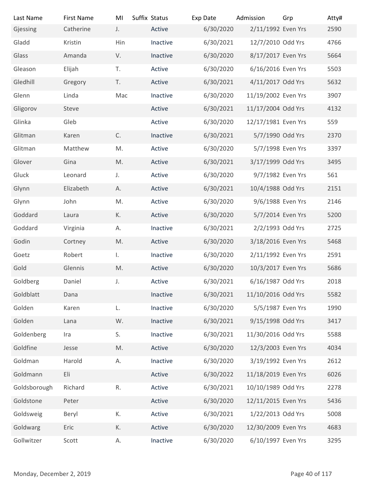| Last Name                | <b>First Name</b> | MI           | Suffix Status      | Exp Date               | Admission                               | Grp            | Atty#        |
|--------------------------|-------------------|--------------|--------------------|------------------------|-----------------------------------------|----------------|--------------|
| Gjessing                 | Catherine         | J.           | Active             | 6/30/2020              | 2/11/1992 Even Yrs<br>12/7/2010 Odd Yrs |                | 2590         |
| Gladd                    | Kristin<br>Amanda | Hin<br>V.    | Inactive           | 6/30/2021<br>6/30/2020 | 8/17/2017 Even Yrs                      |                | 4766<br>5664 |
| Glass<br>Gleason         |                   | T.           | Inactive<br>Active |                        | 6/16/2016 Even Yrs                      |                | 5503         |
| Gledhill                 | Elijah<br>Gregory | T.           | Active             | 6/30/2020<br>6/30/2021 | 4/11/2017 Odd Yrs                       |                | 5632         |
| Glenn                    | Linda             | Mac          | Inactive           | 6/30/2020              | 11/19/2002 Even Yrs                     |                | 3907         |
| Gligorov                 | Steve             |              | Active             | 6/30/2021              | 11/17/2004 Odd Yrs                      |                | 4132         |
| Glinka                   | Gleb              |              | Active             | 6/30/2020              | 12/17/1981 Even Yrs                     |                | 559          |
| Glitman                  | Karen             | C.           | Inactive           | 6/30/2021              | 5/7/1990 Odd Yrs                        |                | 2370         |
| Glitman                  | Matthew           | M.           | Active             | 6/30/2020              | 5/7/1998 Even Yrs                       |                | 3397         |
| Glover                   | Gina              | M.           | Active             | 6/30/2021              | 3/17/1999 Odd Yrs                       |                | 3495         |
| Gluck                    | Leonard           | J.           | Active             | 6/30/2020              | 9/7/1982 Even Yrs                       |                | 561          |
| Glynn                    | Elizabeth         | А.           | Active             | 6/30/2021              | 10/4/1988 Odd Yrs                       |                | 2151         |
| Glynn                    | John              | M.           | Active             | 6/30/2020              | 9/6/1988 Even Yrs                       |                | 2146         |
| Goddard                  | Laura             | К.           | Active             | 6/30/2020              | 5/7/2014 Even Yrs                       |                | 5200         |
| Goddard                  | Virginia          | А.           | Inactive           | 6/30/2021              | 2/2/1993 Odd Yrs                        |                | 2725         |
| Godin                    | Cortney           | M.           | Active             | 6/30/2020              | 3/18/2016 Even Yrs                      |                | 5468         |
| Goetz                    | Robert            | $\mathbf{L}$ | Inactive           | 6/30/2020              | 2/11/1992 Even Yrs                      |                | 2591         |
| Gold                     | Glennis           | M.           | Active             | 6/30/2020              | 10/3/2017 Even Yrs                      |                | 5686         |
| Goldberg                 | Daniel            | J.           | Active             | 6/30/2021              | 6/16/1987 Odd Yrs                       |                | 2018         |
| Goldblatt                | Dana              |              | Inactive           | 6/30/2021              | 11/10/2016 Odd Yrs                      |                | 5582         |
| Golden                   | Karen             | L.           | Inactive           | 6/30/2020              | 5/5/1987 Even Yrs                       |                | 1990         |
| Golden                   | Lana              | W.           | Inactive           | 6/30/2021              | 9/15/1998 Odd Yrs                       |                | 3417         |
| Goldenberg               | Ira               | S.           | Inactive           | 6/30/2021              | 11/30/2016 Odd Yrs                      |                | 5588         |
| Goldfine                 | Jesse             | M.           | Active             | 6/30/2020              | 12/3/2003 Even Yrs                      |                | 4034         |
| Goldman                  | Harold            | А.           | Inactive           | 6/30/2020              | 3/19/1992 Even Yrs                      |                | 2612         |
| Goldmann                 | Eli               |              | Active             | 6/30/2022              | 11/18/2019 Even Yrs                     |                | 6026         |
| Goldsborough             | Richard           | ${\sf R}.$   | Active             | 6/30/2021              | 10/10/1989 Odd Yrs                      |                | 2278         |
| Goldstone                | Peter             |              | Active             | 6/30/2020              | 12/11/2015 Even Yrs                     |                | 5436         |
| Goldsweig                | Beryl             | К.           | Active             | 6/30/2021              | 1/22/2013 Odd Yrs                       |                | 5008         |
| Goldwarg                 | Eric              | К.           | Active             | 6/30/2020              | 12/30/2009 Even Yrs                     |                | 4683         |
| Gollwitzer               | Scott             | А.           | Inactive           | 6/30/2020              | 6/10/1997 Even Yrs                      |                | 3295         |
|                          |                   |              |                    |                        |                                         |                |              |
| Monday, December 2, 2019 |                   |              |                    |                        |                                         | Page 40 of 117 |              |
|                          |                   |              |                    |                        |                                         |                |              |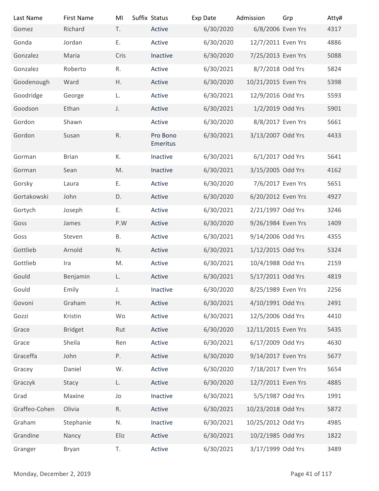| Last Name                | <b>First Name</b> | MI          | Suffix Status        | Exp Date  | Admission           | Grp            | Atty# |
|--------------------------|-------------------|-------------|----------------------|-----------|---------------------|----------------|-------|
| Gomez                    | Richard           | T.          | Active               | 6/30/2020 | 6/8/2006 Even Yrs   |                | 4317  |
| Gonda                    | Jordan            | Ε.          | Active               | 6/30/2020 | 12/7/2011 Even Yrs  |                | 4886  |
| Gonzalez                 | Maria             | Cris        | Inactive             | 6/30/2020 | 7/25/2013 Even Yrs  |                | 5088  |
| Gonzalez                 | Roberto           | R.          | Active               | 6/30/2021 | 8/7/2018 Odd Yrs    |                | 5824  |
| Goodenough               | Ward              | H.          | Active               | 6/30/2020 | 10/21/2015 Even Yrs |                | 5398  |
| Goodridge                | George            | L.          | Active               | 6/30/2021 | 12/9/2016 Odd Yrs   |                | 5593  |
| Goodson                  | Ethan             | J.          | Active               | 6/30/2021 | 1/2/2019 Odd Yrs    |                | 5901  |
| Gordon                   | Shawn             |             | Active               | 6/30/2020 | 8/8/2017 Even Yrs   |                | 5661  |
| Gordon                   | Susan             | R.          | Pro Bono<br>Emeritus | 6/30/2021 | 3/13/2007 Odd Yrs   |                | 4433  |
| Gorman                   | <b>Brian</b>      | К.          | Inactive             | 6/30/2021 | 6/1/2017 Odd Yrs    |                | 5641  |
| Gorman                   | Sean              | M.          | Inactive             | 6/30/2021 | 3/15/2005 Odd Yrs   |                | 4162  |
| Gorsky                   | Laura             | Ε.          | Active               | 6/30/2020 | 7/6/2017 Even Yrs   |                | 5651  |
| Gortakowski              | John              | D.          | Active               | 6/30/2020 | 6/20/2012 Even Yrs  |                | 4927  |
| Gortych                  | Joseph            | Ε.          | Active               | 6/30/2021 | 2/21/1997 Odd Yrs   |                | 3246  |
| Goss                     | James             | P.W         | Active               | 6/30/2020 | 9/26/1984 Even Yrs  |                | 1409  |
| Goss                     | Steven            | Β.          | Active               | 6/30/2021 | 9/14/2006 Odd Yrs   |                | 4355  |
| Gottlieb                 | Arnold            | N.          | Active               | 6/30/2021 | 1/12/2015 Odd Yrs   |                | 5324  |
| Gottlieb                 | Ira               | M.          | Active               | 6/30/2021 | 10/4/1988 Odd Yrs   |                | 2159  |
| Gould                    | Benjamin          | L.          | Active               | 6/30/2021 | 5/17/2011 Odd Yrs   |                | 4819  |
| Gould                    | Emily             | $J_{\star}$ | Inactive             | 6/30/2020 | 8/25/1989 Even Yrs  |                | 2256  |
| Govoni                   | Graham            | H.          | Active               | 6/30/2021 | 4/10/1991 Odd Yrs   |                | 2491  |
| Gozzi                    | Kristin           | Wo          | Active               | 6/30/2021 | 12/5/2006 Odd Yrs   |                | 4410  |
| Grace                    | <b>Bridget</b>    | Rut         | Active               | 6/30/2020 | 12/11/2015 Even Yrs |                | 5435  |
| Grace                    | Sheila            | Ren         | Active               | 6/30/2021 | 6/17/2009 Odd Yrs   |                | 4630  |
| Graceffa                 | John              | Ρ.          | Active               | 6/30/2020 | 9/14/2017 Even Yrs  |                | 5677  |
| Gracey                   | Daniel            | W.          | Active               | 6/30/2020 | 7/18/2017 Even Yrs  |                | 5654  |
| Graczyk                  | Stacy             | L.          | Active               | 6/30/2020 | 12/7/2011 Even Yrs  |                | 4885  |
| Grad                     | Maxine            | Jo          | Inactive             | 6/30/2021 | 5/5/1987 Odd Yrs    |                | 1991  |
| Graffeo-Cohen            | Olivia            | R.          | Active               | 6/30/2021 | 10/23/2018 Odd Yrs  |                | 5872  |
| Graham                   | Stephanie         | N.          | Inactive             | 6/30/2021 | 10/25/2012 Odd Yrs  |                | 4985  |
| Grandine                 | Nancy             | Eliz        | Active               | 6/30/2021 | 10/2/1985 Odd Yrs   |                | 1822  |
| Granger                  | Bryan             | T.          | Active               | 6/30/2021 | 3/17/1999 Odd Yrs   |                | 3489  |
| Monday, December 2, 2019 |                   |             |                      |           |                     | Page 41 of 117 |       |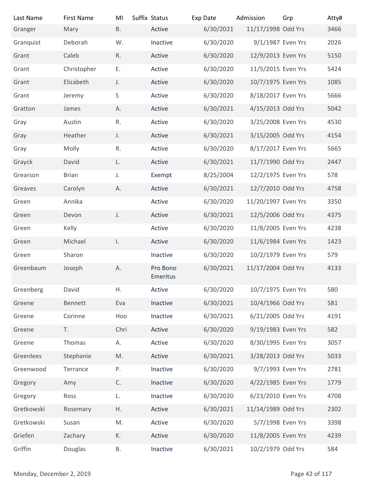| Last Name                | <b>First Name</b> | MI            | Suffix Status        | Exp Date  | Admission           | Grp            | Atty# |
|--------------------------|-------------------|---------------|----------------------|-----------|---------------------|----------------|-------|
| Granger                  | Mary              | <b>B.</b>     | Active               | 6/30/2021 | 11/17/1998 Odd Yrs  |                | 3466  |
| Granquist                | Deborah           | W.            | Inactive             | 6/30/2020 | 9/1/1987 Even Yrs   |                | 2026  |
| Grant                    | Caleb             | R.            | Active               | 6/30/2020 | 12/9/2013 Even Yrs  |                | 5150  |
| Grant                    | Christopher       | Ε.            | Active               | 6/30/2020 | 11/5/2015 Even Yrs  |                | 5424  |
| Grant                    | Elizabeth         | J.            | Active               | 6/30/2020 | 10/7/1975 Even Yrs  |                | 1085  |
| Grant                    | Jeremy            | S             | Active               | 6/30/2020 | 8/18/2017 Even Yrs  |                | 5666  |
| Gratton                  | James             | А.            | Active               | 6/30/2021 | 4/15/2013 Odd Yrs   |                | 5042  |
| Gray                     | Austin            | R.            | Active               | 6/30/2020 | 3/25/2008 Even Yrs  |                | 4530  |
| Gray                     | Heather           | J.            | Active               | 6/30/2021 | 3/15/2005 Odd Yrs   |                | 4154  |
| Gray                     | Molly             | R.            | Active               | 6/30/2020 | 8/17/2017 Even Yrs  |                | 5665  |
| Grayck                   | David             | L.            | Active               | 6/30/2021 | 11/7/1990 Odd Yrs   |                | 2447  |
| Grearson                 | <b>Brian</b>      | J.            | Exempt               | 8/25/2004 | 12/2/1975 Even Yrs  |                | 578   |
| Greaves                  | Carolyn           | А.            | Active               | 6/30/2021 | 12/7/2010 Odd Yrs   |                | 4758  |
| Green                    | Annika            |               | Active               | 6/30/2020 | 11/20/1997 Even Yrs |                | 3350  |
| Green                    | Devon             | J.            | Active               | 6/30/2021 | 12/5/2006 Odd Yrs   |                | 4375  |
| Green                    | Kelly             |               | Active               | 6/30/2020 | 11/8/2005 Even Yrs  |                | 4238  |
| Green                    | Michael           | $\mathsf{L}$  | Active               | 6/30/2020 | 11/6/1984 Even Yrs  |                | 1423  |
| Green                    | Sharon            |               | Inactive             | 6/30/2020 | 10/2/1979 Even Yrs  |                | 579   |
| Greenbaum                | Joseph            | Α.            | Pro Bono<br>Emeritus | 6/30/2021 | 11/17/2004 Odd Yrs  |                | 4133  |
| Greenberg                | David             | Η.            | Active               | 6/30/2020 | 10/7/1975 Even Yrs  |                | 580   |
| Greene                   | Bennett           | Eva           | Inactive             | 6/30/2021 | 10/4/1966 Odd Yrs   |                | 581   |
| Greene                   | Corinne           | Hoo           | Inactive             | 6/30/2021 | 6/21/2005 Odd Yrs   |                | 4191  |
| Greene                   | T.                | Chri          | Active               | 6/30/2020 | 9/19/1983 Even Yrs  |                | 582   |
| Greene                   | Thomas            | А.            | Active               | 6/30/2020 | 8/30/1995 Even Yrs  |                | 3057  |
| Greenlees                | Stephanie         | M.            | Active               | 6/30/2021 | 3/28/2013 Odd Yrs   |                | 5033  |
| Greenwood                | Terrance          | Ρ.            | Inactive             | 6/30/2020 | 9/7/1993 Even Yrs   |                | 2781  |
| Gregory                  | Amy               | $\mathsf{C}.$ | Inactive             | 6/30/2020 | 4/22/1985 Even Yrs  |                | 1779  |
| Gregory                  | Ross              | L.            | Inactive             | 6/30/2020 | 6/23/2010 Even Yrs  |                | 4708  |
| Gretkowski               | Rosemary          | Η.            | Active               | 6/30/2021 | 11/14/1989 Odd Yrs  |                | 2302  |
| Gretkowski               | Susan             | M.            | Active               | 6/30/2020 | 5/7/1998 Even Yrs   |                | 3398  |
| Griefen                  | Zachary           | К.            | Active               | 6/30/2020 | 11/8/2005 Even Yrs  |                | 4239  |
| Griffin                  | Douglas           | В.            | Inactive             | 6/30/2021 | 10/2/1979 Odd Yrs   |                | 584   |
|                          |                   |               |                      |           |                     |                |       |
| Monday, December 2, 2019 |                   |               |                      |           |                     | Page 42 of 117 |       |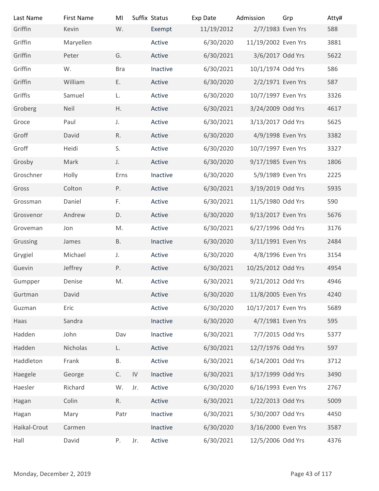| Last Name                | <b>First Name</b> | MI           |            | Suffix Status | Exp Date   | Admission           | Grp            | Atty# |
|--------------------------|-------------------|--------------|------------|---------------|------------|---------------------|----------------|-------|
| Griffin                  | Kevin             | W.           |            | Exempt        | 11/19/2012 | 2/7/1983 Even Yrs   |                | 588   |
| Griffin                  | Maryellen         |              |            | Active        | 6/30/2020  | 11/19/2002 Even Yrs |                | 3881  |
| Griffin                  | Peter             | G.           |            | Active        | 6/30/2021  | 3/6/2017 Odd Yrs    |                | 5622  |
| Griffin                  | W.                | <b>Bra</b>   |            | Inactive      | 6/30/2021  | 10/1/1974 Odd Yrs   |                | 586   |
| Griffin                  | William           | Ε.           |            | Active        | 6/30/2020  | 2/2/1971 Even Yrs   |                | 587   |
| Griffis                  | Samuel            | L.           |            | Active        | 6/30/2020  | 10/7/1997 Even Yrs  |                | 3326  |
| Groberg                  | <b>Neil</b>       | H.           |            | Active        | 6/30/2021  | 3/24/2009 Odd Yrs   |                | 4617  |
| Groce                    | Paul              | J.           |            | Active        | 6/30/2021  | 3/13/2017 Odd Yrs   |                | 5625  |
| Groff                    | David             | R.           |            | Active        | 6/30/2020  | 4/9/1998 Even Yrs   |                | 3382  |
| Groff                    | Heidi             | S.           |            | Active        | 6/30/2020  | 10/7/1997 Even Yrs  |                | 3327  |
| Grosby                   | Mark              | J.           |            | Active        | 6/30/2020  | 9/17/1985 Even Yrs  |                | 1806  |
| Groschner                | Holly             | Erns         |            | Inactive      | 6/30/2020  | 5/9/1989 Even Yrs   |                | 2225  |
| Gross                    | Colton            | Ρ.           |            | Active        | 6/30/2021  | 3/19/2019 Odd Yrs   |                | 5935  |
| Grossman                 | Daniel            | F.           |            | Active        | 6/30/2021  | 11/5/1980 Odd Yrs   |                | 590   |
| Grosvenor                | Andrew            | D.           |            | Active        | 6/30/2020  | 9/13/2017 Even Yrs  |                | 5676  |
| Groveman                 | Jon               | M.           |            | Active        | 6/30/2021  | 6/27/1996 Odd Yrs   |                | 3176  |
| Grussing                 | James             | <b>B.</b>    |            | Inactive      | 6/30/2020  | 3/11/1991 Even Yrs  |                | 2484  |
| Grygiel                  | Michael           | J.           |            | Active        | 6/30/2020  | 4/8/1996 Even Yrs   |                | 3154  |
| Guevin                   | Jeffrey           | Ρ.           |            | Active        | 6/30/2021  | 10/25/2012 Odd Yrs  |                | 4954  |
| Gumpper                  | Denise            | M.           |            | Active        | 6/30/2021  | 9/21/2012 Odd Yrs   |                | 4946  |
| Gurtman                  | David             |              |            | Active        | 6/30/2020  | 11/8/2005 Even Yrs  |                | 4240  |
| Guzman                   | Eric              |              |            | Active        | 6/30/2020  | 10/17/2017 Even Yrs |                | 5689  |
| Haas                     | Sandra            |              |            | Inactive      | 6/30/2020  | 4/7/1981 Even Yrs   |                | 595   |
| Hadden                   | John              | Dav          |            | Inactive      | 6/30/2021  | 7/7/2015 Odd Yrs    |                | 5377  |
| Hadden                   | Nicholas          | L.           |            | Active        | 6/30/2021  | 12/7/1976 Odd Yrs   |                | 597   |
| Haddleton                | Frank             | Β.           |            | Active        | 6/30/2021  | 6/14/2001 Odd Yrs   |                | 3712  |
| Haegele                  | George            | $\mathsf C.$ | ${\sf IV}$ | Inactive      | 6/30/2021  | 3/17/1999 Odd Yrs   |                | 3490  |
| Haesler                  | Richard           | W.           | Jr.        | Active        | 6/30/2020  | 6/16/1993 Even Yrs  |                | 2767  |
| Hagan                    | Colin             | R.           |            | Active        | 6/30/2021  | 1/22/2013 Odd Yrs   |                | 5009  |
| Hagan                    | Mary              | Patr         |            | Inactive      | 6/30/2021  | 5/30/2007 Odd Yrs   |                | 4450  |
| Haikal-Crout             | Carmen            |              |            | Inactive      | 6/30/2020  | 3/16/2000 Even Yrs  |                | 3587  |
| Hall                     | David             | P.           | Jr.        | Active        | 6/30/2021  | 12/5/2006 Odd Yrs   |                | 4376  |
|                          |                   |              |            |               |            |                     |                |       |
|                          |                   |              |            |               |            |                     |                |       |
| Monday, December 2, 2019 |                   |              |            |               |            |                     | Page 43 of 117 |       |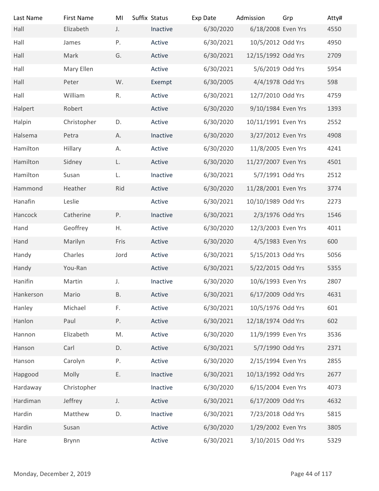| Last Name<br>Hall        | <b>First Name</b><br>Elizabeth | MI<br>J.  | Suffix Status<br>Inactive | Exp Date<br>6/30/2020 | Admission<br>6/18/2008 Even Yrs | Grp            | Atty#<br>4550 |
|--------------------------|--------------------------------|-----------|---------------------------|-----------------------|---------------------------------|----------------|---------------|
| Hall                     | James                          | P.        | Active                    | 6/30/2021             | 10/5/2012 Odd Yrs               |                | 4950          |
| Hall                     | Mark                           | G.        | Active                    | 6/30/2021             | 12/15/1992 Odd Yrs              |                | 2709          |
| Hall                     | Mary Ellen                     |           | Active                    | 6/30/2021             | 5/6/2019 Odd Yrs                |                | 5954          |
| Hall                     | Peter                          | W.        | Exempt                    | 6/30/2005             | 4/4/1978 Odd Yrs                |                | 598           |
| Hall                     | William                        | R.        | Active                    | 6/30/2021             | 12/7/2010 Odd Yrs               |                | 4759          |
| Halpert                  | Robert                         |           | Active                    | 6/30/2020             | 9/10/1984 Even Yrs              |                | 1393          |
| Halpin                   | Christopher                    | D.        | Active                    | 6/30/2020             | 10/11/1991 Even Yrs             |                | 2552          |
| Halsema                  | Petra                          | Α.        | Inactive                  | 6/30/2020             | 3/27/2012 Even Yrs              |                | 4908          |
| Hamilton                 | Hillary                        | А.        | Active                    | 6/30/2020             | 11/8/2005 Even Yrs              |                | 4241          |
| Hamilton                 | Sidney                         | L.        | Active                    | 6/30/2020             | 11/27/2007 Even Yrs             |                | 4501          |
| Hamilton                 | Susan                          | L.        | Inactive                  | 6/30/2021             | 5/7/1991 Odd Yrs                |                | 2512          |
| Hammond                  | Heather                        | Rid       | Active                    | 6/30/2020             | 11/28/2001 Even Yrs             |                | 3774          |
| Hanafin                  | Leslie                         |           | Active                    | 6/30/2021             | 10/10/1989 Odd Yrs              |                | 2273          |
| Hancock                  | Catherine                      | P.        | Inactive                  | 6/30/2021             | 2/3/1976 Odd Yrs                |                | 1546          |
| Hand                     | Geoffrey                       | Η.        | Active                    | 6/30/2020             | 12/3/2003 Even Yrs              |                | 4011          |
| Hand                     | Marilyn                        | Fris      | Active                    | 6/30/2020             | 4/5/1983 Even Yrs               |                | 600           |
|                          | Charles                        | Jord      | Active                    | 6/30/2021             | 5/15/2013 Odd Yrs               |                | 5056          |
| Handy                    | You-Ran                        |           |                           | 6/30/2021             | 5/22/2015 Odd Yrs               |                |               |
| Handy                    |                                |           | Active                    |                       |                                 |                | 5355          |
| Hanifin                  | Martin                         | J.        | Inactive                  | 6/30/2020             | 10/6/1993 Even Yrs              |                | 2807          |
| Hankerson                | Mario                          | <b>B.</b> | Active                    | 6/30/2021             | 6/17/2009 Odd Yrs               |                | 4631          |
| Hanley                   | Michael                        | F.        | Active                    | 6/30/2021             | 10/5/1976 Odd Yrs               |                | 601           |
| Hanlon                   | Paul                           | P.        | Active                    | 6/30/2021             | 12/18/1974 Odd Yrs              |                | 602           |
| Hannon                   | Elizabeth                      | M.        | Active                    | 6/30/2020             | 11/9/1999 Even Yrs              |                | 3536          |
| Hanson                   | Carl                           | D.        | Active                    | 6/30/2021             | 5/7/1990 Odd Yrs                |                | 2371          |
| Hanson                   | Carolyn                        | Ρ.        | Active                    | 6/30/2020             | 2/15/1994 Even Yrs              |                | 2855          |
| Hapgood                  | Molly                          | Ε.        | Inactive                  | 6/30/2021             | 10/13/1992 Odd Yrs              |                | 2677          |
| Hardaway                 | Christopher                    |           | Inactive                  | 6/30/2020             | 6/15/2004 Even Yrs              |                | 4073          |
| Hardiman                 | Jeffrey                        | J.        | Active                    | 6/30/2021             | 6/17/2009 Odd Yrs               |                | 4632          |
| Hardin                   | Matthew                        | D.        | Inactive                  | 6/30/2021             | 7/23/2018 Odd Yrs               |                | 5815          |
| Hardin                   | Susan                          |           | Active                    | 6/30/2020             | 1/29/2002 Even Yrs              |                | 3805          |
| Hare                     | Brynn                          |           | Active                    | 6/30/2021             | 3/10/2015 Odd Yrs               |                | 5329          |
|                          |                                |           |                           |                       |                                 |                |               |
| Monday, December 2, 2019 |                                |           |                           |                       |                                 | Page 44 of 117 |               |
|                          |                                |           |                           |                       |                                 |                |               |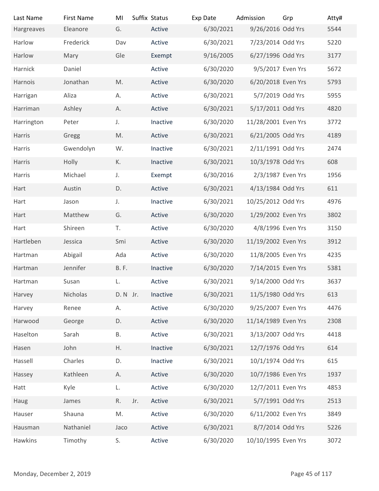| Last Name                | <b>First Name</b> | MI          | Suffix Status |          | Exp Date  | Admission           | Grp            | Atty# |
|--------------------------|-------------------|-------------|---------------|----------|-----------|---------------------|----------------|-------|
| Hargreaves               | Eleanore          | G.          |               | Active   | 6/30/2021 | 9/26/2016 Odd Yrs   |                | 5544  |
| Harlow                   | Frederick         | Dav         |               | Active   | 6/30/2021 | 7/23/2014 Odd Yrs   |                | 5220  |
| Harlow                   | Mary              | Gle         |               | Exempt   | 9/16/2005 | 6/27/1996 Odd Yrs   |                | 3177  |
| Harnick                  | Daniel            |             |               | Active   | 6/30/2020 | 9/5/2017 Even Yrs   |                | 5672  |
| Harnois                  | Jonathan          | M.          |               | Active   | 6/30/2020 | 6/20/2018 Even Yrs  |                | 5793  |
| Harrigan                 | Aliza             | А.          |               | Active   | 6/30/2021 | 5/7/2019 Odd Yrs    |                | 5955  |
| Harriman                 | Ashley            | А.          |               | Active   | 6/30/2021 | 5/17/2011 Odd Yrs   |                | 4820  |
| Harrington               | Peter             | J.          |               | Inactive | 6/30/2020 | 11/28/2001 Even Yrs |                | 3772  |
| Harris                   | Gregg             | M.          |               | Active   | 6/30/2021 | 6/21/2005 Odd Yrs   |                | 4189  |
| Harris                   | Gwendolyn         | W.          |               | Inactive | 6/30/2021 | 2/11/1991 Odd Yrs   |                | 2474  |
| Harris                   | Holly             | К.          |               | Inactive | 6/30/2021 | 10/3/1978 Odd Yrs   |                | 608   |
| Harris                   | Michael           | J.          |               | Exempt   | 6/30/2016 | 2/3/1987 Even Yrs   |                | 1956  |
| Hart                     | Austin            | D.          |               | Active   | 6/30/2021 | 4/13/1984 Odd Yrs   |                | 611   |
| Hart                     | Jason             | $J_{\star}$ |               | Inactive | 6/30/2021 | 10/25/2012 Odd Yrs  |                | 4976  |
| Hart                     | Matthew           | G.          |               | Active   | 6/30/2020 | 1/29/2002 Even Yrs  |                | 3802  |
| Hart                     | Shireen           | T.          |               | Active   | 6/30/2020 | 4/8/1996 Even Yrs   |                | 3150  |
| Hartleben                | Jessica           | Smi         |               | Active   | 6/30/2020 | 11/19/2002 Even Yrs |                | 3912  |
| Hartman                  | Abigail           | Ada         |               | Active   | 6/30/2020 | 11/8/2005 Even Yrs  |                | 4235  |
| Hartman                  | Jennifer          | <b>B.F.</b> |               | Inactive | 6/30/2020 | 7/14/2015 Even Yrs  |                | 5381  |
| Hartman                  | Susan             | L.          |               | Active   | 6/30/2021 | 9/14/2000 Odd Yrs   |                | 3637  |
| Harvey                   | Nicholas          | D. N Jr.    |               | Inactive | 6/30/2021 | 11/5/1980 Odd Yrs   |                | 613   |
| Harvey                   | Renee             | А.          |               | Active   | 6/30/2020 | 9/25/2007 Even Yrs  |                | 4476  |
| Harwood                  | George            | D.          |               | Active   | 6/30/2020 | 11/14/1989 Even Yrs |                | 2308  |
| Haselton                 | Sarah             | В.          |               | Active   | 6/30/2021 | 3/13/2007 Odd Yrs   |                | 4418  |
| Hasen                    | John              | Η.          |               | Inactive | 6/30/2021 | 12/7/1976 Odd Yrs   |                | 614   |
| Hassell                  | Charles           | D.          |               | Inactive | 6/30/2021 | 10/1/1974 Odd Yrs   |                | 615   |
| Hassey                   | Kathleen          | Α.          |               | Active   | 6/30/2020 | 10/7/1986 Even Yrs  |                | 1937  |
| Hatt                     | Kyle              | L.          |               | Active   | 6/30/2020 | 12/7/2011 Even Yrs  |                | 4853  |
| Haug                     | James             | R.          | Jr.           | Active   | 6/30/2021 | 5/7/1991 Odd Yrs    |                | 2513  |
| Hauser                   | Shauna            | M.          |               | Active   | 6/30/2020 | 6/11/2002 Even Yrs  |                | 3849  |
| Hausman                  | Nathaniel         | Jaco        |               | Active   | 6/30/2021 | 8/7/2014 Odd Yrs    |                | 5226  |
| Hawkins                  | Timothy           | S.          |               | Active   | 6/30/2020 | 10/10/1995 Even Yrs |                | 3072  |
|                          |                   |             |               |          |           |                     |                |       |
|                          |                   |             |               |          |           |                     |                |       |
| Monday, December 2, 2019 |                   |             |               |          |           |                     | Page 45 of 117 |       |
|                          |                   |             |               |          |           |                     |                |       |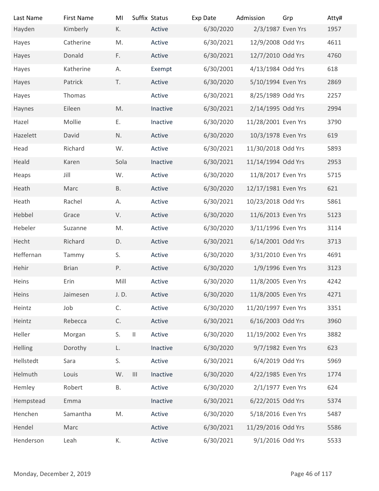| Last Name                | <b>First Name</b> | MI        | Suffix Status             | Exp Date  | Admission           | Grp | Atty#          |
|--------------------------|-------------------|-----------|---------------------------|-----------|---------------------|-----|----------------|
| Hayden                   | Kimberly          | К.        | Active                    | 6/30/2020 | 2/3/1987 Even Yrs   |     | 1957           |
| Hayes                    | Catherine         | M.        | Active                    | 6/30/2021 | 12/9/2008 Odd Yrs   |     | 4611           |
| Hayes                    | Donald            | F.        | Active                    | 6/30/2021 | 12/7/2010 Odd Yrs   |     | 4760           |
| Hayes                    | Katherine         | А.        | Exempt                    | 6/30/2001 | 4/13/1984 Odd Yrs   |     | 618            |
| Hayes                    | Patrick           | T.        | Active                    | 6/30/2020 | 5/10/1994 Even Yrs  |     | 2869           |
| Hayes                    | Thomas            |           | Active                    | 6/30/2021 | 8/25/1989 Odd Yrs   |     | 2257           |
| Haynes                   | Eileen            | M.        | Inactive                  | 6/30/2021 | 2/14/1995 Odd Yrs   |     | 2994           |
| Hazel                    | Mollie            | Ε.        | Inactive                  | 6/30/2020 | 11/28/2001 Even Yrs |     | 3790           |
| Hazelett                 | David             | N.        | Active                    | 6/30/2020 | 10/3/1978 Even Yrs  |     | 619            |
| Head                     | Richard           | W.        | Active                    | 6/30/2021 | 11/30/2018 Odd Yrs  |     | 5893           |
| Heald                    | Karen             | Sola      | Inactive                  | 6/30/2021 | 11/14/1994 Odd Yrs  |     | 2953           |
| Heaps                    | Jill              | W.        | Active                    | 6/30/2020 | 11/8/2017 Even Yrs  |     | 5715           |
| Heath                    | Marc              | <b>B.</b> | Active                    | 6/30/2020 | 12/17/1981 Even Yrs |     | 621            |
| Heath                    | Rachel            | А.        | Active                    | 6/30/2021 | 10/23/2018 Odd Yrs  |     | 5861           |
| Hebbel                   | Grace             | V.        | Active                    | 6/30/2020 | 11/6/2013 Even Yrs  |     | 5123           |
| Hebeler                  | Suzanne           | M.        | Active                    | 6/30/2020 | 3/11/1996 Even Yrs  |     | 3114           |
| Hecht                    | Richard           | D.        | Active                    | 6/30/2021 | 6/14/2001 Odd Yrs   |     | 3713           |
| Heffernan                | Tammy             | S.        | Active                    | 6/30/2020 | 3/31/2010 Even Yrs  |     | 4691           |
| Hehir                    | <b>Brian</b>      | Ρ.        | Active                    | 6/30/2020 | 1/9/1996 Even Yrs   |     | 3123           |
| Heins                    | Erin              | Mill      | Active                    | 6/30/2020 | 11/8/2005 Even Yrs  |     | 4242           |
| Heins                    | Jaimesen          | J. D.     | Active                    | 6/30/2020 | 11/8/2005 Even Yrs  |     | 4271           |
| Heintz                   | Job               | C.        | Active                    | 6/30/2020 | 11/20/1997 Even Yrs |     | 3351           |
| Heintz                   | Rebecca           | C.        | Active                    | 6/30/2021 | 6/16/2003 Odd Yrs   |     | 3960           |
| Heller                   | Morgan            | S.        | $\,$ II<br>Active         | 6/30/2020 | 11/19/2002 Even Yrs |     | 3882           |
| Helling                  | Dorothy           | L.        | Inactive                  | 6/30/2020 | 9/7/1982 Even Yrs   |     | 623            |
| Hellstedt                | Sara              | S.        | Active                    | 6/30/2021 | 6/4/2019 Odd Yrs    |     | 5969           |
| Helmuth                  | Louis             | W.        | $\  \cdot \ $<br>Inactive | 6/30/2020 | 4/22/1985 Even Yrs  |     | 1774           |
| Hemley                   | Robert            | Β.        | Active                    | 6/30/2020 | 2/1/1977 Even Yrs   |     | 624            |
| Hempstead                | Emma              |           | Inactive                  | 6/30/2021 | 6/22/2015 Odd Yrs   |     | 5374           |
| Henchen                  | Samantha          | M.        | Active                    | 6/30/2020 | 5/18/2016 Even Yrs  |     | 5487           |
| Hendel                   | Marc              |           | Active                    | 6/30/2021 | 11/29/2016 Odd Yrs  |     | 5586           |
| Henderson                | Leah              | К.        | Active                    | 6/30/2021 | 9/1/2016 Odd Yrs    |     | 5533           |
|                          |                   |           |                           |           |                     |     |                |
|                          |                   |           |                           |           |                     |     |                |
| Monday, December 2, 2019 |                   |           |                           |           |                     |     | Page 46 of 117 |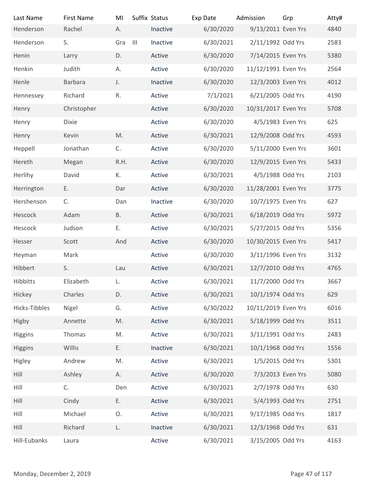| Last Name                | <b>First Name</b> | MI           |                | Suffix Status | Exp Date  | Admission           | Grp            | Atty# |
|--------------------------|-------------------|--------------|----------------|---------------|-----------|---------------------|----------------|-------|
| Henderson                | Rachel            | А.           |                | Inactive      | 6/30/2020 | 9/13/2011 Even Yrs  |                | 4840  |
| Henderson                | S.                | Gra          | $\mathbf{III}$ | Inactive      | 6/30/2021 | 2/11/1992 Odd Yrs   |                | 2583  |
| Henin                    | Larry             | D.           |                | Active        | 6/30/2020 | 7/14/2015 Even Yrs  |                | 5380  |
| Henkin                   | Judith            | А.           |                | Active        | 6/30/2020 | 11/12/1991 Even Yrs |                | 2564  |
| Henle                    | Barbara           | J.           |                | Inactive      | 6/30/2020 | 12/3/2003 Even Yrs  |                | 4012  |
| Hennessey                | Richard           | $\mathsf R.$ |                | Active        | 7/1/2021  | 6/21/2005 Odd Yrs   |                | 4190  |
| Henry                    | Christopher       |              |                | Active        | 6/30/2020 | 10/31/2017 Even Yrs |                | 5708  |
| Henry                    | <b>Dixie</b>      |              |                | Active        | 6/30/2020 | 4/5/1983 Even Yrs   |                | 625   |
| Henry                    | Kevin             | M.           |                | Active        | 6/30/2021 | 12/9/2008 Odd Yrs   |                | 4593  |
|                          | Jonathan          |              |                | Active        | 6/30/2020 | 5/11/2000 Even Yrs  |                | 3601  |
| Heppell                  |                   | C.           |                |               |           |                     |                |       |
| Hereth                   | Megan             | R.H.         |                | Active        | 6/30/2020 | 12/9/2015 Even Yrs  |                | 5433  |
| Herlihy                  | David             | К.           |                | Active        | 6/30/2021 | 4/5/1988 Odd Yrs    |                | 2103  |
| Herrington               | Ε.                | Dar          |                | Active        | 6/30/2020 | 11/28/2001 Even Yrs |                | 3775  |
| Hershenson               | C.                | Dan          |                | Inactive      | 6/30/2020 | 10/7/1975 Even Yrs  |                | 627   |
| Hescock                  | Adam              | <b>B.</b>    |                | Active        | 6/30/2021 | 6/18/2019 Odd Yrs   |                | 5972  |
| Hescock                  | Judson            | Ε.           |                | Active        | 6/30/2021 | 5/27/2015 Odd Yrs   |                | 5356  |
| Hesser                   | Scott             | And          |                | Active        | 6/30/2020 | 10/30/2015 Even Yrs |                | 5417  |
| Heyman                   | Mark              |              |                | Active        | 6/30/2020 | 3/11/1996 Even Yrs  |                | 3132  |
| Hibbert                  | S.                | Lau          |                | Active        | 6/30/2021 | 12/7/2010 Odd Yrs   |                | 4765  |
| Hibbitts                 | Elizabeth         | L.           |                | Active        | 6/30/2021 | 11/7/2000 Odd Yrs   |                | 3667  |
| Hickey                   | Charles           | D.           |                | Active        | 6/30/2021 | 10/1/1974 Odd Yrs   |                | 629   |
| Hicks-Tibbles            | Nigel             | G.           |                | Active        | 6/30/2022 | 10/11/2019 Even Yrs |                | 6016  |
| Higby                    | Annette           | M.           |                | Active        | 6/30/2021 | 5/18/1999 Odd Yrs   |                | 3511  |
| Higgins                  | Thomas            | M.           |                | Active        | 6/30/2021 | 3/11/1991 Odd Yrs   |                | 2483  |
| Higgins                  | Willis            | Ε.           |                | Inactive      | 6/30/2021 | 10/1/1968 Odd Yrs   |                | 1556  |
| Higley                   | Andrew            | M.           |                | Active        | 6/30/2021 | 1/5/2015 Odd Yrs    |                | 5301  |
| Hill                     | Ashley            | Α.           |                | Active        | 6/30/2020 | 7/3/2013 Even Yrs   |                | 5080  |
| Hill                     | C.                | Den          |                | Active        | 6/30/2021 | 2/7/1978 Odd Yrs    |                | 630   |
| Hill                     | Cindy             | Ε.           |                | Active        | 6/30/2021 | 5/4/1993 Odd Yrs    |                | 2751  |
| Hill                     | Michael           | Ο.           |                | Active        | 6/30/2021 | 9/17/1985 Odd Yrs   |                | 1817  |
| Hill                     | Richard           | L.           |                | Inactive      | 6/30/2021 | 12/3/1968 Odd Yrs   |                | 631   |
| Hill-Eubanks             | Laura             |              |                | Active        | 6/30/2021 | 3/15/2005 Odd Yrs   |                | 4163  |
|                          |                   |              |                |               |           |                     |                |       |
|                          |                   |              |                |               |           |                     |                |       |
| Monday, December 2, 2019 |                   |              |                |               |           |                     | Page 47 of 117 |       |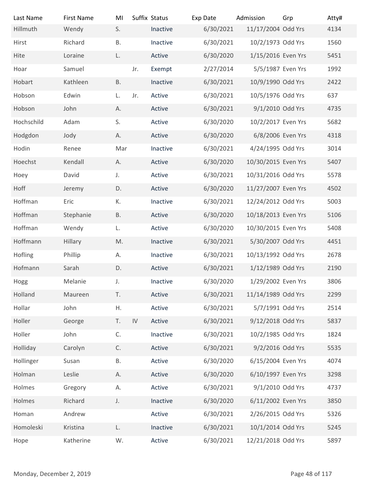| Last Name                | <b>First Name</b> | MI           |            | Suffix Status | Exp Date  | Admission           | Grp            | Atty# |
|--------------------------|-------------------|--------------|------------|---------------|-----------|---------------------|----------------|-------|
| Hillmuth                 | Wendy             | S.           |            | Inactive      | 6/30/2021 | 11/17/2004 Odd Yrs  |                | 4134  |
| Hirst                    | Richard           | <b>B.</b>    |            | Inactive      | 6/30/2021 | 10/2/1973 Odd Yrs   |                | 1560  |
| Hite                     | Loraine           | L.           |            | Active        | 6/30/2020 | 1/15/2016 Even Yrs  |                | 5451  |
| Hoar                     | Samuel            |              | Jr.        | Exempt        | 2/27/2014 | 5/5/1987 Even Yrs   |                | 1992  |
| Hobart                   | Kathleen          | <b>B.</b>    |            | Inactive      | 6/30/2021 | 10/9/1990 Odd Yrs   |                | 2422  |
| Hobson                   | Edwin             | L.           | Jr.        | Active        | 6/30/2021 | 10/5/1976 Odd Yrs   |                | 637   |
| Hobson                   | John              | А.           |            | Active        | 6/30/2021 | 9/1/2010 Odd Yrs    |                | 4735  |
| Hochschild               | Adam              | S.           |            | Active        | 6/30/2020 | 10/2/2017 Even Yrs  |                | 5682  |
| Hodgdon                  | Jody              | А.           |            | Active        | 6/30/2020 | 6/8/2006 Even Yrs   |                | 4318  |
| Hodin                    | Renee             | Mar          |            | Inactive      | 6/30/2021 | 4/24/1995 Odd Yrs   |                | 3014  |
| Hoechst                  | Kendall           | А.           |            | Active        | 6/30/2020 | 10/30/2015 Even Yrs |                | 5407  |
| Hoey                     | David             | J.           |            | Active        | 6/30/2021 | 10/31/2016 Odd Yrs  |                | 5578  |
| Hoff                     | Jeremy            | D.           |            | Active        | 6/30/2020 | 11/27/2007 Even Yrs |                | 4502  |
| Hoffman                  | Eric              | К.           |            | Inactive      | 6/30/2021 | 12/24/2012 Odd Yrs  |                | 5003  |
| Hoffman                  | Stephanie         | <b>B.</b>    |            | Active        | 6/30/2020 | 10/18/2013 Even Yrs |                | 5106  |
| Hoffman                  | Wendy             | L.           |            | Active        | 6/30/2020 | 10/30/2015 Even Yrs |                | 5408  |
| Hoffmann                 | Hillary           | M.           |            | Inactive      | 6/30/2021 | 5/30/2007 Odd Yrs   |                | 4451  |
| Hofling                  | Phillip           | А.           |            | Inactive      | 6/30/2021 | 10/13/1992 Odd Yrs  |                | 2678  |
| Hofmann                  | Sarah             | D.           |            | Active        | 6/30/2021 | 1/12/1989 Odd Yrs   |                | 2190  |
| Hogg                     | Melanie           | $J_{\star}$  |            | Inactive      | 6/30/2020 | 1/29/2002 Even Yrs  |                | 3806  |
| Holland                  | Maureen           | T.           |            | Active        | 6/30/2021 | 11/14/1989 Odd Yrs  |                | 2299  |
| Hollar                   |                   | Η.           |            | Active        |           | 5/7/1991 Odd Yrs    |                | 2514  |
|                          | John              |              |            |               | 6/30/2021 |                     |                |       |
| Holler                   | George            | T.           | ${\sf IV}$ | Active        | 6/30/2021 | 9/12/2018 Odd Yrs   |                | 5837  |
| Holler                   | John              | C.           |            | Inactive      | 6/30/2021 | 10/2/1985 Odd Yrs   |                | 1824  |
| Holliday                 | Carolyn           | $\mathsf C.$ |            | Active        | 6/30/2021 | 9/2/2016 Odd Yrs    |                | 5535  |
| Hollinger                | Susan             | Β.           |            | Active        | 6/30/2020 | 6/15/2004 Even Yrs  |                | 4074  |
| Holman                   | Leslie            | А.           |            | Active        | 6/30/2020 | 6/10/1997 Even Yrs  |                | 3298  |
| Holmes                   | Gregory           | Α.           |            | Active        | 6/30/2021 | 9/1/2010 Odd Yrs    |                | 4737  |
| Holmes                   | Richard           | J.           |            | Inactive      | 6/30/2020 | 6/11/2002 Even Yrs  |                | 3850  |
| Homan                    | Andrew            |              |            | Active        | 6/30/2021 | 2/26/2015 Odd Yrs   |                | 5326  |
| Homoleski                | Kristina          | L.           |            | Inactive      | 6/30/2021 | 10/1/2014 Odd Yrs   |                | 5245  |
| Hope                     | Katherine         | W.           |            | Active        | 6/30/2021 | 12/21/2018 Odd Yrs  |                | 5897  |
| Monday, December 2, 2019 |                   |              |            |               |           |                     | Page 48 of 117 |       |
|                          |                   |              |            |               |           |                     |                |       |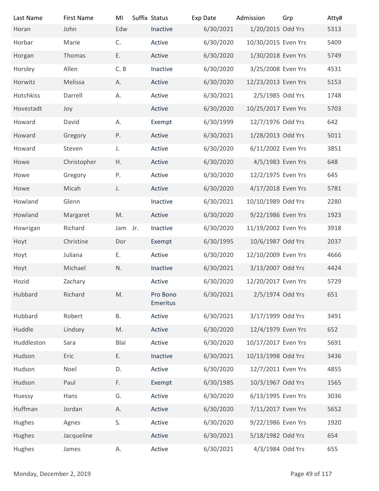| Last Name                | <b>First Name</b> | MI      | Suffix Status        | Exp Date  | Admission           | Grp            | Atty# |
|--------------------------|-------------------|---------|----------------------|-----------|---------------------|----------------|-------|
| Horan                    | John              | Edw     | Inactive             | 6/30/2021 | 1/20/2015 Odd Yrs   |                | 5313  |
| Horbar                   | Marie             | C.      | Active               | 6/30/2020 | 10/30/2015 Even Yrs |                | 5409  |
| Horgan                   | Thomas            | Ε.      | Active               | 6/30/2020 | 1/30/2018 Even Yrs  |                | 5749  |
| Horsley                  | Allen             | C. B    | Inactive             | 6/30/2020 | 3/25/2008 Even Yrs  |                | 4531  |
| Horwitz                  | Melissa           | А.      | Active               | 6/30/2020 | 12/23/2013 Even Yrs |                | 5153  |
| Hotchkiss                | Darrell           | А.      | Active               | 6/30/2021 | 2/5/1985 Odd Yrs    |                | 1748  |
| Hovestadt                | Joy               |         | Active               | 6/30/2020 | 10/25/2017 Even Yrs |                | 5703  |
| Howard                   | David             | Α.      | Exempt               | 6/30/1999 | 12/7/1976 Odd Yrs   |                | 642   |
| Howard                   | Gregory           | Ρ.      | Active               | 6/30/2021 | 1/28/2013 Odd Yrs   |                | 5011  |
| Howard                   | Steven            | J.      | Active               | 6/30/2020 | 6/11/2002 Even Yrs  |                | 3851  |
| Howe                     | Christopher       | H.      | Active               | 6/30/2020 | 4/5/1983 Even Yrs   |                | 648   |
| Howe                     | Gregory           | Ρ.      | Active               | 6/30/2020 | 12/2/1975 Even Yrs  |                | 645   |
| Howe                     | Micah             | J.      | Active               | 6/30/2020 | 4/17/2018 Even Yrs  |                | 5781  |
| Howland                  | Glenn             |         | Inactive             | 6/30/2021 | 10/10/1989 Odd Yrs  |                | 2280  |
| Howland                  | Margaret          | M.      | Active               | 6/30/2020 | 9/22/1986 Even Yrs  |                | 1923  |
| Howrigan                 | Richard           | Jam Jr. | Inactive             | 6/30/2020 | 11/19/2002 Even Yrs |                | 3918  |
| Hoyt                     | Christine         | Dor     | Exempt               | 6/30/1995 | 10/6/1987 Odd Yrs   |                | 2037  |
| Hoyt                     | Juliana           | Ε.      | Active               | 6/30/2020 | 12/10/2009 Even Yrs |                | 4666  |
| Hoyt                     | Michael           | N.      | Inactive             | 6/30/2021 | 3/13/2007 Odd Yrs   |                | 4424  |
| Hozid                    | Zachary           |         | Active               | 6/30/2020 | 12/20/2017 Even Yrs |                | 5729  |
| Hubbard                  | Richard           | M.      | Pro Bono<br>Emeritus | 6/30/2021 | 2/5/1974 Odd Yrs    |                | 651   |
| Hubbard                  | Robert            | Β.      | Active               | 6/30/2021 | 3/17/1999 Odd Yrs   |                | 3491  |
| Huddle                   | Lindsey           | M.      | Active               | 6/30/2020 | 12/4/1979 Even Yrs  |                | 652   |
| Huddleston               | Sara              | Blai    | Active               | 6/30/2020 | 10/17/2017 Even Yrs |                | 5691  |
| Hudson                   | Eric              | Ε.      | Inactive             | 6/30/2021 | 10/13/1998 Odd Yrs  |                | 3436  |
| Hudson                   | Noel              | D.      | Active               | 6/30/2020 | 12/7/2011 Even Yrs  |                | 4855  |
| Hudson                   | Paul              | F.      | Exempt               | 6/30/1985 | 10/3/1967 Odd Yrs   |                | 1565  |
| Huessy                   | Hans              | G.      | Active               | 6/30/2020 | 6/13/1995 Even Yrs  |                | 3036  |
| Huffman                  | Jordan            | Α.      | Active               | 6/30/2020 | 7/11/2017 Even Yrs  |                | 5652  |
| Hughes                   | Agnes             | S.      | Active               | 6/30/2020 | 9/22/1986 Even Yrs  |                | 1920  |
| Hughes                   | Jacqueline        |         | Active               | 6/30/2021 | 5/18/1982 Odd Yrs   |                | 654   |
| Hughes                   | James             | А.      | Active               | 6/30/2021 | 4/3/1984 Odd Yrs    |                | 655   |
|                          |                   |         |                      |           |                     |                |       |
| Monday, December 2, 2019 |                   |         |                      |           |                     | Page 49 of 117 |       |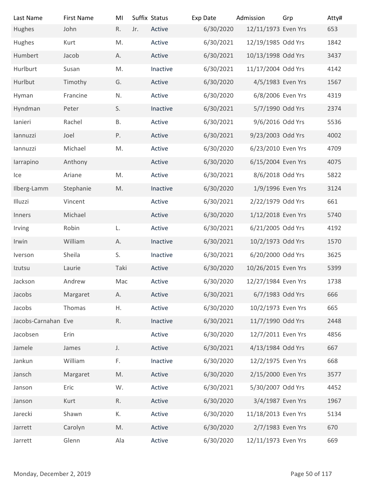| Last Name                | <b>First Name</b> | MI            |     | Suffix Status | Exp Date  | Admission           | Grp            | Atty# |
|--------------------------|-------------------|---------------|-----|---------------|-----------|---------------------|----------------|-------|
| Hughes                   | John              | R.            | Jr. | Active        | 6/30/2020 | 12/11/1973 Even Yrs |                | 653   |
| Hughes                   | Kurt              | M.            |     | Active        | 6/30/2021 | 12/19/1985 Odd Yrs  |                | 1842  |
| Humbert                  | Jacob             | А.            |     | Active        | 6/30/2021 | 10/13/1998 Odd Yrs  |                | 3437  |
| Hurlburt                 | Susan             | M.            |     | Inactive      | 6/30/2021 | 11/17/2004 Odd Yrs  |                | 4142  |
|                          |                   |               |     |               |           |                     |                |       |
| Hurlbut                  | Timothy           | G.            |     | Active        | 6/30/2020 | 4/5/1983 Even Yrs   |                | 1567  |
| Hyman                    | Francine          | N.            |     | Active        | 6/30/2020 | 6/8/2006 Even Yrs   |                | 4319  |
| Hyndman                  | Peter             | S.            |     | Inactive      | 6/30/2021 | 5/7/1990 Odd Yrs    |                | 2374  |
| lanieri                  | Rachel            | Β.            |     | Active        | 6/30/2021 | 9/6/2016 Odd Yrs    |                | 5536  |
| lannuzzi                 | Joel              | Ρ.            |     | Active        | 6/30/2021 | 9/23/2003 Odd Yrs   |                | 4002  |
| lannuzzi                 | Michael           | M.            |     | Active        | 6/30/2020 | 6/23/2010 Even Yrs  |                | 4709  |
| larrapino                | Anthony           |               |     | Active        | 6/30/2020 | 6/15/2004 Even Yrs  |                | 4075  |
| Ice                      | Ariane            | M.            |     | Active        | 6/30/2021 | 8/6/2018 Odd Yrs    |                | 5822  |
| Ilberg-Lamm              | Stephanie         | M.            |     | Inactive      | 6/30/2020 | 1/9/1996 Even Yrs   |                | 3124  |
| Illuzzi                  | Vincent           |               |     | Active        | 6/30/2021 | 2/22/1979 Odd Yrs   |                | 661   |
| Inners                   | Michael           |               |     | Active        | 6/30/2020 | 1/12/2018 Even Yrs  |                | 5740  |
| Irving                   | Robin             | L.            |     | Active        | 6/30/2021 | 6/21/2005 Odd Yrs   |                | 4192  |
| Irwin                    | William           | А.            |     | Inactive      | 6/30/2021 | 10/2/1973 Odd Yrs   |                | 1570  |
| Iverson                  | Sheila            | S.            |     | Inactive      | 6/30/2021 | 6/20/2000 Odd Yrs   |                | 3625  |
| Izutsu                   | Laurie            | Taki          |     | Active        | 6/30/2020 | 10/26/2015 Even Yrs |                | 5399  |
| Jackson                  | Andrew            | Mac           |     | Active        | 6/30/2020 | 12/27/1984 Even Yrs |                | 1738  |
| Jacobs                   | Margaret          | А.            |     | Active        | 6/30/2021 | 6/7/1983 Odd Yrs    |                | 666   |
| Jacobs                   | Thomas            | Η.            |     | Active        | 6/30/2020 | 10/2/1973 Even Yrs  |                | 665   |
| Jacobs-Carnahan Eve      |                   | R.            |     | Inactive      | 6/30/2021 | 11/7/1990 Odd Yrs   |                | 2448  |
| Jacobsen                 | Erin              |               |     | Active        | 6/30/2020 | 12/7/2011 Even Yrs  |                | 4856  |
| Jamele                   | James             | $\mathsf J.$  |     | Active        | 6/30/2021 | 4/13/1984 Odd Yrs   |                | 667   |
| Jankun                   | William           | F.            |     | Inactive      | 6/30/2020 | 12/2/1975 Even Yrs  |                | 668   |
| Jansch                   | Margaret          | $\mathsf{M}.$ |     | Active        | 6/30/2020 | 2/15/2000 Even Yrs  |                | 3577  |
| Janson                   | Eric              | W.            |     | Active        | 6/30/2021 | 5/30/2007 Odd Yrs   |                | 4452  |
| Janson                   | Kurt              | R.            |     | Active        | 6/30/2020 | 3/4/1987 Even Yrs   |                | 1967  |
| Jarecki                  | Shawn             | К.            |     | Active        | 6/30/2020 | 11/18/2013 Even Yrs |                | 5134  |
| Jarrett                  | Carolyn           | M.            |     | Active        | 6/30/2020 | 2/7/1983 Even Yrs   |                | 670   |
| Jarrett                  | Glenn             | Ala           |     | Active        | 6/30/2020 | 12/11/1973 Even Yrs |                | 669   |
|                          |                   |               |     |               |           |                     |                |       |
| Monday, December 2, 2019 |                   |               |     |               |           |                     | Page 50 of 117 |       |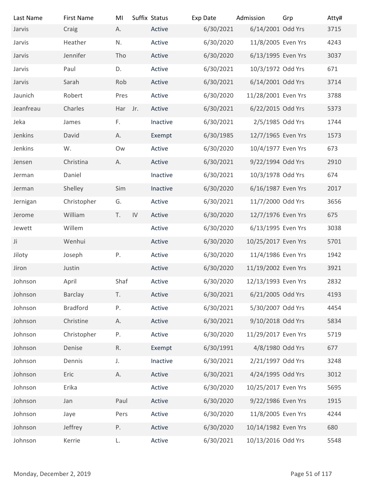| Last Name                | <b>First Name</b> | MI      |    | Suffix Status | Exp Date  | Admission           | Grp            | Atty# |
|--------------------------|-------------------|---------|----|---------------|-----------|---------------------|----------------|-------|
| Jarvis                   | Craig             | А.      |    | Active        | 6/30/2021 | 6/14/2001 Odd Yrs   |                | 3715  |
| Jarvis                   | Heather           | N.      |    | Active        | 6/30/2020 | 11/8/2005 Even Yrs  |                | 4243  |
| Jarvis                   | Jennifer          | Tho     |    | Active        | 6/30/2020 | 6/13/1995 Even Yrs  |                | 3037  |
| Jarvis                   | Paul              | D.      |    | Active        | 6/30/2021 | 10/3/1972 Odd Yrs   |                | 671   |
| Jarvis                   | Sarah             | Rob     |    | Active        | 6/30/2021 | 6/14/2001 Odd Yrs   |                | 3714  |
| Jaunich                  | Robert            | Pres    |    | Active        | 6/30/2020 | 11/28/2001 Even Yrs |                | 3788  |
| Jeanfreau                | Charles           | Har Jr. |    | Active        | 6/30/2021 | 6/22/2015 Odd Yrs   |                | 5373  |
| Jeka                     | James             | F.      |    | Inactive      | 6/30/2021 | 2/5/1985 Odd Yrs    |                | 1744  |
| Jenkins                  | David             | А.      |    | Exempt        | 6/30/1985 | 12/7/1965 Even Yrs  |                | 1573  |
| Jenkins                  | W.                | Ow      |    | Active        | 6/30/2020 | 10/4/1977 Even Yrs  |                | 673   |
| Jensen                   | Christina         | А.      |    | Active        | 6/30/2021 | 9/22/1994 Odd Yrs   |                | 2910  |
| Jerman                   | Daniel            |         |    | Inactive      | 6/30/2021 | 10/3/1978 Odd Yrs   |                | 674   |
| Jerman                   | Shelley           | Sim     |    | Inactive      | 6/30/2020 | 6/16/1987 Even Yrs  |                | 2017  |
| Jernigan                 | Christopher       | G.      |    | Active        | 6/30/2021 | 11/7/2000 Odd Yrs   |                | 3656  |
| Jerome                   | William           | T.      | IV | Active        | 6/30/2020 | 12/7/1976 Even Yrs  |                | 675   |
| Jewett                   | Willem            |         |    | Active        | 6/30/2020 | 6/13/1995 Even Yrs  |                | 3038  |
| Ji                       | Wenhui            |         |    | Active        | 6/30/2020 | 10/25/2017 Even Yrs |                | 5701  |
|                          |                   |         |    |               |           |                     |                |       |
| Jiloty                   | Joseph            | P.      |    | Active        | 6/30/2020 | 11/4/1986 Even Yrs  |                | 1942  |
| Jiron                    | Justin            |         |    | Active        | 6/30/2020 | 11/19/2002 Even Yrs |                | 3921  |
| Johnson                  | April             | Shaf    |    | Active        | 6/30/2020 | 12/13/1993 Even Yrs |                | 2832  |
| Johnson                  | Barclay           | T.      |    | Active        | 6/30/2021 | 6/21/2005 Odd Yrs   |                | 4193  |
| Johnson                  | <b>Bradford</b>   | Ρ.      |    | Active        | 6/30/2021 | 5/30/2007 Odd Yrs   |                | 4454  |
| Johnson                  | Christine         | Α.      |    | Active        | 6/30/2021 | 9/10/2018 Odd Yrs   |                | 5834  |
| Johnson                  | Christopher       | Ρ.      |    | Active        | 6/30/2020 | 11/29/2017 Even Yrs |                | 5719  |
| Johnson                  | Denise            | R.      |    | Exempt        | 6/30/1991 | 4/8/1980 Odd Yrs    |                | 677   |
| Johnson                  | Dennis            | J.      |    | Inactive      | 6/30/2021 | 2/21/1997 Odd Yrs   |                | 3248  |
| Johnson                  | Eric              | Α.      |    | Active        | 6/30/2021 | 4/24/1995 Odd Yrs   |                | 3012  |
| Johnson                  | Erika             |         |    | Active        | 6/30/2020 | 10/25/2017 Even Yrs |                | 5695  |
| Johnson                  | Jan               | Paul    |    | Active        | 6/30/2020 | 9/22/1986 Even Yrs  |                | 1915  |
| Johnson                  | Jaye              | Pers    |    | Active        | 6/30/2020 | 11/8/2005 Even Yrs  |                | 4244  |
| Johnson                  | Jeffrey           | P.      |    | Active        | 6/30/2020 | 10/14/1982 Even Yrs |                | 680   |
| Johnson                  | Kerrie            | L.      |    | Active        | 6/30/2021 | 10/13/2016 Odd Yrs  |                | 5548  |
|                          |                   |         |    |               |           |                     |                |       |
| Monday, December 2, 2019 |                   |         |    |               |           |                     | Page 51 of 117 |       |
|                          |                   |         |    |               |           |                     |                |       |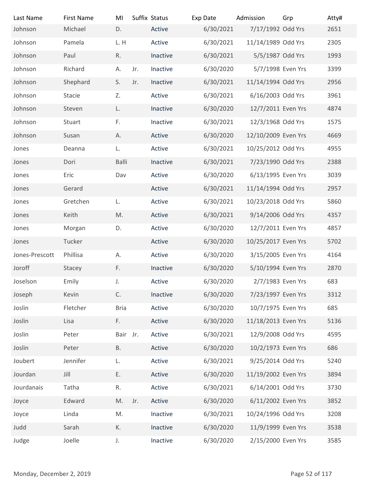| Last Name                | <b>First Name</b> | MI          |     | Suffix Status | Exp Date  | Admission           | Grp            | Atty# |
|--------------------------|-------------------|-------------|-----|---------------|-----------|---------------------|----------------|-------|
| Johnson                  | Michael           | D.          |     | Active        | 6/30/2021 | 7/17/1992 Odd Yrs   |                | 2651  |
| Johnson                  | Pamela            | L.H         |     | Active        | 6/30/2021 | 11/14/1989 Odd Yrs  |                | 2305  |
| Johnson                  | Paul              | R.          |     | Inactive      | 6/30/2021 | 5/5/1987 Odd Yrs    |                | 1993  |
| Johnson                  | Richard           | А.          | Jr. | Inactive      | 6/30/2020 | 5/7/1998 Even Yrs   |                | 3399  |
| Johnson                  | Shephard          | S.          | Jr. | Inactive      | 6/30/2021 | 11/14/1994 Odd Yrs  |                | 2956  |
| Johnson                  | Stacie            | Z.          |     | Active        | 6/30/2021 | 6/16/2003 Odd Yrs   |                | 3961  |
| Johnson                  | Steven            | L.          |     | Inactive      | 6/30/2020 | 12/7/2011 Even Yrs  |                | 4874  |
| Johnson                  | Stuart            | F.          |     | Inactive      | 6/30/2021 | 12/3/1968 Odd Yrs   |                | 1575  |
| Johnson                  | Susan             | Α.          |     | Active        | 6/30/2020 | 12/10/2009 Even Yrs |                | 4669  |
| Jones                    | Deanna            | L.          |     | Active        | 6/30/2021 | 10/25/2012 Odd Yrs  |                | 4955  |
| Jones                    | Dori              | Balli       |     | Inactive      | 6/30/2021 | 7/23/1990 Odd Yrs   |                | 2388  |
| Jones                    | Eric              | Dav         |     | Active        | 6/30/2020 | 6/13/1995 Even Yrs  |                | 3039  |
| Jones                    | Gerard            |             |     | Active        | 6/30/2021 | 11/14/1994 Odd Yrs  |                | 2957  |
| Jones                    | Gretchen          | L.          |     | Active        | 6/30/2021 | 10/23/2018 Odd Yrs  |                | 5860  |
| Jones                    | Keith             | M.          |     | Active        | 6/30/2021 | 9/14/2006 Odd Yrs   |                | 4357  |
| Jones                    | Morgan            | D.          |     | Active        | 6/30/2020 | 12/7/2011 Even Yrs  |                | 4857  |
| Jones                    | Tucker            |             |     | Active        | 6/30/2020 | 10/25/2017 Even Yrs |                | 5702  |
| Jones-Prescott           | Phillisa          | Α.          |     | Active        | 6/30/2020 | 3/15/2005 Even Yrs  |                | 4164  |
| Joroff                   | Stacey            | F.          |     | Inactive      | 6/30/2020 | 5/10/1994 Even Yrs  |                | 2870  |
| Joselson                 | Emily             | $J_{\star}$ |     | Active        | 6/30/2020 | 2/7/1983 Even Yrs   |                | 683   |
| Joseph                   | Kevin             | C.          |     | Inactive      | 6/30/2020 | 7/23/1997 Even Yrs  |                | 3312  |
| Joslin                   | Fletcher          | <b>Bria</b> |     | Active        | 6/30/2020 | 10/7/1975 Even Yrs  |                | 685   |
| Joslin                   | Lisa              | F.          |     | Active        | 6/30/2020 | 11/18/2013 Even Yrs |                | 5136  |
| Joslin                   | Peter             | Bair Jr.    |     | Active        | 6/30/2021 | 12/9/2008 Odd Yrs   |                | 4595  |
|                          |                   |             |     |               |           |                     |                |       |
| Joslin                   | Peter             | <b>B.</b>   |     | Active        | 6/30/2020 | 10/2/1973 Even Yrs  |                | 686   |
| Joubert                  | Jennifer          | L.          |     | Active        | 6/30/2021 | 9/25/2014 Odd Yrs   |                | 5240  |
| Jourdan                  | Jill              | Ε.          |     | Active        | 6/30/2020 | 11/19/2002 Even Yrs |                | 3894  |
| Jourdanais               | Tatha             | R.          |     | Active        | 6/30/2021 | 6/14/2001 Odd Yrs   |                | 3730  |
| Joyce                    | Edward            | M.          | Jr. | Active        | 6/30/2020 | 6/11/2002 Even Yrs  |                | 3852  |
| Joyce                    | Linda             | M.          |     | Inactive      | 6/30/2021 | 10/24/1996 Odd Yrs  |                | 3208  |
| Judd                     | Sarah             | К.          |     | Inactive      | 6/30/2020 | 11/9/1999 Even Yrs  |                | 3538  |
| Judge                    | Joelle            | J.          |     | Inactive      | 6/30/2020 | 2/15/2000 Even Yrs  |                | 3585  |
|                          |                   |             |     |               |           |                     |                |       |
| Monday, December 2, 2019 |                   |             |     |               |           |                     | Page 52 of 117 |       |
|                          |                   |             |     |               |           |                     |                |       |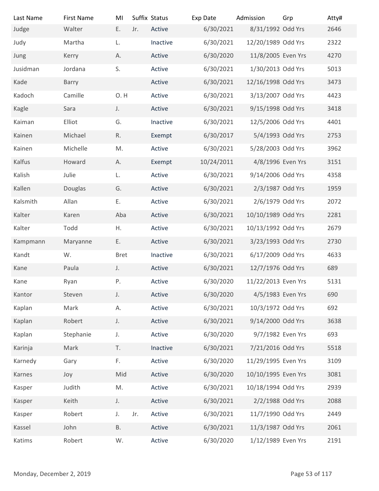| Suffix Status<br><b>First Name</b><br>Exp Date<br>Grp<br>Atty#<br>Last Name<br>MI<br>Admission<br>8/31/1992 Odd Yrs<br>Judge<br>Walter<br>E.<br>Active<br>6/30/2021<br>2646<br>Jr.<br>12/20/1989 Odd Yrs<br>2322<br>Judy<br>6/30/2021<br>Martha<br>Inactive<br>L.<br>6/30/2020<br>11/8/2005 Even Yrs<br>Active<br>4270<br>Jung<br>Kerry<br>А.<br>Jusidman<br>S.<br>Active<br>6/30/2021<br>1/30/2013 Odd Yrs<br>5013<br>Jordana<br>6/30/2021<br>12/16/1998 Odd Yrs<br>Kade<br>Active<br>3473<br>Barry<br>O.H<br>3/13/2007 Odd Yrs<br>4423<br>Kadoch<br>Camille<br>Active<br>6/30/2021<br>9/15/1998 Odd Yrs<br>3418<br>Kagle<br>Active<br>6/30/2021<br>Sara<br>J.<br>12/5/2006 Odd Yrs<br>Elliot<br>G.<br>6/30/2021<br>4401<br>Kaiman<br>Inactive<br>5/4/1993 Odd Yrs<br>2753<br>R.<br>6/30/2017<br>Kainen<br>Michael<br>Exempt<br>6/30/2021<br>5/28/2003 Odd Yrs<br>Michelle<br>Active<br>3962<br>Kainen<br>M.<br>Howard<br>10/24/2011<br>4/8/1996 Even Yrs<br>3151<br>Kalfus<br>А.<br>Exempt<br>Kalish<br>6/30/2021<br>9/14/2006 Odd Yrs<br>4358<br>Julie<br>Active<br>L.<br>Kallen<br>Douglas<br>G.<br>Active<br>6/30/2021<br>2/3/1987 Odd Yrs<br>1959<br>Kalsmith<br>6/30/2021<br>2/6/1979 Odd Yrs<br>2072<br>Ε.<br>Active<br>Allan<br>10/10/1989 Odd Yrs<br>Kalter<br>Karen<br>Active<br>6/30/2021<br>2281<br>Aba<br>Kalter<br>Todd<br>Active<br>6/30/2021<br>10/13/1992 Odd Yrs<br>2679<br>Η.<br>Ε.<br>Active<br>6/30/2021<br>3/23/1993 Odd Yrs<br>2730<br>Kampmann<br>Maryanne<br>6/30/2021<br>6/17/2009 Odd Yrs<br>4633<br>Kandt<br>W.<br><b>Bret</b><br>Inactive<br>Active<br>6/30/2021<br>12/7/1976 Odd Yrs<br>689<br>Kane<br>Paula<br>J.<br>Ρ.<br>6/30/2020<br>11/22/2013 Even Yrs<br>5131<br>Ryan<br>Active<br>Kane<br>Active<br>6/30/2020<br>4/5/1983 Even Yrs<br>690<br>Kantor<br>Steven<br>J.<br>10/3/1972 Odd Yrs<br>692<br>Kaplan<br>Mark<br>А.<br>Active<br>6/30/2021<br>Active<br>6/30/2021<br>9/14/2000 Odd Yrs<br>3638<br>Kaplan<br>Robert<br>J.<br>Stephanie<br>Active<br>6/30/2020<br>9/7/1982 Even Yrs<br>693<br>Kaplan<br>$J_{\star}$<br>7/21/2016 Odd Yrs<br>T.<br>Inactive<br>6/30/2021<br>5518<br>Karinja<br>Mark<br>6/30/2020<br>11/29/1995 Even Yrs<br>F.<br>Active<br>3109<br>Karnedy<br>Gary<br>Mid<br>Active<br>6/30/2020<br>10/10/1995 Even Yrs<br>3081<br>Karnes<br>Joy<br>6/30/2021<br>10/18/1994 Odd Yrs<br>2939<br>Judith<br>M.<br>Active<br>Kasper<br>6/30/2021<br>2/2/1988 Odd Yrs<br>2088<br>Keith<br>J.<br>Active<br>Kasper<br>6/30/2021<br>11/7/1990 Odd Yrs<br>2449<br>Robert<br>Active<br>J.<br>Jr.<br>Kasper<br>6/30/2021<br>11/3/1987 Odd Yrs<br>John<br><b>B.</b><br>Active<br>2061<br>Kassel<br>Active<br>6/30/2020<br>1/12/1989 Even Yrs<br>2191<br>Katims<br>Robert<br>W. |  |  |  |  |  |
|----------------------------------------------------------------------------------------------------------------------------------------------------------------------------------------------------------------------------------------------------------------------------------------------------------------------------------------------------------------------------------------------------------------------------------------------------------------------------------------------------------------------------------------------------------------------------------------------------------------------------------------------------------------------------------------------------------------------------------------------------------------------------------------------------------------------------------------------------------------------------------------------------------------------------------------------------------------------------------------------------------------------------------------------------------------------------------------------------------------------------------------------------------------------------------------------------------------------------------------------------------------------------------------------------------------------------------------------------------------------------------------------------------------------------------------------------------------------------------------------------------------------------------------------------------------------------------------------------------------------------------------------------------------------------------------------------------------------------------------------------------------------------------------------------------------------------------------------------------------------------------------------------------------------------------------------------------------------------------------------------------------------------------------------------------------------------------------------------------------------------------------------------------------------------------------------------------------------------------------------------------------------------------------------------------------------------------------------------------------------------------------------------------------------------------------------------------------------------------------------------------------------------------------------------------------------------------------------------------------------------------------------------------------------------------------------------------------------------|--|--|--|--|--|
|                                                                                                                                                                                                                                                                                                                                                                                                                                                                                                                                                                                                                                                                                                                                                                                                                                                                                                                                                                                                                                                                                                                                                                                                                                                                                                                                                                                                                                                                                                                                                                                                                                                                                                                                                                                                                                                                                                                                                                                                                                                                                                                                                                                                                                                                                                                                                                                                                                                                                                                                                                                                                                                                                                                            |  |  |  |  |  |
|                                                                                                                                                                                                                                                                                                                                                                                                                                                                                                                                                                                                                                                                                                                                                                                                                                                                                                                                                                                                                                                                                                                                                                                                                                                                                                                                                                                                                                                                                                                                                                                                                                                                                                                                                                                                                                                                                                                                                                                                                                                                                                                                                                                                                                                                                                                                                                                                                                                                                                                                                                                                                                                                                                                            |  |  |  |  |  |
|                                                                                                                                                                                                                                                                                                                                                                                                                                                                                                                                                                                                                                                                                                                                                                                                                                                                                                                                                                                                                                                                                                                                                                                                                                                                                                                                                                                                                                                                                                                                                                                                                                                                                                                                                                                                                                                                                                                                                                                                                                                                                                                                                                                                                                                                                                                                                                                                                                                                                                                                                                                                                                                                                                                            |  |  |  |  |  |
|                                                                                                                                                                                                                                                                                                                                                                                                                                                                                                                                                                                                                                                                                                                                                                                                                                                                                                                                                                                                                                                                                                                                                                                                                                                                                                                                                                                                                                                                                                                                                                                                                                                                                                                                                                                                                                                                                                                                                                                                                                                                                                                                                                                                                                                                                                                                                                                                                                                                                                                                                                                                                                                                                                                            |  |  |  |  |  |
|                                                                                                                                                                                                                                                                                                                                                                                                                                                                                                                                                                                                                                                                                                                                                                                                                                                                                                                                                                                                                                                                                                                                                                                                                                                                                                                                                                                                                                                                                                                                                                                                                                                                                                                                                                                                                                                                                                                                                                                                                                                                                                                                                                                                                                                                                                                                                                                                                                                                                                                                                                                                                                                                                                                            |  |  |  |  |  |
|                                                                                                                                                                                                                                                                                                                                                                                                                                                                                                                                                                                                                                                                                                                                                                                                                                                                                                                                                                                                                                                                                                                                                                                                                                                                                                                                                                                                                                                                                                                                                                                                                                                                                                                                                                                                                                                                                                                                                                                                                                                                                                                                                                                                                                                                                                                                                                                                                                                                                                                                                                                                                                                                                                                            |  |  |  |  |  |
|                                                                                                                                                                                                                                                                                                                                                                                                                                                                                                                                                                                                                                                                                                                                                                                                                                                                                                                                                                                                                                                                                                                                                                                                                                                                                                                                                                                                                                                                                                                                                                                                                                                                                                                                                                                                                                                                                                                                                                                                                                                                                                                                                                                                                                                                                                                                                                                                                                                                                                                                                                                                                                                                                                                            |  |  |  |  |  |
|                                                                                                                                                                                                                                                                                                                                                                                                                                                                                                                                                                                                                                                                                                                                                                                                                                                                                                                                                                                                                                                                                                                                                                                                                                                                                                                                                                                                                                                                                                                                                                                                                                                                                                                                                                                                                                                                                                                                                                                                                                                                                                                                                                                                                                                                                                                                                                                                                                                                                                                                                                                                                                                                                                                            |  |  |  |  |  |
|                                                                                                                                                                                                                                                                                                                                                                                                                                                                                                                                                                                                                                                                                                                                                                                                                                                                                                                                                                                                                                                                                                                                                                                                                                                                                                                                                                                                                                                                                                                                                                                                                                                                                                                                                                                                                                                                                                                                                                                                                                                                                                                                                                                                                                                                                                                                                                                                                                                                                                                                                                                                                                                                                                                            |  |  |  |  |  |
|                                                                                                                                                                                                                                                                                                                                                                                                                                                                                                                                                                                                                                                                                                                                                                                                                                                                                                                                                                                                                                                                                                                                                                                                                                                                                                                                                                                                                                                                                                                                                                                                                                                                                                                                                                                                                                                                                                                                                                                                                                                                                                                                                                                                                                                                                                                                                                                                                                                                                                                                                                                                                                                                                                                            |  |  |  |  |  |
|                                                                                                                                                                                                                                                                                                                                                                                                                                                                                                                                                                                                                                                                                                                                                                                                                                                                                                                                                                                                                                                                                                                                                                                                                                                                                                                                                                                                                                                                                                                                                                                                                                                                                                                                                                                                                                                                                                                                                                                                                                                                                                                                                                                                                                                                                                                                                                                                                                                                                                                                                                                                                                                                                                                            |  |  |  |  |  |
|                                                                                                                                                                                                                                                                                                                                                                                                                                                                                                                                                                                                                                                                                                                                                                                                                                                                                                                                                                                                                                                                                                                                                                                                                                                                                                                                                                                                                                                                                                                                                                                                                                                                                                                                                                                                                                                                                                                                                                                                                                                                                                                                                                                                                                                                                                                                                                                                                                                                                                                                                                                                                                                                                                                            |  |  |  |  |  |
|                                                                                                                                                                                                                                                                                                                                                                                                                                                                                                                                                                                                                                                                                                                                                                                                                                                                                                                                                                                                                                                                                                                                                                                                                                                                                                                                                                                                                                                                                                                                                                                                                                                                                                                                                                                                                                                                                                                                                                                                                                                                                                                                                                                                                                                                                                                                                                                                                                                                                                                                                                                                                                                                                                                            |  |  |  |  |  |
|                                                                                                                                                                                                                                                                                                                                                                                                                                                                                                                                                                                                                                                                                                                                                                                                                                                                                                                                                                                                                                                                                                                                                                                                                                                                                                                                                                                                                                                                                                                                                                                                                                                                                                                                                                                                                                                                                                                                                                                                                                                                                                                                                                                                                                                                                                                                                                                                                                                                                                                                                                                                                                                                                                                            |  |  |  |  |  |
|                                                                                                                                                                                                                                                                                                                                                                                                                                                                                                                                                                                                                                                                                                                                                                                                                                                                                                                                                                                                                                                                                                                                                                                                                                                                                                                                                                                                                                                                                                                                                                                                                                                                                                                                                                                                                                                                                                                                                                                                                                                                                                                                                                                                                                                                                                                                                                                                                                                                                                                                                                                                                                                                                                                            |  |  |  |  |  |
|                                                                                                                                                                                                                                                                                                                                                                                                                                                                                                                                                                                                                                                                                                                                                                                                                                                                                                                                                                                                                                                                                                                                                                                                                                                                                                                                                                                                                                                                                                                                                                                                                                                                                                                                                                                                                                                                                                                                                                                                                                                                                                                                                                                                                                                                                                                                                                                                                                                                                                                                                                                                                                                                                                                            |  |  |  |  |  |
|                                                                                                                                                                                                                                                                                                                                                                                                                                                                                                                                                                                                                                                                                                                                                                                                                                                                                                                                                                                                                                                                                                                                                                                                                                                                                                                                                                                                                                                                                                                                                                                                                                                                                                                                                                                                                                                                                                                                                                                                                                                                                                                                                                                                                                                                                                                                                                                                                                                                                                                                                                                                                                                                                                                            |  |  |  |  |  |
|                                                                                                                                                                                                                                                                                                                                                                                                                                                                                                                                                                                                                                                                                                                                                                                                                                                                                                                                                                                                                                                                                                                                                                                                                                                                                                                                                                                                                                                                                                                                                                                                                                                                                                                                                                                                                                                                                                                                                                                                                                                                                                                                                                                                                                                                                                                                                                                                                                                                                                                                                                                                                                                                                                                            |  |  |  |  |  |
|                                                                                                                                                                                                                                                                                                                                                                                                                                                                                                                                                                                                                                                                                                                                                                                                                                                                                                                                                                                                                                                                                                                                                                                                                                                                                                                                                                                                                                                                                                                                                                                                                                                                                                                                                                                                                                                                                                                                                                                                                                                                                                                                                                                                                                                                                                                                                                                                                                                                                                                                                                                                                                                                                                                            |  |  |  |  |  |
|                                                                                                                                                                                                                                                                                                                                                                                                                                                                                                                                                                                                                                                                                                                                                                                                                                                                                                                                                                                                                                                                                                                                                                                                                                                                                                                                                                                                                                                                                                                                                                                                                                                                                                                                                                                                                                                                                                                                                                                                                                                                                                                                                                                                                                                                                                                                                                                                                                                                                                                                                                                                                                                                                                                            |  |  |  |  |  |
|                                                                                                                                                                                                                                                                                                                                                                                                                                                                                                                                                                                                                                                                                                                                                                                                                                                                                                                                                                                                                                                                                                                                                                                                                                                                                                                                                                                                                                                                                                                                                                                                                                                                                                                                                                                                                                                                                                                                                                                                                                                                                                                                                                                                                                                                                                                                                                                                                                                                                                                                                                                                                                                                                                                            |  |  |  |  |  |
|                                                                                                                                                                                                                                                                                                                                                                                                                                                                                                                                                                                                                                                                                                                                                                                                                                                                                                                                                                                                                                                                                                                                                                                                                                                                                                                                                                                                                                                                                                                                                                                                                                                                                                                                                                                                                                                                                                                                                                                                                                                                                                                                                                                                                                                                                                                                                                                                                                                                                                                                                                                                                                                                                                                            |  |  |  |  |  |
|                                                                                                                                                                                                                                                                                                                                                                                                                                                                                                                                                                                                                                                                                                                                                                                                                                                                                                                                                                                                                                                                                                                                                                                                                                                                                                                                                                                                                                                                                                                                                                                                                                                                                                                                                                                                                                                                                                                                                                                                                                                                                                                                                                                                                                                                                                                                                                                                                                                                                                                                                                                                                                                                                                                            |  |  |  |  |  |
|                                                                                                                                                                                                                                                                                                                                                                                                                                                                                                                                                                                                                                                                                                                                                                                                                                                                                                                                                                                                                                                                                                                                                                                                                                                                                                                                                                                                                                                                                                                                                                                                                                                                                                                                                                                                                                                                                                                                                                                                                                                                                                                                                                                                                                                                                                                                                                                                                                                                                                                                                                                                                                                                                                                            |  |  |  |  |  |
|                                                                                                                                                                                                                                                                                                                                                                                                                                                                                                                                                                                                                                                                                                                                                                                                                                                                                                                                                                                                                                                                                                                                                                                                                                                                                                                                                                                                                                                                                                                                                                                                                                                                                                                                                                                                                                                                                                                                                                                                                                                                                                                                                                                                                                                                                                                                                                                                                                                                                                                                                                                                                                                                                                                            |  |  |  |  |  |
|                                                                                                                                                                                                                                                                                                                                                                                                                                                                                                                                                                                                                                                                                                                                                                                                                                                                                                                                                                                                                                                                                                                                                                                                                                                                                                                                                                                                                                                                                                                                                                                                                                                                                                                                                                                                                                                                                                                                                                                                                                                                                                                                                                                                                                                                                                                                                                                                                                                                                                                                                                                                                                                                                                                            |  |  |  |  |  |
|                                                                                                                                                                                                                                                                                                                                                                                                                                                                                                                                                                                                                                                                                                                                                                                                                                                                                                                                                                                                                                                                                                                                                                                                                                                                                                                                                                                                                                                                                                                                                                                                                                                                                                                                                                                                                                                                                                                                                                                                                                                                                                                                                                                                                                                                                                                                                                                                                                                                                                                                                                                                                                                                                                                            |  |  |  |  |  |
|                                                                                                                                                                                                                                                                                                                                                                                                                                                                                                                                                                                                                                                                                                                                                                                                                                                                                                                                                                                                                                                                                                                                                                                                                                                                                                                                                                                                                                                                                                                                                                                                                                                                                                                                                                                                                                                                                                                                                                                                                                                                                                                                                                                                                                                                                                                                                                                                                                                                                                                                                                                                                                                                                                                            |  |  |  |  |  |
|                                                                                                                                                                                                                                                                                                                                                                                                                                                                                                                                                                                                                                                                                                                                                                                                                                                                                                                                                                                                                                                                                                                                                                                                                                                                                                                                                                                                                                                                                                                                                                                                                                                                                                                                                                                                                                                                                                                                                                                                                                                                                                                                                                                                                                                                                                                                                                                                                                                                                                                                                                                                                                                                                                                            |  |  |  |  |  |
|                                                                                                                                                                                                                                                                                                                                                                                                                                                                                                                                                                                                                                                                                                                                                                                                                                                                                                                                                                                                                                                                                                                                                                                                                                                                                                                                                                                                                                                                                                                                                                                                                                                                                                                                                                                                                                                                                                                                                                                                                                                                                                                                                                                                                                                                                                                                                                                                                                                                                                                                                                                                                                                                                                                            |  |  |  |  |  |
|                                                                                                                                                                                                                                                                                                                                                                                                                                                                                                                                                                                                                                                                                                                                                                                                                                                                                                                                                                                                                                                                                                                                                                                                                                                                                                                                                                                                                                                                                                                                                                                                                                                                                                                                                                                                                                                                                                                                                                                                                                                                                                                                                                                                                                                                                                                                                                                                                                                                                                                                                                                                                                                                                                                            |  |  |  |  |  |
|                                                                                                                                                                                                                                                                                                                                                                                                                                                                                                                                                                                                                                                                                                                                                                                                                                                                                                                                                                                                                                                                                                                                                                                                                                                                                                                                                                                                                                                                                                                                                                                                                                                                                                                                                                                                                                                                                                                                                                                                                                                                                                                                                                                                                                                                                                                                                                                                                                                                                                                                                                                                                                                                                                                            |  |  |  |  |  |
|                                                                                                                                                                                                                                                                                                                                                                                                                                                                                                                                                                                                                                                                                                                                                                                                                                                                                                                                                                                                                                                                                                                                                                                                                                                                                                                                                                                                                                                                                                                                                                                                                                                                                                                                                                                                                                                                                                                                                                                                                                                                                                                                                                                                                                                                                                                                                                                                                                                                                                                                                                                                                                                                                                                            |  |  |  |  |  |
|                                                                                                                                                                                                                                                                                                                                                                                                                                                                                                                                                                                                                                                                                                                                                                                                                                                                                                                                                                                                                                                                                                                                                                                                                                                                                                                                                                                                                                                                                                                                                                                                                                                                                                                                                                                                                                                                                                                                                                                                                                                                                                                                                                                                                                                                                                                                                                                                                                                                                                                                                                                                                                                                                                                            |  |  |  |  |  |
|                                                                                                                                                                                                                                                                                                                                                                                                                                                                                                                                                                                                                                                                                                                                                                                                                                                                                                                                                                                                                                                                                                                                                                                                                                                                                                                                                                                                                                                                                                                                                                                                                                                                                                                                                                                                                                                                                                                                                                                                                                                                                                                                                                                                                                                                                                                                                                                                                                                                                                                                                                                                                                                                                                                            |  |  |  |  |  |
|                                                                                                                                                                                                                                                                                                                                                                                                                                                                                                                                                                                                                                                                                                                                                                                                                                                                                                                                                                                                                                                                                                                                                                                                                                                                                                                                                                                                                                                                                                                                                                                                                                                                                                                                                                                                                                                                                                                                                                                                                                                                                                                                                                                                                                                                                                                                                                                                                                                                                                                                                                                                                                                                                                                            |  |  |  |  |  |
|                                                                                                                                                                                                                                                                                                                                                                                                                                                                                                                                                                                                                                                                                                                                                                                                                                                                                                                                                                                                                                                                                                                                                                                                                                                                                                                                                                                                                                                                                                                                                                                                                                                                                                                                                                                                                                                                                                                                                                                                                                                                                                                                                                                                                                                                                                                                                                                                                                                                                                                                                                                                                                                                                                                            |  |  |  |  |  |
|                                                                                                                                                                                                                                                                                                                                                                                                                                                                                                                                                                                                                                                                                                                                                                                                                                                                                                                                                                                                                                                                                                                                                                                                                                                                                                                                                                                                                                                                                                                                                                                                                                                                                                                                                                                                                                                                                                                                                                                                                                                                                                                                                                                                                                                                                                                                                                                                                                                                                                                                                                                                                                                                                                                            |  |  |  |  |  |
| Monday, December 2, 2019<br>Page 53 of 117                                                                                                                                                                                                                                                                                                                                                                                                                                                                                                                                                                                                                                                                                                                                                                                                                                                                                                                                                                                                                                                                                                                                                                                                                                                                                                                                                                                                                                                                                                                                                                                                                                                                                                                                                                                                                                                                                                                                                                                                                                                                                                                                                                                                                                                                                                                                                                                                                                                                                                                                                                                                                                                                                 |  |  |  |  |  |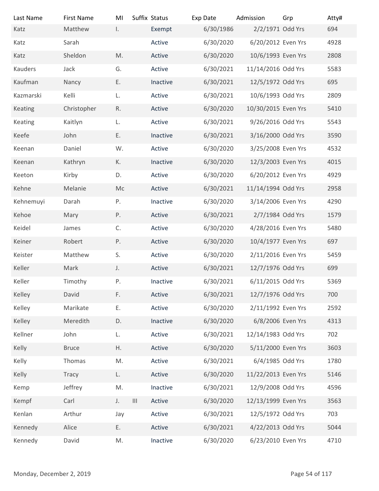| Last Name                | <b>First Name</b> | MI           | Suffix Status               | Exp Date  | Admission           | Grp            | Atty# |
|--------------------------|-------------------|--------------|-----------------------------|-----------|---------------------|----------------|-------|
| Katz                     | Matthew           | $\mathbf{L}$ | Exempt                      | 6/30/1986 | 2/2/1971 Odd Yrs    |                | 694   |
| Katz                     | Sarah             |              | Active                      | 6/30/2020 | 6/20/2012 Even Yrs  |                | 4928  |
| Katz                     | Sheldon           | M.           | Active                      | 6/30/2020 | 10/6/1993 Even Yrs  |                | 2808  |
| Kauders                  | Jack              | G.           | Active                      | 6/30/2021 | 11/14/2016 Odd Yrs  |                | 5583  |
| Kaufman                  | Nancy             | E.           | Inactive                    | 6/30/2021 | 12/5/1972 Odd Yrs   |                | 695   |
| Kazmarski                | Kelli             | L.           | Active                      | 6/30/2021 | 10/6/1993 Odd Yrs   |                | 2809  |
| Keating                  | Christopher       | R.           | Active                      | 6/30/2020 | 10/30/2015 Even Yrs |                | 5410  |
| Keating                  | Kaitlyn           | L.           | Active                      | 6/30/2021 | 9/26/2016 Odd Yrs   |                | 5543  |
| Keefe                    | John              | Ε.           | Inactive                    | 6/30/2021 | 3/16/2000 Odd Yrs   |                | 3590  |
| Keenan                   | Daniel            | W.           | Active                      | 6/30/2020 | 3/25/2008 Even Yrs  |                | 4532  |
| Keenan                   | Kathryn           | К.           | Inactive                    | 6/30/2020 | 12/3/2003 Even Yrs  |                | 4015  |
| Keeton                   | Kirby             | D.           | Active                      | 6/30/2020 | 6/20/2012 Even Yrs  |                | 4929  |
| Kehne                    | Melanie           | Mc           | Active                      | 6/30/2021 | 11/14/1994 Odd Yrs  |                | 2958  |
| Kehnemuyi                | Darah             | Ρ.           | Inactive                    | 6/30/2020 | 3/14/2006 Even Yrs  |                | 4290  |
| Kehoe                    | Mary              | P.           | Active                      | 6/30/2021 | 2/7/1984 Odd Yrs    |                | 1579  |
| Keidel                   | James             | C.           | Active                      | 6/30/2020 | 4/28/2016 Even Yrs  |                | 5480  |
| Keiner                   | Robert            | P.           | Active                      | 6/30/2020 | 10/4/1977 Even Yrs  |                | 697   |
| Keister                  | Matthew           | S.           | Active                      | 6/30/2020 | 2/11/2016 Even Yrs  |                | 5459  |
| Keller                   | Mark              | J.           | Active                      | 6/30/2021 | 12/7/1976 Odd Yrs   |                | 699   |
| Keller                   | Timothy           | Ρ.           | Inactive                    | 6/30/2021 | 6/11/2015 Odd Yrs   |                | 5369  |
| Kelley                   | David             | F.           | Active                      | 6/30/2021 | 12/7/1976 Odd Yrs   |                | 700   |
| Kelley                   | Marikate          | Ε.           | Active                      | 6/30/2020 | 2/11/1992 Even Yrs  |                | 2592  |
| Kelley                   | Meredith          | D.           | Inactive                    | 6/30/2020 | 6/8/2006 Even Yrs   |                | 4313  |
| Kellner                  | John              | L.           | Active                      | 6/30/2021 | 12/14/1983 Odd Yrs  |                | 702   |
| Kelly                    | <b>Bruce</b>      | H.           | Active                      | 6/30/2020 | 5/11/2000 Even Yrs  |                | 3603  |
| Kelly                    | Thomas            | M.           | Active                      | 6/30/2021 | 6/4/1985 Odd Yrs    |                | 1780  |
|                          |                   |              |                             |           |                     |                |       |
| Kelly                    | Tracy             | L.           | Active                      | 6/30/2020 | 11/22/2013 Even Yrs |                | 5146  |
| Kemp                     | Jeffrey           | M.           | Inactive                    | 6/30/2021 | 12/9/2008 Odd Yrs   |                | 4596  |
| Kempf                    | Carl              | J.           | $\vert\vert\vert$<br>Active | 6/30/2020 | 12/13/1999 Even Yrs |                | 3563  |
| Kenlan                   | Arthur            | Jay          | Active                      | 6/30/2021 | 12/5/1972 Odd Yrs   |                | 703   |
| Kennedy                  | Alice             | Ε.           | Active                      | 6/30/2021 | 4/22/2013 Odd Yrs   |                | 5044  |
| Kennedy                  | David             | M.           | Inactive                    | 6/30/2020 | 6/23/2010 Even Yrs  |                | 4710  |
|                          |                   |              |                             |           |                     |                |       |
| Monday, December 2, 2019 |                   |              |                             |           |                     | Page 54 of 117 |       |
|                          |                   |              |                             |           |                     |                |       |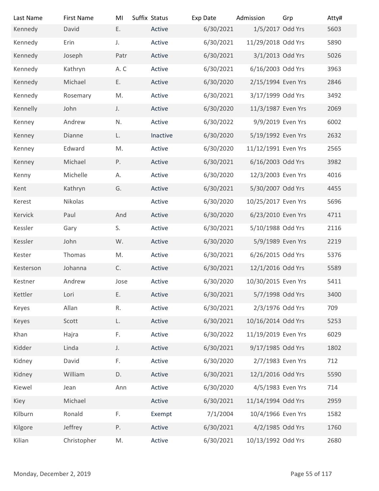| Last Name                | <b>First Name</b> | MI   | Suffix Status | Exp Date  | Admission           | Grp | Atty#          |
|--------------------------|-------------------|------|---------------|-----------|---------------------|-----|----------------|
| Kennedy                  | David             | Ε.   | Active        | 6/30/2021 | 1/5/2017 Odd Yrs    |     | 5603           |
| Kennedy                  | Erin              | J.   | Active        | 6/30/2021 | 11/29/2018 Odd Yrs  |     | 5890           |
| Kennedy                  | Joseph            | Patr | Active        | 6/30/2021 | 3/1/2013 Odd Yrs    |     | 5026           |
| Kennedy                  | Kathryn           | A.C  | Active        | 6/30/2021 | 6/16/2003 Odd Yrs   |     | 3963           |
| Kennedy                  | Michael           | Ε.   | Active        | 6/30/2020 | 2/15/1994 Even Yrs  |     | 2846           |
| Kennedy                  | Rosemary          | M.   | Active        | 6/30/2021 | 3/17/1999 Odd Yrs   |     | 3492           |
| Kennelly                 | John              | J.   | Active        | 6/30/2020 | 11/3/1987 Even Yrs  |     | 2069           |
| Kenney                   | Andrew            | N.   | Active        | 6/30/2022 | 9/9/2019 Even Yrs   |     | 6002           |
| Kenney                   | Dianne            | L.   | Inactive      | 6/30/2020 | 5/19/1992 Even Yrs  |     | 2632           |
| Kenney                   | Edward            | M.   | Active        | 6/30/2020 | 11/12/1991 Even Yrs |     | 2565           |
| Kenney                   | Michael           | Ρ.   | Active        | 6/30/2021 | 6/16/2003 Odd Yrs   |     | 3982           |
| Kenny                    | Michelle          | Α.   | Active        | 6/30/2020 | 12/3/2003 Even Yrs  |     | 4016           |
| Kent                     | Kathryn           | G.   | Active        | 6/30/2021 | 5/30/2007 Odd Yrs   |     | 4455           |
| Kerest                   | Nikolas           |      | Active        | 6/30/2020 | 10/25/2017 Even Yrs |     | 5696           |
| Kervick                  | Paul              | And  | Active        | 6/30/2020 | 6/23/2010 Even Yrs  |     | 4711           |
|                          |                   |      |               |           | 5/10/1988 Odd Yrs   |     | 2116           |
| Kessler                  | Gary              | S.   | Active        | 6/30/2021 |                     |     |                |
| Kessler                  | John              | W.   | Active        | 6/30/2020 | 5/9/1989 Even Yrs   |     | 2219           |
| Kester                   | Thomas            | M.   | Active        | 6/30/2021 | 6/26/2015 Odd Yrs   |     | 5376           |
| Kesterson                | Johanna           | C.   | Active        | 6/30/2021 | 12/1/2016 Odd Yrs   |     | 5589           |
| Kestner                  | Andrew            | Jose | Active        | 6/30/2020 | 10/30/2015 Even Yrs |     | 5411           |
| Kettler                  | Lori              | Ε.   | Active        | 6/30/2021 | 5/7/1998 Odd Yrs    |     | 3400           |
| Keyes                    | Allan             | R.   | Active        | 6/30/2021 | 2/3/1976 Odd Yrs    |     | 709            |
| Keyes                    | Scott             | L.   | Active        | 6/30/2021 | 10/16/2014 Odd Yrs  |     | 5253           |
| Khan                     | Hajra             | F.   | Active        | 6/30/2022 | 11/19/2019 Even Yrs |     | 6029           |
| Kidder                   | Linda             | J.   | Active        | 6/30/2021 | 9/17/1985 Odd Yrs   |     | 1802           |
| Kidney                   | David             | F.   | Active        | 6/30/2020 | 2/7/1983 Even Yrs   |     | 712            |
| Kidney                   | William           | D.   | Active        | 6/30/2021 | 12/1/2016 Odd Yrs   |     | 5590           |
| Kiewel                   | Jean              | Ann  | Active        | 6/30/2020 | 4/5/1983 Even Yrs   |     | 714            |
| Kiey                     | Michael           |      | Active        | 6/30/2021 | 11/14/1994 Odd Yrs  |     | 2959           |
| Kilburn                  | Ronald            | F.   | Exempt        | 7/1/2004  | 10/4/1966 Even Yrs  |     | 1582           |
| Kilgore                  | Jeffrey           | Ρ.   | Active        | 6/30/2021 | 4/2/1985 Odd Yrs    |     | 1760           |
| Kilian                   | Christopher       | M.   | Active        | 6/30/2021 | 10/13/1992 Odd Yrs  |     | 2680           |
|                          |                   |      |               |           |                     |     |                |
|                          |                   |      |               |           |                     |     |                |
| Monday, December 2, 2019 |                   |      |               |           |                     |     | Page 55 of 117 |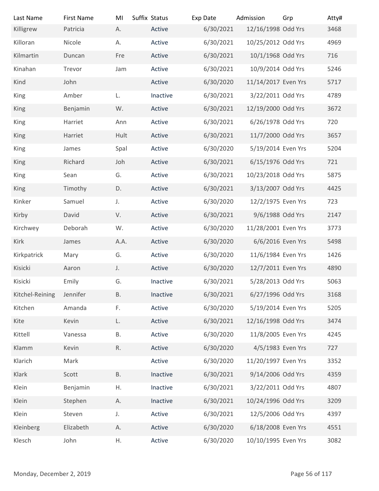| Last Name                | <b>First Name</b> | MI           | Suffix Status | Exp Date  | Admission                               | Grp            | Atty# |
|--------------------------|-------------------|--------------|---------------|-----------|-----------------------------------------|----------------|-------|
| Killigrew                | Patricia          | Α.           | Active        | 6/30/2021 | 12/16/1998 Odd Yrs                      |                | 3468  |
| Killoran                 | Nicole            | Α.           | Active        | 6/30/2021 | 10/25/2012 Odd Yrs                      |                | 4969  |
| Kilmartin                | Duncan            | Fre          | Active        | 6/30/2021 | 10/1/1968 Odd Yrs                       |                | 716   |
| Kinahan                  | Trevor            | Jam          | Active        | 6/30/2021 | 10/9/2014 Odd Yrs                       |                | 5246  |
| Kind                     | John              |              | Active        | 6/30/2020 | 11/14/2017 Even Yrs                     |                | 5717  |
| King                     | Amber             | L.           | Inactive      | 6/30/2021 | 3/22/2011 Odd Yrs                       |                | 4789  |
| King                     | Benjamin          | W.           | Active        | 6/30/2021 | 12/19/2000 Odd Yrs                      |                | 3672  |
| King                     | Harriet           | Ann          | Active        | 6/30/2021 | 6/26/1978 Odd Yrs                       |                | 720   |
| King                     | Harriet           | Hult         | Active        | 6/30/2021 | 11/7/2000 Odd Yrs                       |                | 3657  |
| King                     | James             | Spal         | Active        | 6/30/2020 | 5/19/2014 Even Yrs                      |                | 5204  |
| King                     | Richard           | Joh          | Active        | 6/30/2021 | 6/15/1976 Odd Yrs                       |                | 721   |
| King                     | Sean              | G.           | Active        | 6/30/2021 | 10/23/2018 Odd Yrs                      |                | 5875  |
| King                     | Timothy           | D.           | Active        | 6/30/2021 | 3/13/2007 Odd Yrs                       |                | 4425  |
| Kinker                   | Samuel            | J.           | Active        | 6/30/2020 | 12/2/1975 Even Yrs                      |                | 723   |
| Kirby                    | David             | V.           | Active        | 6/30/2021 | 9/6/1988 Odd Yrs                        |                | 2147  |
| Kirchwey                 | Deborah           | W.           | Active        | 6/30/2020 | 11/28/2001 Even Yrs                     |                | 3773  |
| Kirk                     | James             | A.A.         | Active        | 6/30/2020 | 6/6/2016 Even Yrs                       |                | 5498  |
| Kirkpatrick              | Mary              | G.           | Active        | 6/30/2020 | 11/6/1984 Even Yrs                      |                | 1426  |
| Kisicki                  | Aaron             | J.           | Active        | 6/30/2020 | 12/7/2011 Even Yrs                      |                | 4890  |
| Kisicki                  | Emily             | G.           | Inactive      | 6/30/2021 | 5/28/2013 Odd Yrs                       |                | 5063  |
| Kitchel-Reining          | Jennifer          | <b>B.</b>    | Inactive      | 6/30/2021 | 6/27/1996 Odd Yrs                       |                | 3168  |
|                          |                   |              |               |           |                                         |                |       |
| Kitchen                  | Amanda            | F.           | Active        | 6/30/2020 | 5/19/2014 Even Yrs                      |                | 5205  |
| Kite                     | Kevin             | L.           | Active        | 6/30/2021 | 12/16/1998 Odd Yrs                      |                | 3474  |
| Kittell                  | Vanessa           | <b>B.</b>    | Active        | 6/30/2020 | 11/8/2005 Even Yrs<br>4/5/1983 Even Yrs |                | 4245  |
| Klamm                    | Kevin             | $\mathsf R.$ | Active        | 6/30/2020 |                                         |                | 727   |
| Klarich                  | Mark              |              | Active        | 6/30/2020 | 11/20/1997 Even Yrs                     |                | 3352  |
| Klark                    | Scott             | <b>B.</b>    | Inactive      | 6/30/2021 | 9/14/2006 Odd Yrs                       |                | 4359  |
| Klein                    | Benjamin          | Η.           | Inactive      | 6/30/2021 | 3/22/2011 Odd Yrs                       |                | 4807  |
| Klein                    | Stephen           | Α.           | Inactive      | 6/30/2021 | 10/24/1996 Odd Yrs                      |                | 3209  |
| Klein                    | Steven            | J.           | Active        | 6/30/2021 | 12/5/2006 Odd Yrs                       |                | 4397  |
| Kleinberg                | Elizabeth         | А.           | Active        | 6/30/2020 | 6/18/2008 Even Yrs                      |                | 4551  |
| Klesch                   | John              | Η.           | Active        | 6/30/2020 | 10/10/1995 Even Yrs                     |                | 3082  |
|                          |                   |              |               |           |                                         |                |       |
| Monday, December 2, 2019 |                   |              |               |           |                                         | Page 56 of 117 |       |
|                          |                   |              |               |           |                                         |                |       |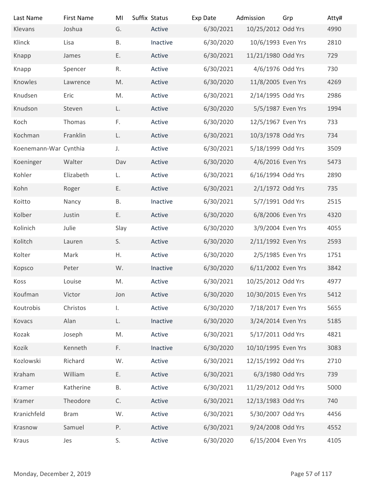| Last Name                | <b>First Name</b> | MI        | Suffix Status | Exp Date  | Admission           | Grp            | Atty# |
|--------------------------|-------------------|-----------|---------------|-----------|---------------------|----------------|-------|
| Klevans                  | Joshua            | G.        | Active        | 6/30/2021 | 10/25/2012 Odd Yrs  |                | 4990  |
| Klinck                   | Lisa              | <b>B.</b> | Inactive      | 6/30/2020 | 10/6/1993 Even Yrs  |                | 2810  |
| Knapp                    | James             | E.        | Active        | 6/30/2021 | 11/21/1980 Odd Yrs  |                | 729   |
| Knapp                    | Spencer           | R.        | Active        | 6/30/2021 | 4/6/1976 Odd Yrs    |                | 730   |
| Knowles                  | Lawrence          | M.        | Active        | 6/30/2020 | 11/8/2005 Even Yrs  |                | 4269  |
| Knudsen                  | Eric              | M.        | Active        | 6/30/2021 | 2/14/1995 Odd Yrs   |                | 2986  |
| Knudson                  | Steven            | L.        | Active        | 6/30/2020 | 5/5/1987 Even Yrs   |                | 1994  |
| Koch                     | Thomas            | F.        | Active        | 6/30/2020 | 12/5/1967 Even Yrs  |                | 733   |
| Kochman                  | Franklin          | L.        | Active        | 6/30/2021 | 10/3/1978 Odd Yrs   |                | 734   |
| Koenemann-War Cynthia    |                   | J.        | Active        | 6/30/2021 | 5/18/1999 Odd Yrs   |                | 3509  |
| Koeninger                | Walter            | Dav       | Active        | 6/30/2020 | 4/6/2016 Even Yrs   |                | 5473  |
| Kohler                   | Elizabeth         | L.        | Active        | 6/30/2021 | 6/16/1994 Odd Yrs   |                | 2890  |
| Kohn                     | Roger             | Ε.        | Active        | 6/30/2021 | 2/1/1972 Odd Yrs    |                | 735   |
| Koitto                   | Nancy             | В.        | Inactive      | 6/30/2021 | 5/7/1991 Odd Yrs    |                | 2515  |
| Kolber                   | Justin            | Ε.        | Active        | 6/30/2020 | 6/8/2006 Even Yrs   |                | 4320  |
| Kolinich                 | Julie             | Slay      | Active        | 6/30/2020 | 3/9/2004 Even Yrs   |                | 4055  |
| Kolitch                  | Lauren            | S.        | Active        | 6/30/2020 | 2/11/1992 Even Yrs  |                | 2593  |
| Kolter                   | Mark              | Η.        | Active        | 6/30/2020 | 2/5/1985 Even Yrs   |                | 1751  |
| Kopsco                   | Peter             | W.        | Inactive      | 6/30/2020 | 6/11/2002 Even Yrs  |                | 3842  |
| Koss                     | Louise            | M.        | Active        | 6/30/2021 | 10/25/2012 Odd Yrs  |                | 4977  |
| Koufman                  | Victor            | Jon       | Active        | 6/30/2020 | 10/30/2015 Even Yrs |                | 5412  |
| Koutrobis                | Christos          | I.        | Active        | 6/30/2020 | 7/18/2017 Even Yrs  |                | 5655  |
| Kovacs                   | Alan              | L.        | Inactive      | 6/30/2020 | 3/24/2014 Even Yrs  |                | 5185  |
| Kozak                    | Joseph            | M.        | Active        | 6/30/2021 | 5/17/2011 Odd Yrs   |                | 4821  |
| Kozik                    | Kenneth           | F.        | Inactive      | 6/30/2020 | 10/10/1995 Even Yrs |                | 3083  |
| Kozlowski                | Richard           | W.        | Active        | 6/30/2021 | 12/15/1992 Odd Yrs  |                | 2710  |
| Kraham                   | William           | Ε.        | Active        | 6/30/2021 | 6/3/1980 Odd Yrs    |                | 739   |
| Kramer                   | Katherine         | В.        | Active        | 6/30/2021 | 11/29/2012 Odd Yrs  |                | 5000  |
| Kramer                   | Theodore          | C.        | Active        | 6/30/2021 | 12/13/1983 Odd Yrs  |                | 740   |
| Kranichfeld              | <b>Bram</b>       | W.        | Active        | 6/30/2021 | 5/30/2007 Odd Yrs   |                | 4456  |
| Krasnow                  | Samuel            | P.        | Active        | 6/30/2021 | 9/24/2008 Odd Yrs   |                | 4552  |
| Kraus                    | Jes               | S.        | Active        | 6/30/2020 | 6/15/2004 Even Yrs  |                | 4105  |
|                          |                   |           |               |           |                     |                |       |
|                          |                   |           |               |           |                     |                |       |
| Monday, December 2, 2019 |                   |           |               |           |                     | Page 57 of 117 |       |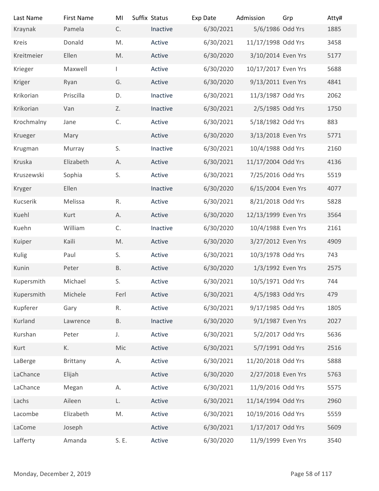| Last Name                | <b>First Name</b> | MI           | Suffix Status | Exp Date  | Admission           | Grp            | Atty# |
|--------------------------|-------------------|--------------|---------------|-----------|---------------------|----------------|-------|
| Kraynak                  | Pamela            | C.           | Inactive      | 6/30/2021 | 5/6/1986 Odd Yrs    |                | 1885  |
| Kreis                    | Donald            | M.           | Active        | 6/30/2021 | 11/17/1998 Odd Yrs  |                | 3458  |
| Kreitmeier               | Ellen             | M.           | Active        | 6/30/2020 | 3/10/2014 Even Yrs  |                | 5177  |
| Krieger                  | Maxwell           |              | Active        | 6/30/2020 | 10/17/2017 Even Yrs |                | 5688  |
| Kriger                   | Ryan              | G.           | Active        | 6/30/2020 | 9/13/2011 Even Yrs  |                | 4841  |
| Krikorian                | Priscilla         | D.           | Inactive      | 6/30/2021 | 11/3/1987 Odd Yrs   |                | 2062  |
| Krikorian                | Van               | Z.           | Inactive      | 6/30/2021 | 2/5/1985 Odd Yrs    |                | 1750  |
| Krochmalny               | Jane              | $\mathsf C.$ | Active        | 6/30/2021 | 5/18/1982 Odd Yrs   |                | 883   |
| Krueger                  | Mary              |              | Active        | 6/30/2020 | 3/13/2018 Even Yrs  |                | 5771  |
| Krugman                  | Murray            | S.           | Inactive      | 6/30/2021 | 10/4/1988 Odd Yrs   |                | 2160  |
| Kruska                   | Elizabeth         | Α.           | Active        | 6/30/2021 | 11/17/2004 Odd Yrs  |                | 4136  |
| Kruszewski               | Sophia            | S.           | Active        | 6/30/2021 | 7/25/2016 Odd Yrs   |                | 5519  |
| Kryger                   | Ellen             |              | Inactive      | 6/30/2020 | 6/15/2004 Even Yrs  |                | 4077  |
| Kucserik                 | Melissa           | R.           | Active        | 6/30/2021 | 8/21/2018 Odd Yrs   |                | 5828  |
| Kuehl                    | Kurt              | Α.           | Active        | 6/30/2020 | 12/13/1999 Even Yrs |                | 3564  |
| Kuehn                    | William           | C.           | Inactive      | 6/30/2020 | 10/4/1988 Even Yrs  |                | 2161  |
| Kuiper                   | Kaili             | M.           | Active        | 6/30/2020 | 3/27/2012 Even Yrs  |                | 4909  |
| Kulig                    | Paul              | S.           | Active        | 6/30/2021 | 10/3/1978 Odd Yrs   |                | 743   |
| Kunin                    | Peter             | Β.           | Active        | 6/30/2020 | 1/3/1992 Even Yrs   |                | 2575  |
| Kupersmith               | Michael           | S.           | Active        | 6/30/2021 | 10/5/1971 Odd Yrs   |                | 744   |
| Kupersmith               | Michele           | Ferl         | Active        | 6/30/2021 | 4/5/1983 Odd Yrs    |                | 479   |
| Kupferer                 | Gary              | R.           | Active        | 6/30/2021 | 9/17/1985 Odd Yrs   |                | 1805  |
| Kurland                  | Lawrence          | <b>B.</b>    | Inactive      | 6/30/2020 | 9/1/1987 Even Yrs   |                | 2027  |
| Kurshan                  | Peter             | $J_{\star}$  | Active        | 6/30/2021 | 5/2/2017 Odd Yrs    |                | 5636  |
|                          | K.                | Mic          | Active        |           | 5/7/1991 Odd Yrs    |                | 2516  |
| Kurt                     |                   |              |               | 6/30/2021 | 11/20/2018 Odd Yrs  |                |       |
| LaBerge                  | Brittany          | А.           | Active        | 6/30/2021 |                     |                | 5888  |
| LaChance                 | Elijah            |              | Active        | 6/30/2020 | 2/27/2018 Even Yrs  |                | 5763  |
| LaChance                 | Megan             | А.           | Active        | 6/30/2021 | 11/9/2016 Odd Yrs   |                | 5575  |
| Lachs                    | Aileen            | L.           | Active        | 6/30/2021 | 11/14/1994 Odd Yrs  |                | 2960  |
| Lacombe                  | Elizabeth         | M.           | Active        | 6/30/2021 | 10/19/2016 Odd Yrs  |                | 5559  |
| LaCome                   | Joseph            |              | Active        | 6/30/2021 | 1/17/2017 Odd Yrs   |                | 5609  |
| Lafferty                 | Amanda            | S. E.        | Active        | 6/30/2020 | 11/9/1999 Even Yrs  |                | 3540  |
|                          |                   |              |               |           |                     |                |       |
| Monday, December 2, 2019 |                   |              |               |           |                     | Page 58 of 117 |       |
|                          |                   |              |               |           |                     |                |       |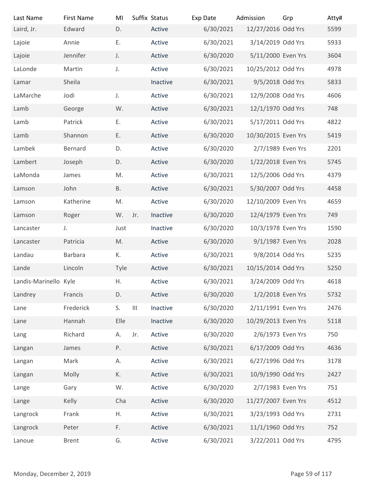| Last Name<br>Laird, Jr.  | <b>First Name</b><br>Edward | MI<br>D.  |         | Suffix Status<br>Active | Exp Date<br>6/30/2021 | Admission<br>12/27/2016 Odd Yrs | Grp            | Atty#<br>5599 |
|--------------------------|-----------------------------|-----------|---------|-------------------------|-----------------------|---------------------------------|----------------|---------------|
| Lajoie                   | Annie                       | Ε.        |         | Active                  | 6/30/2021             | 3/14/2019 Odd Yrs               |                | 5933          |
| Lajoie                   | Jennifer                    | J.        |         | Active                  | 6/30/2020             | 5/11/2000 Even Yrs              |                | 3604          |
| LaLonde                  | Martin                      | J.        |         | Active                  | 6/30/2021             | 10/25/2012 Odd Yrs              |                | 4978          |
| Lamar                    | Sheila                      |           |         | Inactive                | 6/30/2021             | 9/5/2018 Odd Yrs                |                | 5833          |
| LaMarche                 | Jodi                        | J.        |         | Active                  | 6/30/2021             | 12/9/2008 Odd Yrs               |                | 4606          |
| Lamb                     | George                      | W.        |         | Active                  | 6/30/2021             | 12/1/1970 Odd Yrs               |                | 748           |
| Lamb                     | Patrick                     | Ε.        |         | Active                  | 6/30/2021             | 5/17/2011 Odd Yrs               |                | 4822          |
| Lamb                     | Shannon                     | Ε.        |         | Active                  | 6/30/2020             | 10/30/2015 Even Yrs             |                | 5419          |
| Lambek                   | Bernard                     | D.        |         | Active                  | 6/30/2020             | 2/7/1989 Even Yrs               |                | 2201          |
| Lambert                  | Joseph                      | D.        |         | Active                  | 6/30/2020             | 1/22/2018 Even Yrs              |                | 5745          |
| LaMonda                  | James                       | M.        |         | Active                  | 6/30/2021             | 12/5/2006 Odd Yrs               |                | 4379          |
| Lamson                   | John                        | <b>B.</b> |         | Active                  | 6/30/2021             | 5/30/2007 Odd Yrs               |                | 4458          |
| Lamson                   | Katherine                   | M.        |         | Active                  | 6/30/2020             | 12/10/2009 Even Yrs             |                | 4659          |
| Lamson                   | Roger                       | W. Jr.    |         | Inactive                | 6/30/2020             | 12/4/1979 Even Yrs              |                | 749           |
| Lancaster                | J.                          | Just      |         | Inactive                | 6/30/2020             | 10/3/1978 Even Yrs              |                | 1590          |
| Lancaster                | Patricia                    | M.        |         | Active                  | 6/30/2020             | 9/1/1987 Even Yrs               |                | 2028          |
| Landau                   | Barbara                     | К.        |         | Active                  | 6/30/2021             | 9/8/2014 Odd Yrs                |                | 5235          |
| Lande                    | Lincoln                     | Tyle      |         | Active                  | 6/30/2021             | 10/15/2014 Odd Yrs              |                | 5250          |
| Landis-Marinello Kyle    |                             | Η.        |         | Active                  | 6/30/2021             | 3/24/2009 Odd Yrs               |                | 4618          |
| Landrey                  | Francis                     | D.        |         | Active                  | 6/30/2020             | 1/2/2018 Even Yrs               |                | 5732          |
| Lane                     | Frederick                   | S.        | $\  \ $ | Inactive                | 6/30/2020             | 2/11/1991 Even Yrs              |                | 2476          |
| Lane                     | Hannah                      | Elle      |         | Inactive                | 6/30/2020             | 10/29/2013 Even Yrs             |                | 5118          |
| Lang                     | Richard                     | А.        | Jr.     | Active                  | 6/30/2020             | 2/6/1973 Even Yrs               |                | 750           |
| Langan                   | James                       | Ρ.        |         | Active                  | 6/30/2021             | 6/17/2009 Odd Yrs               |                | 4636          |
| Langan                   | Mark                        | А.        |         | Active                  | 6/30/2021             | 6/27/1996 Odd Yrs               |                | 3178          |
| Langan                   | Molly                       | К.        |         | Active                  | 6/30/2021             | 10/9/1990 Odd Yrs               |                | 2427          |
| Lange                    | Gary                        | W.        |         | Active                  | 6/30/2020             | 2/7/1983 Even Yrs               |                | 751           |
| Lange                    | Kelly                       | Cha       |         | Active                  | 6/30/2020             | 11/27/2007 Even Yrs             |                | 4512          |
| Langrock                 | Frank                       | Η.        |         | Active                  | 6/30/2021             | 3/23/1993 Odd Yrs               |                | 2731          |
| Langrock                 | Peter                       | F.        |         | Active                  | 6/30/2021             | 11/1/1960 Odd Yrs               |                | 752           |
| Lanoue                   | <b>Brent</b>                | G.        |         | Active                  | 6/30/2021             | 3/22/2011 Odd Yrs               |                | 4795          |
|                          |                             |           |         |                         |                       |                                 |                |               |
| Monday, December 2, 2019 |                             |           |         |                         |                       |                                 | Page 59 of 117 |               |
|                          |                             |           |         |                         |                       |                                 |                |               |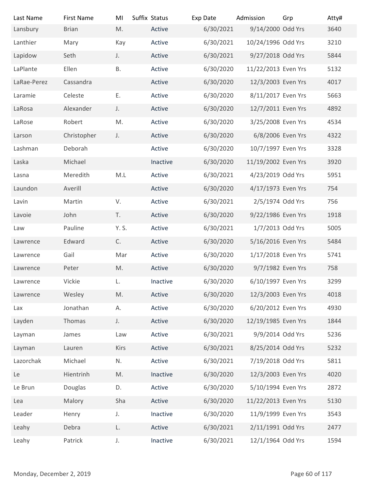| Last Name                | <b>First Name</b> | MI           | Suffix Status | Exp Date  | Admission           | Grp            | Atty# |
|--------------------------|-------------------|--------------|---------------|-----------|---------------------|----------------|-------|
| Lansbury                 | <b>Brian</b>      | M.           | Active        | 6/30/2021 | 9/14/2000 Odd Yrs   |                | 3640  |
| Lanthier                 | Mary              | Kay          | Active        | 6/30/2021 | 10/24/1996 Odd Yrs  |                | 3210  |
| Lapidow                  | Seth              | J.           | Active        | 6/30/2021 | 9/27/2018 Odd Yrs   |                | 5844  |
| LaPlante                 | Ellen             | <b>B.</b>    | Active        | 6/30/2020 | 11/22/2013 Even Yrs |                | 5132  |
| LaRae-Perez              | Cassandra         |              | Active        | 6/30/2020 | 12/3/2003 Even Yrs  |                | 4017  |
| Laramie                  | Celeste           | Ε.           | Active        | 6/30/2020 | 8/11/2017 Even Yrs  |                | 5663  |
| LaRosa                   | Alexander         | J.           | Active        | 6/30/2020 | 12/7/2011 Even Yrs  |                | 4892  |
| LaRose                   | Robert            | M.           | Active        | 6/30/2020 | 3/25/2008 Even Yrs  |                | 4534  |
| Larson                   | Christopher       | J.           | Active        | 6/30/2020 | 6/8/2006 Even Yrs   |                | 4322  |
| Lashman                  | Deborah           |              | Active        | 6/30/2020 | 10/7/1997 Even Yrs  |                | 3328  |
| Laska                    | Michael           |              | Inactive      | 6/30/2020 | 11/19/2002 Even Yrs |                | 3920  |
| Lasna                    | Meredith          | M.L          | Active        | 6/30/2021 | 4/23/2019 Odd Yrs   |                | 5951  |
| Laundon                  | Averill           |              | Active        | 6/30/2020 | 4/17/1973 Even Yrs  |                | 754   |
| Lavin                    | Martin            | V.           | Active        | 6/30/2021 | 2/5/1974 Odd Yrs    |                | 756   |
| Lavoie                   | John              | T.           | Active        | 6/30/2020 | 9/22/1986 Even Yrs  |                | 1918  |
| Law                      | Pauline           | Y. S.        | Active        | 6/30/2021 | 1/7/2013 Odd Yrs    |                | 5005  |
| Lawrence                 | Edward            | C.           | Active        | 6/30/2020 | 5/16/2016 Even Yrs  |                | 5484  |
| Lawrence                 | Gail              | Mar          | Active        | 6/30/2020 | 1/17/2018 Even Yrs  |                | 5741  |
| Lawrence                 | Peter             | M.           | Active        | 6/30/2020 | 9/7/1982 Even Yrs   |                | 758   |
| Lawrence                 | Vickie            | L.           | Inactive      | 6/30/2020 | 6/10/1997 Even Yrs  |                | 3299  |
| Lawrence                 | Wesley            | M.           | Active        | 6/30/2020 | 12/3/2003 Even Yrs  |                | 4018  |
| Lax                      | Jonathan          | А.           | Active        | 6/30/2020 | 6/20/2012 Even Yrs  |                | 4930  |
| Layden                   | Thomas            | J.           | Active        | 6/30/2020 | 12/19/1985 Even Yrs |                | 1844  |
| Layman                   | James             | Law          | Active        | 6/30/2021 | 9/9/2014 Odd Yrs    |                | 5236  |
| Layman                   | Lauren            | Kirs         | Active        | 6/30/2021 | 8/25/2014 Odd Yrs   |                | 5232  |
| Lazorchak                | Michael           | N.           | Active        | 6/30/2021 | 7/19/2018 Odd Yrs   |                | 5811  |
| Le                       | Hientrinh         | M.           | Inactive      | 6/30/2020 | 12/3/2003 Even Yrs  |                | 4020  |
| Le Brun                  | Douglas           | D.           | Active        | 6/30/2020 | 5/10/1994 Even Yrs  |                | 2872  |
| Lea                      | Malory            | Sha          | Active        | 6/30/2020 | 11/22/2013 Even Yrs |                | 5130  |
| Leader                   | Henry             | J.           | Inactive      | 6/30/2020 | 11/9/1999 Even Yrs  |                | 3543  |
|                          | Debra             |              | Active        | 6/30/2021 | 2/11/1991 Odd Yrs   |                | 2477  |
| Leahy                    |                   | L.           |               |           |                     |                |       |
| Leahy                    | Patrick           | $\mathsf J.$ | Inactive      | 6/30/2021 | 12/1/1964 Odd Yrs   |                | 1594  |
|                          |                   |              |               |           |                     |                |       |
| Monday, December 2, 2019 |                   |              |               |           |                     | Page 60 of 117 |       |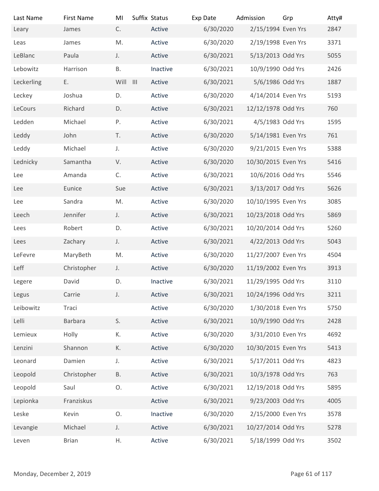| Last Name                | <b>First Name</b> | MI        | Suffix Status | Exp Date  | Admission           | Grp            | Atty# |
|--------------------------|-------------------|-----------|---------------|-----------|---------------------|----------------|-------|
| Leary                    | James             | C.        | Active        | 6/30/2020 | 2/15/1994 Even Yrs  |                | 2847  |
| Leas                     | James             | M.        | Active        | 6/30/2020 | 2/19/1998 Even Yrs  |                | 3371  |
| LeBlanc                  | Paula             | J.        | Active        | 6/30/2021 | 5/13/2013 Odd Yrs   |                | 5055  |
| Lebowitz                 | Harrison          | <b>B.</b> | Inactive      | 6/30/2021 | 10/9/1990 Odd Yrs   |                | 2426  |
| Leckerling               | Ε.                | Will III  | Active        | 6/30/2021 | 5/6/1986 Odd Yrs    |                | 1887  |
| Leckey                   | Joshua            | D.        | Active        | 6/30/2020 | 4/14/2014 Even Yrs  |                | 5193  |
| LeCours                  | Richard           | D.        | Active        | 6/30/2021 | 12/12/1978 Odd Yrs  |                | 760   |
| Ledden                   | Michael           | Ρ.        | Active        | 6/30/2021 | 4/5/1983 Odd Yrs    |                | 1595  |
| Leddy                    | John              | T.        | Active        | 6/30/2020 | 5/14/1981 Even Yrs  |                | 761   |
| Leddy                    | Michael           | J.        | Active        | 6/30/2020 | 9/21/2015 Even Yrs  |                | 5388  |
| Lednicky                 | Samantha          | V.        | Active        | 6/30/2020 | 10/30/2015 Even Yrs |                | 5416  |
| Lee                      | Amanda            | C.        | Active        | 6/30/2021 | 10/6/2016 Odd Yrs   |                | 5546  |
| Lee                      | Eunice            | Sue       | Active        | 6/30/2021 | 3/13/2017 Odd Yrs   |                | 5626  |
| Lee                      | Sandra            | M.        | Active        | 6/30/2020 | 10/10/1995 Even Yrs |                | 3085  |
| Leech                    | Jennifer          | J.        | Active        | 6/30/2021 | 10/23/2018 Odd Yrs  |                | 5869  |
| Lees                     | Robert            | D.        | Active        | 6/30/2021 | 10/20/2014 Odd Yrs  |                | 5260  |
| Lees                     | Zachary           | J.        | Active        | 6/30/2021 | 4/22/2013 Odd Yrs   |                | 5043  |
| LeFevre                  | MaryBeth          | M.        | Active        | 6/30/2020 | 11/27/2007 Even Yrs |                | 4504  |
| Leff                     | Christopher       | J.        | Active        | 6/30/2020 | 11/19/2002 Even Yrs |                | 3913  |
| Legere                   | David             | D.        | Inactive      | 6/30/2021 | 11/29/1995 Odd Yrs  |                | 3110  |
| Legus                    | Carrie            | J.        | Active        | 6/30/2021 | 10/24/1996 Odd Yrs  |                | 3211  |
| Leibowitz                | Traci             |           | Active        | 6/30/2020 | 1/30/2018 Even Yrs  |                | 5750  |
| Lelli                    | Barbara           | S.        | Active        | 6/30/2021 | 10/9/1990 Odd Yrs   |                | 2428  |
| Lemieux                  | Holly             | К.        | Active        | 6/30/2020 | 3/31/2010 Even Yrs  |                | 4692  |
| Lenzini                  | Shannon           | К.        | Active        | 6/30/2020 | 10/30/2015 Even Yrs |                | 5413  |
|                          |                   |           |               |           | 5/17/2011 Odd Yrs   |                |       |
| Leonard                  | Damien            | J.        | Active        | 6/30/2021 |                     |                | 4823  |
| Leopold                  | Christopher       | <b>B.</b> | Active        | 6/30/2021 | 10/3/1978 Odd Yrs   |                | 763   |
| Leopold                  | Saul              | O.        | Active        | 6/30/2021 | 12/19/2018 Odd Yrs  |                | 5895  |
| Lepionka                 | Franziskus        |           | Active        | 6/30/2021 | 9/23/2003 Odd Yrs   |                | 4005  |
| Leske                    | Kevin             | O.        | Inactive      | 6/30/2020 | 2/15/2000 Even Yrs  |                | 3578  |
| Levangie                 | Michael           | J.        | Active        | 6/30/2021 | 10/27/2014 Odd Yrs  |                | 5278  |
| Leven                    | <b>Brian</b>      | Η.        | Active        | 6/30/2021 | 5/18/1999 Odd Yrs   |                | 3502  |
|                          |                   |           |               |           |                     |                |       |
| Monday, December 2, 2019 |                   |           |               |           |                     | Page 61 of 117 |       |
|                          |                   |           |               |           |                     |                |       |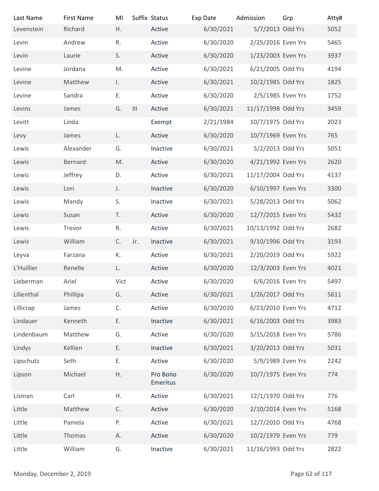| Last Name<br>Levenstein  | <b>First Name</b><br>Richard | MI<br>Η.     |                    | Suffix Status<br>Active | Exp Date<br>6/30/2021  | Admission<br>5/7/2013 Odd Yrs | Grp            | Atty#<br>5052 |
|--------------------------|------------------------------|--------------|--------------------|-------------------------|------------------------|-------------------------------|----------------|---------------|
|                          |                              | R.           |                    | Active                  |                        | 2/25/2016 Even Yrs            |                |               |
| Levin<br>Levin           | Andrew<br>Laurie             | S.           |                    | Active                  | 6/30/2020<br>6/30/2020 | 1/23/2003 Even Yrs            |                | 5465<br>3937  |
| Levine                   | Jordana                      | M.           |                    | Active                  | 6/30/2021              | 6/21/2005 Odd Yrs             |                | 4194          |
| Levine                   | Matthew                      | $\mathsf{L}$ |                    | Active                  | 6/30/2021              | 10/2/1985 Odd Yrs             |                | 1825          |
| Levine                   | Sandra                       | Ε.           |                    | Active                  | 6/30/2020              | 2/5/1985 Even Yrs             |                | 1752          |
| Levins                   | James                        | G.           | $\mathop{\rm III}$ | Active                  | 6/30/2021              | 11/17/1998 Odd Yrs            |                | 3459          |
| Levitt                   | Linda                        |              |                    | Exempt                  | 2/21/1984              | 10/7/1975 Odd Yrs             |                | 2023          |
| Levy                     | James                        | L.           |                    | Active                  | 6/30/2020              | 10/7/1969 Even Yrs            |                | 765           |
| Lewis                    | Alexander                    | G.           |                    | Inactive                | 6/30/2021              | 5/2/2013 Odd Yrs              |                | 5051          |
| Lewis                    | Bernard                      | M.           |                    | Active                  | 6/30/2020              | 4/21/1992 Even Yrs            |                | 2620          |
| Lewis                    | Jeffrey                      | D.           |                    | Active                  | 6/30/2021              | 11/17/2004 Odd Yrs            |                | 4137          |
| Lewis                    | Lori                         | $\mathsf J.$ |                    | Inactive                | 6/30/2020              | 6/10/1997 Even Yrs            |                | 3300          |
| Lewis                    | Mandy                        | S.           |                    | Inactive                | 6/30/2021              | 5/28/2013 Odd Yrs             |                | 5062          |
| Lewis                    | Susan                        | T.           |                    | Active                  | 6/30/2020              | 12/7/2015 Even Yrs            |                | 5432          |
| Lewis                    | Trevor                       | R.           |                    | Active                  | 6/30/2021              | 10/13/1992 Odd Yrs            |                | 2682          |
| Lewis                    | William                      | C.           | Jr.                | Inactive                | 6/30/2021              | 9/10/1996 Odd Yrs             |                | 3193          |
| Leyva                    | Farzana                      | К.           |                    | Active                  | 6/30/2021              | 2/20/2019 Odd Yrs             |                | 5922          |
| L'Huillier               | Renelle                      | L.           |                    | Active                  | 6/30/2020              | 12/3/2003 Even Yrs            |                | 4021          |
| Lieberman                | Ariel                        | Vict         |                    | Active                  | 6/30/2020              | 6/6/2016 Even Yrs             |                | 5497          |
| Lilienthal               | Phillipa                     | G.           |                    | Active                  | 6/30/2021              | 1/26/2017 Odd Yrs             |                | 5611          |
| Lillicrap                | James                        | C.           |                    | Active                  | 6/30/2020              | 6/23/2010 Even Yrs            |                | 4712          |
| Lindauer                 | Kenneth                      | Ε.           |                    | Inactive                | 6/30/2021              | 6/16/2003 Odd Yrs             |                | 3983          |
| Lindenbaum               | Matthew                      | G.           |                    | Active                  | 6/30/2020              | 5/15/2018 Even Yrs            |                | 5786          |
| Lindys                   | Kellien                      | Ε.           |                    | Inactive                | 6/30/2021              | 3/20/2013 Odd Yrs             |                | 5031          |
| Lipschutz                | Seth                         | Ε.           |                    | Active                  | 6/30/2020              | 5/9/1989 Even Yrs             |                | 2242          |
| Lipson                   | Michael                      | Η.           |                    | Pro Bono<br>Emeritus    | 6/30/2020              | 10/7/1975 Even Yrs            |                | 774           |
| Lisman                   | Carl                         | Η.           |                    | Active                  | 6/30/2021              | 12/1/1970 Odd Yrs             |                | 776           |
| Little                   | Matthew                      | C.           |                    | Active                  | 6/30/2020              | 2/10/2014 Even Yrs            |                | 5168          |
| Little                   | Pamela                       | Ρ.           |                    | Active                  | 6/30/2021              | 12/7/2010 Odd Yrs             |                | 4768          |
| Little                   | Thomas                       | А.           |                    | Active                  | 6/30/2020              | 10/2/1979 Even Yrs            |                | 779           |
| Little                   | William                      | G.           |                    | Inactive                | 6/30/2021              | 11/16/1993 Odd Yrs            |                | 2822          |
| Monday, December 2, 2019 |                              |              |                    |                         |                        |                               | Page 62 of 117 |               |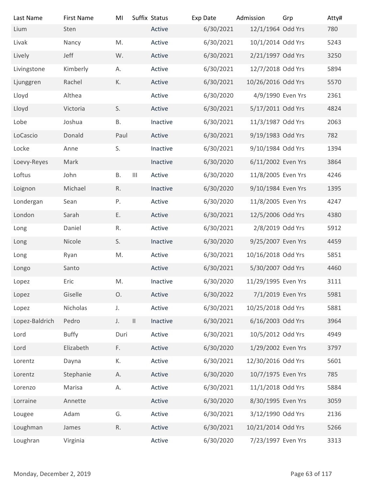| Last Name                | <b>First Name</b> | MI           | Suffix Status                      |          | Exp Date  | Admission           | Grp            | Atty# |
|--------------------------|-------------------|--------------|------------------------------------|----------|-----------|---------------------|----------------|-------|
| Lium                     | Sten              |              |                                    | Active   | 6/30/2021 | 12/1/1964 Odd Yrs   |                | 780   |
| Livak                    | Nancy             | M.           |                                    | Active   | 6/30/2021 | 10/1/2014 Odd Yrs   |                | 5243  |
| Lively                   | Jeff              | W.           |                                    | Active   | 6/30/2021 | 2/21/1997 Odd Yrs   |                | 3250  |
| Livingstone              | Kimberly          | А.           |                                    | Active   | 6/30/2021 | 12/7/2018 Odd Yrs   |                | 5894  |
| Ljunggren                | Rachel            | К.           |                                    | Active   | 6/30/2021 | 10/26/2016 Odd Yrs  |                | 5570  |
| Lloyd                    | Althea            |              |                                    | Active   | 6/30/2020 | 4/9/1990 Even Yrs   |                | 2361  |
| Lloyd                    | Victoria          | S.           |                                    | Active   | 6/30/2021 | 5/17/2011 Odd Yrs   |                | 4824  |
| Lobe                     | Joshua            | Β.           |                                    | Inactive | 6/30/2021 | 11/3/1987 Odd Yrs   |                | 2063  |
| LoCascio                 | Donald            | Paul         |                                    | Active   | 6/30/2021 | 9/19/1983 Odd Yrs   |                | 782   |
| Locke                    | Anne              | S.           |                                    | Inactive | 6/30/2021 | 9/10/1984 Odd Yrs   |                | 1394  |
| Loevy-Reyes              | Mark              |              |                                    | Inactive | 6/30/2020 | 6/11/2002 Even Yrs  |                | 3864  |
| Loftus                   | John              | <b>B.</b>    | $\ensuremath{\mathsf{III}}\xspace$ | Active   | 6/30/2020 | 11/8/2005 Even Yrs  |                | 4246  |
| Loignon                  | Michael           | $\mathsf R.$ |                                    | Inactive | 6/30/2020 | 9/10/1984 Even Yrs  |                | 1395  |
| Londergan                | Sean              | Ρ.           |                                    | Active   | 6/30/2020 | 11/8/2005 Even Yrs  |                | 4247  |
| London                   | Sarah             | Ε.           |                                    | Active   | 6/30/2021 | 12/5/2006 Odd Yrs   |                | 4380  |
| Long                     | Daniel            | R.           |                                    | Active   | 6/30/2021 | 2/8/2019 Odd Yrs    |                | 5912  |
| Long                     | Nicole            | S.           |                                    | Inactive | 6/30/2020 | 9/25/2007 Even Yrs  |                | 4459  |
| Long                     | Ryan              | M.           |                                    | Active   | 6/30/2021 | 10/16/2018 Odd Yrs  |                | 5851  |
| Longo                    | Santo             |              |                                    | Active   | 6/30/2021 | 5/30/2007 Odd Yrs   |                | 4460  |
| Lopez                    | Eric              | M.           |                                    | Inactive | 6/30/2020 | 11/29/1995 Even Yrs |                | 3111  |
| Lopez                    | Giselle           | O.           |                                    | Active   | 6/30/2022 | 7/1/2019 Even Yrs   |                | 5981  |
| Lopez                    | Nicholas          | J.           |                                    | Active   | 6/30/2021 | 10/25/2018 Odd Yrs  |                | 5881  |
| Lopez-Baldrich           | Pedro             | J.           | $\ensuremath{\mathsf{II}}$         | Inactive | 6/30/2021 | 6/16/2003 Odd Yrs   |                | 3964  |
| Lord                     | Buffy             | Duri         |                                    | Active   | 6/30/2021 | 10/5/2012 Odd Yrs   |                | 4949  |
| Lord                     | Elizabeth         | F.           |                                    | Active   | 6/30/2020 | 1/29/2002 Even Yrs  |                | 3797  |
| Lorentz                  | Dayna             | К.           |                                    | Active   | 6/30/2021 | 12/30/2016 Odd Yrs  |                | 5601  |
| Lorentz                  | Stephanie         | Α.           |                                    | Active   | 6/30/2020 | 10/7/1975 Even Yrs  |                | 785   |
| Lorenzo                  | Marisa            | А.           |                                    | Active   | 6/30/2021 | 11/1/2018 Odd Yrs   |                | 5884  |
| Lorraine                 | Annette           |              |                                    | Active   | 6/30/2020 | 8/30/1995 Even Yrs  |                | 3059  |
| Lougee                   | Adam              | G.           |                                    | Active   | 6/30/2021 | 3/12/1990 Odd Yrs   |                | 2136  |
| Loughman                 | James             | $\mathsf R.$ |                                    | Active   | 6/30/2021 | 10/21/2014 Odd Yrs  |                | 5266  |
| Loughran                 | Virginia          |              |                                    | Active   | 6/30/2020 | 7/23/1997 Even Yrs  |                | 3313  |
|                          |                   |              |                                    |          |           |                     |                |       |
|                          |                   |              |                                    |          |           |                     |                |       |
| Monday, December 2, 2019 |                   |              |                                    |          |           |                     | Page 63 of 117 |       |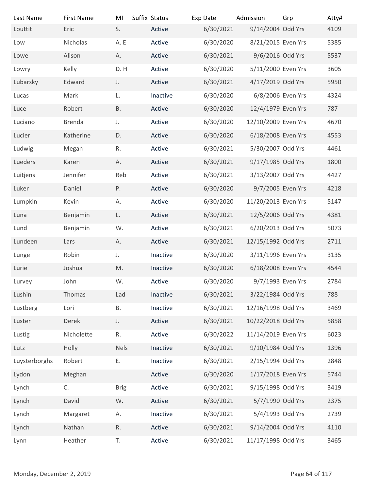| Last Name<br>Louttit     | <b>First Name</b><br>Eric | MI<br>S.     | Suffix Status<br>Active | Exp Date<br>6/30/2021  | Admission<br>9/14/2004 Odd Yrs          | Grp            | Atty#<br>4109 |
|--------------------------|---------------------------|--------------|-------------------------|------------------------|-----------------------------------------|----------------|---------------|
| Low                      | Nicholas                  | A.E          | Active                  | 6/30/2020              | 8/21/2015 Even Yrs                      |                | 5385          |
| Lowe                     | Alison                    | А.           | Active                  | 6/30/2021              | 9/6/2016 Odd Yrs                        |                | 5537          |
|                          | Kelly                     | D.H          | Active                  |                        |                                         |                | 3605          |
| Lowry<br>Lubarsky        | Edward                    | J.           | Active                  | 6/30/2020<br>6/30/2021 | 5/11/2000 Even Yrs<br>4/17/2019 Odd Yrs |                | 5950          |
| Lucas                    | Mark                      | L.           | Inactive                | 6/30/2020              | 6/8/2006 Even Yrs                       |                | 4324          |
| Luce                     | Robert                    | <b>B.</b>    | Active                  | 6/30/2020              | 12/4/1979 Even Yrs                      |                | 787           |
| Luciano                  | Brenda                    | J.           | Active                  | 6/30/2020              | 12/10/2009 Even Yrs                     |                | 4670          |
| Lucier                   | Katherine                 | D.           | Active                  | 6/30/2020              | 6/18/2008 Even Yrs                      |                | 4553          |
| Ludwig                   | Megan                     | R.           | Active                  | 6/30/2021              | 5/30/2007 Odd Yrs                       |                | 4461          |
| Lueders                  |                           |              | Active                  | 6/30/2021              | 9/17/1985 Odd Yrs                       |                | 1800          |
|                          | Karen                     | Α.           |                         |                        |                                         |                |               |
| Luitjens                 | Jennifer                  | Reb          | Active                  | 6/30/2021              | 3/13/2007 Odd Yrs                       |                | 4427          |
| Luker                    | Daniel                    | P.           | Active                  | 6/30/2020              | 9/7/2005 Even Yrs                       |                | 4218          |
| Lumpkin                  | Kevin                     | А.           | Active                  | 6/30/2020              | 11/20/2013 Even Yrs                     |                | 5147          |
| Luna                     | Benjamin                  | L.           | Active                  | 6/30/2021              | 12/5/2006 Odd Yrs                       |                | 4381          |
| Lund                     | Benjamin                  | W.           | Active                  | 6/30/2021              | 6/20/2013 Odd Yrs                       |                | 5073          |
| Lundeen                  | Lars                      | А.           | Active                  | 6/30/2021              | 12/15/1992 Odd Yrs                      |                | 2711          |
| Lunge                    | Robin                     | J.           | Inactive                | 6/30/2020              | 3/11/1996 Even Yrs                      |                | 3135          |
| Lurie                    | Joshua                    | M.           | Inactive                | 6/30/2020              | 6/18/2008 Even Yrs                      |                | 4544          |
| Lurvey                   | John                      | W.           | Active                  | 6/30/2020              | 9/7/1993 Even Yrs                       |                | 2784          |
| Lushin                   | Thomas                    | Lad          | Inactive                | 6/30/2021              | 3/22/1984 Odd Yrs                       |                | 788           |
| Lustberg                 | Lori                      | В.           | Inactive                | 6/30/2021              | 12/16/1998 Odd Yrs                      |                | 3469          |
| Luster                   | Derek                     | J.           | Active                  | 6/30/2021              | 10/22/2018 Odd Yrs                      |                | 5858          |
| Lustig                   | Nicholette                | R.           | Active                  | 6/30/2022              | 11/14/2019 Even Yrs                     |                | 6023          |
| Lutz                     | Holly                     | <b>Nels</b>  | Inactive                | 6/30/2021              | 9/10/1984 Odd Yrs                       |                | 1396          |
| Luysterborghs            | Robert                    | Ε.           | Inactive                | 6/30/2021              | 2/15/1994 Odd Yrs                       |                | 2848          |
| Lydon                    | Meghan                    |              | Active                  | 6/30/2020              | 1/17/2018 Even Yrs                      |                | 5744          |
| Lynch                    | C.                        | <b>Brig</b>  | Active                  | 6/30/2021              | 9/15/1998 Odd Yrs                       |                | 3419          |
| Lynch                    | David                     | W.           | Active                  | 6/30/2021              | 5/7/1990 Odd Yrs                        |                | 2375          |
| Lynch                    | Margaret                  | Α.           | Inactive                | 6/30/2021              | 5/4/1993 Odd Yrs                        |                | 2739          |
| Lynch                    | Nathan                    | $\mathsf R.$ | Active                  | 6/30/2021              | 9/14/2004 Odd Yrs                       |                | 4110          |
| Lynn                     | Heather                   | T.           | Active                  | 6/30/2021              | 11/17/1998 Odd Yrs                      |                | 3465          |
|                          |                           |              |                         |                        |                                         |                |               |
|                          |                           |              |                         |                        |                                         |                |               |
| Monday, December 2, 2019 |                           |              |                         |                        |                                         | Page 64 of 117 |               |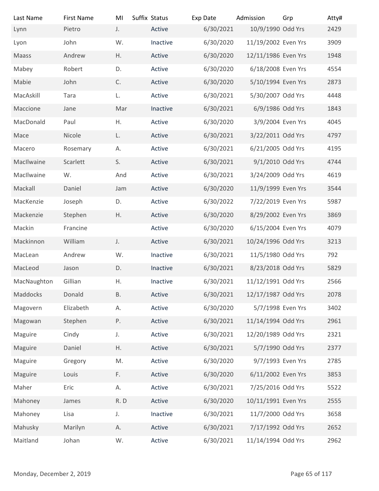| Last Name                | <b>First Name</b> | MI          | Suffix Status | Exp Date  | Admission           | Grp            | Atty# |
|--------------------------|-------------------|-------------|---------------|-----------|---------------------|----------------|-------|
| Lynn                     | Pietro            | J.          | Active        | 6/30/2021 | 10/9/1990 Odd Yrs   |                | 2429  |
| Lyon                     | John              | W.          | Inactive      | 6/30/2020 | 11/19/2002 Even Yrs |                | 3909  |
| Maass                    | Andrew            | Η.          | Active        | 6/30/2020 | 12/11/1986 Even Yrs |                | 1948  |
| Mabey                    | Robert            | D.          | Active        | 6/30/2020 | 6/18/2008 Even Yrs  |                | 4554  |
| Mabie                    | John              | C.          | Active        | 6/30/2020 | 5/10/1994 Even Yrs  |                | 2873  |
| MacAskill                | Tara              | L.          | Active        | 6/30/2021 | 5/30/2007 Odd Yrs   |                | 4448  |
| Maccione                 | Jane              | Mar         | Inactive      | 6/30/2021 | 6/9/1986 Odd Yrs    |                | 1843  |
| MacDonald                | Paul              | Η.          | Active        | 6/30/2020 | 3/9/2004 Even Yrs   |                | 4045  |
| Mace                     | Nicole            | L.          | Active        | 6/30/2021 | 3/22/2011 Odd Yrs   |                | 4797  |
| Macero                   | Rosemary          | Α.          | Active        | 6/30/2021 | 6/21/2005 Odd Yrs   |                | 4195  |
| MacIlwaine               | Scarlett          | S.          | Active        | 6/30/2021 | 9/1/2010 Odd Yrs    |                | 4744  |
| MacIlwaine               | W.                | And         | Active        | 6/30/2021 | 3/24/2009 Odd Yrs   |                | 4619  |
| Mackall                  | Daniel            | Jam         | Active        | 6/30/2020 | 11/9/1999 Even Yrs  |                | 3544  |
| MacKenzie                | Joseph            | D.          | Active        | 6/30/2022 | 7/22/2019 Even Yrs  |                | 5987  |
| Mackenzie                | Stephen           | Η.          | Active        | 6/30/2020 | 8/29/2002 Even Yrs  |                | 3869  |
| Mackin                   | Francine          |             | Active        | 6/30/2020 | 6/15/2004 Even Yrs  |                | 4079  |
| Mackinnon                | William           | J.          | Active        | 6/30/2021 | 10/24/1996 Odd Yrs  |                | 3213  |
| MacLean                  | Andrew            | W.          | Inactive      | 6/30/2021 | 11/5/1980 Odd Yrs   |                | 792   |
| MacLeod                  | Jason             | D.          | Inactive      | 6/30/2021 | 8/23/2018 Odd Yrs   |                | 5829  |
| MacNaughton              | Gillian           | Η.          | Inactive      | 6/30/2021 | 11/12/1991 Odd Yrs  |                | 2566  |
|                          |                   |             |               |           |                     |                |       |
| Maddocks                 | Donald            | B.          | Active        | 6/30/2021 | 12/17/1987 Odd Yrs  |                | 2078  |
| Magovern                 | Elizabeth         | А.          | Active        | 6/30/2020 | 5/7/1998 Even Yrs   |                | 3402  |
| Magowan                  | Stephen           | P.          | Active        | 6/30/2021 | 11/14/1994 Odd Yrs  |                | 2961  |
| Maguire                  | Cindy             | $J_{\star}$ | Active        | 6/30/2021 | 12/20/1989 Odd Yrs  |                | 2321  |
| Maguire                  | Daniel            | Η.          | Active        | 6/30/2021 | 5/7/1990 Odd Yrs    |                | 2377  |
| Maguire                  | Gregory           | M.          | Active        | 6/30/2020 | 9/7/1993 Even Yrs   |                | 2785  |
| Maguire                  | Louis             | F.          | Active        | 6/30/2020 | 6/11/2002 Even Yrs  |                | 3853  |
| Maher                    | Eric              | А.          | Active        | 6/30/2021 | 7/25/2016 Odd Yrs   |                | 5522  |
| Mahoney                  | James             | R.D         | Active        | 6/30/2020 | 10/11/1991 Even Yrs |                | 2555  |
| Mahoney                  | Lisa              | J.          | Inactive      | 6/30/2021 | 11/7/2000 Odd Yrs   |                | 3658  |
| Mahusky                  | Marilyn           | А.          | Active        | 6/30/2021 | 7/17/1992 Odd Yrs   |                | 2652  |
| Maitland                 | Johan             | W.          | Active        | 6/30/2021 | 11/14/1994 Odd Yrs  |                | 2962  |
|                          |                   |             |               |           |                     |                |       |
| Monday, December 2, 2019 |                   |             |               |           |                     | Page 65 of 117 |       |
|                          |                   |             |               |           |                     |                |       |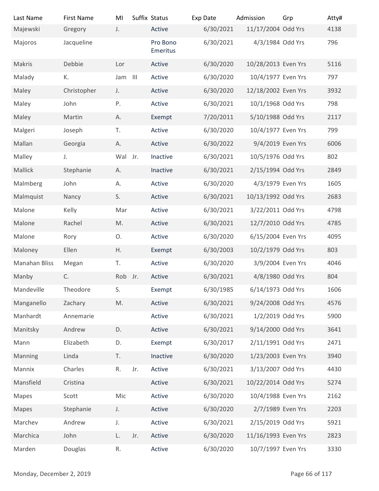| Last Name                | <b>First Name</b> | MI       |     | Suffix Status        | Exp Date               | Admission                              | Grp            | Atty#       |
|--------------------------|-------------------|----------|-----|----------------------|------------------------|----------------------------------------|----------------|-------------|
| Majewski                 | Gregory           | J.       |     | Active               | 6/30/2021              | 11/17/2004 Odd Yrs                     |                | 4138        |
| Majoros                  | Jacqueline        |          |     | Pro Bono<br>Emeritus | 6/30/2021              | 4/3/1984 Odd Yrs                       |                | 796         |
| Makris                   | Debbie            | Lor      |     | Active               | 6/30/2020              | 10/28/2013 Even Yrs                    |                | 5116        |
| Malady                   | К.                | Jam III  |     | Active               | 6/30/2020              | 10/4/1977 Even Yrs                     |                | 797         |
| Maley                    | Christopher       | J.       |     | Active               | 6/30/2020              | 12/18/2002 Even Yrs                    |                | 3932        |
| Maley                    | John              | Ρ.       |     | Active               | 6/30/2021              | 10/1/1968 Odd Yrs                      |                | 798         |
| Maley                    | Martin            | Α.       |     | Exempt               | 7/20/2011              | 5/10/1988 Odd Yrs                      |                | 2117        |
| Malgeri                  | Joseph            | T.       |     | Active               | 6/30/2020              | 10/4/1977 Even Yrs                     |                | 799         |
| Mallan                   | Georgia           | А.       |     | Active               | 6/30/2022              | 9/4/2019 Even Yrs                      |                | 6006        |
| Malley                   | J.                | Wal Jr.  |     | Inactive             | 6/30/2021              | 10/5/1976 Odd Yrs                      |                | 802         |
| Mallick                  | Stephanie         | Α.       |     | Inactive             | 6/30/2021              | 2/15/1994 Odd Yrs                      |                | 2849        |
| Malmberg                 | John              | Α.       |     | Active               | 6/30/2020              | 4/3/1979 Even Yrs                      |                | 1605        |
| Malmquist                | Nancy             | S.       |     | Active               | 6/30/2021              | 10/13/1992 Odd Yrs                     |                | 2683        |
| Malone                   | Kelly             | Mar      |     | Active               | 6/30/2021              | 3/22/2011 Odd Yrs                      |                | 4798        |
| Malone                   | Rachel            | M.       |     | Active               | 6/30/2021              | 12/7/2010 Odd Yrs                      |                | 4785        |
| Malone                   | Rory              | O.<br>Η. |     | Active               | 6/30/2020              | 6/15/2004 Even Yrs                     |                | 4095<br>803 |
| Maloney<br>Manahan Bliss | Ellen             | T.       |     | Exempt<br>Active     | 6/30/2003<br>6/30/2020 | 10/2/1979 Odd Yrs<br>3/9/2004 Even Yrs |                | 4046        |
| Manby                    | Megan<br>C.       | Rob Jr.  |     | Active               | 6/30/2021              | 4/8/1980 Odd Yrs                       |                | 804         |
| Mandeville               | Theodore          | S.       |     | Exempt               | 6/30/1985              | 6/14/1973 Odd Yrs                      |                | 1606        |
| Manganello               | Zachary           | M.       |     | Active               | 6/30/2021              | 9/24/2008 Odd Yrs                      |                | 4576        |
| Manhardt                 | Annemarie         |          |     | Active               | 6/30/2021              | 1/2/2019 Odd Yrs                       |                | 5900        |
| Manitsky                 | Andrew            | D.       |     | Active               | 6/30/2021              | 9/14/2000 Odd Yrs                      |                | 3641        |
| Mann                     | Elizabeth         | D.       |     | Exempt               | 6/30/2017              | 2/11/1991 Odd Yrs                      |                | 2471        |
| Manning                  | Linda             | T.       |     | Inactive             | 6/30/2020              | 1/23/2003 Even Yrs                     |                | 3940        |
| Mannix                   | Charles           | R.       | Jr. | Active               | 6/30/2021              | 3/13/2007 Odd Yrs                      |                | 4430        |
| Mansfield                | Cristina          |          |     | Active               | 6/30/2021              | 10/22/2014 Odd Yrs                     |                | 5274        |
| Mapes                    | Scott             | Mic      |     | Active               | 6/30/2020              | 10/4/1988 Even Yrs                     |                | 2162        |
| Mapes                    | Stephanie         | J.       |     | Active               | 6/30/2020              | 2/7/1989 Even Yrs                      |                | 2203        |
| Marchev                  | Andrew            | J.       |     | Active               | 6/30/2021              | 2/15/2019 Odd Yrs                      |                | 5921        |
| Marchica                 | John              | L.       | Jr. | Active               | 6/30/2020              | 11/16/1993 Even Yrs                    |                | 2823        |
| Marden                   | Douglas           | R.       |     | Active               | 6/30/2020              | 10/7/1997 Even Yrs                     |                | 3330        |
|                          |                   |          |     |                      |                        |                                        |                |             |
| Monday, December 2, 2019 |                   |          |     |                      |                        |                                        | Page 66 of 117 |             |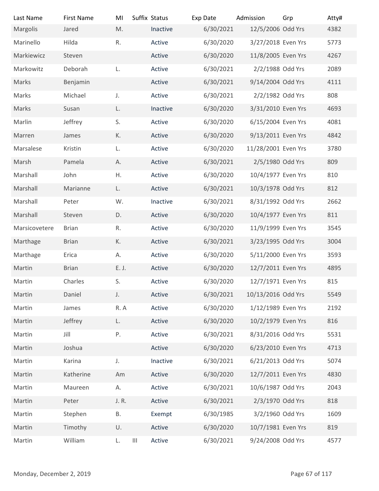| Last Name                | <b>First Name</b> | MI          | Suffix Status                                | Exp Date  | Admission           | Grp            | Atty# |
|--------------------------|-------------------|-------------|----------------------------------------------|-----------|---------------------|----------------|-------|
| Margolis                 | Jared             | M.          | Inactive                                     | 6/30/2021 | 12/5/2006 Odd Yrs   |                | 4382  |
| Marinello                | Hilda             | R.          | Active                                       | 6/30/2020 | 3/27/2018 Even Yrs  |                | 5773  |
| Markiewicz               | Steven            |             | Active                                       | 6/30/2020 | 11/8/2005 Even Yrs  |                | 4267  |
| Markowitz                | Deborah           | L.          | Active                                       | 6/30/2021 | 2/2/1988 Odd Yrs    |                | 2089  |
| Marks                    | Benjamin          |             | Active                                       | 6/30/2021 | 9/14/2004 Odd Yrs   |                | 4111  |
| Marks                    | Michael           | $J_{\star}$ | Active                                       | 6/30/2021 | 2/2/1982 Odd Yrs    |                | 808   |
| Marks                    | Susan             | L.          | Inactive                                     | 6/30/2020 | 3/31/2010 Even Yrs  |                | 4693  |
| Marlin                   | Jeffrey           | S.          | Active                                       | 6/30/2020 | 6/15/2004 Even Yrs  |                | 4081  |
| Marren                   | James             | К.          | Active                                       | 6/30/2020 | 9/13/2011 Even Yrs  |                | 4842  |
| Marsalese                | Kristin           | L.          | Active                                       | 6/30/2020 | 11/28/2001 Even Yrs |                | 3780  |
| Marsh                    | Pamela            | Α.          | Active                                       | 6/30/2021 | 2/5/1980 Odd Yrs    |                | 809   |
| Marshall                 | John              | Η.          | Active                                       | 6/30/2020 | 10/4/1977 Even Yrs  |                | 810   |
| Marshall                 |                   | L.          | Active                                       | 6/30/2021 | 10/3/1978 Odd Yrs   |                | 812   |
| Marshall                 | Marianne          | W.          |                                              | 6/30/2021 | 8/31/1992 Odd Yrs   |                | 2662  |
|                          | Peter             |             | Inactive                                     |           |                     |                |       |
| Marshall                 | Steven            | D.          | Active                                       | 6/30/2020 | 10/4/1977 Even Yrs  |                | 811   |
| Marsicovetere            | <b>Brian</b>      | R.          | Active                                       | 6/30/2020 | 11/9/1999 Even Yrs  |                | 3545  |
| Marthage                 | <b>Brian</b>      | К.          | Active                                       | 6/30/2021 | 3/23/1995 Odd Yrs   |                | 3004  |
| Marthage                 | Erica             | А.          | Active                                       | 6/30/2020 | 5/11/2000 Even Yrs  |                | 3593  |
| Martin                   | <b>Brian</b>      | E. J.       | Active                                       | 6/30/2020 | 12/7/2011 Even Yrs  |                | 4895  |
| Martin                   | Charles           | S.          | Active                                       | 6/30/2020 | 12/7/1971 Even Yrs  |                | 815   |
| Martin                   | Daniel            | J.          | Active                                       | 6/30/2021 | 10/13/2016 Odd Yrs  |                | 5549  |
| Martin                   | James             | R.A         | Active                                       | 6/30/2020 | 1/12/1989 Even Yrs  |                | 2192  |
| Martin                   | Jeffrey           | L.          | Active                                       | 6/30/2020 | 10/2/1979 Even Yrs  |                | 816   |
| Martin                   | Jill              | Ρ.          | Active                                       | 6/30/2021 | 8/31/2016 Odd Yrs   |                | 5531  |
| Martin                   | Joshua            |             | Active                                       | 6/30/2020 | 6/23/2010 Even Yrs  |                | 4713  |
| Martin                   | Karina            | J.          | Inactive                                     | 6/30/2021 | 6/21/2013 Odd Yrs   |                | 5074  |
| Martin                   | Katherine         | Am          | Active                                       | 6/30/2020 | 12/7/2011 Even Yrs  |                | 4830  |
| Martin                   | Maureen           | А.          | Active                                       | 6/30/2021 | 10/6/1987 Odd Yrs   |                | 2043  |
| Martin                   | Peter             | J. R.       | Active                                       | 6/30/2021 | 2/3/1970 Odd Yrs    |                | 818   |
| Martin                   | Stephen           | В.          | Exempt                                       | 6/30/1985 | 3/2/1960 Odd Yrs    |                | 1609  |
| Martin                   | Timothy           | U.          | Active                                       | 6/30/2020 | 10/7/1981 Even Yrs  |                | 819   |
| Martin                   | William           | L.          | $\ensuremath{\mathsf{III}}\xspace$<br>Active | 6/30/2021 | 9/24/2008 Odd Yrs   |                | 4577  |
|                          |                   |             |                                              |           |                     |                |       |
| Monday, December 2, 2019 |                   |             |                                              |           |                     | Page 67 of 117 |       |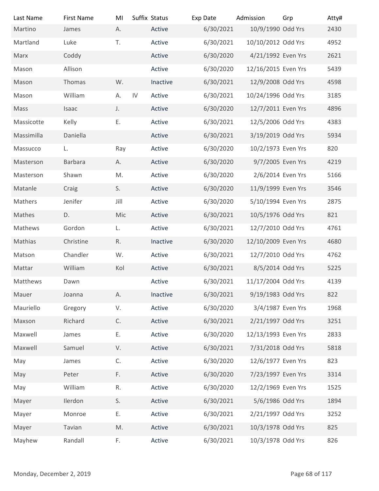| Last Name                | <b>First Name</b> | MI            | Suffix Status | Exp Date  | Admission           | Grp            | Atty# |
|--------------------------|-------------------|---------------|---------------|-----------|---------------------|----------------|-------|
| Martino                  | James             | А.            | Active        | 6/30/2021 | 10/9/1990 Odd Yrs   |                | 2430  |
| Martland                 | Luke              | T.            | Active        | 6/30/2021 | 10/10/2012 Odd Yrs  |                | 4952  |
| Marx                     | Coddy             |               | Active        | 6/30/2020 | 4/21/1992 Even Yrs  |                | 2621  |
| Mason                    | Allison           |               | Active        | 6/30/2020 | 12/16/2015 Even Yrs |                | 5439  |
| Mason                    | Thomas            | W.            | Inactive      | 6/30/2021 | 12/9/2008 Odd Yrs   |                | 4598  |
| Mason                    | William           | А.            | IV<br>Active  | 6/30/2021 | 10/24/1996 Odd Yrs  |                | 3185  |
| Mass                     | Isaac             | J.            | Active        | 6/30/2020 | 12/7/2011 Even Yrs  |                | 4896  |
| Massicotte               | Kelly             | Ε.            | Active        | 6/30/2021 | 12/5/2006 Odd Yrs   |                | 4383  |
| Massimilla               | Daniella          |               | Active        | 6/30/2021 | 3/19/2019 Odd Yrs   |                | 5934  |
| Massucco                 | L.                | Ray           | Active        | 6/30/2020 | 10/2/1973 Even Yrs  |                | 820   |
| Masterson                | Barbara           | А.            | Active        | 6/30/2020 | 9/7/2005 Even Yrs   |                | 4219  |
| Masterson                | Shawn             | M.            | Active        | 6/30/2020 | 2/6/2014 Even Yrs   |                | 5166  |
| Matanle                  | Craig             | S.            | Active        | 6/30/2020 | 11/9/1999 Even Yrs  |                | 3546  |
| Mathers                  | Jenifer           | Jill          | Active        | 6/30/2020 | 5/10/1994 Even Yrs  |                | 2875  |
| Mathes                   | D.                | Mic           | Active        | 6/30/2021 | 10/5/1976 Odd Yrs   |                | 821   |
| Mathews                  | Gordon            | L.            | Active        | 6/30/2021 | 12/7/2010 Odd Yrs   |                | 4761  |
| Mathias                  | Christine         | R.            | Inactive      | 6/30/2020 | 12/10/2009 Even Yrs |                | 4680  |
| Matson                   | Chandler          | W.            | Active        | 6/30/2021 | 12/7/2010 Odd Yrs   |                | 4762  |
| Mattar                   | William           | Kol           | Active        | 6/30/2021 | 8/5/2014 Odd Yrs    |                | 5225  |
| Matthews                 | Dawn              |               | Active        | 6/30/2021 | 11/17/2004 Odd Yrs  |                | 4139  |
| Mauer                    | Joanna            | Α.            | Inactive      | 6/30/2021 | 9/19/1983 Odd Yrs   |                | 822   |
| Mauriello                | Gregory           | V.            | Active        | 6/30/2020 | 3/4/1987 Even Yrs   |                | 1968  |
| Maxson                   | Richard           | C.            | Active        | 6/30/2021 | 2/21/1997 Odd Yrs   |                | 3251  |
| Maxwell                  | James             | Ε.            | Active        | 6/30/2020 | 12/13/1993 Even Yrs |                | 2833  |
| Maxwell                  | Samuel            | V.            | Active        | 6/30/2021 | 7/31/2018 Odd Yrs   |                | 5818  |
| May                      | James             | C.            | Active        | 6/30/2020 | 12/6/1977 Even Yrs  |                | 823   |
| May                      | Peter             | F.            | Active        | 6/30/2020 | 7/23/1997 Even Yrs  |                | 3314  |
| May                      | William           | R.            | Active        | 6/30/2020 | 12/2/1969 Even Yrs  |                | 1525  |
| Mayer                    | Ilerdon           | S.            | Active        | 6/30/2021 | 5/6/1986 Odd Yrs    |                | 1894  |
|                          | Monroe            | Е.            | Active        | 6/30/2021 | 2/21/1997 Odd Yrs   |                | 3252  |
| Mayer                    | Tavian            | $\mathsf{M}.$ | Active        | 6/30/2021 | 10/3/1978 Odd Yrs   |                | 825   |
| Mayer                    |                   |               |               |           |                     |                |       |
| Mayhew                   | Randall           | F.            | Active        | 6/30/2021 | 10/3/1978 Odd Yrs   |                | 826   |
|                          |                   |               |               |           |                     |                |       |
| Monday, December 2, 2019 |                   |               |               |           |                     | Page 68 of 117 |       |
|                          |                   |               |               |           |                     |                |       |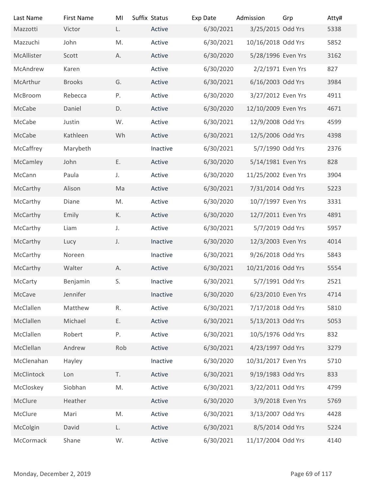| Last Name                | <b>First Name</b> | MI  | Suffix Status | Exp Date  | Admission           | Grp            | Atty# |
|--------------------------|-------------------|-----|---------------|-----------|---------------------|----------------|-------|
| Mazzotti                 | Victor            | L.  | Active        | 6/30/2021 | 3/25/2015 Odd Yrs   |                | 5338  |
| Mazzuchi                 | John              | M.  | Active        | 6/30/2021 | 10/16/2018 Odd Yrs  |                | 5852  |
| McAllister               | Scott             | А.  | Active        | 6/30/2020 | 5/28/1996 Even Yrs  |                | 3162  |
| McAndrew                 | Karen             |     | Active        | 6/30/2020 | 2/2/1971 Even Yrs   |                | 827   |
| McArthur                 | <b>Brooks</b>     | G.  | Active        | 6/30/2021 | 6/16/2003 Odd Yrs   |                | 3984  |
| McBroom                  | Rebecca           | Ρ.  | Active        | 6/30/2020 | 3/27/2012 Even Yrs  |                | 4911  |
| McCabe                   | Daniel            | D.  | Active        | 6/30/2020 | 12/10/2009 Even Yrs |                | 4671  |
| McCabe                   | Justin            | W.  | Active        | 6/30/2021 | 12/9/2008 Odd Yrs   |                | 4599  |
| McCabe                   | Kathleen          | Wh  | Active        | 6/30/2021 | 12/5/2006 Odd Yrs   |                | 4398  |
| McCaffrey                | Marybeth          |     | Inactive      | 6/30/2021 | 5/7/1990 Odd Yrs    |                | 2376  |
| McCamley                 | John              | Ε.  | Active        | 6/30/2020 | 5/14/1981 Even Yrs  |                | 828   |
| McCann                   | Paula             | J.  | Active        | 6/30/2020 | 11/25/2002 Even Yrs |                | 3904  |
| McCarthy                 | Alison            | Ma  | Active        | 6/30/2021 | 7/31/2014 Odd Yrs   |                | 5223  |
| McCarthy                 | Diane             | M.  | Active        | 6/30/2020 | 10/7/1997 Even Yrs  |                | 3331  |
| McCarthy                 | Emily             | К.  | Active        | 6/30/2020 | 12/7/2011 Even Yrs  |                | 4891  |
| McCarthy                 | Liam              | J.  | Active        | 6/30/2021 | 5/7/2019 Odd Yrs    |                | 5957  |
| McCarthy                 | Lucy              | J.  | Inactive      | 6/30/2020 | 12/3/2003 Even Yrs  |                | 4014  |
|                          |                   |     |               |           |                     |                |       |
| McCarthy                 | Noreen            |     | Inactive      | 6/30/2021 | 9/26/2018 Odd Yrs   |                | 5843  |
| McCarthy                 | Walter            | Α.  | Active        | 6/30/2021 | 10/21/2016 Odd Yrs  |                | 5554  |
| McCarty                  | Benjamin          | S.  | Inactive      | 6/30/2021 | 5/7/1991 Odd Yrs    |                | 2521  |
| McCave                   | Jennifer          |     | Inactive      | 6/30/2020 | 6/23/2010 Even Yrs  |                | 4714  |
| McClallen                | Matthew           | R.  | Active        | 6/30/2021 | 7/17/2018 Odd Yrs   |                | 5810  |
| McClallen                | Michael           | Ε.  | Active        | 6/30/2021 | 5/13/2013 Odd Yrs   |                | 5053  |
| McClallen                | Robert            | Ρ.  | Active        | 6/30/2021 | 10/5/1976 Odd Yrs   |                | 832   |
| McClellan                | Andrew            | Rob | Active        | 6/30/2021 | 4/23/1997 Odd Yrs   |                | 3279  |
| McClenahan               | Hayley            |     | Inactive      | 6/30/2020 | 10/31/2017 Even Yrs |                | 5710  |
| McClintock               | Lon               | T.  | Active        | 6/30/2021 | 9/19/1983 Odd Yrs   |                | 833   |
| McCloskey                | Siobhan           | M.  | Active        | 6/30/2021 | 3/22/2011 Odd Yrs   |                | 4799  |
| McClure                  | Heather           |     | Active        | 6/30/2020 | 3/9/2018 Even Yrs   |                | 5769  |
| McClure                  | Mari              | M.  | Active        | 6/30/2021 | 3/13/2007 Odd Yrs   |                | 4428  |
| McColgin                 | David             | L.  | Active        | 6/30/2021 | 8/5/2014 Odd Yrs    |                | 5224  |
| McCormack                | Shane             | W.  | Active        | 6/30/2021 | 11/17/2004 Odd Yrs  |                | 4140  |
|                          |                   |     |               |           |                     |                |       |
|                          |                   |     |               |           |                     |                |       |
| Monday, December 2, 2019 |                   |     |               |           |                     | Page 69 of 117 |       |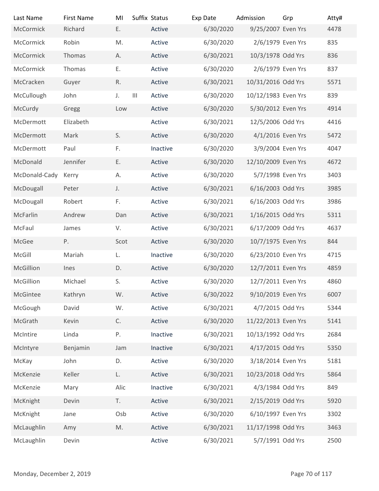| Last Name                | <b>First Name</b> | MI            |                                    | Suffix Status | Exp Date  | Admission           | Grp            | Atty# |
|--------------------------|-------------------|---------------|------------------------------------|---------------|-----------|---------------------|----------------|-------|
| McCormick                | Richard           | E.            |                                    | Active        | 6/30/2020 | 9/25/2007 Even Yrs  |                | 4478  |
| McCormick                | Robin             | M.            |                                    | Active        | 6/30/2020 | 2/6/1979 Even Yrs   |                | 835   |
| McCormick                | Thomas            | А.            |                                    | Active        | 6/30/2021 | 10/3/1978 Odd Yrs   |                | 836   |
| McCormick                | Thomas            | Ε.            |                                    | Active        | 6/30/2020 | 2/6/1979 Even Yrs   |                | 837   |
| McCracken                | Guyer             | R.            |                                    | Active        | 6/30/2021 | 10/31/2016 Odd Yrs  |                | 5571  |
| McCullough               | John              | J.            | $\ensuremath{\mathsf{III}}\xspace$ | Active        | 6/30/2020 | 10/12/1983 Even Yrs |                | 839   |
| McCurdy                  | Gregg             | Low           |                                    | Active        | 6/30/2020 | 5/30/2012 Even Yrs  |                | 4914  |
| McDermott                | Elizabeth         |               |                                    | Active        | 6/30/2021 | 12/5/2006 Odd Yrs   |                | 4416  |
| McDermott                | Mark              | S.            |                                    | Active        | 6/30/2020 | 4/1/2016 Even Yrs   |                | 5472  |
| McDermott                | Paul              | F.            |                                    | Inactive      | 6/30/2020 | 3/9/2004 Even Yrs   |                | 4047  |
| McDonald                 | Jennifer          | Ε.            |                                    | Active        | 6/30/2020 | 12/10/2009 Even Yrs |                | 4672  |
| McDonald-Cady            | Kerry             | А.            |                                    | Active        | 6/30/2020 | 5/7/1998 Even Yrs   |                | 3403  |
| McDougall                | Peter             | $\mathsf J.$  |                                    | Active        | 6/30/2021 | 6/16/2003 Odd Yrs   |                | 3985  |
| McDougall                | Robert            | F.            |                                    | Active        | 6/30/2021 | 6/16/2003 Odd Yrs   |                | 3986  |
| McFarlin                 | Andrew            | Dan           |                                    | Active        | 6/30/2021 | 1/16/2015 Odd Yrs   |                | 5311  |
| McFaul                   | James             | V.            |                                    | Active        | 6/30/2021 | 6/17/2009 Odd Yrs   |                | 4637  |
| McGee                    | P.                | Scot          |                                    | Active        | 6/30/2020 | 10/7/1975 Even Yrs  |                | 844   |
| McGill                   | Mariah            | L.            |                                    | Inactive      | 6/30/2020 | 6/23/2010 Even Yrs  |                | 4715  |
| McGillion                | Ines              | D.            |                                    | Active        | 6/30/2020 | 12/7/2011 Even Yrs  |                | 4859  |
| McGillion                | Michael           | S.            |                                    | Active        | 6/30/2020 | 12/7/2011 Even Yrs  |                | 4860  |
| McGintee                 | Kathryn           | W.            |                                    | Active        | 6/30/2022 | 9/10/2019 Even Yrs  |                | 6007  |
| McGough                  | David             | W.            |                                    | Active        | 6/30/2021 | 4/7/2015 Odd Yrs    |                | 5344  |
| McGrath                  | Kevin             | $\mathsf C.$  |                                    | Active        | 6/30/2020 | 11/22/2013 Even Yrs |                | 5141  |
| McIntire                 | Linda             | Ρ.            |                                    | Inactive      | 6/30/2021 | 10/13/1992 Odd Yrs  |                | 2684  |
| McIntyre                 | Benjamin          | Jam           |                                    | Inactive      | 6/30/2021 | 4/17/2015 Odd Yrs   |                | 5350  |
| McKay                    | John              | D.            |                                    | Active        | 6/30/2020 | 3/18/2014 Even Yrs  |                | 5181  |
| McKenzie                 | Keller            | L.            |                                    | Active        | 6/30/2021 | 10/23/2018 Odd Yrs  |                | 5864  |
| McKenzie                 | Mary              | Alic          |                                    | Inactive      | 6/30/2021 | 4/3/1984 Odd Yrs    |                | 849   |
| McKnight                 | Devin             | T.            |                                    | Active        | 6/30/2021 | 2/15/2019 Odd Yrs   |                | 5920  |
| McKnight                 | Jane              | Osb           |                                    | Active        | 6/30/2020 | 6/10/1997 Even Yrs  |                | 3302  |
| McLaughlin               | Amy               | $\mathsf{M}.$ |                                    | Active        | 6/30/2021 | 11/17/1998 Odd Yrs  |                | 3463  |
| McLaughlin               | Devin             |               |                                    | Active        | 6/30/2021 | 5/7/1991 Odd Yrs    |                | 2500  |
|                          |                   |               |                                    |               |           |                     |                |       |
|                          |                   |               |                                    |               |           |                     |                |       |
| Monday, December 2, 2019 |                   |               |                                    |               |           |                     | Page 70 of 117 |       |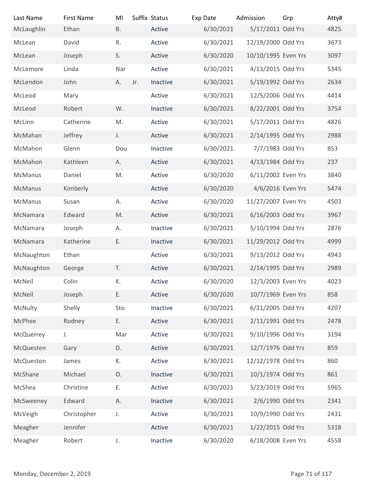| Last Name                | <b>First Name</b> | MI        | Suffix Status |          | Exp Date  | Admission           | Grp            | Atty# |
|--------------------------|-------------------|-----------|---------------|----------|-----------|---------------------|----------------|-------|
| McLaughlin               | Ethan             | <b>B.</b> |               | Active   | 6/30/2021 | 5/17/2011 Odd Yrs   |                | 4825  |
| McLean                   | David             | R.        |               | Active   | 6/30/2021 | 12/19/2000 Odd Yrs  |                | 3673  |
| McLean                   | Joseph            | S.        |               | Active   | 6/30/2020 | 10/10/1995 Even Yrs |                | 3097  |
| McLemore                 | Linda             | Nar       |               | Active   | 6/30/2021 | 4/13/2015 Odd Yrs   |                | 5345  |
| McLendon                 | John              | А.        | Jr.           | Inactive | 6/30/2021 | 5/19/1992 Odd Yrs   |                | 2634  |
| McLeod                   | Mary              |           |               | Active   | 6/30/2021 | 12/5/2006 Odd Yrs   |                | 4414  |
| McLeod                   | Robert            | W.        |               | Inactive | 6/30/2021 | 8/22/2001 Odd Yrs   |                | 3754  |
| McLinn                   | Catherine         | M.        |               | Active   | 6/30/2021 | 5/17/2011 Odd Yrs   |                | 4826  |
| McMahan                  | Jeffrey           | J.        |               | Active   | 6/30/2021 | 2/14/1995 Odd Yrs   |                | 2988  |
| McMahon                  | Glenn             | Dou       |               | Inactive | 6/30/2021 | 7/7/1983 Odd Yrs    |                | 853   |
| McMahon                  | Kathleen          | А.        |               | Active   | 6/30/2021 | 4/13/1984 Odd Yrs   |                | 237   |
| McManus                  | Daniel            | M.        |               | Active   | 6/30/2020 | 6/11/2002 Even Yrs  |                | 3840  |
| McManus                  | Kimberly          |           |               | Active   | 6/30/2020 | 4/6/2016 Even Yrs   |                | 5474  |
| McManus                  | Susan             | А.        |               | Active   | 6/30/2020 | 11/27/2007 Even Yrs |                | 4503  |
| McNamara                 | Edward            | M.        |               | Active   | 6/30/2021 | 6/16/2003 Odd Yrs   |                | 3967  |
| McNamara                 | Joseph            | Α.        |               | Inactive | 6/30/2021 | 5/10/1994 Odd Yrs   |                | 2876  |
| McNamara                 | Katherine         | Ε.        |               | Inactive | 6/30/2021 | 11/29/2012 Odd Yrs  |                | 4999  |
| McNaughton               | Ethan             |           |               | Active   | 6/30/2021 | 9/13/2012 Odd Yrs   |                | 4943  |
| McNaughton               | George            | T.        |               | Active   | 6/30/2021 | 2/14/1995 Odd Yrs   |                | 2989  |
| McNeil                   | Colin             | К.        |               | Active   | 6/30/2020 | 12/3/2003 Even Yrs  |                | 4023  |
| McNeil                   | Joseph            | Ε.        |               | Active   | 6/30/2020 | 10/7/1969 Even Yrs  |                | 858   |
| McNulty                  | Shelly            | Sto       |               | Inactive | 6/30/2021 | 6/21/2005 Odd Yrs   |                | 4207  |
| McPhee                   | Rodney            | Ε.        |               | Active   | 6/30/2021 | 2/11/1991 Odd Yrs   |                | 2478  |
| McQuerrey                | J.                | Mar       |               | Active   | 6/30/2021 | 9/10/1996 Odd Yrs   |                | 3194  |
|                          |                   | D.        |               | Active   | 6/30/2021 | 12/7/1976 Odd Yrs   |                | 859   |
| McQuesten                | Gary              |           |               |          |           |                     |                |       |
| McQueston                | James             | К.        |               | Active   | 6/30/2021 | 12/12/1978 Odd Yrs  |                | 860   |
| McShane                  | Michael           | O.        |               | Inactive | 6/30/2021 | 10/1/1974 Odd Yrs   |                | 861   |
| McShea                   | Christine         | Ε.        |               | Active   | 6/30/2021 | 5/23/2019 Odd Yrs   |                | 5965  |
| McSweeney                | Edward            | Α.        |               | Inactive | 6/30/2021 | 2/6/1990 Odd Yrs    |                | 2341  |
| McVeigh                  | Christopher       | J.        |               | Active   | 6/30/2021 | 10/9/1990 Odd Yrs   |                | 2431  |
| Meagher                  | Jennifer          |           |               | Active   | 6/30/2021 | 1/22/2015 Odd Yrs   |                | 5318  |
| Meagher                  | Robert            | J.        |               | Inactive | 6/30/2020 | 6/18/2008 Even Yrs  |                | 4558  |
|                          |                   |           |               |          |           |                     |                |       |
| Monday, December 2, 2019 |                   |           |               |          |           |                     | Page 71 of 117 |       |
|                          |                   |           |               |          |           |                     |                |       |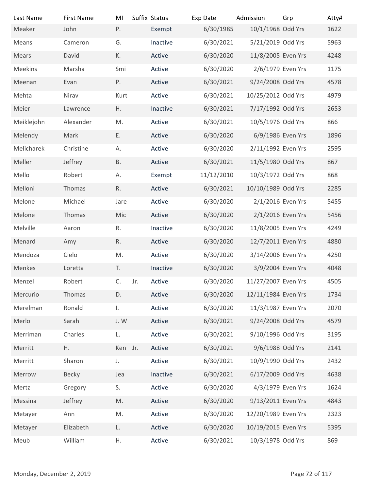| Last Name                | <b>First Name</b> | MI            | Suffix Status | Exp Date   | Admission           | Grp            | Atty# |
|--------------------------|-------------------|---------------|---------------|------------|---------------------|----------------|-------|
| Meaker                   | John              | P.            | Exempt        | 6/30/1985  | 10/1/1968 Odd Yrs   |                | 1622  |
| Means                    | Cameron           | G.            | Inactive      | 6/30/2021  | 5/21/2019 Odd Yrs   |                | 5963  |
| Mears                    | David             | К.            | Active        | 6/30/2020  | 11/8/2005 Even Yrs  |                | 4248  |
| Meekins                  | Marsha            | Smi           | Active        | 6/30/2020  | 2/6/1979 Even Yrs   |                | 1175  |
| Meenan                   | Evan              | P.            | Active        | 6/30/2021  | 9/24/2008 Odd Yrs   |                | 4578  |
| Mehta                    | Nirav             | Kurt          | Active        | 6/30/2021  | 10/25/2012 Odd Yrs  |                | 4979  |
| Meier                    | Lawrence          | Η.            | Inactive      | 6/30/2021  | 7/17/1992 Odd Yrs   |                | 2653  |
| Meiklejohn               | Alexander         | M.            | Active        | 6/30/2021  | 10/5/1976 Odd Yrs   |                | 866   |
| Melendy                  | Mark              | Ε.            | Active        | 6/30/2020  | 6/9/1986 Even Yrs   |                | 1896  |
| Melicharek               | Christine         | Α.            | Active        | 6/30/2020  | 2/11/1992 Even Yrs  |                | 2595  |
| Meller                   | Jeffrey           | <b>B.</b>     | Active        | 6/30/2021  | 11/5/1980 Odd Yrs   |                | 867   |
| Mello                    | Robert            | Α.            | Exempt        | 11/12/2010 | 10/3/1972 Odd Yrs   |                | 868   |
| Melloni                  | Thomas            | R.            | Active        | 6/30/2021  | 10/10/1989 Odd Yrs  |                | 2285  |
| Melone                   | Michael           | Jare          | Active        | 6/30/2020  | 2/1/2016 Even Yrs   |                | 5455  |
| Melone                   | Thomas            | Mic           | Active        | 6/30/2020  | 2/1/2016 Even Yrs   |                | 5456  |
| Melville                 | Aaron             | R.            | Inactive      | 6/30/2020  | 11/8/2005 Even Yrs  |                | 4249  |
| Menard                   | Amy               | R.            | Active        | 6/30/2020  | 12/7/2011 Even Yrs  |                | 4880  |
| Mendoza                  | Cielo             | M.            | Active        | 6/30/2020  | 3/14/2006 Even Yrs  |                | 4250  |
| Menkes                   | Loretta           | T.            | Inactive      | 6/30/2020  | 3/9/2004 Even Yrs   |                | 4048  |
| Menzel                   | Robert            | C.<br>Jr.     | Active        | 6/30/2020  | 11/27/2007 Even Yrs |                | 4505  |
| Mercurio                 | Thomas            | D.            | Active        | 6/30/2020  | 12/11/1984 Even Yrs |                | 1734  |
| Merelman                 | Ronald            | I.            | Active        | 6/30/2020  | 11/3/1987 Even Yrs  |                | 2070  |
| Merlo                    | Sarah             | J.W           | Active        | 6/30/2021  | 9/24/2008 Odd Yrs   |                | 4579  |
| Merriman                 | Charles           | L.            | Active        | 6/30/2021  | 9/10/1996 Odd Yrs   |                | 3195  |
| Merritt                  | H.                | Ken Jr.       | Active        | 6/30/2021  | 9/6/1988 Odd Yrs    |                | 2141  |
| Merritt                  | Sharon            | J.            | Active        | 6/30/2021  | 10/9/1990 Odd Yrs   |                | 2432  |
| Merrow                   | Becky             | Jea           | Inactive      | 6/30/2021  | 6/17/2009 Odd Yrs   |                | 4638  |
| Mertz                    | Gregory           | S.            | Active        | 6/30/2020  | 4/3/1979 Even Yrs   |                | 1624  |
| Messina                  | Jeffrey           | $\mathsf{M}.$ | Active        | 6/30/2020  | 9/13/2011 Even Yrs  |                | 4843  |
| Metayer                  | Ann               | M.            | Active        | 6/30/2020  | 12/20/1989 Even Yrs |                | 2323  |
| Metayer                  | Elizabeth         | L.            | Active        | 6/30/2020  | 10/19/2015 Even Yrs |                | 5395  |
| Meub                     | William           | Η.            | Active        | 6/30/2021  | 10/3/1978 Odd Yrs   |                | 869   |
|                          |                   |               |               |            |                     |                |       |
| Monday, December 2, 2019 |                   |               |               |            |                     | Page 72 of 117 |       |
|                          |                   |               |               |            |                     |                |       |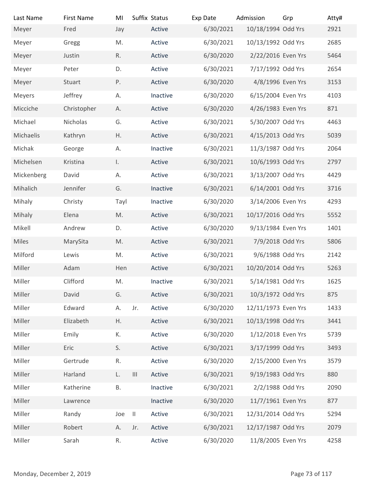| Last Name<br>Meyer       | <b>First Name</b><br>Fred | MI<br>Jay     | Suffix Status<br>Active     | Exp Date<br>6/30/2021 | Admission<br>10/18/1994 Odd Yrs          | Grp            | Atty#<br>2921 |
|--------------------------|---------------------------|---------------|-----------------------------|-----------------------|------------------------------------------|----------------|---------------|
| Meyer                    | Gregg                     | M.            | Active                      | 6/30/2021             | 10/13/1992 Odd Yrs                       |                | 2685          |
| Meyer                    | Justin                    | R.            | Active                      | 6/30/2020             | 2/22/2016 Even Yrs                       |                | 5464          |
| Meyer                    | Peter                     | D.            | Active                      | 6/30/2021             | 7/17/1992 Odd Yrs                        |                | 2654          |
| Meyer                    | Stuart                    | P.            | Active                      | 6/30/2020             | 4/8/1996 Even Yrs                        |                | 3153          |
| Meyers                   | Jeffrey                   | А.            | Inactive                    | 6/30/2020             | 6/15/2004 Even Yrs                       |                | 4103          |
| Micciche                 | Christopher               | А.            | Active                      | 6/30/2020             | 4/26/1983 Even Yrs                       |                | 871           |
| Michael                  | Nicholas                  | G.            | Active                      | 6/30/2021             | 5/30/2007 Odd Yrs                        |                | 4463          |
| Michaelis                | Kathryn                   | Η.            | Active                      | 6/30/2021             | 4/15/2013 Odd Yrs                        |                | 5039          |
| Michak                   | George                    | А.            | Inactive                    | 6/30/2021             | 11/3/1987 Odd Yrs                        |                | 2064          |
| Michelsen                | Kristina                  | $\mathsf{L}$  | Active                      | 6/30/2021             | 10/6/1993 Odd Yrs                        |                | 2797          |
|                          | David                     |               | Active                      | 6/30/2021             | 3/13/2007 Odd Yrs                        |                | 4429          |
| Mickenberg               |                           | А.            |                             |                       |                                          |                |               |
| Mihalich                 | Jennifer                  | G.            | Inactive                    | 6/30/2021             | 6/14/2001 Odd Yrs                        |                | 3716          |
| Mihaly                   | Christy                   | Tayl          | Inactive                    | 6/30/2020             | 3/14/2006 Even Yrs<br>10/17/2016 Odd Yrs |                | 4293          |
| Mihaly                   | Elena                     | M.            | Active                      | 6/30/2021             |                                          |                | 5552          |
| Mikell                   | Andrew                    | D.            | Active                      | 6/30/2020             | 9/13/1984 Even Yrs                       |                | 1401          |
| Miles                    | MarySita                  | M.            | Active                      | 6/30/2021             | 7/9/2018 Odd Yrs                         |                | 5806          |
| Milford                  | Lewis                     | M.            | Active                      | 6/30/2021             | 9/6/1988 Odd Yrs                         |                | 2142          |
| Miller                   | Adam                      | Hen           | Active                      | 6/30/2021             | 10/20/2014 Odd Yrs                       |                | 5263          |
| Miller                   | Clifford                  | M.            | Inactive                    | 6/30/2021             | 5/14/1981 Odd Yrs                        |                | 1625          |
| Miller                   | David                     | G.            | Active                      | 6/30/2021             | 10/3/1972 Odd Yrs                        |                | 875           |
| Miller                   | Edward                    | А.            | Jr.<br>Active               | 6/30/2020             | 12/11/1973 Even Yrs                      |                | 1433          |
| Miller                   | Elizabeth                 | H.            | Active                      | 6/30/2021             | 10/13/1998 Odd Yrs                       |                | 3441          |
| Miller                   | Emily                     | К.            | Active                      | 6/30/2020             | 1/12/2018 Even Yrs                       |                | 5739          |
| Miller                   | Eric                      | S.            | Active                      | 6/30/2021             | 3/17/1999 Odd Yrs                        |                | 3493          |
| Miller                   | Gertrude                  | R.            | Active                      | 6/30/2020             | 2/15/2000 Even Yrs                       |                | 3579          |
| Miller                   | Harland                   | L.            | Active<br>$\vert\vert\vert$ | 6/30/2021             | 9/19/1983 Odd Yrs                        |                | 880           |
| Miller                   | Katherine                 | <b>B.</b>     | Inactive                    | 6/30/2021             | 2/2/1988 Odd Yrs                         |                | 2090          |
| Miller                   | Lawrence                  |               | Inactive                    | 6/30/2020             | 11/7/1961 Even Yrs                       |                | 877           |
| Miller                   | Randy                     | Joe<br>$\Box$ | Active                      | 6/30/2021             | 12/31/2014 Odd Yrs                       |                | 5294          |
| Miller                   | Robert                    | А.            | Active<br>Jr.               | 6/30/2021             | 12/17/1987 Odd Yrs                       |                | 2079          |
| Miller                   | Sarah                     | $\mathsf R.$  | Active                      | 6/30/2020             | 11/8/2005 Even Yrs                       |                | 4258          |
|                          |                           |               |                             |                       |                                          |                |               |
| Monday, December 2, 2019 |                           |               |                             |                       |                                          | Page 73 of 117 |               |
|                          |                           |               |                             |                       |                                          |                |               |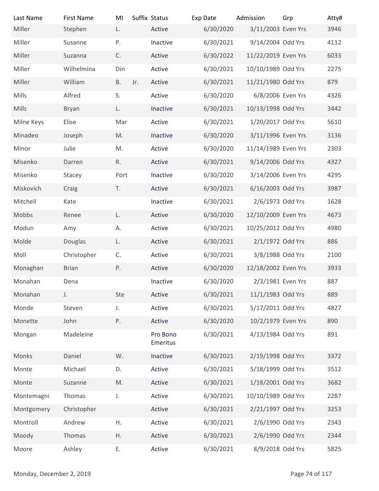| Last Name                | <b>First Name</b>           | MI        | Suffix Status |                  | Exp Date               | Admission                               | Grp | Atty#          |
|--------------------------|-----------------------------|-----------|---------------|------------------|------------------------|-----------------------------------------|-----|----------------|
| Miller                   | Stephen                     | L.        |               | Active           | 6/30/2020              | 3/11/2003 Even Yrs                      |     | 3946           |
| Miller                   | Susanne                     | P.        |               | Inactive         | 6/30/2021              | 9/14/2004 Odd Yrs                       |     | 4112           |
| Miller                   | Suzanna                     | C.        |               | Active           | 6/30/2022              | 11/22/2019 Even Yrs                     |     | 6033           |
| Miller                   | Wilhelmina                  | Din       |               | Active           | 6/30/2021              | 10/10/1989 Odd Yrs                      |     | 2275           |
| Miller                   | William                     | <b>B.</b> | Jr.           | Active           | 6/30/2021              | 11/21/1980 Odd Yrs                      |     | 879            |
| Mills                    | Alfred                      | S.        |               | Active           | 6/30/2020              | 6/8/2006 Even Yrs                       |     | 4326           |
| <b>Mills</b>             | Bryan                       | L.        |               | Inactive         | 6/30/2021              | 10/13/1998 Odd Yrs                      |     | 3442           |
| Milne Keys               | Elise                       | Mar       |               | Active           | 6/30/2021              | 1/20/2017 Odd Yrs                       |     | 5610           |
| Minadeo                  | Joseph                      | M.        |               | Inactive         | 6/30/2020              | 3/11/1996 Even Yrs                      |     | 3136           |
| Minor                    | Julie                       | M.        |               | Active           | 6/30/2020              | 11/14/1989 Even Yrs                     |     | 2303           |
| Misenko                  | Darren                      | R.        |               | Active           | 6/30/2021              | 9/14/2006 Odd Yrs                       |     | 4327           |
| Misenko                  | Stacey                      | Port      |               | Inactive         | 6/30/2020              | 3/14/2006 Even Yrs                      |     | 4295           |
| Miskovich                | Craig                       | T.        |               | Active           | 6/30/2021              | 6/16/2003 Odd Yrs                       |     | 3987           |
| Mitchell                 | Kate                        |           |               | Inactive         | 6/30/2021              | 2/6/1973 Odd Yrs                        |     | 1628           |
| Mobbs                    | Renee                       | L.        |               | Active           | 6/30/2020              | 12/10/2009 Even Yrs                     |     | 4673           |
| Modun                    | Amy                         | А.        |               | Active           | 6/30/2021              | 10/25/2012 Odd Yrs                      |     | 4980           |
| Molde                    | Douglas                     | L.        |               | Active           | 6/30/2021              | 2/1/1972 Odd Yrs                        |     | 886            |
| Moll<br>Monaghan         | Christopher<br><b>Brian</b> | C.<br>P.  |               | Active<br>Active | 6/30/2021<br>6/30/2020 | 3/8/1988 Odd Yrs<br>12/18/2002 Even Yrs |     | 2100<br>3933   |
| Monahan                  | Dena                        |           |               | Inactive         | 6/30/2020              | 2/3/1981 Even Yrs                       |     | 887            |
| Monahan                  | J.                          | Ste       |               | Active           | 6/30/2021              | 11/1/1983 Odd Yrs                       |     | 889            |
| Monde                    | Steven                      | J.        |               | Active           | 6/30/2021              | 5/17/2011 Odd Yrs                       |     | 4827           |
| Monette                  | John                        | P.        |               | Active           | 6/30/2020              | 10/2/1979 Even Yrs                      |     | 890            |
| Mongan                   | Madeleine                   |           |               | Pro Bono         | 6/30/2021              | 4/13/1984 Odd Yrs                       |     | 891            |
|                          |                             |           |               | Emeritus         |                        |                                         |     |                |
| Monks                    | Daniel                      | W.        |               | Inactive         | 6/30/2021              | 2/19/1998 Odd Yrs                       |     | 3372           |
| Monte                    | Michael                     | D.        |               | Active           | 6/30/2021              | 5/18/1999 Odd Yrs                       |     | 3512           |
| Monte                    | Suzanne                     | M.        |               | Active           | 6/30/2021              | 1/18/2001 Odd Yrs                       |     | 3682           |
| Montemagni               | Thomas                      | J.        |               | Active           | 6/30/2021              | 10/10/1989 Odd Yrs                      |     | 2287           |
| Montgomery               | Christopher                 |           |               | Active           | 6/30/2021              | 2/21/1997 Odd Yrs                       |     | 3253           |
| Montroll                 | Andrew                      | Η.        |               | Active           | 6/30/2021              | 2/6/1990 Odd Yrs                        |     | 2343           |
| Moody                    | Thomas                      | Η.        |               | Active           | 6/30/2021              | 2/6/1990 Odd Yrs                        |     | 2344           |
| Moore                    | Ashley                      | Ε.        |               | Active           | 6/30/2021              | 8/9/2018 Odd Yrs                        |     | 5825           |
|                          |                             |           |               |                  |                        |                                         |     |                |
| Monday, December 2, 2019 |                             |           |               |                  |                        |                                         |     | Page 74 of 117 |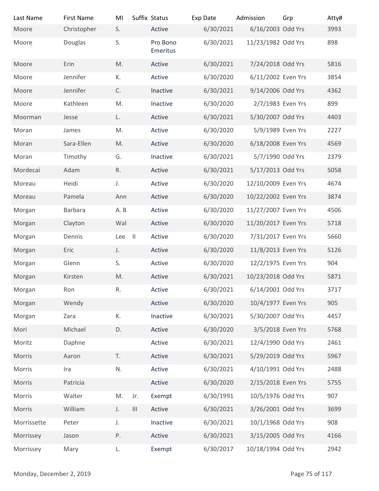| Last Name                | <b>First Name</b>      | MI       | Suffix Status                      |                                | Exp Date               | Admission<br>6/16/2003 Odd Yrs | Grp            | Atty#       |
|--------------------------|------------------------|----------|------------------------------------|--------------------------------|------------------------|--------------------------------|----------------|-------------|
| Moore<br>Moore           | Christopher<br>Douglas | S.<br>S. |                                    | Active<br>Pro Bono<br>Emeritus | 6/30/2021<br>6/30/2021 | 11/23/1982 Odd Yrs             |                | 3993<br>898 |
| Moore                    | Erin                   | M.       |                                    | Active                         | 6/30/2021              | 7/24/2018 Odd Yrs              |                | 5816        |
| Moore                    | Jennifer               | К.       |                                    | Active                         | 6/30/2020              | 6/11/2002 Even Yrs             |                | 3854        |
| Moore                    | Jennifer               | C.       |                                    | Inactive                       | 6/30/2021              | 9/14/2006 Odd Yrs              |                | 4362        |
| Moore                    | Kathleen               | M.       |                                    | Inactive                       | 6/30/2020              | 2/7/1983 Even Yrs              |                | 899         |
| Moorman                  | Jesse                  | L.       |                                    | Active                         | 6/30/2021              | 5/30/2007 Odd Yrs              |                | 4403        |
| Moran                    | James                  | M.       |                                    | Active                         | 6/30/2020              | 5/9/1989 Even Yrs              |                | 2227        |
| Moran                    | Sara-Ellen             | M.       |                                    | Active                         | 6/30/2020              | 6/18/2008 Even Yrs             |                | 4569        |
| Moran                    | Timothy                | G.       |                                    | Inactive                       | 6/30/2021              | 5/7/1990 Odd Yrs               |                | 2379        |
| Mordecai                 | Adam                   | R.       |                                    | Active                         | 6/30/2021              | 5/17/2013 Odd Yrs              |                | 5058        |
| Moreau                   | Heidi                  | J.       |                                    | Active                         | 6/30/2020              | 12/10/2009 Even Yrs            |                | 4674        |
| Moreau                   | Pamela                 | Ann      |                                    | Active                         | 6/30/2020              | 10/22/2002 Even Yrs            |                | 3874        |
| Morgan                   | <b>Barbara</b>         | A.B      |                                    | Active                         | 6/30/2020              | 11/27/2007 Even Yrs            |                | 4506        |
| Morgan                   | Clayton                | Wal      |                                    | Active                         | 6/30/2020              | 11/20/2017 Even Yrs            |                | 5718        |
| Morgan                   | Dennis                 | Lee II   |                                    | Active                         | 6/30/2020              | 7/31/2017 Even Yrs             |                | 5660        |
| Morgan                   | Eric                   | J.       |                                    | Active                         | 6/30/2020              | 11/8/2013 Even Yrs             |                | 5126        |
| Morgan                   | Glenn                  | S.       |                                    | Active                         | 6/30/2020              | 12/2/1975 Even Yrs             |                | 904         |
| Morgan                   | Kirsten                | M.       |                                    | Active                         | 6/30/2021              | 10/23/2018 Odd Yrs             |                | 5871        |
| Morgan                   | Ron                    | R.       |                                    | Active                         | 6/30/2021              | 6/14/2001 Odd Yrs              |                | 3717        |
| Morgan                   | Wendy                  |          |                                    | Active                         | 6/30/2020              | 10/4/1977 Even Yrs             |                | 905         |
| Morgan                   | Zara                   | К.       |                                    | Inactive                       | 6/30/2021              | 5/30/2007 Odd Yrs              |                | 4457        |
| Mori                     | Michael                | D.       |                                    | Active                         | 6/30/2020              | 3/5/2018 Even Yrs              |                | 5768        |
| Moritz                   | Daphne                 |          |                                    | Active                         | 6/30/2021              | 12/4/1990 Odd Yrs              |                | 2461        |
| Morris                   | Aaron                  | T.       |                                    | Active                         | 6/30/2021              | 5/29/2019 Odd Yrs              |                | 5967        |
| Morris                   | Ira                    | N.       |                                    | Active                         | 6/30/2021              | 4/10/1991 Odd Yrs              |                | 2488        |
| Morris                   | Patricia               |          |                                    | Active                         | 6/30/2020              | 2/15/2018 Even Yrs             |                | 5755        |
| Morris                   | Walter                 | M.       | Jr.                                | Exempt                         | 6/30/1991              | 10/5/1976 Odd Yrs              |                | 907         |
| Morris                   | William                | J.       | $\ensuremath{\mathsf{III}}\xspace$ | Active                         | 6/30/2021              | 3/26/2001 Odd Yrs              |                | 3699        |
| Morrissette              | Peter                  | J.       |                                    | Inactive                       | 6/30/2021              | 10/1/1968 Odd Yrs              |                | 908         |
| Morrissey                | Jason                  | Ρ.       |                                    | Active                         | 6/30/2021              | 3/15/2005 Odd Yrs              |                | 4166        |
| Morrissey                | Mary                   | L.       |                                    | Exempt                         | 6/30/2017              | 10/18/1994 Odd Yrs             |                | 2942        |
| Monday, December 2, 2019 |                        |          |                                    |                                |                        |                                | Page 75 of 117 |             |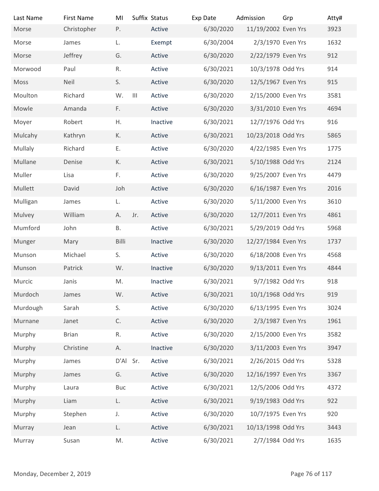| Last Name                | <b>First Name</b> | MI         |               | Suffix Status | Exp Date  | Admission           | Grp            | Atty# |
|--------------------------|-------------------|------------|---------------|---------------|-----------|---------------------|----------------|-------|
| Morse                    | Christopher       | P.         |               | Active        | 6/30/2020 | 11/19/2002 Even Yrs |                | 3923  |
| Morse                    | James             | L.         |               | Exempt        | 6/30/2004 | 2/3/1970 Even Yrs   |                | 1632  |
| Morse                    | Jeffrey           | G.         |               | Active        | 6/30/2020 | 2/22/1979 Even Yrs  |                | 912   |
| Morwood                  | Paul              | R.         |               | Active        | 6/30/2021 | 10/3/1978 Odd Yrs   |                | 914   |
| Moss                     | Neil              | S.         |               | Active        | 6/30/2020 | 12/5/1967 Even Yrs  |                | 915   |
| Moulton                  | Richard           | W.         | $\  \cdot \ $ | Active        | 6/30/2020 | 2/15/2000 Even Yrs  |                | 3581  |
| Mowle                    | Amanda            | F.         |               | Active        | 6/30/2020 | 3/31/2010 Even Yrs  |                | 4694  |
| Moyer                    | Robert            | Η.         |               | Inactive      | 6/30/2021 | 12/7/1976 Odd Yrs   |                | 916   |
| Mulcahy                  | Kathryn           | К.         |               | Active        | 6/30/2021 | 10/23/2018 Odd Yrs  |                | 5865  |
| Mullaly                  | Richard           | Ε.         |               | Active        | 6/30/2020 | 4/22/1985 Even Yrs  |                | 1775  |
| Mullane                  | Denise            | К.         |               | Active        | 6/30/2021 | 5/10/1988 Odd Yrs   |                | 2124  |
| Muller                   | Lisa              | F.         |               | Active        | 6/30/2020 | 9/25/2007 Even Yrs  |                | 4479  |
| Mullett                  | David             | Joh        |               | Active        | 6/30/2020 | 6/16/1987 Even Yrs  |                | 2016  |
| Mulligan                 | James             | L.         |               | Active        | 6/30/2020 | 5/11/2000 Even Yrs  |                | 3610  |
| Mulvey                   | William           | А.         | Jr.           | Active        | 6/30/2020 | 12/7/2011 Even Yrs  |                | 4861  |
| Mumford                  | John              | В.         |               | Active        | 6/30/2021 | 5/29/2019 Odd Yrs   |                | 5968  |
| Munger                   | Mary              | Billi      |               | Inactive      | 6/30/2020 | 12/27/1984 Even Yrs |                | 1737  |
| Munson                   | Michael           | S.         |               | Active        | 6/30/2020 | 6/18/2008 Even Yrs  |                | 4568  |
| Munson                   | Patrick           | W.         |               | Inactive      | 6/30/2020 | 9/13/2011 Even Yrs  |                | 4844  |
| Murcic                   | Janis             | M.         |               | Inactive      | 6/30/2021 | 9/7/1982 Odd Yrs    |                | 918   |
| Murdoch                  | James             | W.         |               | Active        | 6/30/2021 | 10/1/1968 Odd Yrs   |                | 919   |
|                          |                   |            |               |               |           |                     |                |       |
| Murdough                 | Sarah             | S.         |               | Active        | 6/30/2020 | 6/13/1995 Even Yrs  |                | 3024  |
| Murnane                  | Janet             | C.         |               | Active        | 6/30/2020 | 2/3/1987 Even Yrs   |                | 1961  |
| Murphy                   | <b>Brian</b>      | R.         |               | Active        | 6/30/2020 | 2/15/2000 Even Yrs  |                | 3582  |
| Murphy                   | Christine         | Α.         |               | Inactive      | 6/30/2020 | 3/11/2003 Even Yrs  |                | 3947  |
| Murphy                   | James             | D'Al Sr.   |               | Active        | 6/30/2021 | 2/26/2015 Odd Yrs   |                | 5328  |
| Murphy                   | James             | G.         |               | Active        | 6/30/2020 | 12/16/1997 Even Yrs |                | 3367  |
| Murphy                   | Laura             | <b>Buc</b> |               | Active        | 6/30/2021 | 12/5/2006 Odd Yrs   |                | 4372  |
| Murphy                   | Liam              | L.         |               | Active        | 6/30/2021 | 9/19/1983 Odd Yrs   |                | 922   |
| Murphy                   | Stephen           | J.         |               | Active        | 6/30/2020 | 10/7/1975 Even Yrs  |                | 920   |
| Murray                   | Jean              | L.         |               | Active        | 6/30/2021 | 10/13/1998 Odd Yrs  |                | 3443  |
| Murray                   | Susan             | M.         |               | Active        | 6/30/2021 | 2/7/1984 Odd Yrs    |                | 1635  |
|                          |                   |            |               |               |           |                     |                |       |
| Monday, December 2, 2019 |                   |            |               |               |           |                     | Page 76 of 117 |       |
|                          |                   |            |               |               |           |                     |                |       |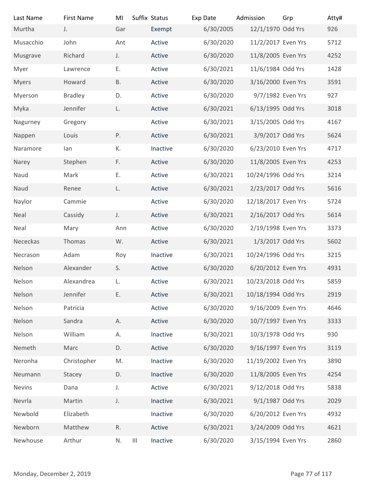| Last Name                | <b>First Name</b> | MI        | Suffix Status             | Exp Date  | Admission           | Grp            | Atty# |
|--------------------------|-------------------|-----------|---------------------------|-----------|---------------------|----------------|-------|
| Murtha                   | J.                | Gar       | Exempt                    | 6/30/2005 | 12/1/1970 Odd Yrs   |                | 926   |
| Musacchio                | John              | Ant       | Active                    | 6/30/2020 | 11/2/2017 Even Yrs  |                | 5712  |
| Musgrave                 | Richard           | J.        | Active                    | 6/30/2020 | 11/8/2005 Even Yrs  |                | 4252  |
| Myer                     | Lawrence          | Ε.        | Active                    | 6/30/2021 | 11/6/1984 Odd Yrs   |                | 1428  |
| Myers                    | Howard            | <b>B.</b> | Active                    | 6/30/2020 | 3/16/2000 Even Yrs  |                | 3591  |
| Myerson                  | <b>Bradley</b>    | D.        | Active                    | 6/30/2020 | 9/7/1982 Even Yrs   |                | 927   |
| Myka                     | Jennifer          | L.        | Active                    | 6/30/2021 | 6/13/1995 Odd Yrs   |                | 3018  |
| Nagurney                 | Gregory           |           | Active                    | 6/30/2021 | 3/15/2005 Odd Yrs   |                | 4167  |
| Nappen                   | Louis             | Ρ.        | Active                    | 6/30/2021 | 3/9/2017 Odd Yrs    |                | 5624  |
| Naramore                 | lan               | К.        | Inactive                  | 6/30/2020 | 6/23/2010 Even Yrs  |                | 4717  |
| Narey                    | Stephen           | F.        | Active                    | 6/30/2020 | 11/8/2005 Even Yrs  |                | 4253  |
| Naud                     | Mark              | Ε.        | Active                    | 6/30/2021 | 10/24/1996 Odd Yrs  |                | 3214  |
| Naud                     | Renee             | L.        | Active                    | 6/30/2021 | 2/23/2017 Odd Yrs   |                | 5616  |
| Naylor                   | Cammie            |           | Active                    | 6/30/2020 | 12/18/2017 Even Yrs |                | 5724  |
| Neal                     | Cassidy           | J.        | Active                    | 6/30/2021 | 2/16/2017 Odd Yrs   |                | 5614  |
| Neal                     | Mary              | Ann       | Active                    | 6/30/2020 | 2/19/1998 Even Yrs  |                | 3373  |
| Nececkas                 | Thomas            | W.        | Active                    | 6/30/2021 | 1/3/2017 Odd Yrs    |                | 5602  |
| Necrason                 | Adam              |           | Inactive                  | 6/30/2021 | 10/24/1996 Odd Yrs  |                | 3215  |
|                          |                   | Roy       |                           |           |                     |                |       |
| Nelson                   | Alexander         | S.        | Active                    | 6/30/2020 | 6/20/2012 Even Yrs  |                | 4931  |
| Nelson                   | Alexandrea        | L.        | Active                    | 6/30/2021 | 10/23/2018 Odd Yrs  |                | 5859  |
| Nelson                   | Jennifer          | Ε.        | Active                    | 6/30/2021 | 10/18/1994 Odd Yrs  |                | 2919  |
| Nelson                   | Patricia          |           | Active                    | 6/30/2020 | 9/16/2009 Even Yrs  |                | 4646  |
| Nelson                   | Sandra            | Α.        | Active                    | 6/30/2020 | 10/7/1997 Even Yrs  |                | 3333  |
| Nelson                   | William           | А.        | Inactive                  | 6/30/2021 | 10/3/1978 Odd Yrs   |                | 930   |
| Nemeth                   | Marc              | D.        | Active                    | 6/30/2020 | 9/16/1997 Even Yrs  |                | 3119  |
| Neronha                  | Christopher       | M.        | Inactive                  | 6/30/2020 | 11/19/2002 Even Yrs |                | 3890  |
| Neumann                  | Stacey            | D.        | Inactive                  | 6/30/2020 | 11/8/2005 Even Yrs  |                | 4254  |
| Nevins                   | Dana              | J.        | Active                    | 6/30/2021 | 9/12/2018 Odd Yrs   |                | 5838  |
| Nevrla                   | Martin            | J.        | Inactive                  | 6/30/2021 | 9/1/1987 Odd Yrs    |                | 2029  |
| Newbold                  | Elizabeth         |           | Inactive                  | 6/30/2020 | 6/20/2012 Even Yrs  |                | 4932  |
| Newborn                  | Matthew           | R.        | Active                    | 6/30/2021 | 3/24/2009 Odd Yrs   |                | 4621  |
| Newhouse                 | Arthur            | N.        | $\  \cdot \ $<br>Inactive | 6/30/2020 | 3/15/1994 Even Yrs  |                | 2860  |
|                          |                   |           |                           |           |                     |                |       |
| Monday, December 2, 2019 |                   |           |                           |           |                     | Page 77 of 117 |       |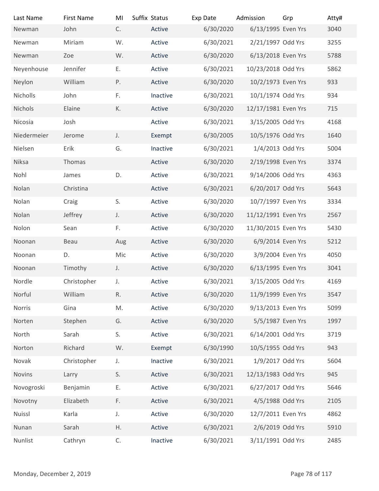| Last Name                | <b>First Name</b> | MI           | Suffix Status | Exp Date  | Admission           | Grp            | Atty# |
|--------------------------|-------------------|--------------|---------------|-----------|---------------------|----------------|-------|
| Newman                   | John              | C.           | Active        | 6/30/2020 | 6/13/1995 Even Yrs  |                | 3040  |
| Newman                   | Miriam            | W.           | Active        | 6/30/2021 | 2/21/1997 Odd Yrs   |                | 3255  |
| Newman                   | Zoe               | W.           | Active        | 6/30/2020 | 6/13/2018 Even Yrs  |                | 5788  |
| Neyenhouse               | Jennifer          | Ε.           | Active        | 6/30/2021 | 10/23/2018 Odd Yrs  |                | 5862  |
| Neylon                   | William           | Ρ.           | Active        | 6/30/2020 | 10/2/1973 Even Yrs  |                | 933   |
| Nicholls                 | John              | F.           | Inactive      | 6/30/2021 | 10/1/1974 Odd Yrs   |                | 934   |
| Nichols                  | Elaine            | К.           | Active        | 6/30/2020 | 12/17/1981 Even Yrs |                | 715   |
| Nicosia                  | Josh              |              | Active        | 6/30/2021 | 3/15/2005 Odd Yrs   |                | 4168  |
| Niedermeier              | Jerome            | J.           | Exempt        | 6/30/2005 | 10/5/1976 Odd Yrs   |                | 1640  |
| Nielsen                  | Erik              | G.           | Inactive      | 6/30/2021 | 1/4/2013 Odd Yrs    |                | 5004  |
| Niksa                    | Thomas            |              | Active        | 6/30/2020 | 2/19/1998 Even Yrs  |                | 3374  |
| Nohl                     | James             | D.           | Active        | 6/30/2021 | 9/14/2006 Odd Yrs   |                | 4363  |
| Nolan                    | Christina         |              | Active        | 6/30/2021 | 6/20/2017 Odd Yrs   |                | 5643  |
| Nolan                    | Craig             | S.           | Active        | 6/30/2020 | 10/7/1997 Even Yrs  |                | 3334  |
| Nolan                    | Jeffrey           | J.           | Active        | 6/30/2020 | 11/12/1991 Even Yrs |                | 2567  |
| Nolon                    | Sean              | F.           | Active        | 6/30/2020 | 11/30/2015 Even Yrs |                | 5430  |
| Noonan                   | Beau              |              | Active        | 6/30/2020 | 6/9/2014 Even Yrs   |                | 5212  |
|                          |                   | Aug          |               |           |                     |                |       |
| Noonan                   | D.                | Mic          | Active        | 6/30/2020 | 3/9/2004 Even Yrs   |                | 4050  |
| Noonan                   | Timothy           | J.           | Active        | 6/30/2020 | 6/13/1995 Even Yrs  |                | 3041  |
| Nordle                   | Christopher       | J.           | Active        | 6/30/2021 | 3/15/2005 Odd Yrs   |                | 4169  |
| Norful                   | William           | R.           | Active        | 6/30/2020 | 11/9/1999 Even Yrs  |                | 3547  |
| Norris                   | Gina              | M.           | Active        | 6/30/2020 | 9/13/2013 Even Yrs  |                | 5099  |
| Norten                   | Stephen           | G.           | Active        | 6/30/2020 | 5/5/1987 Even Yrs   |                | 1997  |
| North                    | Sarah             | S.           | Active        | 6/30/2021 | 6/14/2001 Odd Yrs   |                | 3719  |
| Norton                   | Richard           | W.           | Exempt        | 6/30/1990 | 10/5/1955 Odd Yrs   |                | 943   |
| Novak                    | Christopher       | J.           | Inactive      | 6/30/2021 | 1/9/2017 Odd Yrs    |                | 5604  |
| Novins                   | Larry             | S.           | Active        | 6/30/2021 | 12/13/1983 Odd Yrs  |                | 945   |
| Novogroski               | Benjamin          | Ε.           | Active        | 6/30/2021 | 6/27/2017 Odd Yrs   |                | 5646  |
| Novotny                  | Elizabeth         | F.           | Active        | 6/30/2021 | 4/5/1988 Odd Yrs    |                | 2105  |
| Nuissl                   | Karla             | J.           | Active        | 6/30/2020 | 12/7/2011 Even Yrs  |                | 4862  |
| Nunan                    | Sarah             | Η.           | Active        | 6/30/2021 | 2/6/2019 Odd Yrs    |                | 5910  |
| Nunlist                  | Cathryn           | $\mathsf C.$ | Inactive      | 6/30/2021 | 3/11/1991 Odd Yrs   |                | 2485  |
|                          |                   |              |               |           |                     |                |       |
| Monday, December 2, 2019 |                   |              |               |           |                     | Page 78 of 117 |       |
|                          |                   |              |               |           |                     |                |       |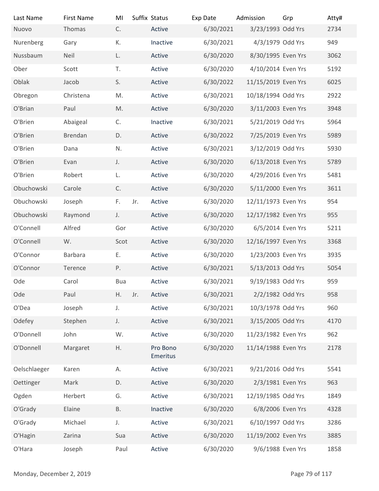| Last Name                | <b>First Name</b> | MI            |     | Suffix Status        | Exp Date  | Admission           | Grp            | Atty# |
|--------------------------|-------------------|---------------|-----|----------------------|-----------|---------------------|----------------|-------|
| Nuovo                    | Thomas            | C.            |     | Active               | 6/30/2021 | 3/23/1993 Odd Yrs   |                | 2734  |
| Nurenberg                | Gary              | К.            |     | Inactive             | 6/30/2021 | 4/3/1979 Odd Yrs    |                | 949   |
| Nussbaum                 | Neil              | L.            |     | Active               | 6/30/2020 | 8/30/1995 Even Yrs  |                | 3062  |
| Ober                     | Scott             | T.            |     | Active               | 6/30/2020 | 4/10/2014 Even Yrs  |                | 5192  |
| Oblak                    | Jacob             | S.            |     | Active               | 6/30/2022 | 11/15/2019 Even Yrs |                | 6025  |
| Obregon                  | Christena         | M.            |     | Active               | 6/30/2021 | 10/18/1994 Odd Yrs  |                | 2922  |
| O'Brian                  | Paul              | M.            |     | Active               | 6/30/2020 | 3/11/2003 Even Yrs  |                | 3948  |
| O'Brien                  | Abaigeal          | C.            |     | Inactive             | 6/30/2021 | 5/21/2019 Odd Yrs   |                | 5964  |
| O'Brien                  | Brendan           | D.            |     | Active               | 6/30/2022 | 7/25/2019 Even Yrs  |                | 5989  |
| O'Brien                  |                   |               |     |                      |           | 3/12/2019 Odd Yrs   |                |       |
|                          | Dana              | N.            |     | Active               | 6/30/2021 |                     |                | 5930  |
| O'Brien                  | Evan              | J.            |     | Active               | 6/30/2020 | 6/13/2018 Even Yrs  |                | 5789  |
| O'Brien                  | Robert            | L.            |     | Active               | 6/30/2020 | 4/29/2016 Even Yrs  |                | 5481  |
| Obuchowski               | Carole            | $\mathsf{C}.$ |     | Active               | 6/30/2020 | 5/11/2000 Even Yrs  |                | 3611  |
| Obuchowski               | Joseph            | F.            | Jr. | Active               | 6/30/2020 | 12/11/1973 Even Yrs |                | 954   |
| Obuchowski               | Raymond           | J.            |     | Active               | 6/30/2020 | 12/17/1982 Even Yrs |                | 955   |
| O'Connell                | Alfred            | Gor           |     | Active               | 6/30/2020 | 6/5/2014 Even Yrs   |                | 5211  |
| O'Connell                | W.                | Scot          |     | Active               | 6/30/2020 | 12/16/1997 Even Yrs |                | 3368  |
| O'Connor                 | Barbara           | Ε.            |     | Active               | 6/30/2020 | 1/23/2003 Even Yrs  |                | 3935  |
| O'Connor                 | Terence           | Ρ.            |     | Active               | 6/30/2021 | 5/13/2013 Odd Yrs   |                | 5054  |
| Ode                      | Carol             | <b>Bua</b>    |     | Active               | 6/30/2021 | 9/19/1983 Odd Yrs   |                | 959   |
| Ode                      | Paul              | Η.            | Jr. | Active               | 6/30/2021 | 2/2/1982 Odd Yrs    |                | 958   |
| O'Dea                    | Joseph            | J.            |     | Active               | 6/30/2021 | 10/3/1978 Odd Yrs   |                | 960   |
| Odefey                   | Stephen           | J.            |     | Active               | 6/30/2021 | 3/15/2005 Odd Yrs   |                | 4170  |
| O'Donnell                | John              | W.            |     | Active               | 6/30/2020 | 11/23/1982 Even Yrs |                | 962   |
| O'Donnell                | Margaret          | Η.            |     | Pro Bono<br>Emeritus | 6/30/2020 | 11/14/1988 Even Yrs |                | 2178  |
| Oelschlaeger             | Karen             | Α.            |     | Active               | 6/30/2021 | 9/21/2016 Odd Yrs   |                | 5541  |
| Oettinger                | Mark              | D.            |     | Active               | 6/30/2020 | 2/3/1981 Even Yrs   |                | 963   |
| Ogden                    | Herbert           | G.            |     | Active               | 6/30/2021 | 12/19/1985 Odd Yrs  |                | 1849  |
| O'Grady                  | Elaine            | <b>B.</b>     |     | Inactive             | 6/30/2020 | 6/8/2006 Even Yrs   |                | 4328  |
| O'Grady                  | Michael           | $J_{\star}$   |     | Active               | 6/30/2021 | 6/10/1997 Odd Yrs   |                | 3286  |
| O'Hagin                  | Zarina            | Sua           |     | Active               | 6/30/2020 | 11/19/2002 Even Yrs |                | 3885  |
| O'Hara                   | Joseph            | Paul          |     | Active               | 6/30/2020 | 9/6/1988 Even Yrs   |                | 1858  |
| Monday, December 2, 2019 |                   |               |     |                      |           |                     | Page 79 of 117 |       |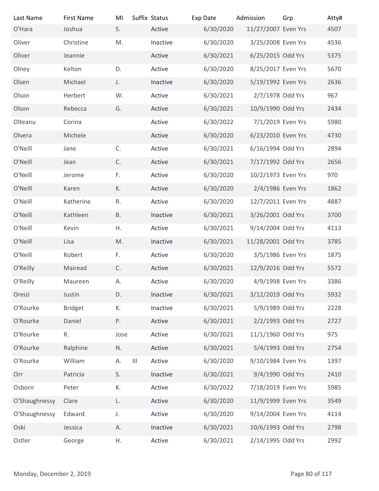| Last Name                | <b>First Name</b> | MI               | Suffix Status | Exp Date  | Admission           | Grp            | Atty# |
|--------------------------|-------------------|------------------|---------------|-----------|---------------------|----------------|-------|
| O'Hara                   | Joshua            | S.               | Active        | 6/30/2020 | 11/27/2007 Even Yrs |                | 4507  |
| Oliver                   | Christine         | M.               | Inactive      | 6/30/2020 | 3/25/2008 Even Yrs  |                | 4536  |
| Oliver                   | Jeannie           |                  | Active        | 6/30/2021 | 6/25/2015 Odd Yrs   |                | 5375  |
| Olney                    | Kelton            | D.               | Active        | 6/30/2020 | 8/25/2017 Even Yrs  |                | 5670  |
| Olsen                    | Michael           | J.               | Inactive      | 6/30/2020 | 5/19/1992 Even Yrs  |                | 2636  |
| Olson                    | Herbert           | W.               | Active        | 6/30/2021 | 2/7/1978 Odd Yrs    |                | 967   |
| Olson                    | Rebecca           | G.               | Active        | 6/30/2021 | 10/9/1990 Odd Yrs   |                | 2434  |
| Olteanu                  | Corina            |                  | Active        | 6/30/2022 | 7/1/2019 Even Yrs   |                | 5980  |
| Olvera                   | Michele           |                  | Active        | 6/30/2020 | 6/23/2010 Even Yrs  |                | 4730  |
| O'Neill                  | Jane              | C.               | Active        | 6/30/2021 | 6/16/1994 Odd Yrs   |                | 2894  |
| O'Neill                  | Jean              | C.               | Active        | 6/30/2021 | 7/17/1992 Odd Yrs   |                | 2656  |
| O'Neill                  | Jerome            | F.               | Active        | 6/30/2020 | 10/2/1973 Even Yrs  |                | 970   |
| O'Neill                  | Karen             | К.               | Active        | 6/30/2020 | 2/4/1986 Even Yrs   |                | 1862  |
| O'Neill                  | Katherine         | R.               | Active        | 6/30/2020 | 12/7/2011 Even Yrs  |                | 4887  |
| O'Neill                  | Kathleen          | <b>B.</b>        | Inactive      | 6/30/2021 | 3/26/2001 Odd Yrs   |                | 3700  |
| O'Neill                  | Kevin             | Η.               | Active        | 6/30/2021 | 9/14/2004 Odd Yrs   |                | 4113  |
| O'Neill                  | Lisa              | M.               | Inactive      | 6/30/2021 | 11/28/2001 Odd Yrs  |                | 3785  |
| O'Neill                  | Robert            | F.               | Active        | 6/30/2020 | 3/5/1986 Even Yrs   |                | 1875  |
| O'Reilly                 | Mairead           | C.               | Active        | 6/30/2021 | 12/9/2016 Odd Yrs   |                | 5572  |
| O'Reilly                 | Maureen           | А.               | Active        | 6/30/2020 | 4/9/1998 Even Yrs   |                | 3386  |
| Oreizi                   | Justin            | D.               | Inactive      | 6/30/2021 | 3/12/2019 Odd Yrs   |                | 5932  |
|                          |                   |                  |               |           | 5/9/1989 Odd Yrs    |                |       |
| O'Rourke                 | <b>Bridget</b>    | К.               | Inactive      | 6/30/2021 |                     |                | 2228  |
| O'Rourke                 | Daniel            | Ρ.               | Active        | 6/30/2021 | 2/2/1993 Odd Yrs    |                | 2727  |
| O'Rourke                 | R.                | Jose             | Active        | 6/30/2021 | 11/1/1960 Odd Yrs   |                | 975   |
| O'Rourke                 | Ralphine          | N.               | Active        | 6/30/2021 | 5/4/1993 Odd Yrs    |                | 2754  |
| O'Rourke                 | William           | $\  \, \ $<br>А. | Active        | 6/30/2020 | 9/10/1984 Even Yrs  |                | 1397  |
| Orr                      | Patricia          | S.               | Inactive      | 6/30/2021 | 9/4/1990 Odd Yrs    |                | 2410  |
| Osborn                   | Peter             | К.               | Active        | 6/30/2022 | 7/18/2019 Even Yrs  |                | 5985  |
| O'Shaughnessy            | Clare             | L.               | Active        | 6/30/2020 | 11/9/1999 Even Yrs  |                | 3549  |
| O'Shaughnessy            | Edward            | J.               | Active        | 6/30/2020 | 9/14/2004 Even Yrs  |                | 4114  |
| Oski                     | Jessica           | А.               | Inactive      | 6/30/2021 | 10/6/1993 Odd Yrs   |                | 2798  |
| Ostler                   | George            | Η.               | Active        | 6/30/2021 | 2/14/1995 Odd Yrs   |                | 2992  |
|                          |                   |                  |               |           |                     |                |       |
| Monday, December 2, 2019 |                   |                  |               |           |                     | Page 80 of 117 |       |
|                          |                   |                  |               |           |                     |                |       |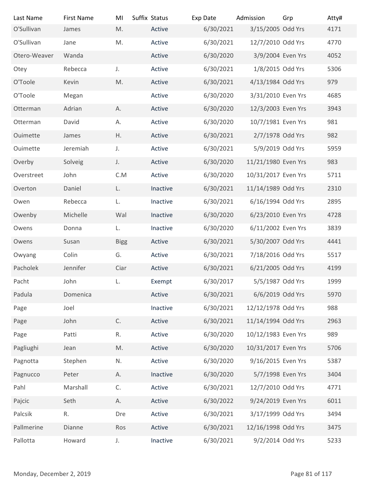| Last Name                | <b>First Name</b> | MI            | Suffix Status | Exp Date  | Admission           | Grp            | Atty# |
|--------------------------|-------------------|---------------|---------------|-----------|---------------------|----------------|-------|
| O'Sullivan               | James             | M.            | Active        | 6/30/2021 | 3/15/2005 Odd Yrs   |                | 4171  |
| O'Sullivan               | Jane              | M.            | Active        | 6/30/2021 | 12/7/2010 Odd Yrs   |                | 4770  |
| Otero-Weaver             | Wanda             |               | Active        | 6/30/2020 | 3/9/2004 Even Yrs   |                | 4052  |
| Otey                     | Rebecca           | J.            | Active        | 6/30/2021 | 1/8/2015 Odd Yrs    |                | 5306  |
| O'Toole                  | Kevin             | M.            | Active        | 6/30/2021 | 4/13/1984 Odd Yrs   |                | 979   |
| O'Toole                  | Megan             |               | Active        | 6/30/2020 | 3/31/2010 Even Yrs  |                | 4685  |
| Otterman                 | Adrian            | А.            | Active        | 6/30/2020 | 12/3/2003 Even Yrs  |                | 3943  |
| Otterman                 | David             | А.            | Active        | 6/30/2020 | 10/7/1981 Even Yrs  |                | 981   |
| Ouimette                 | James             | Η.            | Active        | 6/30/2021 | 2/7/1978 Odd Yrs    |                | 982   |
| Ouimette                 | Jeremiah          | J.            | Active        | 6/30/2021 | 5/9/2019 Odd Yrs    |                | 5959  |
| Overby                   | Solveig           | J.            | Active        | 6/30/2020 | 11/21/1980 Even Yrs |                | 983   |
| Overstreet               | John              | C.M           | Active        | 6/30/2020 | 10/31/2017 Even Yrs |                | 5711  |
| Overton                  | Daniel            | L.            | Inactive      | 6/30/2021 | 11/14/1989 Odd Yrs  |                | 2310  |
| Owen                     | Rebecca           | L.            | Inactive      | 6/30/2021 | 6/16/1994 Odd Yrs   |                | 2895  |
| Owenby                   | Michelle          | Wal           | Inactive      | 6/30/2020 | 6/23/2010 Even Yrs  |                | 4728  |
|                          |                   |               |               |           |                     |                | 3839  |
| Owens                    | Donna             | L.            | Inactive      | 6/30/2020 | 6/11/2002 Even Yrs  |                |       |
| Owens                    | Susan             | <b>Bigg</b>   | Active        | 6/30/2021 | 5/30/2007 Odd Yrs   |                | 4441  |
| Owyang                   | Colin             | G.            | Active        | 6/30/2021 | 7/18/2016 Odd Yrs   |                | 5517  |
| Pacholek                 | Jennifer          | Ciar          | Active        | 6/30/2021 | 6/21/2005 Odd Yrs   |                | 4199  |
| Pacht                    | John              | L.            | Exempt        | 6/30/2017 | 5/5/1987 Odd Yrs    |                | 1999  |
| Padula                   | Domenica          |               | Active        | 6/30/2021 | 6/6/2019 Odd Yrs    |                | 5970  |
| Page                     | Joel              |               | Inactive      | 6/30/2021 | 12/12/1978 Odd Yrs  |                | 988   |
| Page                     | John              | $\mathsf{C}.$ | Active        | 6/30/2021 | 11/14/1994 Odd Yrs  |                | 2963  |
| Page                     | Patti             | R.            | Active        | 6/30/2020 | 10/12/1983 Even Yrs |                | 989   |
| Pagliughi                | Jean              | M.            | Active        | 6/30/2020 | 10/31/2017 Even Yrs |                | 5706  |
| Pagnotta                 | Stephen           | N.            | Active        | 6/30/2020 | 9/16/2015 Even Yrs  |                | 5387  |
| Pagnucco                 | Peter             | А.            | Inactive      | 6/30/2020 | 5/7/1998 Even Yrs   |                | 3404  |
| Pahl                     | Marshall          | C.            | Active        | 6/30/2021 | 12/7/2010 Odd Yrs   |                | 4771  |
| Pajcic                   | Seth              | А.            | Active        | 6/30/2022 | 9/24/2019 Even Yrs  |                | 6011  |
| Palcsik                  | R.                | Dre           | Active        | 6/30/2021 | 3/17/1999 Odd Yrs   |                | 3494  |
| Pallmerine               | Dianne            | Ros           | Active        | 6/30/2021 | 12/16/1998 Odd Yrs  |                | 3475  |
| Pallotta                 | Howard            | $J_{\star}$   | Inactive      | 6/30/2021 | 9/2/2014 Odd Yrs    |                | 5233  |
|                          |                   |               |               |           |                     |                |       |
|                          |                   |               |               |           |                     |                |       |
| Monday, December 2, 2019 |                   |               |               |           |                     | Page 81 of 117 |       |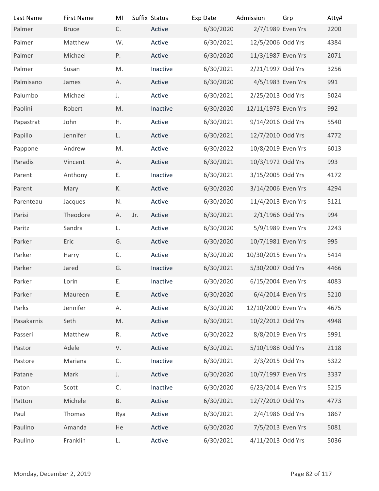| Last Name                | <b>First Name</b> | MI            | Suffix Status | Exp Date  | Admission           | Grp            | Atty# |
|--------------------------|-------------------|---------------|---------------|-----------|---------------------|----------------|-------|
| Palmer                   | <b>Bruce</b>      | C.            | Active        | 6/30/2020 | 2/7/1989 Even Yrs   |                | 2200  |
| Palmer                   | Matthew           | W.            | Active        | 6/30/2021 | 12/5/2006 Odd Yrs   |                | 4384  |
| Palmer                   | Michael           | P.            | Active        | 6/30/2020 | 11/3/1987 Even Yrs  |                | 2071  |
| Palmer                   | Susan             | M.            | Inactive      | 6/30/2021 | 2/21/1997 Odd Yrs   |                | 3256  |
| Palmisano                | James             | А.            | Active        | 6/30/2020 | 4/5/1983 Even Yrs   |                | 991   |
| Palumbo                  | Michael           | J.            | Active        | 6/30/2021 | 2/25/2013 Odd Yrs   |                | 5024  |
| Paolini                  | Robert            | M.            | Inactive      | 6/30/2020 | 12/11/1973 Even Yrs |                | 992   |
| Papastrat                | John              | Η.            | Active        | 6/30/2021 | 9/14/2016 Odd Yrs   |                | 5540  |
| Papillo                  | Jennifer          | L.            | Active        | 6/30/2021 | 12/7/2010 Odd Yrs   |                | 4772  |
| Pappone                  | Andrew            | M.            | Active        | 6/30/2022 | 10/8/2019 Even Yrs  |                | 6013  |
| Paradis                  | Vincent           | А.            | Active        | 6/30/2021 | 10/3/1972 Odd Yrs   |                | 993   |
| Parent                   | Anthony           | Ε.            | Inactive      | 6/30/2021 | 3/15/2005 Odd Yrs   |                | 4172  |
| Parent                   | Mary              | К.            | Active        | 6/30/2020 | 3/14/2006 Even Yrs  |                | 4294  |
| Parenteau                | Jacques           | N.            | Active        | 6/30/2020 | 11/4/2013 Even Yrs  |                | 5121  |
| Parisi                   | Theodore          | Jr.<br>А.     | Active        | 6/30/2021 | 2/1/1966 Odd Yrs    |                | 994   |
| Paritz                   | Sandra            | L.            | Active        | 6/30/2020 | 5/9/1989 Even Yrs   |                | 2243  |
| Parker                   | Eric              | G.            | Active        | 6/30/2020 | 10/7/1981 Even Yrs  |                | 995   |
| Parker                   | Harry             | C.            | Active        | 6/30/2020 | 10/30/2015 Even Yrs |                | 5414  |
| Parker                   | Jared             | G.            | Inactive      | 6/30/2021 | 5/30/2007 Odd Yrs   |                | 4466  |
| Parker                   | Lorin             | Ε.            | Inactive      | 6/30/2020 | 6/15/2004 Even Yrs  |                | 4083  |
| Parker                   | Maureen           | Ε.            | Active        | 6/30/2020 | 6/4/2014 Even Yrs   |                | 5210  |
| Parks                    |                   |               | Active        |           | 12/10/2009 Even Yrs |                | 4675  |
|                          | Jennifer          | Α.            |               | 6/30/2020 |                     |                |       |
| Pasakarnis               | Seth              | $\mathsf{M}.$ | Active        | 6/30/2021 | 10/2/2012 Odd Yrs   |                | 4948  |
| Passeri                  | Matthew           | R.            | Active        | 6/30/2022 | 8/8/2019 Even Yrs   |                | 5991  |
| Pastor                   | Adele             | V.            | Active        | 6/30/2021 | 5/10/1988 Odd Yrs   |                | 2118  |
| Pastore                  | Mariana           | C.            | Inactive      | 6/30/2021 | 2/3/2015 Odd Yrs    |                | 5322  |
| Patane                   | Mark              | J.            | Active        | 6/30/2020 | 10/7/1997 Even Yrs  |                | 3337  |
| Paton                    | Scott             | C.            | Inactive      | 6/30/2020 | 6/23/2014 Even Yrs  |                | 5215  |
| Patton                   | Michele           | <b>B.</b>     | Active        | 6/30/2021 | 12/7/2010 Odd Yrs   |                | 4773  |
| Paul                     | Thomas            | Rya           | Active        | 6/30/2021 | 2/4/1986 Odd Yrs    |                | 1867  |
| Paulino                  | Amanda            | He            | Active        | 6/30/2020 | 7/5/2013 Even Yrs   |                | 5081  |
| Paulino                  | Franklin          | L.            | Active        | 6/30/2021 | 4/11/2013 Odd Yrs   |                | 5036  |
|                          |                   |               |               |           |                     |                |       |
| Monday, December 2, 2019 |                   |               |               |           |                     | Page 82 of 117 |       |
|                          |                   |               |               |           |                     |                |       |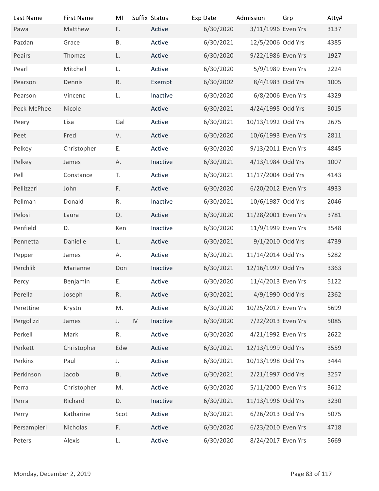| Last Name                | <b>First Name</b> | MI        | Suffix Status | Exp Date  | Admission           | Grp            | Atty# |
|--------------------------|-------------------|-----------|---------------|-----------|---------------------|----------------|-------|
| Pawa                     | Matthew           | F.        | Active        | 6/30/2020 | 3/11/1996 Even Yrs  |                | 3137  |
| Pazdan                   | Grace             | <b>B.</b> | Active        | 6/30/2021 | 12/5/2006 Odd Yrs   |                | 4385  |
| Peairs                   | Thomas            | L.        | Active        | 6/30/2020 | 9/22/1986 Even Yrs  |                | 1927  |
| Pearl                    | Mitchell          | L.        | Active        | 6/30/2020 | 5/9/1989 Even Yrs   |                | 2224  |
| Pearson                  | Dennis            | R.        | Exempt        | 6/30/2002 | 8/4/1983 Odd Yrs    |                | 1005  |
| Pearson                  | Vincenc           | L.        | Inactive      | 6/30/2020 | 6/8/2006 Even Yrs   |                | 4329  |
| Peck-McPhee              | Nicole            |           | Active        | 6/30/2021 | 4/24/1995 Odd Yrs   |                | 3015  |
| Peery                    | Lisa              | Gal       | Active        | 6/30/2021 | 10/13/1992 Odd Yrs  |                | 2675  |
| Peet                     | Fred              | V.        | Active        | 6/30/2020 | 10/6/1993 Even Yrs  |                | 2811  |
| Pelkey                   | Christopher       | Ε.        | Active        | 6/30/2020 | 9/13/2011 Even Yrs  |                | 4845  |
| Pelkey                   | James             | Α.        | Inactive      | 6/30/2021 | 4/13/1984 Odd Yrs   |                | 1007  |
| Pell                     | Constance         | T.        | Active        | 6/30/2021 | 11/17/2004 Odd Yrs  |                | 4143  |
| Pellizzari               | John              | F.        | Active        | 6/30/2020 | 6/20/2012 Even Yrs  |                | 4933  |
| Pellman                  | Donald            | R.        | Inactive      | 6/30/2021 | 10/6/1987 Odd Yrs   |                | 2046  |
| Pelosi                   | Laura             | Q.        | Active        | 6/30/2020 | 11/28/2001 Even Yrs |                | 3781  |
| Penfield                 | D.                | Ken       | Inactive      | 6/30/2020 | 11/9/1999 Even Yrs  |                | 3548  |
| Pennetta                 | Danielle          | L.        | Active        | 6/30/2021 | 9/1/2010 Odd Yrs    |                | 4739  |
| Pepper                   | James             | А.        | Active        | 6/30/2021 | 11/14/2014 Odd Yrs  |                | 5282  |
| Perchlik                 | Marianne          | Don       | Inactive      | 6/30/2021 | 12/16/1997 Odd Yrs  |                | 3363  |
| Percy                    | Benjamin          | Ε.        | Active        | 6/30/2020 | 11/4/2013 Even Yrs  |                | 5122  |
| Perella                  | Joseph            | R.        | Active        | 6/30/2021 | 4/9/1990 Odd Yrs    |                | 2362  |
| Perettine                | Krystn            | M.        | Active        | 6/30/2020 | 10/25/2017 Even Yrs |                | 5699  |
| Pergolizzi               | James             | IV<br>J.  | Inactive      | 6/30/2020 | 7/22/2013 Even Yrs  |                | 5085  |
| Perkell                  | Mark              | R.        | Active        | 6/30/2020 | 4/21/1992 Even Yrs  |                | 2622  |
| Perkett                  | Christopher       | Edw       | Active        | 6/30/2021 | 12/13/1999 Odd Yrs  |                | 3559  |
| Perkins                  | Paul              | J.        | Active        | 6/30/2021 | 10/13/1998 Odd Yrs  |                | 3444  |
| Perkinson                | Jacob             | <b>B.</b> | Active        | 6/30/2021 | 2/21/1997 Odd Yrs   |                | 3257  |
| Perra                    | Christopher       | M.        | Active        | 6/30/2020 | 5/11/2000 Even Yrs  |                | 3612  |
| Perra                    | Richard           | D.        | Inactive      | 6/30/2021 | 11/13/1996 Odd Yrs  |                | 3230  |
| Perry                    | Katharine         | Scot      | Active        | 6/30/2021 | 6/26/2013 Odd Yrs   |                | 5075  |
| Persampieri              | Nicholas          | F.        | Active        | 6/30/2020 | 6/23/2010 Even Yrs  |                | 4718  |
| Peters                   | Alexis            | L.        | Active        | 6/30/2020 | 8/24/2017 Even Yrs  |                | 5669  |
|                          |                   |           |               |           |                     |                |       |
| Monday, December 2, 2019 |                   |           |               |           |                     | Page 83 of 117 |       |
|                          |                   |           |               |           |                     |                |       |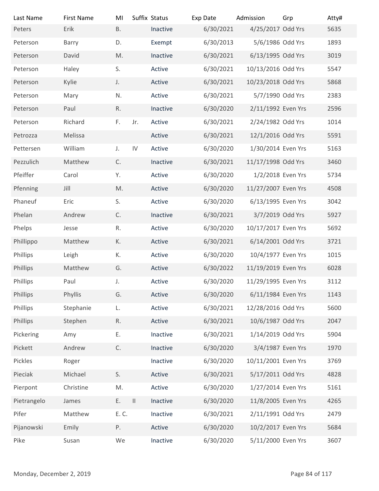| Last Name                | <b>First Name</b> | MI            | Suffix Status |          | Exp Date  | Admission           | Grp            | Atty# |
|--------------------------|-------------------|---------------|---------------|----------|-----------|---------------------|----------------|-------|
| Peters                   | Erik              | <b>B.</b>     |               | Inactive | 6/30/2021 | 4/25/2017 Odd Yrs   |                | 5635  |
| Peterson                 | Barry             | D.            |               | Exempt   | 6/30/2013 | 5/6/1986 Odd Yrs    |                | 1893  |
| Peterson                 | David             | M.            |               | Inactive | 6/30/2021 | 6/13/1995 Odd Yrs   |                | 3019  |
| Peterson                 | Haley             | S.            |               | Active   | 6/30/2021 | 10/13/2016 Odd Yrs  |                | 5547  |
| Peterson                 | Kylie             | J.            |               | Active   | 6/30/2021 | 10/23/2018 Odd Yrs  |                | 5868  |
| Peterson                 | Mary              | N.            |               | Active   | 6/30/2021 | 5/7/1990 Odd Yrs    |                | 2383  |
| Peterson                 | Paul              | R.            |               | Inactive | 6/30/2020 | 2/11/1992 Even Yrs  |                | 2596  |
| Peterson                 | Richard           | F.            | Jr.           | Active   | 6/30/2021 | 2/24/1982 Odd Yrs   |                | 1014  |
| Petrozza                 | Melissa           |               |               | Active   | 6/30/2021 | 12/1/2016 Odd Yrs   |                | 5591  |
| Pettersen                | William           | J.            | IV            | Active   | 6/30/2020 | 1/30/2014 Even Yrs  |                | 5163  |
| Pezzulich                | Matthew           | $\mathsf{C}.$ |               | Inactive | 6/30/2021 | 11/17/1998 Odd Yrs  |                | 3460  |
| Pfeiffer                 | Carol             | Υ.            |               | Active   | 6/30/2020 | 1/2/2018 Even Yrs   |                | 5734  |
| Pfenning                 | Jill              | $\mathsf{M}.$ |               | Active   | 6/30/2020 | 11/27/2007 Even Yrs |                | 4508  |
| Phaneuf                  | Eric              | S.            |               | Active   | 6/30/2020 | 6/13/1995 Even Yrs  |                | 3042  |
| Phelan                   | Andrew            | $\mathsf{C}.$ |               | Inactive | 6/30/2021 | 3/7/2019 Odd Yrs    |                | 5927  |
| Phelps                   | Jesse             | R.            |               | Active   | 6/30/2020 | 10/17/2017 Even Yrs |                | 5692  |
| Phillippo                | Matthew           | К.            |               | Active   | 6/30/2021 | 6/14/2001 Odd Yrs   |                | 3721  |
| Phillips                 | Leigh             | К.            |               | Active   | 6/30/2020 | 10/4/1977 Even Yrs  |                | 1015  |
|                          |                   |               |               |          |           |                     |                |       |
| Phillips                 | Matthew           | G.            |               | Active   | 6/30/2022 | 11/19/2019 Even Yrs |                | 6028  |
| Phillips                 | Paul              | $J_{\star}$   |               | Active   | 6/30/2020 | 11/29/1995 Even Yrs |                | 3112  |
| Phillips                 | Phyllis           | G.            |               | Active   | 6/30/2020 | 6/11/1984 Even Yrs  |                | 1143  |
| Phillips                 | Stephanie         | L.            |               | Active   | 6/30/2021 | 12/28/2016 Odd Yrs  |                | 5600  |
| Phillips                 | Stephen           | R.            |               | Active   | 6/30/2021 | 10/6/1987 Odd Yrs   |                | 2047  |
| Pickering                | Amy               | Ε.            |               | Inactive | 6/30/2021 | 1/14/2019 Odd Yrs   |                | 5904  |
| Pickett                  | Andrew            | $\mathsf{C}.$ |               | Inactive | 6/30/2020 | 3/4/1987 Even Yrs   |                | 1970  |
| Pickles                  | Roger             |               |               | Inactive | 6/30/2020 | 10/11/2001 Even Yrs |                | 3769  |
| Pieciak                  | Michael           | S.            |               | Active   | 6/30/2021 | 5/17/2011 Odd Yrs   |                | 4828  |
| Pierpont                 | Christine         | M.            |               | Active   | 6/30/2020 | 1/27/2014 Even Yrs  |                | 5161  |
| Pietrangelo              | James             | Ε.            | $\mathbf{  }$ | Inactive | 6/30/2020 | 11/8/2005 Even Yrs  |                | 4265  |
| Pifer                    | Matthew           | E. C.         |               | Inactive | 6/30/2021 | 2/11/1991 Odd Yrs   |                | 2479  |
| Pijanowski               | Emily             | Ρ.            |               | Active   | 6/30/2020 | 10/2/2017 Even Yrs  |                | 5684  |
| Pike                     | Susan             | We            |               | Inactive | 6/30/2020 | 5/11/2000 Even Yrs  |                | 3607  |
|                          |                   |               |               |          |           |                     |                |       |
| Monday, December 2, 2019 |                   |               |               |          |           |                     | Page 84 of 117 |       |
|                          |                   |               |               |          |           |                     |                |       |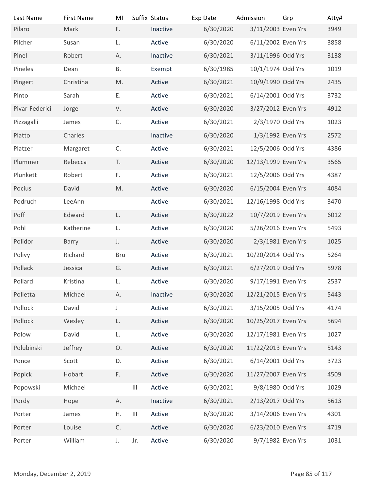| Last Name                | <b>First Name</b> | MI            | Suffix Status                                | Exp Date  | Admission           | Grp | Atty#          |
|--------------------------|-------------------|---------------|----------------------------------------------|-----------|---------------------|-----|----------------|
| Pilaro                   | Mark              | F.            | Inactive                                     | 6/30/2020 | 3/11/2003 Even Yrs  |     | 3949           |
| Pilcher                  | Susan             | L.            | Active                                       | 6/30/2020 | 6/11/2002 Even Yrs  |     | 3858           |
| Pinel                    | Robert            | А.            | Inactive                                     | 6/30/2021 | 3/11/1996 Odd Yrs   |     | 3138           |
| Pineles                  | Dean              | <b>B.</b>     | Exempt                                       | 6/30/1985 | 10/1/1974 Odd Yrs   |     | 1019           |
| Pingert                  | Christina         | M.            | Active                                       | 6/30/2021 | 10/9/1990 Odd Yrs   |     | 2435           |
| Pinto                    | Sarah             | Ε.            | Active                                       | 6/30/2021 | 6/14/2001 Odd Yrs   |     | 3732           |
| Pivar-Federici           | Jorge             | V.            | Active                                       | 6/30/2020 | 3/27/2012 Even Yrs  |     | 4912           |
| Pizzagalli               | James             | C.            | Active                                       | 6/30/2021 | 2/3/1970 Odd Yrs    |     | 1023           |
| Platto                   | Charles           |               | Inactive                                     | 6/30/2020 | 1/3/1992 Even Yrs   |     | 2572           |
| Platzer                  | Margaret          | C.            | Active                                       | 6/30/2021 | 12/5/2006 Odd Yrs   |     | 4386           |
| Plummer                  | Rebecca           | T.            | Active                                       | 6/30/2020 | 12/13/1999 Even Yrs |     | 3565           |
| Plunkett                 | Robert            | F.            | Active                                       | 6/30/2021 | 12/5/2006 Odd Yrs   |     | 4387           |
| Pocius                   | David             | $\mathsf{M}.$ | Active                                       | 6/30/2020 | 6/15/2004 Even Yrs  |     | 4084           |
| Podruch                  | LeeAnn            |               | Active                                       | 6/30/2021 | 12/16/1998 Odd Yrs  |     | 3470           |
| Poff                     | Edward            | L.            | Active                                       | 6/30/2022 | 10/7/2019 Even Yrs  |     | 6012           |
| Pohl                     | Katherine         | L.            | Active                                       | 6/30/2020 | 5/26/2016 Even Yrs  |     | 5493           |
| Polidor                  | Barry             | J.            | Active                                       | 6/30/2020 | 2/3/1981 Even Yrs   |     | 1025           |
| Polivy                   | Richard           | <b>Bru</b>    | Active                                       | 6/30/2021 | 10/20/2014 Odd Yrs  |     | 5264           |
|                          |                   |               |                                              |           |                     |     |                |
| Pollack                  | Jessica           | G.            | Active                                       | 6/30/2021 | 6/27/2019 Odd Yrs   |     | 5978           |
| Pollard                  | Kristina          | L.            | Active                                       | 6/30/2020 | 9/17/1991 Even Yrs  |     | 2537           |
| Polletta                 | Michael           | А.            | Inactive                                     | 6/30/2020 | 12/21/2015 Even Yrs |     | 5443           |
| Pollock                  | David             | $\mathsf J$   | Active                                       | 6/30/2021 | 3/15/2005 Odd Yrs   |     | 4174           |
| Pollock                  | Wesley            | L.            | Active                                       | 6/30/2020 | 10/25/2017 Even Yrs |     | 5694           |
| Polow                    | David             | L.            | Active                                       | 6/30/2020 | 12/17/1981 Even Yrs |     | 1027           |
| Polubinski               | Jeffrey           | Ο.            | Active                                       | 6/30/2020 | 11/22/2013 Even Yrs |     | 5143           |
| Ponce                    | Scott             | D.            | Active                                       | 6/30/2021 | 6/14/2001 Odd Yrs   |     | 3723           |
| Popick                   | Hobart            | F.            | Active                                       | 6/30/2020 | 11/27/2007 Even Yrs |     | 4509           |
| Popowski                 | Michael           |               | Active<br>$\mathbf{III}$                     | 6/30/2021 | 9/8/1980 Odd Yrs    |     | 1029           |
| Pordy                    | Hope              | Α.            | Inactive                                     | 6/30/2021 | 2/13/2017 Odd Yrs   |     | 5613           |
| Porter                   | James             | Η.            | $\ensuremath{\mathsf{III}}\xspace$<br>Active | 6/30/2020 | 3/14/2006 Even Yrs  |     | 4301           |
| Porter                   | Louise            | C.            | Active                                       | 6/30/2020 | 6/23/2010 Even Yrs  |     | 4719           |
| Porter                   | William           | J.            | Active<br>Jr.                                | 6/30/2020 | 9/7/1982 Even Yrs   |     | 1031           |
|                          |                   |               |                                              |           |                     |     |                |
| Monday, December 2, 2019 |                   |               |                                              |           |                     |     | Page 85 of 117 |
|                          |                   |               |                                              |           |                     |     |                |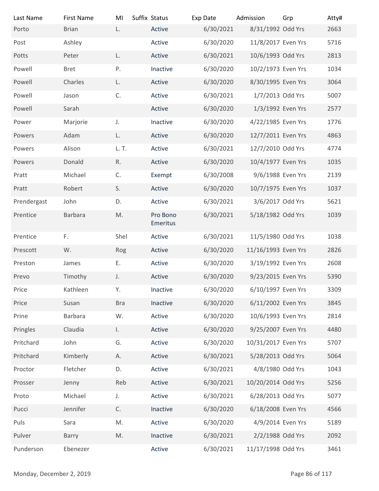| Last Name                | <b>First Name</b> | MI            | Suffix Status      | Exp Date               | Admission                                | Grp            | Atty#        |
|--------------------------|-------------------|---------------|--------------------|------------------------|------------------------------------------|----------------|--------------|
| Porto                    | <b>Brian</b>      | L.            | Active             | 6/30/2021              | 8/31/1992 Odd Yrs                        |                | 2663         |
| Post                     | Ashley            |               | Active             | 6/30/2020              | 11/8/2017 Even Yrs                       |                | 5716         |
| Potts                    | Peter             | L.            | Active             | 6/30/2021              | 10/6/1993 Odd Yrs                        |                | 2813         |
| Powell                   | <b>Bret</b>       | Ρ.            | Inactive           | 6/30/2020              | 10/2/1973 Even Yrs                       |                | 1034         |
| Powell                   | Charles           | L.            | Active             | 6/30/2020              | 8/30/1995 Even Yrs                       |                | 3064         |
| Powell                   | Jason             | C.            | Active             | 6/30/2021              | 1/7/2013 Odd Yrs                         |                | 5007         |
| Powell                   | Sarah             |               | Active             | 6/30/2020              | 1/3/1992 Even Yrs                        |                | 2577         |
| Power<br>Powers          | Marjorie<br>Adam  | J.<br>L.      | Inactive<br>Active | 6/30/2020<br>6/30/2020 | 4/22/1985 Even Yrs<br>12/7/2011 Even Yrs |                | 1776<br>4863 |
| Powers                   | Alison            | L. T.         | Active             | 6/30/2021              | 12/7/2010 Odd Yrs                        |                | 4774         |
| Powers                   | Donald            | R.            | Active             | 6/30/2020              | 10/4/1977 Even Yrs                       |                | 1035         |
| Pratt                    | Michael           | C.            | Exempt             | 6/30/2008              | 9/6/1988 Even Yrs                        |                | 2139         |
| Pratt                    | Robert            | S.            | Active             | 6/30/2020              | 10/7/1975 Even Yrs                       |                | 1037         |
| Prendergast              | John              | D.            | Active             | 6/30/2021              | 3/6/2017 Odd Yrs                         |                | 5621         |
| Prentice                 | Barbara           | $\mathsf{M}.$ | Pro Bono           | 6/30/2021              | 5/18/1982 Odd Yrs                        |                | 1039         |
|                          |                   |               | Emeritus           |                        |                                          |                |              |
| Prentice                 | F.                | Shel          | Active             | 6/30/2021              | 11/5/1980 Odd Yrs                        |                | 1038         |
| Prescott                 | W.                | Rog           | Active             | 6/30/2020              | 11/16/1993 Even Yrs                      |                | 2826         |
| Preston                  | James             | Ε.            | Active             | 6/30/2020              | 3/19/1992 Even Yrs                       |                | 2608         |
| Prevo                    | Timothy           | J.            | Active             | 6/30/2020              | 9/23/2015 Even Yrs                       |                | 5390         |
| Price                    | Kathleen          | Υ.            | Inactive           | 6/30/2020              | 6/10/1997 Even Yrs                       |                | 3309         |
| Price                    | Susan             | <b>Bra</b>    | Inactive           | 6/30/2020              | 6/11/2002 Even Yrs                       |                | 3845         |
| Prine                    | Barbara           | W.            | Active             | 6/30/2020              | 10/6/1993 Even Yrs                       |                | 2814         |
| Pringles                 | Claudia           | $\mathsf{L}$  | Active             | 6/30/2020              | 9/25/2007 Even Yrs                       |                | 4480         |
| Pritchard                | John              | G.            | Active             | 6/30/2020              | 10/31/2017 Even Yrs                      |                | 5707         |
| Pritchard                | Kimberly          | Α.            | Active             | 6/30/2021              | 5/28/2013 Odd Yrs                        |                | 5064         |
| Proctor                  | Fletcher          | D.            | Active             | 6/30/2021              | 4/8/1980 Odd Yrs                         |                | 1043         |
| Prosser                  | Jenny             | Reb           | Active             | 6/30/2021              | 10/20/2014 Odd Yrs                       |                | 5256         |
| Proto                    | Michael           | J.            | Active             | 6/30/2021              | 6/28/2013 Odd Yrs                        |                | 5077         |
| Pucci                    | Jennifer          | C.            | Inactive           | 6/30/2020              | 6/18/2008 Even Yrs                       |                | 4566         |
| Puls                     | Sara              | M.            | Active             | 6/30/2020              | 4/9/2014 Even Yrs                        |                | 5189         |
| Pulver                   | Barry             | M.            | Inactive           | 6/30/2021              | 2/2/1988 Odd Yrs                         |                | 2092         |
| Punderson                | Ebenezer          |               | Active             | 6/30/2021              | 11/17/1998 Odd Yrs                       |                | 3461         |
| Monday, December 2, 2019 |                   |               |                    |                        |                                          | Page 86 of 117 |              |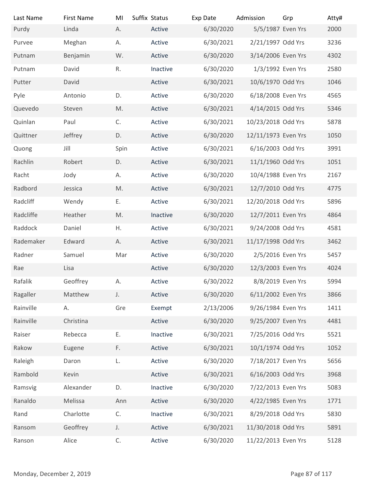| Last Name                | <b>First Name</b> | MI           | Suffix Status | Exp Date  | Admission           | Grp            | Atty# |
|--------------------------|-------------------|--------------|---------------|-----------|---------------------|----------------|-------|
| Purdy                    | Linda             | А.           | Active        | 6/30/2020 | 5/5/1987 Even Yrs   |                | 2000  |
| Purvee                   | Meghan            | А.           | Active        | 6/30/2021 | 2/21/1997 Odd Yrs   |                | 3236  |
| Putnam                   | Benjamin          | W.           | Active        | 6/30/2020 | 3/14/2006 Even Yrs  |                | 4302  |
| Putnam                   | David             | R.           | Inactive      | 6/30/2020 | 1/3/1992 Even Yrs   |                | 2580  |
| Putter                   | David             |              | Active        | 6/30/2021 | 10/6/1970 Odd Yrs   |                | 1046  |
| Pyle                     | Antonio           | D.           | Active        | 6/30/2020 | 6/18/2008 Even Yrs  |                | 4565  |
| Quevedo                  | Steven            | M.           | Active        | 6/30/2021 | 4/14/2015 Odd Yrs   |                | 5346  |
| Quinlan                  | Paul              | C.           | Active        | 6/30/2021 | 10/23/2018 Odd Yrs  |                | 5878  |
| Quittner                 | Jeffrey           | D.           | Active        | 6/30/2020 | 12/11/1973 Even Yrs |                | 1050  |
| Quong                    | Jill              | Spin         | Active        | 6/30/2021 | 6/16/2003 Odd Yrs   |                | 3991  |
| Rachlin                  | Robert            | D.           | Active        | 6/30/2021 | 11/1/1960 Odd Yrs   |                | 1051  |
| Racht                    | Jody              | А.           | Active        | 6/30/2020 | 10/4/1988 Even Yrs  |                | 2167  |
| Radbord                  | Jessica           | M.           | Active        | 6/30/2021 | 12/7/2010 Odd Yrs   |                | 4775  |
|                          |                   |              |               |           |                     |                |       |
| Radcliff                 | Wendy             | Ε.           | Active        | 6/30/2021 | 12/20/2018 Odd Yrs  |                | 5896  |
| Radcliffe                | Heather           | M.           | Inactive      | 6/30/2020 | 12/7/2011 Even Yrs  |                | 4864  |
| Raddock                  | Daniel            | Η.           | Active        | 6/30/2021 | 9/24/2008 Odd Yrs   |                | 4581  |
| Rademaker                | Edward            | А.           | Active        | 6/30/2021 | 11/17/1998 Odd Yrs  |                | 3462  |
| Radner                   | Samuel            | Mar          | Active        | 6/30/2020 | 2/5/2016 Even Yrs   |                | 5457  |
| Rae                      | Lisa              |              | Active        | 6/30/2020 | 12/3/2003 Even Yrs  |                | 4024  |
| Rafalik                  | Geoffrey          | А.           | Active        | 6/30/2022 | 8/8/2019 Even Yrs   |                | 5994  |
| Ragaller                 | Matthew           | J.           | Active        | 6/30/2020 | 6/11/2002 Even Yrs  |                | 3866  |
| Rainville                | А.                | Gre          | Exempt        | 2/13/2006 | 9/26/1984 Even Yrs  |                | 1411  |
| Rainville                | Christina         |              | Active        | 6/30/2020 | 9/25/2007 Even Yrs  |                | 4481  |
| Raiser                   | Rebecca           | Ε.           | Inactive      | 6/30/2021 | 7/25/2016 Odd Yrs   |                | 5521  |
| Rakow                    | Eugene            | F.           | Active        | 6/30/2021 | 10/1/1974 Odd Yrs   |                | 1052  |
| Raleigh                  | Daron             | L.           | Active        | 6/30/2020 | 7/18/2017 Even Yrs  |                | 5656  |
| Rambold                  | Kevin             |              | Active        | 6/30/2021 | 6/16/2003 Odd Yrs   |                | 3968  |
| Ramsvig                  | Alexander         | D.           | Inactive      | 6/30/2020 | 7/22/2013 Even Yrs  |                | 5083  |
| Ranaldo                  | Melissa           | Ann          | Active        | 6/30/2020 | 4/22/1985 Even Yrs  |                | 1771  |
| Rand                     | Charlotte         | C.           | Inactive      | 6/30/2021 | 8/29/2018 Odd Yrs   |                | 5830  |
| Ransom                   | Geoffrey          | J.           | Active        | 6/30/2021 | 11/30/2018 Odd Yrs  |                | 5891  |
| Ranson                   | Alice             | $\mathsf C.$ | Active        | 6/30/2020 | 11/22/2013 Even Yrs |                | 5128  |
|                          |                   |              |               |           |                     |                |       |
|                          |                   |              |               |           |                     |                |       |
| Monday, December 2, 2019 |                   |              |               |           |                     | Page 87 of 117 |       |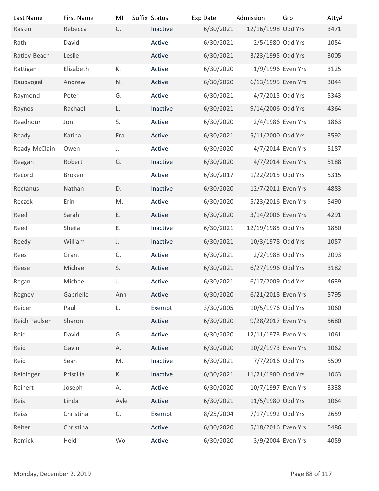| Last Name                | <b>First Name</b> | MI   | Suffix Status | Exp Date  | Admission           | Grp            | Atty# |
|--------------------------|-------------------|------|---------------|-----------|---------------------|----------------|-------|
| Raskin                   | Rebecca           | C.   | Inactive      | 6/30/2021 | 12/16/1998 Odd Yrs  |                | 3471  |
| Rath                     | David             |      | Active        | 6/30/2021 | 2/5/1980 Odd Yrs    |                | 1054  |
| Ratley-Beach             | Leslie            |      | Active        | 6/30/2021 | 3/23/1995 Odd Yrs   |                | 3005  |
| Rattigan                 | Elizabeth         | К.   | Active        | 6/30/2020 | 1/9/1996 Even Yrs   |                | 3125  |
| Raubvogel                | Andrew            | N.   | Active        | 6/30/2020 | 6/13/1995 Even Yrs  |                | 3044  |
| Raymond                  | Peter             | G.   | Active        | 6/30/2021 | 4/7/2015 Odd Yrs    |                | 5343  |
| Raynes                   | Rachael           | L.   | Inactive      | 6/30/2021 | 9/14/2006 Odd Yrs   |                | 4364  |
| Readnour                 | Jon               | S.   | Active        | 6/30/2020 | 2/4/1986 Even Yrs   |                | 1863  |
| Ready                    | Katina            | Fra  | Active        | 6/30/2021 | 5/11/2000 Odd Yrs   |                | 3592  |
| Ready-McClain            | Owen              | J.   | Active        | 6/30/2020 | 4/7/2014 Even Yrs   |                | 5187  |
| Reagan                   | Robert            | G.   | Inactive      | 6/30/2020 | 4/7/2014 Even Yrs   |                | 5188  |
| Record                   | Broken            |      | Active        | 6/30/2017 | 1/22/2015 Odd Yrs   |                | 5315  |
| Rectanus                 | Nathan            | D.   | Inactive      | 6/30/2020 | 12/7/2011 Even Yrs  |                | 4883  |
| Reczek                   | Erin              | M.   | Active        | 6/30/2020 | 5/23/2016 Even Yrs  |                | 5490  |
| Reed                     | Sarah             | Ε.   | Active        | 6/30/2020 | 3/14/2006 Even Yrs  |                | 4291  |
| Reed                     | Sheila            | Ε.   | Inactive      | 6/30/2021 | 12/19/1985 Odd Yrs  |                | 1850  |
| Reedy                    | William           | J.   | Inactive      | 6/30/2021 | 10/3/1978 Odd Yrs   |                | 1057  |
| Rees                     | Grant             | C.   | Active        | 6/30/2021 | 2/2/1988 Odd Yrs    |                | 2093  |
| Reese                    | Michael           | S.   | Active        | 6/30/2021 | 6/27/1996 Odd Yrs   |                | 3182  |
| Regan                    | Michael           | J.   | Active        | 6/30/2021 | 6/17/2009 Odd Yrs   |                | 4639  |
| Regney                   | Gabrielle         | Ann  | Active        | 6/30/2020 | 6/21/2018 Even Yrs  |                | 5795  |
| Reiber                   | Paul              | L.   | Exempt        | 3/30/2005 | 10/5/1976 Odd Yrs   |                | 1060  |
| Reich Paulsen            | Sharon            |      | Active        | 6/30/2020 | 9/28/2017 Even Yrs  |                | 5680  |
| Reid                     | David             | G.   | Active        | 6/30/2020 | 12/11/1973 Even Yrs |                | 1061  |
| Reid                     | Gavin             | А.   | Active        | 6/30/2020 | 10/2/1973 Even Yrs  |                | 1062  |
|                          |                   |      |               |           | 7/7/2016 Odd Yrs    |                |       |
| Reid                     | Sean              | M.   | Inactive      | 6/30/2021 |                     |                | 5509  |
| Reidinger                | Priscilla         | К.   | Inactive      | 6/30/2021 | 11/21/1980 Odd Yrs  |                | 1063  |
| Reinert                  | Joseph            | А.   | Active        | 6/30/2020 | 10/7/1997 Even Yrs  |                | 3338  |
| Reis                     | Linda             | Ayle | Active        | 6/30/2021 | 11/5/1980 Odd Yrs   |                | 1064  |
| Reiss                    | Christina         | C.   | Exempt        | 8/25/2004 | 7/17/1992 Odd Yrs   |                | 2659  |
| Reiter                   | Christina         |      | Active        | 6/30/2020 | 5/18/2016 Even Yrs  |                | 5486  |
| Remick                   | Heidi             | Wo   | Active        | 6/30/2020 | 3/9/2004 Even Yrs   |                | 4059  |
|                          |                   |      |               |           |                     |                |       |
| Monday, December 2, 2019 |                   |      |               |           |                     | Page 88 of 117 |       |
|                          |                   |      |               |           |                     |                |       |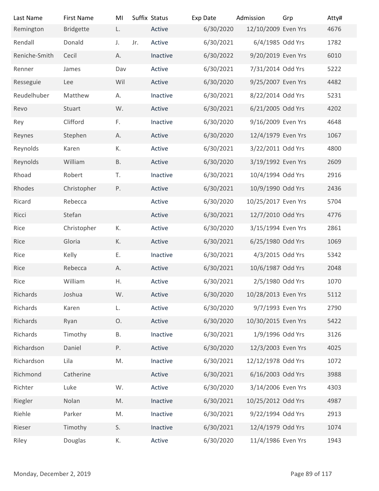| Last Name<br>Remington<br>Rendall<br>Reniche-Smith<br>Renner<br>Resseguie<br>Reudelhuber<br>Revo<br>Rey<br>Reynes<br>Reynolds<br>Reynolds<br>Rhoad<br>Rhodes<br>Ricard<br>Ricci<br>Rice<br>Rice<br>Rice<br>Rice<br>Rice<br>Richards | <b>First Name</b><br><b>Bridgette</b><br>Donald<br>Cecil<br>James<br>Lee<br>Matthew<br>Stuart<br>Clifford<br>Stephen<br>Karen<br>William<br>Robert<br>Christopher<br>Rebecca<br>Stefan<br>Christopher | MI<br>L.<br>J.<br>А.<br>Dav<br>Wil<br>А.<br>W.<br>F.<br>А.<br>К.<br><b>B.</b><br>T.<br>P. | Suffix Status<br>Active<br>Jr.<br>Active<br>Inactive<br>Active<br>Active<br>Inactive<br>Active<br>Inactive<br>Active<br>Active<br>Active<br>Inactive<br>Active<br>Active | Exp Date<br>6/30/2020<br>6/30/2021<br>6/30/2022<br>6/30/2021<br>6/30/2020<br>6/30/2021<br>6/30/2021<br>6/30/2020<br>6/30/2020<br>6/30/2021<br>6/30/2020<br>6/30/2021<br>6/30/2021<br>6/30/2020 | Admission<br>12/10/2009 Even Yrs<br>6/4/1985 Odd Yrs<br>9/20/2019 Even Yrs<br>7/31/2014 Odd Yrs<br>9/25/2007 Even Yrs<br>8/22/2014 Odd Yrs<br>6/21/2005 Odd Yrs<br>9/16/2009 Even Yrs<br>12/4/1979 Even Yrs<br>3/22/2011 Odd Yrs<br>3/19/1992 Even Yrs<br>10/4/1994 Odd Yrs<br>10/9/1990 Odd Yrs | Grp            | Atty#<br>4676<br>1782<br>6010<br>5222<br>4482<br>5231<br>4202<br>4648<br>1067<br>4800<br>2609<br>2916<br>2436 |
|-------------------------------------------------------------------------------------------------------------------------------------------------------------------------------------------------------------------------------------|-------------------------------------------------------------------------------------------------------------------------------------------------------------------------------------------------------|-------------------------------------------------------------------------------------------|--------------------------------------------------------------------------------------------------------------------------------------------------------------------------|------------------------------------------------------------------------------------------------------------------------------------------------------------------------------------------------|--------------------------------------------------------------------------------------------------------------------------------------------------------------------------------------------------------------------------------------------------------------------------------------------------|----------------|---------------------------------------------------------------------------------------------------------------|
|                                                                                                                                                                                                                                     |                                                                                                                                                                                                       |                                                                                           |                                                                                                                                                                          |                                                                                                                                                                                                |                                                                                                                                                                                                                                                                                                  |                |                                                                                                               |
|                                                                                                                                                                                                                                     |                                                                                                                                                                                                       |                                                                                           |                                                                                                                                                                          |                                                                                                                                                                                                |                                                                                                                                                                                                                                                                                                  |                |                                                                                                               |
|                                                                                                                                                                                                                                     |                                                                                                                                                                                                       |                                                                                           |                                                                                                                                                                          |                                                                                                                                                                                                |                                                                                                                                                                                                                                                                                                  |                |                                                                                                               |
|                                                                                                                                                                                                                                     |                                                                                                                                                                                                       |                                                                                           |                                                                                                                                                                          |                                                                                                                                                                                                |                                                                                                                                                                                                                                                                                                  |                |                                                                                                               |
|                                                                                                                                                                                                                                     |                                                                                                                                                                                                       |                                                                                           |                                                                                                                                                                          |                                                                                                                                                                                                |                                                                                                                                                                                                                                                                                                  |                |                                                                                                               |
|                                                                                                                                                                                                                                     |                                                                                                                                                                                                       |                                                                                           |                                                                                                                                                                          |                                                                                                                                                                                                |                                                                                                                                                                                                                                                                                                  |                |                                                                                                               |
|                                                                                                                                                                                                                                     |                                                                                                                                                                                                       |                                                                                           |                                                                                                                                                                          |                                                                                                                                                                                                |                                                                                                                                                                                                                                                                                                  |                |                                                                                                               |
|                                                                                                                                                                                                                                     |                                                                                                                                                                                                       |                                                                                           |                                                                                                                                                                          |                                                                                                                                                                                                |                                                                                                                                                                                                                                                                                                  |                |                                                                                                               |
|                                                                                                                                                                                                                                     |                                                                                                                                                                                                       |                                                                                           |                                                                                                                                                                          |                                                                                                                                                                                                |                                                                                                                                                                                                                                                                                                  |                |                                                                                                               |
|                                                                                                                                                                                                                                     |                                                                                                                                                                                                       |                                                                                           |                                                                                                                                                                          |                                                                                                                                                                                                |                                                                                                                                                                                                                                                                                                  |                |                                                                                                               |
|                                                                                                                                                                                                                                     |                                                                                                                                                                                                       |                                                                                           |                                                                                                                                                                          |                                                                                                                                                                                                |                                                                                                                                                                                                                                                                                                  |                |                                                                                                               |
|                                                                                                                                                                                                                                     |                                                                                                                                                                                                       |                                                                                           |                                                                                                                                                                          |                                                                                                                                                                                                |                                                                                                                                                                                                                                                                                                  |                |                                                                                                               |
|                                                                                                                                                                                                                                     |                                                                                                                                                                                                       |                                                                                           |                                                                                                                                                                          |                                                                                                                                                                                                |                                                                                                                                                                                                                                                                                                  |                |                                                                                                               |
|                                                                                                                                                                                                                                     |                                                                                                                                                                                                       |                                                                                           |                                                                                                                                                                          |                                                                                                                                                                                                |                                                                                                                                                                                                                                                                                                  |                |                                                                                                               |
|                                                                                                                                                                                                                                     |                                                                                                                                                                                                       |                                                                                           |                                                                                                                                                                          |                                                                                                                                                                                                |                                                                                                                                                                                                                                                                                                  |                |                                                                                                               |
|                                                                                                                                                                                                                                     |                                                                                                                                                                                                       |                                                                                           |                                                                                                                                                                          |                                                                                                                                                                                                |                                                                                                                                                                                                                                                                                                  |                |                                                                                                               |
|                                                                                                                                                                                                                                     |                                                                                                                                                                                                       |                                                                                           |                                                                                                                                                                          |                                                                                                                                                                                                | 10/25/2017 Even Yrs                                                                                                                                                                                                                                                                              |                | 5704                                                                                                          |
|                                                                                                                                                                                                                                     |                                                                                                                                                                                                       |                                                                                           | Active                                                                                                                                                                   | 6/30/2021                                                                                                                                                                                      | 12/7/2010 Odd Yrs                                                                                                                                                                                                                                                                                |                | 4776                                                                                                          |
|                                                                                                                                                                                                                                     |                                                                                                                                                                                                       | К.                                                                                        | Active                                                                                                                                                                   | 6/30/2020                                                                                                                                                                                      | 3/15/1994 Even Yrs                                                                                                                                                                                                                                                                               |                | 2861                                                                                                          |
|                                                                                                                                                                                                                                     | Gloria                                                                                                                                                                                                | К.                                                                                        | Active                                                                                                                                                                   | 6/30/2021                                                                                                                                                                                      | 6/25/1980 Odd Yrs                                                                                                                                                                                                                                                                                |                | 1069                                                                                                          |
|                                                                                                                                                                                                                                     | Kelly                                                                                                                                                                                                 | Ε.                                                                                        | Inactive                                                                                                                                                                 | 6/30/2021                                                                                                                                                                                      | 4/3/2015 Odd Yrs                                                                                                                                                                                                                                                                                 |                | 5342                                                                                                          |
|                                                                                                                                                                                                                                     | Rebecca                                                                                                                                                                                               | А.                                                                                        | Active                                                                                                                                                                   | 6/30/2021                                                                                                                                                                                      | 10/6/1987 Odd Yrs                                                                                                                                                                                                                                                                                |                | 2048                                                                                                          |
|                                                                                                                                                                                                                                     | William                                                                                                                                                                                               | Η.                                                                                        | Active                                                                                                                                                                   | 6/30/2021                                                                                                                                                                                      | 2/5/1980 Odd Yrs                                                                                                                                                                                                                                                                                 |                | 1070                                                                                                          |
|                                                                                                                                                                                                                                     | Joshua                                                                                                                                                                                                | W.                                                                                        | Active                                                                                                                                                                   | 6/30/2020                                                                                                                                                                                      | 10/28/2013 Even Yrs                                                                                                                                                                                                                                                                              |                | 5112                                                                                                          |
| Richards                                                                                                                                                                                                                            | Karen                                                                                                                                                                                                 | L.                                                                                        | Active                                                                                                                                                                   | 6/30/2020                                                                                                                                                                                      | 9/7/1993 Even Yrs                                                                                                                                                                                                                                                                                |                | 2790                                                                                                          |
| Richards                                                                                                                                                                                                                            | Ryan                                                                                                                                                                                                  | Ο.                                                                                        | Active                                                                                                                                                                   | 6/30/2020                                                                                                                                                                                      | 10/30/2015 Even Yrs                                                                                                                                                                                                                                                                              |                | 5422                                                                                                          |
| Richards                                                                                                                                                                                                                            | Timothy                                                                                                                                                                                               | В.                                                                                        | Inactive                                                                                                                                                                 | 6/30/2021                                                                                                                                                                                      | 1/9/1996 Odd Yrs                                                                                                                                                                                                                                                                                 |                | 3126                                                                                                          |
| Richardson                                                                                                                                                                                                                          | Daniel                                                                                                                                                                                                | P.                                                                                        | Active                                                                                                                                                                   | 6/30/2020                                                                                                                                                                                      | 12/3/2003 Even Yrs                                                                                                                                                                                                                                                                               |                | 4025                                                                                                          |
| Richardson                                                                                                                                                                                                                          | Lila                                                                                                                                                                                                  | M.                                                                                        | Inactive                                                                                                                                                                 | 6/30/2021                                                                                                                                                                                      | 12/12/1978 Odd Yrs                                                                                                                                                                                                                                                                               |                | 1072                                                                                                          |
| Richmond                                                                                                                                                                                                                            | Catherine                                                                                                                                                                                             |                                                                                           | Active                                                                                                                                                                   | 6/30/2021                                                                                                                                                                                      | 6/16/2003 Odd Yrs                                                                                                                                                                                                                                                                                |                | 3988                                                                                                          |
| Richter                                                                                                                                                                                                                             | Luke                                                                                                                                                                                                  | W.                                                                                        | Active                                                                                                                                                                   | 6/30/2020                                                                                                                                                                                      | 3/14/2006 Even Yrs                                                                                                                                                                                                                                                                               |                | 4303                                                                                                          |
| Riegler                                                                                                                                                                                                                             | Nolan                                                                                                                                                                                                 | $\mathsf{M}.$                                                                             | Inactive                                                                                                                                                                 | 6/30/2021                                                                                                                                                                                      | 10/25/2012 Odd Yrs                                                                                                                                                                                                                                                                               |                | 4987                                                                                                          |
| Riehle                                                                                                                                                                                                                              | Parker                                                                                                                                                                                                | M.                                                                                        | Inactive                                                                                                                                                                 | 6/30/2021                                                                                                                                                                                      | 9/22/1994 Odd Yrs                                                                                                                                                                                                                                                                                |                | 2913                                                                                                          |
| Rieser                                                                                                                                                                                                                              | Timothy                                                                                                                                                                                               | S.                                                                                        | Inactive                                                                                                                                                                 | 6/30/2021                                                                                                                                                                                      | 12/4/1979 Odd Yrs                                                                                                                                                                                                                                                                                |                | 1074                                                                                                          |
| Riley                                                                                                                                                                                                                               | Douglas                                                                                                                                                                                               | К.                                                                                        | Active                                                                                                                                                                   | 6/30/2020                                                                                                                                                                                      | 11/4/1986 Even Yrs                                                                                                                                                                                                                                                                               |                | 1943                                                                                                          |
|                                                                                                                                                                                                                                     |                                                                                                                                                                                                       |                                                                                           |                                                                                                                                                                          |                                                                                                                                                                                                |                                                                                                                                                                                                                                                                                                  |                |                                                                                                               |
|                                                                                                                                                                                                                                     |                                                                                                                                                                                                       |                                                                                           |                                                                                                                                                                          |                                                                                                                                                                                                |                                                                                                                                                                                                                                                                                                  |                |                                                                                                               |
| Monday, December 2, 2019                                                                                                                                                                                                            |                                                                                                                                                                                                       |                                                                                           |                                                                                                                                                                          |                                                                                                                                                                                                |                                                                                                                                                                                                                                                                                                  | Page 89 of 117 |                                                                                                               |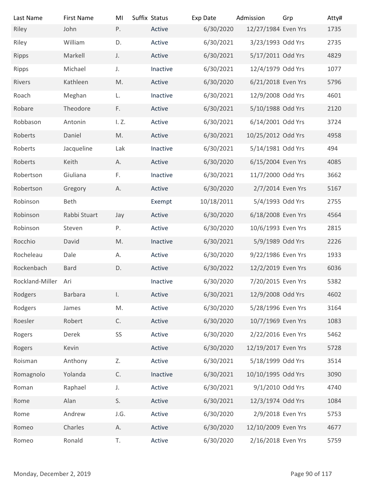| Last Name                | <b>First Name</b> | MI            | Suffix Status | Exp Date   | Admission           | Grp | Atty#          |
|--------------------------|-------------------|---------------|---------------|------------|---------------------|-----|----------------|
| Riley                    | John              | Ρ.            | Active        | 6/30/2020  | 12/27/1984 Even Yrs |     | 1735           |
| Riley                    | William           | D.            | Active        | 6/30/2021  | 3/23/1993 Odd Yrs   |     | 2735           |
| Ripps                    | Markell           | J.            | Active        | 6/30/2021  | 5/17/2011 Odd Yrs   |     | 4829           |
| Ripps                    | Michael           | J.            | Inactive      | 6/30/2021  | 12/4/1979 Odd Yrs   |     | 1077           |
| Rivers                   | Kathleen          | M.            | Active        | 6/30/2020  | 6/21/2018 Even Yrs  |     | 5796           |
| Roach                    | Meghan            | L.            | Inactive      | 6/30/2021  | 12/9/2008 Odd Yrs   |     | 4601           |
| Robare                   | Theodore          | F.            | Active        | 6/30/2021  | 5/10/1988 Odd Yrs   |     | 2120           |
| Robbason                 | Antonin           | I. Z.         | Active        | 6/30/2021  | 6/14/2001 Odd Yrs   |     | 3724           |
| Roberts                  | Daniel            | M.            | Active        | 6/30/2021  | 10/25/2012 Odd Yrs  |     | 4958           |
| Roberts                  | Jacqueline        | Lak           | Inactive      | 6/30/2021  | 5/14/1981 Odd Yrs   |     | 494            |
| Roberts                  | Keith             | Α.            | Active        | 6/30/2020  | 6/15/2004 Even Yrs  |     | 4085           |
| Robertson                | Giuliana          | F.            | Inactive      | 6/30/2021  | 11/7/2000 Odd Yrs   |     | 3662           |
| Robertson                | Gregory           | Α.            | Active        | 6/30/2020  | 2/7/2014 Even Yrs   |     | 5167           |
| Robinson                 | Beth              |               | Exempt        | 10/18/2011 | 5/4/1993 Odd Yrs    |     | 2755           |
| Robinson                 | Rabbi Stuart      | Jay           | Active        | 6/30/2020  | 6/18/2008 Even Yrs  |     | 4564           |
| Robinson                 | Steven            | Ρ.            | Active        | 6/30/2020  | 10/6/1993 Even Yrs  |     | 2815           |
| Rocchio                  | David             | M.            | Inactive      | 6/30/2021  | 5/9/1989 Odd Yrs    |     | 2226           |
| Rocheleau                | Dale              | А.            | Active        | 6/30/2020  | 9/22/1986 Even Yrs  |     | 1933           |
| Rockenbach               | <b>Bard</b>       | D.            | Active        | 6/30/2022  | 12/2/2019 Even Yrs  |     | 6036           |
| Rockland-Miller          | Ari               |               | Inactive      | 6/30/2020  | 7/20/2015 Even Yrs  |     | 5382           |
| Rodgers                  | Barbara           | $\mathsf{L}$  | Active        | 6/30/2021  | 12/9/2008 Odd Yrs   |     | 4602           |
| Rodgers                  | James             | M.            | Active        | 6/30/2020  | 5/28/1996 Even Yrs  |     | 3164           |
| Roesler                  | Robert            | C.            | Active        | 6/30/2020  | 10/7/1969 Even Yrs  |     | 1083           |
| Rogers                   | Derek             | SS            | Active        | 6/30/2020  | 2/22/2016 Even Yrs  |     | 5462           |
| Rogers                   | Kevin             |               | Active        | 6/30/2020  | 12/19/2017 Even Yrs |     | 5728           |
| Roisman                  | Anthony           | Z.            | Active        | 6/30/2021  | 5/18/1999 Odd Yrs   |     | 3514           |
| Romagnolo                | Yolanda           | $\mathsf{C}.$ | Inactive      | 6/30/2021  | 10/10/1995 Odd Yrs  |     | 3090           |
| Roman                    | Raphael           | J.            | Active        | 6/30/2021  | 9/1/2010 Odd Yrs    |     | 4740           |
| Rome                     | Alan              | S.            | Active        | 6/30/2021  | 12/3/1974 Odd Yrs   |     | 1084           |
| Rome                     | Andrew            | J.G.          | Active        | 6/30/2020  | 2/9/2018 Even Yrs   |     | 5753           |
| Romeo                    | Charles           | А.            | Active        | 6/30/2020  | 12/10/2009 Even Yrs |     | 4677           |
| Romeo                    | Ronald            | T.            | Active        | 6/30/2020  | 2/16/2018 Even Yrs  |     | 5759           |
|                          |                   |               |               |            |                     |     |                |
| Monday, December 2, 2019 |                   |               |               |            |                     |     | Page 90 of 117 |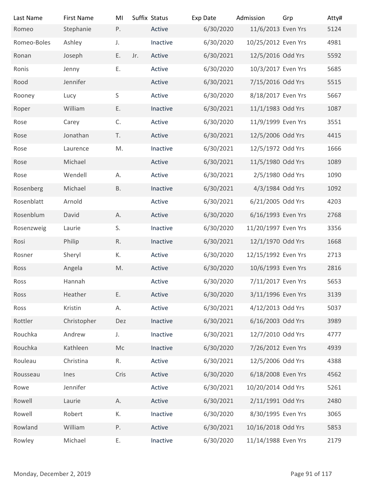| Last Name                | <b>First Name</b> | MI        | Suffix Status |          | Exp Date  | Admission           | Grp            | Atty# |
|--------------------------|-------------------|-----------|---------------|----------|-----------|---------------------|----------------|-------|
| Romeo                    | Stephanie         | P.        |               | Active   | 6/30/2020 | 11/6/2013 Even Yrs  |                | 5124  |
| Romeo-Boles              | Ashley            | J.        |               | Inactive | 6/30/2020 | 10/25/2012 Even Yrs |                | 4981  |
| Ronan                    | Joseph            | E.        | Jr.           | Active   | 6/30/2021 | 12/5/2016 Odd Yrs   |                | 5592  |
| Ronis                    | Jenny             | Ε.        |               | Active   | 6/30/2020 | 10/3/2017 Even Yrs  |                | 5685  |
| Rood                     | Jennifer          |           |               | Active   | 6/30/2021 | 7/15/2016 Odd Yrs   |                | 5515  |
| Rooney                   | Lucy              | S         |               | Active   | 6/30/2020 | 8/18/2017 Even Yrs  |                | 5667  |
| Roper                    | William           | Ε.        |               | Inactive | 6/30/2021 | 11/1/1983 Odd Yrs   |                | 1087  |
| Rose                     | Carey             | C.        |               | Active   | 6/30/2020 | 11/9/1999 Even Yrs  |                | 3551  |
| Rose                     | Jonathan          | T.        |               | Active   | 6/30/2021 | 12/5/2006 Odd Yrs   |                | 4415  |
| Rose                     | Laurence          | M.        |               | Inactive | 6/30/2021 | 12/5/1972 Odd Yrs   |                | 1666  |
| Rose                     | Michael           |           |               | Active   | 6/30/2021 | 11/5/1980 Odd Yrs   |                | 1089  |
| Rose                     | Wendell           | А.        |               | Active   | 6/30/2021 | 2/5/1980 Odd Yrs    |                | 1090  |
| Rosenberg                | Michael           | <b>B.</b> |               | Inactive | 6/30/2021 | 4/3/1984 Odd Yrs    |                | 1092  |
|                          |                   |           |               |          |           |                     |                |       |
| Rosenblatt               | Arnold            |           |               | Active   | 6/30/2021 | 6/21/2005 Odd Yrs   |                | 4203  |
| Rosenblum                | David             | Α.        |               | Active   | 6/30/2020 | 6/16/1993 Even Yrs  |                | 2768  |
| Rosenzweig               | Laurie            | S.        |               | Inactive | 6/30/2020 | 11/20/1997 Even Yrs |                | 3356  |
| Rosi                     | Philip            | R.        |               | Inactive | 6/30/2021 | 12/1/1970 Odd Yrs   |                | 1668  |
| Rosner                   | Sheryl            | К.        |               | Active   | 6/30/2020 | 12/15/1992 Even Yrs |                | 2713  |
| Ross                     | Angela            | M.        |               | Active   | 6/30/2020 | 10/6/1993 Even Yrs  |                | 2816  |
| Ross                     | Hannah            |           |               | Active   | 6/30/2020 | 7/11/2017 Even Yrs  |                | 5653  |
| Ross                     | Heather           | Ε.        |               | Active   | 6/30/2020 | 3/11/1996 Even Yrs  |                | 3139  |
| Ross                     | Kristin           | Α.        |               | Active   | 6/30/2021 | 4/12/2013 Odd Yrs   |                | 5037  |
| Rottler                  | Christopher       | Dez       |               | Inactive | 6/30/2021 | 6/16/2003 Odd Yrs   |                | 3989  |
| Rouchka                  | Andrew            | J.        |               | Inactive | 6/30/2021 | 12/7/2010 Odd Yrs   |                | 4777  |
| Rouchka                  | Kathleen          | Mc        |               | Inactive | 6/30/2020 | 7/26/2012 Even Yrs  |                | 4939  |
| Rouleau                  | Christina         | R.        |               | Active   | 6/30/2021 | 12/5/2006 Odd Yrs   |                | 4388  |
| Rousseau                 | Ines              | Cris      |               | Active   | 6/30/2020 | 6/18/2008 Even Yrs  |                | 4562  |
| Rowe                     | Jennifer          |           |               | Active   | 6/30/2021 | 10/20/2014 Odd Yrs  |                | 5261  |
| Rowell                   | Laurie            | Α.        |               | Active   | 6/30/2021 | 2/11/1991 Odd Yrs   |                | 2480  |
| Rowell                   | Robert            | К.        |               | Inactive | 6/30/2020 | 8/30/1995 Even Yrs  |                | 3065  |
| Rowland                  | William           | P.        |               | Active   | 6/30/2021 | 10/16/2018 Odd Yrs  |                | 5853  |
| Rowley                   | Michael           | Ε.        |               | Inactive | 6/30/2020 | 11/14/1988 Even Yrs |                | 2179  |
|                          |                   |           |               |          |           |                     |                |       |
|                          |                   |           |               |          |           |                     |                |       |
| Monday, December 2, 2019 |                   |           |               |          |           |                     | Page 91 of 117 |       |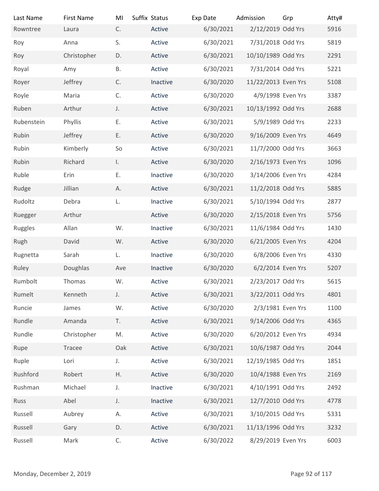| Last Name<br>Rowntree    | <b>First Name</b> | MI<br>C.     | Suffix Status | Exp Date<br>6/30/2021 | Admission<br>2/12/2019 Odd Yrs | Grp            | Atty# |
|--------------------------|-------------------|--------------|---------------|-----------------------|--------------------------------|----------------|-------|
|                          | Laura             |              | Active        |                       |                                |                | 5916  |
| Roy                      | Anna              | S.           | Active        | 6/30/2021             | 7/31/2018 Odd Yrs              |                | 5819  |
| Roy                      | Christopher       | D.           | Active        | 6/30/2021             | 10/10/1989 Odd Yrs             |                | 2291  |
| Royal                    | Amy               | <b>B.</b>    | Active        | 6/30/2021             | 7/31/2014 Odd Yrs              |                | 5221  |
| Royer                    | Jeffrey           | C.           | Inactive      | 6/30/2020             | 11/22/2013 Even Yrs            |                | 5108  |
| Royle                    | Maria             | C.           | Active        | 6/30/2020             | 4/9/1998 Even Yrs              |                | 3387  |
| Ruben                    | Arthur            | J.           | Active        | 6/30/2021             | 10/13/1992 Odd Yrs             |                | 2688  |
| Rubenstein               | Phyllis           | Ε.           | Active        | 6/30/2021             | 5/9/1989 Odd Yrs               |                | 2233  |
| Rubin                    | Jeffrey           | Ε.           | Active        | 6/30/2020             | 9/16/2009 Even Yrs             |                | 4649  |
| Rubin                    | Kimberly          | So           | Active        | 6/30/2021             | 11/7/2000 Odd Yrs              |                | 3663  |
| Rubin                    | Richard           | $\mathsf{L}$ | Active        | 6/30/2020             | 2/16/1973 Even Yrs             |                | 1096  |
| Ruble                    | Erin              | Ε.           | Inactive      | 6/30/2020             | 3/14/2006 Even Yrs             |                | 4284  |
| Rudge                    | Jillian           | А.           | Active        | 6/30/2021             | 11/2/2018 Odd Yrs              |                | 5885  |
| Rudoltz                  | Debra             | L.           | Inactive      | 6/30/2021             | 5/10/1994 Odd Yrs              |                | 2877  |
| Ruegger                  | Arthur            |              | Active        | 6/30/2020             | 2/15/2018 Even Yrs             |                | 5756  |
| Ruggles                  | Allan             | W.           | Inactive      | 6/30/2021             | 11/6/1984 Odd Yrs              |                | 1430  |
| Rugh                     | David             | W.           | Active        | 6/30/2020             | 6/21/2005 Even Yrs             |                | 4204  |
| Rugnetta                 | Sarah             | L.           | Inactive      | 6/30/2020             | 6/8/2006 Even Yrs              |                | 4330  |
| Ruley                    | Doughlas          | Ave          | Inactive      | 6/30/2020             | 6/2/2014 Even Yrs              |                | 5207  |
| Rumbolt                  | Thomas            | W.           | Active        | 6/30/2021             | 2/23/2017 Odd Yrs              |                | 5615  |
| Rumelt                   | Kenneth           | J.           | Active        | 6/30/2021             | 3/22/2011 Odd Yrs              |                | 4801  |
| Runcie                   | James             | W.           | Active        | 6/30/2020             | 2/3/1981 Even Yrs              |                | 1100  |
| Rundle                   | Amanda            | T.           | Active        | 6/30/2021             | 9/14/2006 Odd Yrs              |                | 4365  |
| Rundle                   | Christopher       | M.           | Active        | 6/30/2020             | 6/20/2012 Even Yrs             |                | 4934  |
| Rupe                     | Tracee            | Oak          | Active        | 6/30/2021             | 10/6/1987 Odd Yrs              |                | 2044  |
| Ruple                    | Lori              | J.           | Active        | 6/30/2021             | 12/19/1985 Odd Yrs             |                | 1851  |
| Rushford                 | Robert            | Η.           | Active        | 6/30/2020             | 10/4/1988 Even Yrs             |                | 2169  |
| Rushman                  | Michael           | J.           | Inactive      | 6/30/2021             | 4/10/1991 Odd Yrs              |                | 2492  |
| Russ                     | Abel              | J.           | Inactive      | 6/30/2021             | 12/7/2010 Odd Yrs              |                | 4778  |
| Russell                  | Aubrey            | А.           | Active        | 6/30/2021             | 3/10/2015 Odd Yrs              |                | 5331  |
| Russell                  | Gary              | D.           | Active        | 6/30/2021             | 11/13/1996 Odd Yrs             |                | 3232  |
| Russell                  | Mark              | C.           | Active        | 6/30/2022             | 8/29/2019 Even Yrs             |                | 6003  |
|                          |                   |              |               |                       |                                |                |       |
|                          |                   |              |               |                       |                                |                |       |
| Monday, December 2, 2019 |                   |              |               |                       |                                | Page 92 of 117 |       |
|                          |                   |              |               |                       |                                |                |       |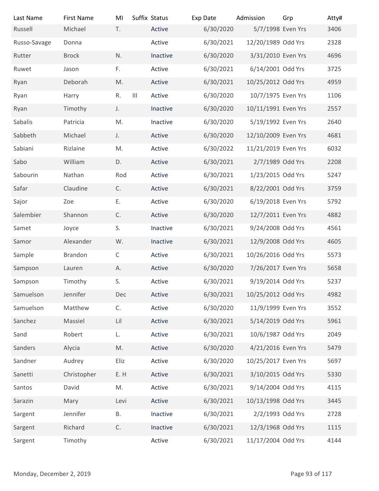| Last Name                | <b>First Name</b> | MI           | Suffix Status |          | Exp Date  | Admission           | Grp            | Atty# |
|--------------------------|-------------------|--------------|---------------|----------|-----------|---------------------|----------------|-------|
| Russell                  | Michael           | T.           |               | Active   | 6/30/2020 | 5/7/1998 Even Yrs   |                | 3406  |
| Russo-Savage             | Donna             |              |               | Active   | 6/30/2021 | 12/20/1989 Odd Yrs  |                | 2328  |
| Rutter                   | <b>Brock</b>      | N.           |               | Inactive | 6/30/2020 | 3/31/2010 Even Yrs  |                | 4696  |
| Ruwet                    | Jason             | F.           |               | Active   | 6/30/2021 | 6/14/2001 Odd Yrs   |                | 3725  |
| Ryan                     | Deborah           | M.           |               | Active   | 6/30/2021 | 10/25/2012 Odd Yrs  |                | 4959  |
| Ryan                     | Harry             | R.           | $\  \cdot \ $ | Active   | 6/30/2020 | 10/7/1975 Even Yrs  |                | 1106  |
| Ryan                     | Timothy           | J.           |               | Inactive | 6/30/2020 | 10/11/1991 Even Yrs |                | 2557  |
| Sabalis                  | Patricia          | M.           |               | Inactive | 6/30/2020 | 5/19/1992 Even Yrs  |                | 2640  |
| Sabbeth                  | Michael           | J.           |               | Active   | 6/30/2020 | 12/10/2009 Even Yrs |                | 4681  |
| Sabiani                  | Rizlaine          | M.           |               | Active   | 6/30/2022 | 11/21/2019 Even Yrs |                | 6032  |
| Sabo                     | William           | D.           |               | Active   | 6/30/2021 | 2/7/1989 Odd Yrs    |                | 2208  |
| Sabourin                 | Nathan            | Rod          |               | Active   | 6/30/2021 | 1/23/2015 Odd Yrs   |                | 5247  |
| Safar                    | Claudine          | C.           |               | Active   | 6/30/2021 | 8/22/2001 Odd Yrs   |                | 3759  |
| Sajor                    | Zoe               | Ε.           |               | Active   | 6/30/2020 | 6/19/2018 Even Yrs  |                | 5792  |
| Salembier                | Shannon           | C.           |               | Active   | 6/30/2020 | 12/7/2011 Even Yrs  |                | 4882  |
| Samet                    | Joyce             | S.           |               | Inactive | 6/30/2021 | 9/24/2008 Odd Yrs   |                | 4561  |
| Samor                    | Alexander         | W.           |               | Inactive | 6/30/2021 | 12/9/2008 Odd Yrs   |                | 4605  |
|                          |                   |              |               |          | 6/30/2021 | 10/26/2016 Odd Yrs  |                |       |
| Sample                   | Brandon           | $\mathsf{C}$ |               | Active   |           |                     |                | 5573  |
| Sampson                  | Lauren            | А.           |               | Active   | 6/30/2020 | 7/26/2017 Even Yrs  |                | 5658  |
| Sampson                  | Timothy           | S.           |               | Active   | 6/30/2021 | 9/19/2014 Odd Yrs   |                | 5237  |
| Samuelson                | Jennifer          | Dec          |               | Active   | 6/30/2021 | 10/25/2012 Odd Yrs  |                | 4982  |
| Samuelson                | Matthew           | C.           |               | Active   | 6/30/2020 | 11/9/1999 Even Yrs  |                | 3552  |
| Sanchez                  | Massiel           | Lil          |               | Active   | 6/30/2021 | 5/14/2019 Odd Yrs   |                | 5961  |
| Sand                     | Robert            | L.           |               | Active   | 6/30/2021 | 10/6/1987 Odd Yrs   |                | 2049  |
| Sanders                  | Alycia            | M.           |               | Active   | 6/30/2020 | 4/21/2016 Even Yrs  |                | 5479  |
| Sandner                  | Audrey            | Eliz         |               | Active   | 6/30/2020 | 10/25/2017 Even Yrs |                | 5697  |
| Sanetti                  | Christopher       | E.H          |               | Active   | 6/30/2021 | 3/10/2015 Odd Yrs   |                | 5330  |
| Santos                   | David             | M.           |               | Active   | 6/30/2021 | 9/14/2004 Odd Yrs   |                | 4115  |
| Sarazin                  | Mary              | Levi         |               | Active   | 6/30/2021 | 10/13/1998 Odd Yrs  |                | 3445  |
| Sargent                  | Jennifer          | Β.           |               | Inactive | 6/30/2021 | 2/2/1993 Odd Yrs    |                | 2728  |
| Sargent                  | Richard           | C.           |               | Inactive | 6/30/2021 | 12/3/1968 Odd Yrs   |                | 1115  |
| Sargent                  | Timothy           |              |               | Active   | 6/30/2021 | 11/17/2004 Odd Yrs  |                | 4144  |
|                          |                   |              |               |          |           |                     |                |       |
|                          |                   |              |               |          |           |                     |                |       |
| Monday, December 2, 2019 |                   |              |               |          |           |                     | Page 93 of 117 |       |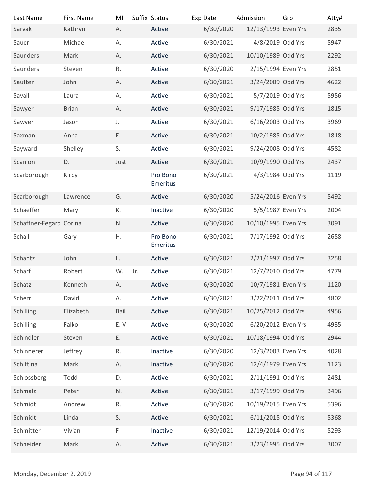| Last Name                | <b>First Name</b> | MI        | Suffix Status        | Exp Date  | Admission           | Grp            | Atty# |
|--------------------------|-------------------|-----------|----------------------|-----------|---------------------|----------------|-------|
| Sarvak                   | Kathryn           | А.        | Active               | 6/30/2020 | 12/13/1993 Even Yrs |                | 2835  |
| Sauer                    | Michael           | А.        | Active               | 6/30/2021 | 4/8/2019 Odd Yrs    |                | 5947  |
| Saunders                 | Mark              | А.        | Active               | 6/30/2021 | 10/10/1989 Odd Yrs  |                | 2292  |
| Saunders                 | Steven            | R.        | Active               | 6/30/2020 | 2/15/1994 Even Yrs  |                | 2851  |
| Sautter                  | John              | А.        | Active               | 6/30/2021 | 3/24/2009 Odd Yrs   |                | 4622  |
| Savall                   | Laura             | А.        | Active               | 6/30/2021 | 5/7/2019 Odd Yrs    |                | 5956  |
| Sawyer                   | <b>Brian</b>      | А.        | Active               | 6/30/2021 | 9/17/1985 Odd Yrs   |                | 1815  |
| Sawyer                   | Jason             | J.        | Active               | 6/30/2021 | 6/16/2003 Odd Yrs   |                | 3969  |
| Saxman                   | Anna              | Ε.        | Active               | 6/30/2021 | 10/2/1985 Odd Yrs   |                | 1818  |
| Sayward                  | Shelley           | S.        | Active               | 6/30/2021 | 9/24/2008 Odd Yrs   |                | 4582  |
| Scanlon                  | D.                | Just      | Active               | 6/30/2021 | 10/9/1990 Odd Yrs   |                | 2437  |
| Scarborough              | Kirby             |           | Pro Bono<br>Emeritus | 6/30/2021 | 4/3/1984 Odd Yrs    |                | 1119  |
| Scarborough              | Lawrence          | G.        | Active               | 6/30/2020 | 5/24/2016 Even Yrs  |                | 5492  |
| Schaeffer                | Mary              | К.        | Inactive             | 6/30/2020 | 5/5/1987 Even Yrs   |                | 2004  |
| Schaffner-Fegard Corina  |                   | N.        | Active               | 6/30/2020 | 10/10/1995 Even Yrs |                | 3091  |
| Schall                   | Gary              | Η.        | Pro Bono<br>Emeritus | 6/30/2021 | 7/17/1992 Odd Yrs   |                | 2658  |
| Schantz                  | John              | L.        | Active               | 6/30/2021 | 2/21/1997 Odd Yrs   |                | 3258  |
| Scharf                   | Robert            | W.<br>Jr. | Active               | 6/30/2021 | 12/7/2010 Odd Yrs   |                | 4779  |
| Schatz                   | Kenneth           | Α.        | Active               | 6/30/2020 | 10/7/1981 Even Yrs  |                | 1120  |
| Scherr                   | David             | А.        | Active               | 6/30/2021 | 3/22/2011 Odd Yrs   |                | 4802  |
| Schilling                | Elizabeth         | Bail      | Active               | 6/30/2021 | 10/25/2012 Odd Yrs  |                | 4956  |
| Schilling                | Falko             | E.V       | Active               | 6/30/2020 | 6/20/2012 Even Yrs  |                | 4935  |
| Schindler                | Steven            | Ε.        | Active               | 6/30/2021 | 10/18/1994 Odd Yrs  |                | 2944  |
| Schinnerer               | Jeffrey           | R.        | Inactive             | 6/30/2020 | 12/3/2003 Even Yrs  |                | 4028  |
| Schittina                | Mark              | Α.        | Inactive             | 6/30/2020 | 12/4/1979 Even Yrs  |                | 1123  |
| Schlossberg              | Todd              | D.        | Active               | 6/30/2021 | 2/11/1991 Odd Yrs   |                | 2481  |
| Schmalz                  | Peter             | N.        | Active               | 6/30/2021 | 3/17/1999 Odd Yrs   |                | 3496  |
| Schmidt                  | Andrew            | R.        | Active               | 6/30/2020 | 10/19/2015 Even Yrs |                | 5396  |
| Schmidt                  | Linda             | S.        | Active               | 6/30/2021 | 6/11/2015 Odd Yrs   |                | 5368  |
| Schmitter                | Vivian            | F.        | Inactive             | 6/30/2021 | 12/19/2014 Odd Yrs  |                | 5293  |
| Schneider                | Mark              | А.        | Active               | 6/30/2021 | 3/23/1995 Odd Yrs   |                | 3007  |
|                          |                   |           |                      |           |                     |                |       |
| Monday, December 2, 2019 |                   |           |                      |           |                     | Page 94 of 117 |       |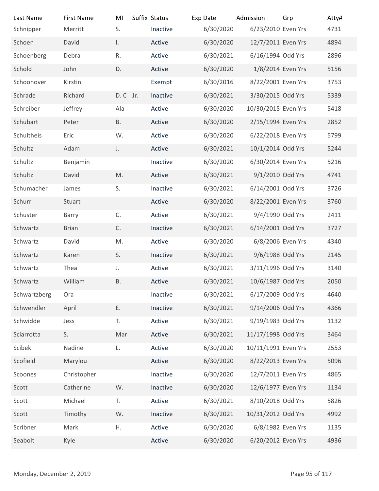| Last Name<br>Schnipper   | <b>First Name</b><br>Merritt | MI<br>S.     | Suffix Status<br>Inactive | Exp Date<br>6/30/2020 | Admission<br>6/23/2010 Even Yrs | Grp            | Atty#<br>4731 |
|--------------------------|------------------------------|--------------|---------------------------|-----------------------|---------------------------------|----------------|---------------|
| Schoen                   | David                        | $\mathsf{L}$ | Active                    | 6/30/2020             | 12/7/2011 Even Yrs              |                | 4894          |
| Schoenberg               | Debra                        | R.           | Active                    | 6/30/2021             | 6/16/1994 Odd Yrs               |                | 2896          |
| Schold                   | John                         | D.           | Active                    | 6/30/2020             | 1/8/2014 Even Yrs               |                | 5156          |
| Schoonover               | Kirstin                      |              | Exempt                    | 6/30/2016             | 8/22/2001 Even Yrs              |                | 3753          |
| Schrade                  | Richard                      | D.C Jr.      | Inactive                  | 6/30/2021             | 3/30/2015 Odd Yrs               |                | 5339          |
| Schreiber                | Jeffrey                      | Ala          | Active                    | 6/30/2020             | 10/30/2015 Even Yrs             |                | 5418          |
| Schubart                 | Peter                        | <b>B.</b>    | Active                    | 6/30/2020             | 2/15/1994 Even Yrs              |                | 2852          |
| Schultheis               | Eric                         | W.           | Active                    | 6/30/2020             | 6/22/2018 Even Yrs              |                | 5799          |
| Schultz                  | Adam                         | J.           | Active                    | 6/30/2021             | 10/1/2014 Odd Yrs               |                | 5244          |
| Schultz                  | Benjamin                     |              | Inactive                  | 6/30/2020             | 6/30/2014 Even Yrs              |                | 5216          |
| Schultz                  | David                        | M.           | Active                    | 6/30/2021             | 9/1/2010 Odd Yrs                |                | 4741          |
| Schumacher               | James                        | S.           | Inactive                  | 6/30/2021             | 6/14/2001 Odd Yrs               |                | 3726          |
| Schurr                   | Stuart                       |              | Active                    | 6/30/2020             | 8/22/2001 Even Yrs              |                | 3760          |
| Schuster                 | Barry                        | $\mathsf C.$ | Active                    | 6/30/2021             | 9/4/1990 Odd Yrs                |                | 2411          |
| Schwartz                 | <b>Brian</b>                 | C.           | Inactive                  | 6/30/2021             | 6/14/2001 Odd Yrs               |                | 3727          |
| Schwartz                 | David                        | M.           | Active                    | 6/30/2020             | 6/8/2006 Even Yrs               |                | 4340          |
| Schwartz                 | Karen                        | S.           | Inactive                  | 6/30/2021             | 9/6/1988 Odd Yrs                |                | 2145          |
| Schwartz                 | Thea                         | J.           | Active                    | 6/30/2021             | 3/11/1996 Odd Yrs               |                | 3140          |
| Schwartz                 | William                      | <b>B.</b>    | Active                    | 6/30/2021             | 10/6/1987 Odd Yrs               |                | 2050          |
| Schwartzberg             | Ora                          |              | Inactive                  | 6/30/2021             | 6/17/2009 Odd Yrs               |                | 4640          |
| Schwendler               | April                        | Ε.           | Inactive                  | 6/30/2021             | 9/14/2006 Odd Yrs               |                | 4366          |
| Schwidde                 | Jess                         | T.           | Active                    | 6/30/2021             | 9/19/1983 Odd Yrs               |                | 1132          |
| Sciarrotta               | S.                           | Mar          | Active                    | 6/30/2021             | 11/17/1998 Odd Yrs              |                | 3464          |
| Scibek                   | Nadine                       | L.           | Active                    | 6/30/2020             | 10/11/1991 Even Yrs             |                | 2553          |
| Scofield                 | Marylou                      |              | Active                    | 6/30/2020             | 8/22/2013 Even Yrs              |                | 5096          |
| Scoones                  | Christopher                  |              | Inactive                  | 6/30/2020             | 12/7/2011 Even Yrs              |                | 4865          |
| Scott                    | Catherine                    | W.           | Inactive                  | 6/30/2020             | 12/6/1977 Even Yrs              |                | 1134          |
| Scott                    | Michael                      | T.           | Active                    | 6/30/2021             | 8/10/2018 Odd Yrs               |                | 5826          |
| Scott                    | Timothy                      | W.           | Inactive                  | 6/30/2021             | 10/31/2012 Odd Yrs              |                | 4992          |
| Scribner                 | Mark                         | Η.           | Active                    | 6/30/2020             | 6/8/1982 Even Yrs               |                | 1135          |
| Seabolt                  | Kyle                         |              | Active                    | 6/30/2020             | 6/20/2012 Even Yrs              |                | 4936          |
|                          |                              |              |                           |                       |                                 |                |               |
| Monday, December 2, 2019 |                              |              |                           |                       |                                 | Page 95 of 117 |               |
|                          |                              |              |                           |                       |                                 |                |               |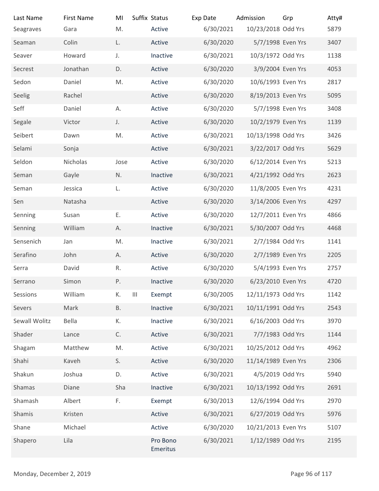| Last Name                | <b>First Name</b> | MI        | Suffix Status                                | Exp Date  | Admission           | Grp            | Atty# |
|--------------------------|-------------------|-----------|----------------------------------------------|-----------|---------------------|----------------|-------|
| Seagraves                | Gara              | M.        | Active                                       | 6/30/2021 | 10/23/2018 Odd Yrs  |                | 5879  |
| Seaman                   | Colin             | L.        | Active                                       | 6/30/2020 | 5/7/1998 Even Yrs   |                | 3407  |
| Seaver                   | Howard            | J.        | Inactive                                     | 6/30/2021 | 10/3/1972 Odd Yrs   |                | 1138  |
| Secrest                  | Jonathan          | D.        | Active                                       | 6/30/2020 | 3/9/2004 Even Yrs   |                | 4053  |
| Sedon                    | Daniel            | M.        | Active                                       | 6/30/2020 | 10/6/1993 Even Yrs  |                | 2817  |
| Seelig                   | Rachel            |           | Active                                       | 6/30/2020 | 8/19/2013 Even Yrs  |                | 5095  |
| Seff                     | Daniel            | А.        | Active                                       | 6/30/2020 | 5/7/1998 Even Yrs   |                | 3408  |
| Segale                   | Victor            | J.        | Active                                       | 6/30/2020 | 10/2/1979 Even Yrs  |                | 1139  |
| Seibert                  | Dawn              | M.        | Active                                       | 6/30/2021 | 10/13/1998 Odd Yrs  |                | 3426  |
| Selami                   | Sonja             |           | Active                                       | 6/30/2021 | 3/22/2017 Odd Yrs   |                | 5629  |
| Seldon                   | Nicholas          | Jose      | Active                                       | 6/30/2020 | 6/12/2014 Even Yrs  |                | 5213  |
| Seman                    | Gayle             | N.        | Inactive                                     | 6/30/2021 | 4/21/1992 Odd Yrs   |                | 2623  |
| Seman                    | Jessica           | L.        | Active                                       | 6/30/2020 | 11/8/2005 Even Yrs  |                | 4231  |
| Sen                      | Natasha           |           | Active                                       | 6/30/2020 | 3/14/2006 Even Yrs  |                | 4297  |
| Senning                  | Susan             | Ε.        | Active                                       | 6/30/2020 | 12/7/2011 Even Yrs  |                | 4866  |
| Senning                  | William           | Α.        | Inactive                                     | 6/30/2021 | 5/30/2007 Odd Yrs   |                | 4468  |
| Sensenich                | Jan               | M.        | Inactive                                     | 6/30/2021 | 2/7/1984 Odd Yrs    |                | 1141  |
| Serafino                 | John              | А.        | Active                                       | 6/30/2020 | 2/7/1989 Even Yrs   |                | 2205  |
| Serra                    | David             | R.        | Active                                       | 6/30/2020 | 5/4/1993 Even Yrs   |                | 2757  |
| Serrano                  | Simon             | P.        | Inactive                                     | 6/30/2020 | 6/23/2010 Even Yrs  |                | 4720  |
| Sessions                 | William           | К.        | $\ensuremath{\mathsf{III}}\xspace$<br>Exempt | 6/30/2005 | 12/11/1973 Odd Yrs  |                | 1142  |
| Severs                   | Mark              | <b>B.</b> | Inactive                                     | 6/30/2021 | 10/11/1991 Odd Yrs  |                | 2543  |
| Sewall Wolitz            | Bella             | К.        | Inactive                                     | 6/30/2021 | 6/16/2003 Odd Yrs   |                | 3970  |
| Shader                   | Lance             | C.        | Active                                       | 6/30/2021 | 7/7/1983 Odd Yrs    |                | 1144  |
| Shagam                   | Matthew           | M.        | Active                                       | 6/30/2021 | 10/25/2012 Odd Yrs  |                | 4962  |
| Shahi                    | Kaveh             | S.        | Active                                       | 6/30/2020 | 11/14/1989 Even Yrs |                | 2306  |
| Shakun                   | Joshua            | D.        | Active                                       | 6/30/2021 | 4/5/2019 Odd Yrs    |                | 5940  |
| Shamas                   | Diane             | Sha       | Inactive                                     | 6/30/2021 | 10/13/1992 Odd Yrs  |                | 2691  |
| Shamash                  | Albert            | F.        | Exempt                                       | 6/30/2013 | 12/6/1994 Odd Yrs   |                | 2970  |
| Shamis                   | Kristen           |           | Active                                       | 6/30/2021 | 6/27/2019 Odd Yrs   |                | 5976  |
| Shane                    | Michael           |           | Active                                       | 6/30/2020 | 10/21/2013 Even Yrs |                | 5107  |
| Shapero                  | Lila              |           | Pro Bono<br>Emeritus                         | 6/30/2021 | 1/12/1989 Odd Yrs   |                | 2195  |
| Monday, December 2, 2019 |                   |           |                                              |           |                     | Page 96 of 117 |       |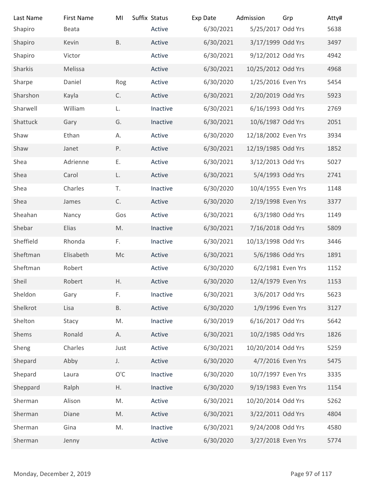| Last Name                | <b>First Name</b> | MI            | Suffix Status | Exp Date  | Admission           | Grp            | Atty# |
|--------------------------|-------------------|---------------|---------------|-----------|---------------------|----------------|-------|
| Shapiro                  | Beata             |               | Active        | 6/30/2021 | 5/25/2017 Odd Yrs   |                | 5638  |
| Shapiro                  | Kevin             | <b>B.</b>     | Active        | 6/30/2021 | 3/17/1999 Odd Yrs   |                | 3497  |
| Shapiro                  | Victor            |               | Active        | 6/30/2021 | 9/12/2012 Odd Yrs   |                | 4942  |
| Sharkis                  | Melissa           |               | Active        | 6/30/2021 | 10/25/2012 Odd Yrs  |                | 4968  |
| Sharpe                   | Daniel            | Rog           | Active        | 6/30/2020 | 1/25/2016 Even Yrs  |                | 5454  |
| Sharshon                 | Kayla             | C.            | Active        | 6/30/2021 | 2/20/2019 Odd Yrs   |                | 5923  |
| Sharwell                 | William           | L.            | Inactive      | 6/30/2021 | 6/16/1993 Odd Yrs   |                | 2769  |
| Shattuck                 | Gary              | G.            | Inactive      | 6/30/2021 | 10/6/1987 Odd Yrs   |                | 2051  |
| Shaw                     | Ethan             | А.            | Active        | 6/30/2020 | 12/18/2002 Even Yrs |                | 3934  |
| Shaw                     | Janet             | Ρ.            | Active        | 6/30/2021 | 12/19/1985 Odd Yrs  |                | 1852  |
| Shea                     | Adrienne          | Ε.            | Active        | 6/30/2021 | 3/12/2013 Odd Yrs   |                | 5027  |
| Shea                     | Carol             | L.            | Active        | 6/30/2021 | 5/4/1993 Odd Yrs    |                | 2741  |
| Shea                     | Charles           | T.            | Inactive      | 6/30/2020 | 10/4/1955 Even Yrs  |                | 1148  |
| Shea                     | James             | C.            | Active        | 6/30/2020 | 2/19/1998 Even Yrs  |                | 3377  |
| Sheahan                  | Nancy             | Gos           | Active        | 6/30/2021 | 6/3/1980 Odd Yrs    |                | 1149  |
| Shebar                   | Elias             | M.            | Inactive      | 6/30/2021 | 7/16/2018 Odd Yrs   |                | 5809  |
| Sheffield                | Rhonda            | F.            | Inactive      | 6/30/2021 | 10/13/1998 Odd Yrs  |                | 3446  |
| Sheftman                 | Elisabeth         | $\sf Mc$      | Active        | 6/30/2021 | 5/6/1986 Odd Yrs    |                | 1891  |
| Sheftman                 | Robert            |               | Active        | 6/30/2020 | 6/2/1981 Even Yrs   |                | 1152  |
| Sheil                    | Robert            | Η.            | Active        | 6/30/2020 | 12/4/1979 Even Yrs  |                | 1153  |
| Sheldon                  | Gary              | F.            | Inactive      | 6/30/2021 | 3/6/2017 Odd Yrs    |                | 5623  |
| Shelkrot                 | Lisa              | <b>B.</b>     | Active        | 6/30/2020 | 1/9/1996 Even Yrs   |                | 3127  |
| Shelton                  | Stacy             | M.            | Inactive      | 6/30/2019 | 6/16/2017 Odd Yrs   |                | 5642  |
| Shems                    | Ronald            | А.            | Active        | 6/30/2021 | 10/2/1985 Odd Yrs   |                | 1826  |
| Sheng                    | Charles           | Just          | Active        | 6/30/2021 | 10/20/2014 Odd Yrs  |                | 5259  |
| Shepard                  | Abby              | J.            | Active        | 6/30/2020 | 4/7/2016 Even Yrs   |                | 5475  |
| Shepard                  | Laura             | $O^{\prime}C$ | Inactive      | 6/30/2020 | 10/7/1997 Even Yrs  |                | 3335  |
| Sheppard                 | Ralph             | Η.            | Inactive      | 6/30/2020 | 9/19/1983 Even Yrs  |                | 1154  |
| Sherman                  | Alison            | M.            | Active        | 6/30/2021 | 10/20/2014 Odd Yrs  |                | 5262  |
| Sherman                  | Diane             | M.            | Active        | 6/30/2021 | 3/22/2011 Odd Yrs   |                | 4804  |
| Sherman                  | Gina              | M.            | Inactive      | 6/30/2021 | 9/24/2008 Odd Yrs   |                | 4580  |
| Sherman                  | Jenny             |               | Active        | 6/30/2020 | 3/27/2018 Even Yrs  |                | 5774  |
|                          |                   |               |               |           |                     |                |       |
|                          |                   |               |               |           |                     |                |       |
| Monday, December 2, 2019 |                   |               |               |           |                     | Page 97 of 117 |       |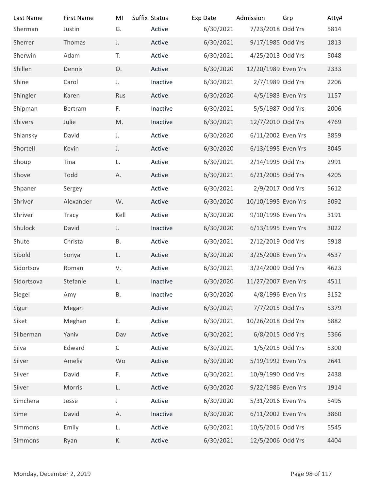| Last Name                | <b>First Name</b> | MI           | Suffix Status | Exp Date  | Admission           | Grp            | Atty# |
|--------------------------|-------------------|--------------|---------------|-----------|---------------------|----------------|-------|
| Sherman                  | Justin            | G.           | Active        | 6/30/2021 | 7/23/2018 Odd Yrs   |                | 5814  |
| Sherrer                  | Thomas            | J.           | Active        | 6/30/2021 | 9/17/1985 Odd Yrs   |                | 1813  |
| Sherwin                  | Adam              | T.           | Active        | 6/30/2021 | 4/25/2013 Odd Yrs   |                | 5048  |
| Shillen                  | Dennis            | O.           | Active        | 6/30/2020 | 12/20/1989 Even Yrs |                | 2333  |
| Shine                    | Carol             | J.           | Inactive      | 6/30/2021 | 2/7/1989 Odd Yrs    |                | 2206  |
| Shingler                 | Karen             | Rus          | Active        | 6/30/2020 | 4/5/1983 Even Yrs   |                | 1157  |
| Shipman                  | Bertram           | F.           | Inactive      | 6/30/2021 | 5/5/1987 Odd Yrs    |                | 2006  |
| Shivers                  | Julie             | M.           | Inactive      | 6/30/2021 | 12/7/2010 Odd Yrs   |                | 4769  |
| Shlansky                 | David             | J.           | Active        | 6/30/2020 | 6/11/2002 Even Yrs  |                | 3859  |
| Shortell                 | Kevin             | J.           | Active        | 6/30/2020 | 6/13/1995 Even Yrs  |                | 3045  |
| Shoup                    | Tina              | L.           | Active        | 6/30/2021 | 2/14/1995 Odd Yrs   |                | 2991  |
| Shove                    | Todd              | А.           | Active        | 6/30/2021 | 6/21/2005 Odd Yrs   |                | 4205  |
| Shpaner                  | Sergey            |              | Active        | 6/30/2021 | 2/9/2017 Odd Yrs    |                | 5612  |
| Shriver                  | Alexander         | W.           | Active        | 6/30/2020 | 10/10/1995 Even Yrs |                | 3092  |
| Shriver                  | Tracy             | Kell         | Active        | 6/30/2020 | 9/10/1996 Even Yrs  |                | 3191  |
| Shulock                  | David             | J.           | Inactive      | 6/30/2020 | 6/13/1995 Even Yrs  |                | 3022  |
| Shute                    | Christa           | В.           | Active        | 6/30/2021 | 2/12/2019 Odd Yrs   |                | 5918  |
| Sibold                   | Sonya             | L.           | Active        | 6/30/2020 | 3/25/2008 Even Yrs  |                | 4537  |
| Sidortsov                | Roman             | V.           | Active        | 6/30/2021 | 3/24/2009 Odd Yrs   |                | 4623  |
| Sidortsova               | Stefanie          | L.           | Inactive      | 6/30/2020 | 11/27/2007 Even Yrs |                | 4511  |
| Siegel                   | Amy               | В.           | Inactive      | 6/30/2020 | 4/8/1996 Even Yrs   |                | 3152  |
| Sigur                    | Megan             |              | Active        | 6/30/2021 | 7/7/2015 Odd Yrs    |                | 5379  |
| Siket                    | Meghan            | Ε.           | Active        | 6/30/2021 | 10/26/2018 Odd Yrs  |                | 5882  |
| Silberman                | Yaniv             | Dav          | Active        | 6/30/2021 | 6/8/2015 Odd Yrs    |                | 5366  |
| Silva                    | Edward            | $\mathsf{C}$ | Active        | 6/30/2021 | 1/5/2015 Odd Yrs    |                | 5300  |
| Silver                   | Amelia            | Wo           | Active        | 6/30/2020 | 5/19/1992 Even Yrs  |                | 2641  |
| Silver                   | David             | F.           | Active        | 6/30/2021 | 10/9/1990 Odd Yrs   |                | 2438  |
| Silver                   | Morris            | L.           | Active        | 6/30/2020 | 9/22/1986 Even Yrs  |                | 1914  |
| Simchera                 | Jesse             | J            | Active        | 6/30/2020 | 5/31/2016 Even Yrs  |                | 5495  |
| Sime                     | David             | Α.           | Inactive      | 6/30/2020 | 6/11/2002 Even Yrs  |                | 3860  |
| Simmons                  | Emily             | L.           | Active        | 6/30/2021 | 10/5/2016 Odd Yrs   |                | 5545  |
| Simmons                  | Ryan              | К.           | Active        | 6/30/2021 | 12/5/2006 Odd Yrs   |                | 4404  |
|                          |                   |              |               |           |                     |                |       |
| Monday, December 2, 2019 |                   |              |               |           |                     | Page 98 of 117 |       |
|                          |                   |              |               |           |                     |                |       |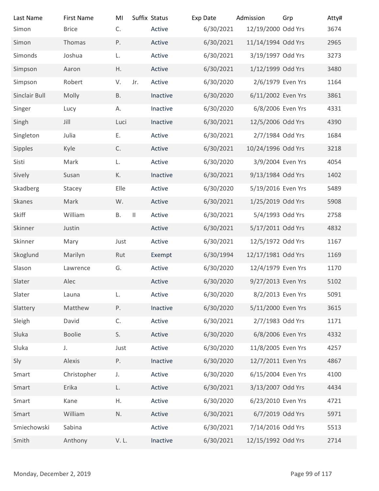| Last Name                | <b>First Name</b>      | MI<br>C.  |              | Suffix Status    | Exp Date               | Admission                              | Grp            | Atty#        |
|--------------------------|------------------------|-----------|--------------|------------------|------------------------|----------------------------------------|----------------|--------------|
| Simon                    | <b>Brice</b><br>Thomas |           |              | Active           | 6/30/2021              | 12/19/2000 Odd Yrs                     |                | 3674<br>2965 |
| Simon                    |                        | Ρ.        |              | Active           | 6/30/2021              | 11/14/1994 Odd Yrs                     |                |              |
| Simonds                  | Joshua<br>Aaron        | L.<br>Η.  |              | Active<br>Active | 6/30/2021<br>6/30/2021 | 3/19/1997 Odd Yrs<br>1/12/1999 Odd Yrs |                | 3273<br>3480 |
| Simpson<br>Simpson       | Robert                 | V.        | Jr.          | Active           | 6/30/2020              | 2/6/1979 Even Yrs                      |                | 1164         |
| Sinclair Bull            | Molly                  | <b>B.</b> |              | Inactive         | 6/30/2020              | 6/11/2002 Even Yrs                     |                | 3861         |
| Singer                   | Lucy                   | А.        |              | Inactive         | 6/30/2020              | 6/8/2006 Even Yrs                      |                | 4331         |
| Singh                    | Jill                   | Luci      |              | Inactive         | 6/30/2021              | 12/5/2006 Odd Yrs                      |                | 4390         |
| Singleton                | Julia                  | Ε.        |              | Active           | 6/30/2021              | 2/7/1984 Odd Yrs                       |                | 1684         |
| Sipples                  | Kyle                   | C.        |              | Active           | 6/30/2021              | 10/24/1996 Odd Yrs                     |                | 3218         |
| Sisti                    | Mark                   | L.        |              | Active           | 6/30/2020              | 3/9/2004 Even Yrs                      |                | 4054         |
| Sively                   | Susan                  | К.        |              | Inactive         | 6/30/2021              | 9/13/1984 Odd Yrs                      |                | 1402         |
| Skadberg                 | Stacey                 | Elle      |              | Active           | 6/30/2020              | 5/19/2016 Even Yrs                     |                | 5489         |
| Skanes                   | Mark                   | W.        |              | Active           | 6/30/2021              | 1/25/2019 Odd Yrs                      |                | 5908         |
| Skiff                    | William                | <b>B.</b> | $\vert\vert$ | Active           | 6/30/2021              | 5/4/1993 Odd Yrs                       |                | 2758         |
| Skinner                  | Justin                 |           |              | Active           | 6/30/2021              | 5/17/2011 Odd Yrs                      |                | 4832         |
| Skinner                  | Mary                   | Just      |              | Active           | 6/30/2021              | 12/5/1972 Odd Yrs                      |                | 1167         |
| Skoglund                 | Marilyn                | Rut       |              | Exempt           | 6/30/1994              | 12/17/1981 Odd Yrs                     |                | 1169         |
| Slason                   | Lawrence               | G.        |              | Active           | 6/30/2020              | 12/4/1979 Even Yrs                     |                | 1170         |
| Slater                   | Alec                   |           |              | Active           | 6/30/2020              | 9/27/2013 Even Yrs                     |                | 5102         |
| Slater                   | Launa                  | L.        |              | Active           | 6/30/2020              | 8/2/2013 Even Yrs                      |                | 5091         |
| Slattery                 | Matthew                | P.        |              | Inactive         | 6/30/2020              | 5/11/2000 Even Yrs                     |                | 3615         |
| Sleigh                   | David                  | C.        |              | Active           | 6/30/2021              | 2/7/1983 Odd Yrs                       |                | 1171         |
| Sluka                    | Boolie                 | S.        |              | Active           | 6/30/2020              | 6/8/2006 Even Yrs                      |                | 4332         |
| Sluka                    | J.                     | Just      |              | Active           | 6/30/2020              | 11/8/2005 Even Yrs                     |                | 4257         |
| Sly                      | Alexis                 | P.        |              | Inactive         | 6/30/2020              | 12/7/2011 Even Yrs                     |                | 4867         |
| Smart                    | Christopher            | J.        |              | Active           | 6/30/2020              | 6/15/2004 Even Yrs                     |                | 4100         |
| Smart                    | Erika                  | L.        |              | Active           | 6/30/2021              | 3/13/2007 Odd Yrs                      |                | 4434         |
| Smart                    | Kane                   | Η.        |              | Active           | 6/30/2020              | 6/23/2010 Even Yrs                     |                | 4721         |
| Smart                    | William                | N.        |              | Active           | 6/30/2021              | 6/7/2019 Odd Yrs                       |                | 5971         |
| Smiechowski              | Sabina                 |           |              | Active           | 6/30/2021              | 7/14/2016 Odd Yrs                      |                | 5513         |
| Smith                    | Anthony                | V.L.      |              | Inactive         | 6/30/2021              | 12/15/1992 Odd Yrs                     |                | 2714         |
|                          |                        |           |              |                  |                        |                                        |                |              |
| Monday, December 2, 2019 |                        |           |              |                  |                        |                                        | Page 99 of 117 |              |
|                          |                        |           |              |                  |                        |                                        |                |              |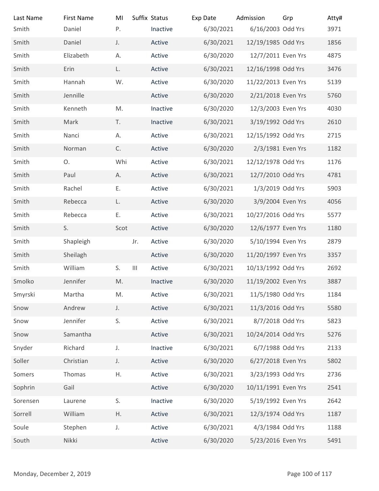| Last Name                | <b>First Name</b> | MI   |                                    | Suffix Status | Exp Date  | Admission           | Grp             | Atty# |
|--------------------------|-------------------|------|------------------------------------|---------------|-----------|---------------------|-----------------|-------|
| Smith                    | Daniel            | P.   |                                    | Inactive      | 6/30/2021 | 6/16/2003 Odd Yrs   |                 | 3971  |
| Smith                    | Daniel            | J.   |                                    | Active        | 6/30/2021 | 12/19/1985 Odd Yrs  |                 | 1856  |
| Smith                    | Elizabeth         | Α.   |                                    | Active        | 6/30/2020 | 12/7/2011 Even Yrs  |                 | 4875  |
| Smith                    | Erin              | L.   |                                    | Active        | 6/30/2021 | 12/16/1998 Odd Yrs  |                 | 3476  |
| Smith                    | Hannah            | W.   |                                    | Active        | 6/30/2020 | 11/22/2013 Even Yrs |                 | 5139  |
| Smith                    | Jennille          |      |                                    | Active        | 6/30/2020 | 2/21/2018 Even Yrs  |                 | 5760  |
| Smith                    | Kenneth           | M.   |                                    | Inactive      | 6/30/2020 | 12/3/2003 Even Yrs  |                 | 4030  |
| Smith                    | Mark              | T.   |                                    | Inactive      | 6/30/2021 | 3/19/1992 Odd Yrs   |                 | 2610  |
| Smith                    | Nanci             | А.   |                                    | Active        | 6/30/2021 | 12/15/1992 Odd Yrs  |                 | 2715  |
| Smith                    | Norman            | C.   |                                    | Active        | 6/30/2020 | 2/3/1981 Even Yrs   |                 | 1182  |
| Smith                    | O.                | Whi  |                                    | Active        | 6/30/2021 | 12/12/1978 Odd Yrs  |                 | 1176  |
| Smith                    | Paul              | Α.   |                                    | Active        | 6/30/2021 | 12/7/2010 Odd Yrs   |                 | 4781  |
| Smith                    | Rachel            | Ε.   |                                    | Active        | 6/30/2021 | 1/3/2019 Odd Yrs    |                 | 5903  |
| Smith                    | Rebecca           | L.   |                                    | Active        | 6/30/2020 | 3/9/2004 Even Yrs   |                 | 4056  |
| Smith                    | Rebecca           | Ε.   |                                    | Active        | 6/30/2021 | 10/27/2016 Odd Yrs  |                 | 5577  |
| Smith                    | S.                | Scot |                                    | Active        | 6/30/2020 | 12/6/1977 Even Yrs  |                 | 1180  |
| Smith                    |                   |      | Jr.                                | Active        | 6/30/2020 | 5/10/1994 Even Yrs  |                 | 2879  |
|                          | Shapleigh         |      |                                    |               |           |                     |                 |       |
| Smith                    | Sheilagh          |      |                                    | Active        | 6/30/2020 | 11/20/1997 Even Yrs |                 | 3357  |
| Smith                    | William           | S.   | $\ensuremath{\mathsf{III}}\xspace$ | Active        | 6/30/2021 | 10/13/1992 Odd Yrs  |                 | 2692  |
| Smolko                   | Jennifer          | M.   |                                    | Inactive      | 6/30/2020 | 11/19/2002 Even Yrs |                 | 3887  |
| Smyrski                  | Martha            | M.   |                                    | Active        | 6/30/2021 | 11/5/1980 Odd Yrs   |                 | 1184  |
| Snow                     | Andrew            | J.   |                                    | Active        | 6/30/2021 | 11/3/2016 Odd Yrs   |                 | 5580  |
| Snow                     | Jennifer          | S.   |                                    | Active        | 6/30/2021 | 8/7/2018 Odd Yrs    |                 | 5823  |
| Snow                     | Samantha          |      |                                    | Active        | 6/30/2021 | 10/24/2014 Odd Yrs  |                 | 5276  |
| Snyder                   | Richard           | J.   |                                    | Inactive      | 6/30/2021 | 6/7/1988 Odd Yrs    |                 | 2133  |
| Soller                   | Christian         | J.   |                                    | Active        | 6/30/2020 | 6/27/2018 Even Yrs  |                 | 5802  |
| Somers                   | Thomas            | Η.   |                                    | Active        | 6/30/2021 | 3/23/1993 Odd Yrs   |                 | 2736  |
| Sophrin                  | Gail              |      |                                    | Active        | 6/30/2020 | 10/11/1991 Even Yrs |                 | 2541  |
| Sorensen                 | Laurene           | S.   |                                    | Inactive      | 6/30/2020 | 5/19/1992 Even Yrs  |                 | 2642  |
| Sorrell                  | William           | Η.   |                                    | Active        | 6/30/2021 | 12/3/1974 Odd Yrs   |                 | 1187  |
| Soule                    | Stephen           | J.   |                                    | Active        | 6/30/2021 | 4/3/1984 Odd Yrs    |                 | 1188  |
| South                    | Nikki             |      |                                    | Active        | 6/30/2020 | 5/23/2016 Even Yrs  |                 | 5491  |
|                          |                   |      |                                    |               |           |                     |                 |       |
| Monday, December 2, 2019 |                   |      |                                    |               |           |                     | Page 100 of 117 |       |
|                          |                   |      |                                    |               |           |                     |                 |       |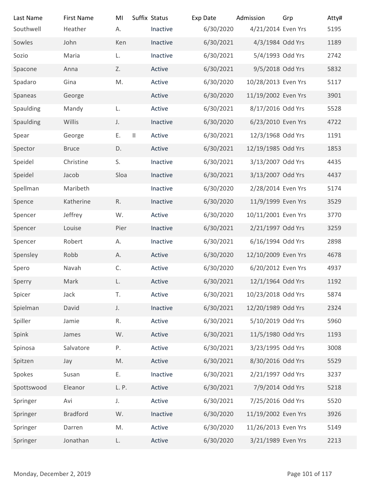| Last Name                | <b>First Name</b> | MI      | Suffix Status | Exp Date  | Admission           | Grp             | Atty# |
|--------------------------|-------------------|---------|---------------|-----------|---------------------|-----------------|-------|
| Southwell                | Heather           | А.      | Inactive      | 6/30/2020 | 4/21/2014 Even Yrs  |                 | 5195  |
| Sowles                   | John              | Ken     | Inactive      | 6/30/2021 | 4/3/1984 Odd Yrs    |                 | 1189  |
| Sozio                    | Maria             | L.      | Inactive      | 6/30/2021 | 5/4/1993 Odd Yrs    |                 | 2742  |
| Spacone                  | Anna              | Z.      | Active        | 6/30/2021 | 9/5/2018 Odd Yrs    |                 | 5832  |
| Spadaro                  | Gina              | M.      | Active        | 6/30/2020 | 10/28/2013 Even Yrs |                 | 5117  |
| Spaneas                  | George            |         | Active        | 6/30/2020 | 11/19/2002 Even Yrs |                 | 3901  |
| Spaulding                | Mandy             | L.      | Active        | 6/30/2021 | 8/17/2016 Odd Yrs   |                 | 5528  |
| Spaulding                | Willis            | J.      | Inactive      | 6/30/2020 | 6/23/2010 Even Yrs  |                 | 4722  |
| Spear                    | George            | Е.<br>Ш | Active        | 6/30/2021 | 12/3/1968 Odd Yrs   |                 | 1191  |
| Spector                  | <b>Bruce</b>      | D.      | Active        | 6/30/2021 | 12/19/1985 Odd Yrs  |                 | 1853  |
| Speidel                  | Christine         | S.      | Inactive      | 6/30/2021 | 3/13/2007 Odd Yrs   |                 | 4435  |
| Speidel                  | Jacob             | Sloa    | Inactive      | 6/30/2021 | 3/13/2007 Odd Yrs   |                 | 4437  |
| Spellman                 | Maribeth          |         | Inactive      | 6/30/2020 | 2/28/2014 Even Yrs  |                 | 5174  |
| Spence                   | Katherine         | R.      | Inactive      | 6/30/2020 | 11/9/1999 Even Yrs  |                 | 3529  |
| Spencer                  | Jeffrey           | W.      | Active        | 6/30/2020 | 10/11/2001 Even Yrs |                 | 3770  |
| Spencer                  | Louise            | Pier    | Inactive      | 6/30/2021 | 2/21/1997 Odd Yrs   |                 | 3259  |
| Spencer                  | Robert            | Α.      | Inactive      | 6/30/2021 | 6/16/1994 Odd Yrs   |                 | 2898  |
| Spensley                 | Robb              | А.      | Active        | 6/30/2020 | 12/10/2009 Even Yrs |                 | 4678  |
| Spero                    | Navah             | C.      | Active        | 6/30/2020 | 6/20/2012 Even Yrs  |                 | 4937  |
| Sperry                   | Mark              | L.      | Active        | 6/30/2021 | 12/1/1964 Odd Yrs   |                 | 1192  |
| Spicer                   | Jack              | T.      | Active        | 6/30/2021 | 10/23/2018 Odd Yrs  |                 | 5874  |
| Spielman                 | David             | J.      | Inactive      | 6/30/2021 | 12/20/1989 Odd Yrs  |                 | 2324  |
| Spiller                  | Jamie             | R.      | Active        | 6/30/2021 | 5/10/2019 Odd Yrs   |                 | 5960  |
| Spink                    | James             | W.      | Active        | 6/30/2021 | 11/5/1980 Odd Yrs   |                 | 1193  |
| Spinosa                  | Salvatore         | Ρ.      | Active        | 6/30/2021 | 3/23/1995 Odd Yrs   |                 | 3008  |
| Spitzen                  | Jay               | M.      | Active        | 6/30/2021 | 8/30/2016 Odd Yrs   |                 | 5529  |
| Spokes                   | Susan             | Ε.      | Inactive      | 6/30/2021 | 2/21/1997 Odd Yrs   |                 | 3237  |
| Spottswood               | Eleanor           | L.P.    | Active        | 6/30/2021 | 7/9/2014 Odd Yrs    |                 | 5218  |
| Springer                 | Avi               | J.      | Active        | 6/30/2021 | 7/25/2016 Odd Yrs   |                 | 5520  |
| Springer                 | <b>Bradford</b>   | W.      | Inactive      | 6/30/2020 | 11/19/2002 Even Yrs |                 | 3926  |
| Springer                 | Darren            | M.      | Active        | 6/30/2020 | 11/26/2013 Even Yrs |                 | 5149  |
| Springer                 | Jonathan          | L.      | Active        | 6/30/2020 | 3/21/1989 Even Yrs  |                 | 2213  |
|                          |                   |         |               |           |                     |                 |       |
|                          |                   |         |               |           |                     |                 |       |
| Monday, December 2, 2019 |                   |         |               |           |                     | Page 101 of 117 |       |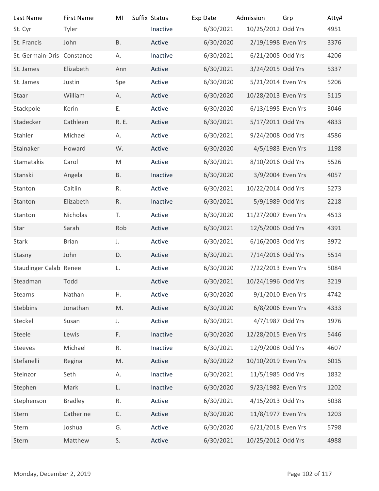| Last Name<br>St. Cyr       | <b>First Name</b><br>Tyler | MI            | Suffix Status<br>Inactive | Exp Date<br>6/30/2021 | Admission<br>10/25/2012 Odd Yrs | Grp             | Atty#<br>4951 |
|----------------------------|----------------------------|---------------|---------------------------|-----------------------|---------------------------------|-----------------|---------------|
| St. Francis                | John                       | <b>B.</b>     | Active                    | 6/30/2020             | 2/19/1998 Even Yrs              |                 | 3376          |
| St. Germain-Dris Constance |                            | А.            | Inactive                  | 6/30/2021             | 6/21/2005 Odd Yrs               |                 | 4206          |
| St. James                  | Elizabeth                  | Ann           | Active                    | 6/30/2021             | 3/24/2015 Odd Yrs               |                 | 5337          |
| St. James                  | Justin                     | Spe           | Active                    | 6/30/2020             | 5/21/2014 Even Yrs              |                 | 5206          |
| Staar                      | William                    | А.            | Active                    | 6/30/2020             | 10/28/2013 Even Yrs             |                 | 5115          |
| Stackpole                  | Kerin                      | Ε.            | Active                    | 6/30/2020             | 6/13/1995 Even Yrs              |                 | 3046          |
| Stadecker                  | Cathleen                   | R. E.         | Active                    | 6/30/2021             | 5/17/2011 Odd Yrs               |                 | 4833          |
| Stahler                    | Michael                    | А.            | Active                    | 6/30/2021             | 9/24/2008 Odd Yrs               |                 | 4586          |
| Stalnaker                  | Howard                     | W.            | Active                    | 6/30/2020             | 4/5/1983 Even Yrs               |                 | 1198          |
| Stamatakis                 | Carol                      | ${\sf M}$     | Active                    | 6/30/2021             | 8/10/2016 Odd Yrs               |                 | 5526          |
| Stanski                    | Angela                     | <b>B.</b>     | Inactive                  | 6/30/2020             | 3/9/2004 Even Yrs               |                 | 4057          |
| Stanton                    | Caitlin                    | R.            | Active                    | 6/30/2021             | 10/22/2014 Odd Yrs              |                 | 5273          |
| Stanton                    | Elizabeth                  | R.            | Inactive                  | 6/30/2021             | 5/9/1989 Odd Yrs                |                 | 2218          |
| Stanton                    | Nicholas                   | T.            | Active                    | 6/30/2020             | 11/27/2007 Even Yrs             |                 | 4513          |
| Star                       | Sarah                      | Rob           | Active                    | 6/30/2021             | 12/5/2006 Odd Yrs               |                 | 4391          |
| Stark                      | <b>Brian</b>               | J.            | Active                    | 6/30/2021             | 6/16/2003 Odd Yrs               |                 | 3972          |
| Stasny                     | John                       | D.            | Active                    | 6/30/2021             | 7/14/2016 Odd Yrs               |                 | 5514          |
| Staudinger Calab Renee     |                            | L.            | Active                    | 6/30/2020             | 7/22/2013 Even Yrs              |                 | 5084          |
| Steadman                   | Todd                       |               | Active                    | 6/30/2021             | 10/24/1996 Odd Yrs              |                 | 3219          |
| Stearns                    | Nathan                     | Η.            | Active                    | 6/30/2020             | 9/1/2010 Even Yrs               |                 | 4742          |
| Stebbins                   | Jonathan                   | $\mathsf{M}.$ | Active                    | 6/30/2020             | 6/8/2006 Even Yrs               |                 | 4333          |
| Steckel                    | Susan                      | J.            | Active                    | 6/30/2021             | 4/7/1987 Odd Yrs                |                 | 1976          |
| Steele                     | Lewis                      | F.            | Inactive                  | 6/30/2020             | 12/28/2015 Even Yrs             |                 | 5446          |
| Steeves                    | Michael                    | R.            | Inactive                  | 6/30/2021             | 12/9/2008 Odd Yrs               |                 | 4607          |
| Stefanelli                 | Regina                     | M.            | Active                    | 6/30/2022             | 10/10/2019 Even Yrs             |                 | 6015          |
| Steinzor                   | Seth                       | А.            | Inactive                  | 6/30/2021             | 11/5/1985 Odd Yrs               |                 | 1832          |
| Stephen                    | Mark                       | L.            | Inactive                  | 6/30/2020             | 9/23/1982 Even Yrs              |                 | 1202          |
| Stephenson                 | <b>Bradley</b>             | R.            | Active                    | 6/30/2021             | 4/15/2013 Odd Yrs               |                 | 5038          |
| Stern                      | Catherine                  | C.            | Active                    | 6/30/2020             | 11/8/1977 Even Yrs              |                 | 1203          |
| Stern                      | Joshua                     | G.            | Active                    | 6/30/2020             | 6/21/2018 Even Yrs              |                 | 5798          |
| Stern                      | Matthew                    | S.            | Active                    | 6/30/2021             | 10/25/2012 Odd Yrs              |                 | 4988          |
|                            |                            |               |                           |                       |                                 |                 |               |
| Monday, December 2, 2019   |                            |               |                           |                       |                                 | Page 102 of 117 |               |
|                            |                            |               |                           |                       |                                 |                 |               |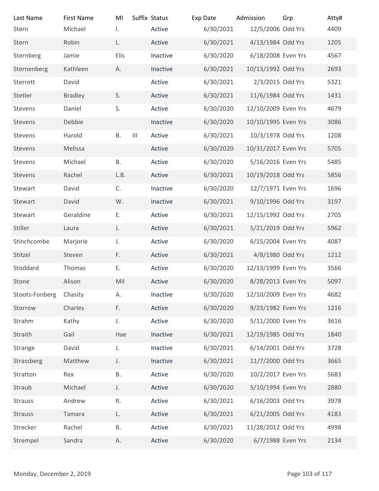|                | Τ.                                                                                                                                             |                                                                        |                                                                                                                                                                  |                                                                                                                                                                      |                 | Atty#<br>4409                                                                                                                                                                                                                                                                                                                                                                                                                                                                                                                                                                                                                                                                                                             |
|----------------|------------------------------------------------------------------------------------------------------------------------------------------------|------------------------------------------------------------------------|------------------------------------------------------------------------------------------------------------------------------------------------------------------|----------------------------------------------------------------------------------------------------------------------------------------------------------------------|-----------------|---------------------------------------------------------------------------------------------------------------------------------------------------------------------------------------------------------------------------------------------------------------------------------------------------------------------------------------------------------------------------------------------------------------------------------------------------------------------------------------------------------------------------------------------------------------------------------------------------------------------------------------------------------------------------------------------------------------------------|
| Robin          | L.                                                                                                                                             | Active                                                                 |                                                                                                                                                                  |                                                                                                                                                                      |                 | 1205                                                                                                                                                                                                                                                                                                                                                                                                                                                                                                                                                                                                                                                                                                                      |
| Jamie          | Elis                                                                                                                                           | Inactive                                                               | 6/30/2020                                                                                                                                                        |                                                                                                                                                                      |                 | 4567                                                                                                                                                                                                                                                                                                                                                                                                                                                                                                                                                                                                                                                                                                                      |
| Kathleen       | А.                                                                                                                                             | Inactive                                                               | 6/30/2021                                                                                                                                                        |                                                                                                                                                                      |                 | 2693                                                                                                                                                                                                                                                                                                                                                                                                                                                                                                                                                                                                                                                                                                                      |
| David          |                                                                                                                                                | Active                                                                 | 6/30/2021                                                                                                                                                        |                                                                                                                                                                      |                 | 5321                                                                                                                                                                                                                                                                                                                                                                                                                                                                                                                                                                                                                                                                                                                      |
| <b>Bradley</b> | S.                                                                                                                                             | Active                                                                 | 6/30/2021                                                                                                                                                        |                                                                                                                                                                      |                 | 1431                                                                                                                                                                                                                                                                                                                                                                                                                                                                                                                                                                                                                                                                                                                      |
| Daniel         | S.                                                                                                                                             | Active                                                                 | 6/30/2020                                                                                                                                                        |                                                                                                                                                                      |                 | 4679                                                                                                                                                                                                                                                                                                                                                                                                                                                                                                                                                                                                                                                                                                                      |
| Debbie         |                                                                                                                                                | Inactive                                                               | 6/30/2020                                                                                                                                                        |                                                                                                                                                                      |                 | 3086                                                                                                                                                                                                                                                                                                                                                                                                                                                                                                                                                                                                                                                                                                                      |
| Harold         | Β.                                                                                                                                             | Active                                                                 | 6/30/2021                                                                                                                                                        |                                                                                                                                                                      |                 | 1208                                                                                                                                                                                                                                                                                                                                                                                                                                                                                                                                                                                                                                                                                                                      |
| Melissa        |                                                                                                                                                | Active                                                                 | 6/30/2020                                                                                                                                                        |                                                                                                                                                                      |                 | 5705                                                                                                                                                                                                                                                                                                                                                                                                                                                                                                                                                                                                                                                                                                                      |
| Michael        | В.                                                                                                                                             | Active                                                                 | 6/30/2020                                                                                                                                                        |                                                                                                                                                                      |                 | 5485                                                                                                                                                                                                                                                                                                                                                                                                                                                                                                                                                                                                                                                                                                                      |
| Rachel         | L.B.                                                                                                                                           | Active                                                                 | 6/30/2021                                                                                                                                                        |                                                                                                                                                                      |                 | 5856                                                                                                                                                                                                                                                                                                                                                                                                                                                                                                                                                                                                                                                                                                                      |
| David          | C.                                                                                                                                             | Inactive                                                               | 6/30/2020                                                                                                                                                        |                                                                                                                                                                      |                 | 1696                                                                                                                                                                                                                                                                                                                                                                                                                                                                                                                                                                                                                                                                                                                      |
| David          | W.                                                                                                                                             | Inactive                                                               | 6/30/2021                                                                                                                                                        |                                                                                                                                                                      |                 | 3197                                                                                                                                                                                                                                                                                                                                                                                                                                                                                                                                                                                                                                                                                                                      |
| Geraldine      | Ε.                                                                                                                                             | Active                                                                 | 6/30/2021                                                                                                                                                        |                                                                                                                                                                      |                 | 2705                                                                                                                                                                                                                                                                                                                                                                                                                                                                                                                                                                                                                                                                                                                      |
| Laura          | J.                                                                                                                                             | Active                                                                 | 6/30/2021                                                                                                                                                        |                                                                                                                                                                      |                 | 5962                                                                                                                                                                                                                                                                                                                                                                                                                                                                                                                                                                                                                                                                                                                      |
| Marjorie       | J.                                                                                                                                             | Active                                                                 | 6/30/2020                                                                                                                                                        |                                                                                                                                                                      |                 | 4087                                                                                                                                                                                                                                                                                                                                                                                                                                                                                                                                                                                                                                                                                                                      |
| Steven         | F.                                                                                                                                             | Active                                                                 | 6/30/2021                                                                                                                                                        |                                                                                                                                                                      |                 | 1212                                                                                                                                                                                                                                                                                                                                                                                                                                                                                                                                                                                                                                                                                                                      |
| Thomas         | Ε.                                                                                                                                             | Active                                                                 | 6/30/2020                                                                                                                                                        |                                                                                                                                                                      |                 | 3566                                                                                                                                                                                                                                                                                                                                                                                                                                                                                                                                                                                                                                                                                                                      |
| Alison         | Mil                                                                                                                                            | Active                                                                 | 6/30/2020                                                                                                                                                        |                                                                                                                                                                      |                 | 5097                                                                                                                                                                                                                                                                                                                                                                                                                                                                                                                                                                                                                                                                                                                      |
| Chasity        | А.                                                                                                                                             | Inactive                                                               | 6/30/2020                                                                                                                                                        |                                                                                                                                                                      |                 | 4682                                                                                                                                                                                                                                                                                                                                                                                                                                                                                                                                                                                                                                                                                                                      |
| Charles        |                                                                                                                                                | Active                                                                 | 6/30/2020                                                                                                                                                        |                                                                                                                                                                      |                 | 1216                                                                                                                                                                                                                                                                                                                                                                                                                                                                                                                                                                                                                                                                                                                      |
| Kathy          | J.                                                                                                                                             | Active                                                                 |                                                                                                                                                                  |                                                                                                                                                                      |                 | 3616                                                                                                                                                                                                                                                                                                                                                                                                                                                                                                                                                                                                                                                                                                                      |
|                |                                                                                                                                                |                                                                        |                                                                                                                                                                  |                                                                                                                                                                      |                 | 1840                                                                                                                                                                                                                                                                                                                                                                                                                                                                                                                                                                                                                                                                                                                      |
|                |                                                                                                                                                |                                                                        |                                                                                                                                                                  |                                                                                                                                                                      |                 | 3728                                                                                                                                                                                                                                                                                                                                                                                                                                                                                                                                                                                                                                                                                                                      |
|                |                                                                                                                                                |                                                                        |                                                                                                                                                                  |                                                                                                                                                                      |                 | 3665                                                                                                                                                                                                                                                                                                                                                                                                                                                                                                                                                                                                                                                                                                                      |
|                |                                                                                                                                                |                                                                        |                                                                                                                                                                  |                                                                                                                                                                      |                 | 5683                                                                                                                                                                                                                                                                                                                                                                                                                                                                                                                                                                                                                                                                                                                      |
|                |                                                                                                                                                |                                                                        |                                                                                                                                                                  |                                                                                                                                                                      |                 | 2880                                                                                                                                                                                                                                                                                                                                                                                                                                                                                                                                                                                                                                                                                                                      |
|                |                                                                                                                                                |                                                                        |                                                                                                                                                                  |                                                                                                                                                                      |                 | 3978                                                                                                                                                                                                                                                                                                                                                                                                                                                                                                                                                                                                                                                                                                                      |
|                |                                                                                                                                                |                                                                        |                                                                                                                                                                  |                                                                                                                                                                      |                 | 4183                                                                                                                                                                                                                                                                                                                                                                                                                                                                                                                                                                                                                                                                                                                      |
|                |                                                                                                                                                |                                                                        |                                                                                                                                                                  |                                                                                                                                                                      |                 | 4998<br>2134                                                                                                                                                                                                                                                                                                                                                                                                                                                                                                                                                                                                                                                                                                              |
|                |                                                                                                                                                |                                                                        |                                                                                                                                                                  |                                                                                                                                                                      |                 |                                                                                                                                                                                                                                                                                                                                                                                                                                                                                                                                                                                                                                                                                                                           |
|                |                                                                                                                                                |                                                                        |                                                                                                                                                                  |                                                                                                                                                                      |                 |                                                                                                                                                                                                                                                                                                                                                                                                                                                                                                                                                                                                                                                                                                                           |
|                |                                                                                                                                                |                                                                        |                                                                                                                                                                  |                                                                                                                                                                      | Page 103 of 117 |                                                                                                                                                                                                                                                                                                                                                                                                                                                                                                                                                                                                                                                                                                                           |
|                | <b>First Name</b><br>Michael<br>Gail<br>David<br>Matthew<br>Rex<br>Michael<br>Andrew<br>Tamara<br>Rachel<br>Sandra<br>Monday, December 2, 2019 | MI<br>F.<br>Hae<br>J.<br>J.<br><b>B.</b><br>J.<br>R.<br>L.<br>В.<br>А. | Suffix Status<br>Active<br>$\begin{array}{c} \hline \end{array}$<br>Inactive<br>Inactive<br>Inactive<br>Active<br>Active<br>Active<br>Active<br>Active<br>Active | Exp Date<br>6/30/2021<br>6/30/2021<br>6/30/2020<br>6/30/2021<br>6/30/2021<br>6/30/2021<br>6/30/2020<br>6/30/2020<br>6/30/2021<br>6/30/2021<br>6/30/2021<br>6/30/2020 | Admission       | Grp<br>12/5/2006 Odd Yrs<br>4/13/1984 Odd Yrs<br>6/18/2008 Even Yrs<br>10/13/1992 Odd Yrs<br>2/3/2015 Odd Yrs<br>11/6/1984 Odd Yrs<br>12/10/2009 Even Yrs<br>10/10/1995 Even Yrs<br>10/3/1978 Odd Yrs<br>10/31/2017 Even Yrs<br>5/16/2016 Even Yrs<br>10/19/2018 Odd Yrs<br>12/7/1971 Even Yrs<br>9/10/1996 Odd Yrs<br>12/15/1992 Odd Yrs<br>5/21/2019 Odd Yrs<br>6/15/2004 Even Yrs<br>4/8/1980 Odd Yrs<br>12/13/1999 Even Yrs<br>8/28/2013 Even Yrs<br>12/10/2009 Even Yrs<br>9/23/1982 Even Yrs<br>5/11/2000 Even Yrs<br>12/19/1985 Odd Yrs<br>6/14/2001 Odd Yrs<br>11/7/2000 Odd Yrs<br>10/2/2017 Even Yrs<br>5/10/1994 Even Yrs<br>6/16/2003 Odd Yrs<br>6/21/2005 Odd Yrs<br>11/28/2012 Odd Yrs<br>6/7/1988 Even Yrs |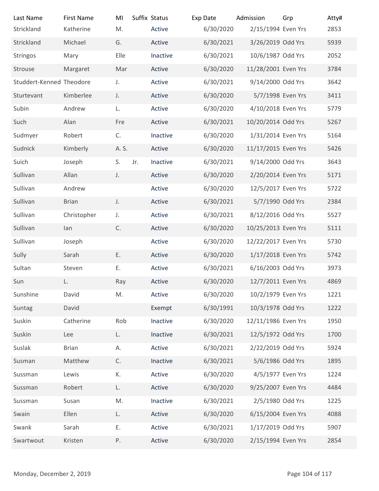| Last Name                | <b>First Name</b> | MI          | Suffix Status      | Exp Date               | Admission                              | Grp             | Atty#        |
|--------------------------|-------------------|-------------|--------------------|------------------------|----------------------------------------|-----------------|--------------|
| Strickland               | Katherine         | M.          | Active             | 6/30/2020              | 2/15/1994 Even Yrs                     |                 | 2853         |
| Strickland               | Michael           | G.          | Active             | 6/30/2021              | 3/26/2019 Odd Yrs<br>10/6/1987 Odd Yrs |                 | 5939         |
| Stringos<br>Strouse      | Mary<br>Margaret  | Elle<br>Mar | Inactive<br>Active | 6/30/2021<br>6/30/2020 | 11/28/2001 Even Yrs                    |                 | 2052<br>3784 |
| Studdert-Kenned Theodore |                   | J.          | Active             | 6/30/2021              | 9/14/2000 Odd Yrs                      |                 | 3642         |
| Sturtevant               | Kimberlee         | J.          | Active             | 6/30/2020              | 5/7/1998 Even Yrs                      |                 | 3411         |
| Subin                    | Andrew            | L.          | Active             | 6/30/2020              | 4/10/2018 Even Yrs                     |                 | 5779         |
| Such                     | Alan              | Fre         | Active             | 6/30/2021              | 10/20/2014 Odd Yrs                     |                 | 5267         |
| Sudmyer                  | Robert            | C.          | Inactive           | 6/30/2020              | 1/31/2014 Even Yrs                     |                 | 5164         |
| Sudnick                  | Kimberly          | A. S.       | Active             | 6/30/2020              | 11/17/2015 Even Yrs                    |                 | 5426         |
| Suich                    | Joseph            | S.<br>Jr.   | Inactive           | 6/30/2021              | 9/14/2000 Odd Yrs                      |                 | 3643         |
| Sullivan                 | Allan             | J.          | Active             | 6/30/2020              | 2/20/2014 Even Yrs                     |                 | 5171         |
| Sullivan                 | Andrew            |             | Active             | 6/30/2020              | 12/5/2017 Even Yrs                     |                 | 5722         |
| Sullivan                 | <b>Brian</b>      | J.          | Active             | 6/30/2021              | 5/7/1990 Odd Yrs                       |                 | 2384         |
| Sullivan                 | Christopher       | J.          | Active             | 6/30/2021              | 8/12/2016 Odd Yrs                      |                 | 5527         |
| Sullivan                 | lan               | C.          | Active             | 6/30/2020              | 10/25/2013 Even Yrs                    |                 | 5111         |
| Sullivan                 | Joseph            |             | Active             | 6/30/2020              | 12/22/2017 Even Yrs                    |                 | 5730         |
| Sully                    | Sarah             | Ε.          | Active             | 6/30/2020              | 1/17/2018 Even Yrs                     |                 | 5742         |
| Sultan                   | Steven            | Ε.          | Active             | 6/30/2021              | 6/16/2003 Odd Yrs                      |                 | 3973         |
| Sun                      | L.                | Ray         | Active             | 6/30/2020              | 12/7/2011 Even Yrs                     |                 | 4869         |
| Sunshine                 | David             | M.          | Active             | 6/30/2020              | 10/2/1979 Even Yrs                     |                 | 1221         |
| Suntag                   | David             |             | Exempt             | 6/30/1991              | 10/3/1978 Odd Yrs                      |                 | 1222         |
| Suskin                   | Catherine         | Rob         | Inactive           | 6/30/2020              | 12/11/1986 Even Yrs                    |                 | 1950         |
| Suskin                   | Lee               | L.          | Inactive           | 6/30/2021              | 12/5/1972 Odd Yrs                      |                 | 1700         |
| Suslak                   | <b>Brian</b>      | А.          | Active             | 6/30/2021              | 2/22/2019 Odd Yrs                      |                 | 5924         |
| Susman                   | Matthew           | C.          | Inactive           | 6/30/2021              | 5/6/1986 Odd Yrs                       |                 | 1895         |
| Sussman                  | Lewis             | К.          | Active             | 6/30/2020              | 4/5/1977 Even Yrs                      |                 | 1224         |
| Sussman                  | Robert            | L.          | Active             | 6/30/2020              | 9/25/2007 Even Yrs                     |                 | 4484         |
| Sussman                  | Susan             | M.          | Inactive           | 6/30/2021              | 2/5/1980 Odd Yrs                       |                 | 1225         |
| Swain                    | Ellen             | L.          | Active             | 6/30/2020              | 6/15/2004 Even Yrs                     |                 | 4088         |
| Swank                    | Sarah             | Ε.          | Active             | 6/30/2021              | 1/17/2019 Odd Yrs                      |                 | 5907         |
| Swartwout                | Kristen           | Ρ.          | Active             | 6/30/2020              | 2/15/1994 Even Yrs                     |                 | 2854         |
|                          |                   |             |                    |                        |                                        |                 |              |
| Monday, December 2, 2019 |                   |             |                    |                        |                                        | Page 104 of 117 |              |
|                          |                   |             |                    |                        |                                        |                 |              |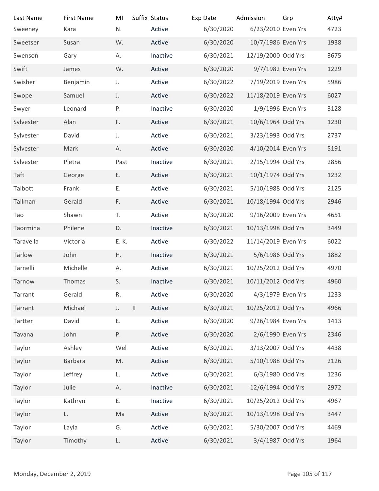| Last Name<br>Sweeney     | <b>First Name</b><br>Kara | MI<br>N.                | Suffix Status<br>Active | Exp Date<br>6/30/2020 | Admission<br>6/23/2010 Even Yrs | Grp             | Atty#<br>4723 |
|--------------------------|---------------------------|-------------------------|-------------------------|-----------------------|---------------------------------|-----------------|---------------|
| Sweetser                 | Susan                     | W.                      | Active                  | 6/30/2020             | 10/7/1986 Even Yrs              |                 | 1938          |
| Swenson                  | Gary                      | А.                      | Inactive                | 6/30/2021             | 12/19/2000 Odd Yrs              |                 | 3675          |
| Swift                    | James                     | W.                      | Active                  | 6/30/2020             | 9/7/1982 Even Yrs               |                 | 1229          |
| Swisher                  | Benjamin                  | J.                      | Active                  | 6/30/2022             | 7/19/2019 Even Yrs              |                 | 5986          |
| Swope                    | Samuel                    | J.                      | Active                  | 6/30/2022             | 11/18/2019 Even Yrs             |                 | 6027          |
| Swyer                    | Leonard                   | P.                      | Inactive                | 6/30/2020             | 1/9/1996 Even Yrs               |                 | 3128          |
| Sylvester                | Alan                      | F.                      | Active                  | 6/30/2021             | 10/6/1964 Odd Yrs               |                 | 1230          |
| Sylvester                | David                     | J.                      | Active                  | 6/30/2021             | 3/23/1993 Odd Yrs               |                 | 2737          |
| Sylvester                | Mark                      | А.                      | Active                  | 6/30/2020             | 4/10/2014 Even Yrs              |                 | 5191          |
| Sylvester                | Pietra                    | Past                    | Inactive                | 6/30/2021             | 2/15/1994 Odd Yrs               |                 | 2856          |
| Taft                     | George                    | Ε.                      | Active                  | 6/30/2021             | 10/1/1974 Odd Yrs               |                 | 1232          |
| Talbott                  | Frank                     | Ε.                      | Active                  | 6/30/2021             | 5/10/1988 Odd Yrs               |                 | 2125          |
| Tallman                  | Gerald                    | F.                      | Active                  | 6/30/2021             | 10/18/1994 Odd Yrs              |                 | 2946          |
| Tao                      | Shawn                     | T.                      | Active                  | 6/30/2020             | 9/16/2009 Even Yrs              |                 | 4651          |
| Taormina                 | Philene                   | D.                      | Inactive                | 6/30/2021             | 10/13/1998 Odd Yrs              |                 | 3449          |
| Taravella                | Victoria                  | E. K.                   | Active                  | 6/30/2022             | 11/14/2019 Even Yrs             |                 | 6022          |
| Tarlow                   | John                      | H.                      | Inactive                | 6/30/2021             | 5/6/1986 Odd Yrs                |                 | 1882          |
| Tarnelli                 | Michelle                  | А.                      | Active                  | 6/30/2021             | 10/25/2012 Odd Yrs              |                 | 4970          |
| Tarnow                   | Thomas                    | S.                      | Inactive                | 6/30/2021             | 10/11/2012 Odd Yrs              |                 | 4960          |
| Tarrant                  | Gerald                    | R.                      | Active                  | 6/30/2020             | 4/3/1979 Even Yrs               |                 | 1233          |
| Tarrant                  | Michael                   | $\vert\vert$<br>$J_{+}$ | Active                  | 6/30/2021             | 10/25/2012 Odd Yrs              |                 | 4966          |
| Tartter                  | David                     | Ε.                      | Active                  | 6/30/2020             | 9/26/1984 Even Yrs              |                 | 1413          |
| Tavana                   | John                      | Ρ.                      | Active                  | 6/30/2020             | 2/6/1990 Even Yrs               |                 | 2346          |
| Taylor                   | Ashley                    | Wel                     | Active                  | 6/30/2021             | 3/13/2007 Odd Yrs               |                 | 4438          |
| Taylor                   | Barbara                   | M.                      | Active                  | 6/30/2021             | 5/10/1988 Odd Yrs               |                 | 2126          |
| Taylor                   | Jeffrey                   | L.                      | Active                  | 6/30/2021             | 6/3/1980 Odd Yrs                |                 | 1236          |
| Taylor                   | Julie                     | Α.                      | Inactive                | 6/30/2021             | 12/6/1994 Odd Yrs               |                 | 2972          |
| Taylor                   | Kathryn                   | Ε.                      | Inactive                | 6/30/2021             | 10/25/2012 Odd Yrs              |                 | 4967          |
| Taylor                   | L.                        | Ma                      | Active                  | 6/30/2021             | 10/13/1998 Odd Yrs              |                 | 3447          |
| Taylor                   | Layla                     | G.                      | Active                  | 6/30/2021             | 5/30/2007 Odd Yrs               |                 | 4469          |
| Taylor                   | Timothy                   | L.                      | Active                  | 6/30/2021             | 3/4/1987 Odd Yrs                |                 | 1964          |
|                          |                           |                         |                         |                       |                                 |                 |               |
| Monday, December 2, 2019 |                           |                         |                         |                       |                                 | Page 105 of 117 |               |
|                          |                           |                         |                         |                       |                                 |                 |               |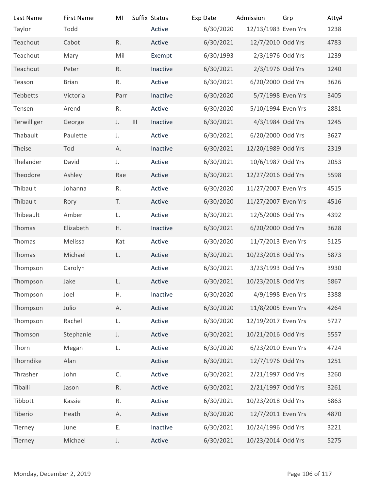| Last Name<br>Taylor      | <b>First Name</b><br>Todd | MI           | Suffix Status<br>Active    | Exp Date<br>6/30/2020 | Admission<br>12/13/1983 Even Yrs | Grp | Atty#<br>1238   |
|--------------------------|---------------------------|--------------|----------------------------|-----------------------|----------------------------------|-----|-----------------|
| Teachout                 | Cabot                     | R.           | Active                     | 6/30/2021             | 12/7/2010 Odd Yrs                |     | 4783            |
| Teachout                 | Mary                      | Mil          | Exempt                     | 6/30/1993             | 2/3/1976 Odd Yrs                 |     | 1239            |
| Teachout                 | Peter                     | R.           | Inactive                   | 6/30/2021             | 2/3/1976 Odd Yrs                 |     | 1240            |
| Teason                   | <b>Brian</b>              | R.           | Active                     | 6/30/2021             | 6/20/2000 Odd Yrs                |     | 3626            |
| Tebbetts                 | Victoria                  | Parr         | Inactive                   | 6/30/2020             | 5/7/1998 Even Yrs                |     | 3405            |
| Tensen                   | Arend                     | ${\sf R}.$   | Active                     | 6/30/2020             | 5/10/1994 Even Yrs               |     | 2881            |
| Terwilliger              | George                    | J.           | $\mathbf{III}$<br>Inactive | 6/30/2021             | 4/3/1984 Odd Yrs                 |     | 1245            |
| Thabault                 | Paulette                  | J.           | Active                     | 6/30/2021             | 6/20/2000 Odd Yrs                |     | 3627            |
| Theise                   | Tod                       | А.           | Inactive                   | 6/30/2021             | 12/20/1989 Odd Yrs               |     | 2319            |
| Thelander                | David                     | $J_{\star}$  | Active                     | 6/30/2021             | 10/6/1987 Odd Yrs                |     | 2053            |
| Theodore                 | Ashley                    | Rae          | Active                     | 6/30/2021             | 12/27/2016 Odd Yrs               |     | 5598            |
| Thibault                 | Johanna                   | R.           | Active                     | 6/30/2020             | 11/27/2007 Even Yrs              |     | 4515            |
| Thibault                 | Rory                      | T.           | Active                     | 6/30/2020             | 11/27/2007 Even Yrs              |     | 4516            |
| Thibeault                | Amber                     | L.           | Active                     | 6/30/2021             | 12/5/2006 Odd Yrs                |     | 4392            |
| Thomas                   | Elizabeth                 | Η.           | Inactive                   | 6/30/2021             | 6/20/2000 Odd Yrs                |     | 3628            |
| Thomas                   | Melissa                   | Kat          | Active                     | 6/30/2020             | 11/7/2013 Even Yrs               |     | 5125            |
| Thomas                   | Michael                   | L.           | Active                     | 6/30/2021             | 10/23/2018 Odd Yrs               |     | 5873            |
| Thompson                 | Carolyn                   |              | Active                     | 6/30/2021             | 3/23/1993 Odd Yrs                |     | 3930            |
| Thompson                 | Jake                      | L.           | Active                     | 6/30/2021             | 10/23/2018 Odd Yrs               |     | 5867            |
| Thompson                 | Joel                      | Η.           | Inactive                   | 6/30/2020             | 4/9/1998 Even Yrs                |     | 3388            |
| Thompson                 | Julio                     | Α.           | Active                     | 6/30/2020             | 11/8/2005 Even Yrs               |     | 4264            |
| Thompson                 | Rachel                    | L.           | Active                     | 6/30/2020             | 12/19/2017 Even Yrs              |     | 5727            |
| Thomson                  | Stephanie                 | J.           | Active                     | 6/30/2021             | 10/21/2016 Odd Yrs               |     | 5557            |
| Thorn                    | Megan                     | L.           | Active                     | 6/30/2020             | 6/23/2010 Even Yrs               |     | 4724            |
| Thorndike                | Alan                      |              | Active                     | 6/30/2021             | 12/7/1976 Odd Yrs                |     | 1251            |
| Thrasher                 | John                      | $\mathsf C.$ | Active                     | 6/30/2021             | 2/21/1997 Odd Yrs                |     | 3260            |
| Tiballi                  | Jason                     | ${\sf R}.$   | Active                     | 6/30/2021             | 2/21/1997 Odd Yrs                |     | 3261            |
| Tibbott                  | Kassie                    | R.           | Active                     | 6/30/2021             | 10/23/2018 Odd Yrs               |     | 5863            |
| Tiberio                  | Heath                     | А.           | Active                     | 6/30/2020             | 12/7/2011 Even Yrs               |     | 4870            |
| Tierney                  | June                      | Ε.           | Inactive                   | 6/30/2021             | 10/24/1996 Odd Yrs               |     | 3221            |
| Tierney                  | Michael                   | $\mathsf J.$ | Active                     | 6/30/2021             | 10/23/2014 Odd Yrs               |     | 5275            |
|                          |                           |              |                            |                       |                                  |     |                 |
| Monday, December 2, 2019 |                           |              |                            |                       |                                  |     | Page 106 of 117 |
|                          |                           |              |                            |                       |                                  |     |                 |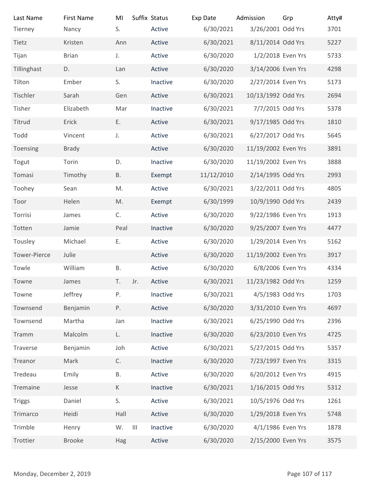| Last Name                | <b>First Name</b> | MI                            | Suffix Status | Exp Date   | Admission           | Grp             | Atty# |
|--------------------------|-------------------|-------------------------------|---------------|------------|---------------------|-----------------|-------|
| Tierney                  | Nancy             | S.                            | Active        | 6/30/2021  | 3/26/2001 Odd Yrs   |                 | 3701  |
| Tietz                    | Kristen           | Ann                           | Active        | 6/30/2021  | 8/11/2014 Odd Yrs   |                 | 5227  |
| Tijan                    | <b>Brian</b>      | J.                            | Active        | 6/30/2020  | 1/2/2018 Even Yrs   |                 | 5733  |
| Tillinghast              | D.                | Lan                           | Active        | 6/30/2020  | 3/14/2006 Even Yrs  |                 | 4298  |
| Tilton                   | Ember             | S.                            | Inactive      | 6/30/2020  | 2/27/2014 Even Yrs  |                 | 5173  |
| Tischler                 | Sarah             | Gen                           | Active        | 6/30/2021  | 10/13/1992 Odd Yrs  |                 | 2694  |
| Tisher                   | Elizabeth         | Mar                           | Inactive      | 6/30/2021  | 7/7/2015 Odd Yrs    |                 | 5378  |
| Titrud                   | Erick             | Ε.                            | Active        | 6/30/2021  | 9/17/1985 Odd Yrs   |                 | 1810  |
| Todd                     | Vincent           | J.                            | Active        | 6/30/2021  | 6/27/2017 Odd Yrs   |                 | 5645  |
| Toensing                 | <b>Brady</b>      |                               | Active        | 6/30/2020  | 11/19/2002 Even Yrs |                 | 3891  |
| Togut                    | Torin             | D.                            | Inactive      | 6/30/2020  | 11/19/2002 Even Yrs |                 | 3888  |
| Tomasi                   | Timothy           | <b>B.</b>                     | Exempt        | 11/12/2010 | 2/14/1995 Odd Yrs   |                 | 2993  |
| Toohey                   | Sean              | M.                            | Active        | 6/30/2021  | 3/22/2011 Odd Yrs   |                 | 4805  |
| Toor                     | Helen             | $\mathsf{M}.$                 | Exempt        | 6/30/1999  | 10/9/1990 Odd Yrs   |                 | 2439  |
| Torrisi                  | James             | C.                            | Active        | 6/30/2020  | 9/22/1986 Even Yrs  |                 | 1913  |
| Totten                   | Jamie             | Peal                          | Inactive      | 6/30/2020  | 9/25/2007 Even Yrs  |                 | 4477  |
| Tousley                  | Michael           | Ε.                            | Active        | 6/30/2020  | 1/29/2014 Even Yrs  |                 | 5162  |
| Tower-Pierce             | Julie             |                               | Active        | 6/30/2020  | 11/19/2002 Even Yrs |                 | 3917  |
| Towle                    | William           | В.                            | Active        | 6/30/2020  | 6/8/2006 Even Yrs   |                 | 4334  |
| Towne                    | James             | T.<br>Jr.                     | Active        | 6/30/2021  | 11/23/1982 Odd Yrs  |                 | 1259  |
| Towne                    | Jeffrey           | Ρ.                            | Inactive      | 6/30/2021  | 4/5/1983 Odd Yrs    |                 | 1703  |
| Townsend                 | Benjamin          | P.                            | Active        | 6/30/2020  | 3/31/2010 Even Yrs  |                 | 4697  |
| Townsend                 | Martha            | Jan                           | Inactive      | 6/30/2021  | 6/25/1990 Odd Yrs   |                 | 2396  |
| Tramm                    | Malcolm           | L.                            | Inactive      | 6/30/2020  | 6/23/2010 Even Yrs  |                 | 4725  |
| Traverse                 | Benjamin          | Joh                           | Active        | 6/30/2021  | 5/27/2015 Odd Yrs   |                 | 5357  |
| Treanor                  | Mark              | C.                            | Inactive      | 6/30/2020  | 7/23/1997 Even Yrs  |                 | 3315  |
| Tredeau                  | Emily             | <b>B.</b>                     | Active        | 6/30/2020  | 6/20/2012 Even Yrs  |                 | 4915  |
| Tremaine                 | Jesse             | $\mathsf K$                   | Inactive      | 6/30/2021  | 1/16/2015 Odd Yrs   |                 | 5312  |
| <b>Triggs</b>            | Daniel            | S.                            | Active        | 6/30/2021  | 10/5/1976 Odd Yrs   |                 | 1261  |
| Trimarco                 | Heidi             | Hall                          | Active        | 6/30/2020  | 1/29/2018 Even Yrs  |                 | 5748  |
| Trimble                  | Henry             | W.<br>$\overline{\mathbf{H}}$ | Inactive      | 6/30/2020  | 4/1/1986 Even Yrs   |                 | 1878  |
| Trottier                 | Brooke            | Hag                           | Active        | 6/30/2020  | 2/15/2000 Even Yrs  |                 | 3575  |
|                          |                   |                               |               |            |                     |                 |       |
| Monday, December 2, 2019 |                   |                               |               |            |                     | Page 107 of 117 |       |
|                          |                   |                               |               |            |                     |                 |       |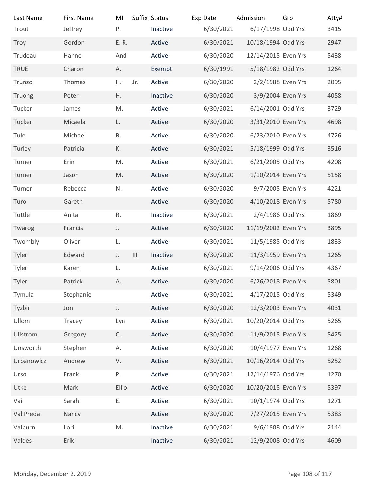| Last Name<br>Trout       | <b>First Name</b><br>Jeffrey | MI<br>P.   |                   | Suffix Status<br>Inactive | Exp Date<br>6/30/2021 | Admission<br>6/17/1998 Odd Yrs | Grp             | Atty#<br>3415 |
|--------------------------|------------------------------|------------|-------------------|---------------------------|-----------------------|--------------------------------|-----------------|---------------|
| Troy                     | Gordon                       | E. R.      |                   | Active                    | 6/30/2021             | 10/18/1994 Odd Yrs             |                 | 2947          |
| Trudeau                  | Hanne                        | And        |                   | Active                    | 6/30/2020             | 12/14/2015 Even Yrs            |                 | 5438          |
| TRUE                     | Charon                       | A.         |                   | Exempt                    | 6/30/1991             | 5/18/1982 Odd Yrs              |                 | 1264          |
| Trunzo                   | Thomas                       | Η.         | Jr.               | Active                    | 6/30/2020             | 2/2/1988 Even Yrs              |                 | 2095          |
| Truong                   | Peter                        | Η.         |                   | Inactive                  | 6/30/2020             | 3/9/2004 Even Yrs              |                 | 4058          |
| Tucker                   | James                        | M.         |                   | Active                    | 6/30/2021             | 6/14/2001 Odd Yrs              |                 | 3729          |
| Tucker                   | Micaela                      | L.         |                   | Active                    | 6/30/2020             | 3/31/2010 Even Yrs             |                 | 4698          |
| Tule                     | Michael                      | В.         |                   | Active                    | 6/30/2020             | 6/23/2010 Even Yrs             |                 | 4726          |
| Turley                   | Patricia                     | К.         |                   | Active                    | 6/30/2021             | 5/18/1999 Odd Yrs              |                 | 3516          |
| Turner                   | Erin                         | M.         |                   | Active                    | 6/30/2021             | 6/21/2005 Odd Yrs              |                 | 4208          |
| Turner                   | Jason                        | M.         |                   | Active                    | 6/30/2020             | 1/10/2014 Even Yrs             |                 | 5158          |
| Turner                   | Rebecca                      | N.         |                   | Active                    | 6/30/2020             | 9/7/2005 Even Yrs              |                 | 4221          |
| Turo                     | Gareth                       |            |                   | Active                    | 6/30/2020             | 4/10/2018 Even Yrs             |                 | 5780          |
| Tuttle                   | Anita                        | ${\sf R}.$ |                   | Inactive                  | 6/30/2021             | 2/4/1986 Odd Yrs               |                 | 1869          |
| Twarog                   | Francis                      | J.         |                   | Active                    | 6/30/2020             | 11/19/2002 Even Yrs            |                 | 3895          |
| Twombly                  | Oliver                       | L.         |                   | Active                    | 6/30/2021             | 11/5/1985 Odd Yrs              |                 | 1833          |
| Tyler                    | Edward                       | J.         | $\vert\vert\vert$ | Inactive                  | 6/30/2020             | 11/3/1959 Even Yrs             |                 | 1265          |
| Tyler                    | Karen                        | L.         |                   | Active                    | 6/30/2021             | 9/14/2006 Odd Yrs              |                 | 4367          |
| Tyler                    | Patrick                      | А.         |                   | Active                    | 6/30/2020             | 6/26/2018 Even Yrs             |                 | 5801          |
| Tymula                   | Stephanie                    |            |                   | Active                    | 6/30/2021             | 4/17/2015 Odd Yrs              |                 | 5349          |
| Tyzbir                   | Jon                          | J.         |                   | Active                    | 6/30/2020             | 12/3/2003 Even Yrs             |                 | 4031          |
| Ullom                    | Tracey                       | Lyn        |                   | Active                    | 6/30/2021             | 10/20/2014 Odd Yrs             |                 | 5265          |
| Ullstrom                 | Gregory                      | C.         |                   | Active                    | 6/30/2020             | 11/9/2015 Even Yrs             |                 | 5425          |
| Unsworth                 | Stephen                      | А.         |                   | Active                    | 6/30/2020             | 10/4/1977 Even Yrs             |                 | 1268          |
| Urbanowicz               | Andrew                       | V.         |                   | Active                    | 6/30/2021             | 10/16/2014 Odd Yrs             |                 | 5252          |
| Urso                     | Frank                        | Ρ.         |                   | Active                    | 6/30/2021             | 12/14/1976 Odd Yrs             |                 | 1270          |
| Utke                     | Mark                         | Ellio      |                   | Active                    | 6/30/2020             | 10/20/2015 Even Yrs            |                 | 5397          |
| Vail                     | Sarah                        | Ε.         |                   | Active                    | 6/30/2021             | 10/1/1974 Odd Yrs              |                 | 1271          |
| Val Preda                | Nancy                        |            |                   | Active                    | 6/30/2020             | 7/27/2015 Even Yrs             |                 | 5383          |
| Valburn                  | Lori                         | M.         |                   | Inactive                  | 6/30/2021             | 9/6/1988 Odd Yrs               |                 | 2144          |
| Valdes                   | Erik                         |            |                   | Inactive                  | 6/30/2021             | 12/9/2008 Odd Yrs              |                 | 4609          |
|                          |                              |            |                   |                           |                       |                                |                 |               |
|                          |                              |            |                   |                           |                       |                                |                 |               |
| Monday, December 2, 2019 |                              |            |                   |                           |                       |                                | Page 108 of 117 |               |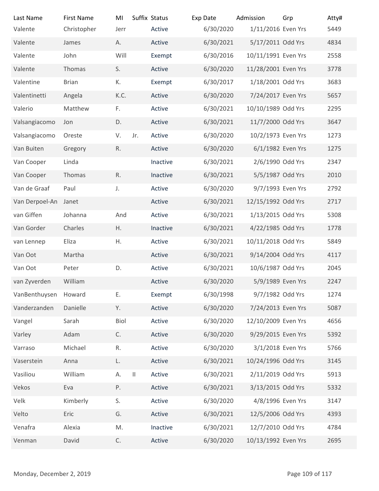| Last Name                | <b>First Name</b> | MI           |              | Suffix Status    | Exp Date               | Admission                                | Grp             | Atty#        |
|--------------------------|-------------------|--------------|--------------|------------------|------------------------|------------------------------------------|-----------------|--------------|
| Valente                  | Christopher       | Jerr         |              | Active           | 6/30/2020              | 1/11/2016 Even Yrs                       |                 | 5449         |
| Valente                  | James             | А.           |              | Active           | 6/30/2021              | 5/17/2011 Odd Yrs                        |                 | 4834         |
| Valente                  | John              | Will         |              | Exempt           | 6/30/2016              | 10/11/1991 Even Yrs                      |                 | 2558         |
| Valente                  | Thomas            | S.           |              | Active           | 6/30/2020              | 11/28/2001 Even Yrs                      |                 | 3778         |
| Valentine                | <b>Brian</b>      | К.           |              | Exempt           | 6/30/2017              | 1/18/2001 Odd Yrs                        |                 | 3683         |
| Valentinetti<br>Valerio  | Angela<br>Matthew | K.C.<br>F.   |              | Active<br>Active | 6/30/2020<br>6/30/2021 | 7/24/2017 Even Yrs<br>10/10/1989 Odd Yrs |                 | 5657<br>2295 |
| Valsangiacomo            | Jon               | D.           |              | Active           | 6/30/2021              | 11/7/2000 Odd Yrs                        |                 | 3647         |
| Valsangiacomo            | Oreste            | V.           | Jr.          | Active           | 6/30/2020              | 10/2/1973 Even Yrs                       |                 | 1273         |
| Van Buiten               | Gregory           | R.           |              | Active           | 6/30/2020              | 6/1/1982 Even Yrs                        |                 | 1275         |
| Van Cooper               | Linda             |              |              | Inactive         | 6/30/2021              | 2/6/1990 Odd Yrs                         |                 | 2347         |
| Van Cooper               | Thomas            | R.           |              | Inactive         | 6/30/2021              | 5/5/1987 Odd Yrs                         |                 | 2010         |
| Van de Graaf             | Paul              | $\mathsf J.$ |              | Active           | 6/30/2020              | 9/7/1993 Even Yrs                        |                 | 2792         |
| Van Derpoel-An           | Janet             |              |              | Active           | 6/30/2021              | 12/15/1992 Odd Yrs                       |                 | 2717         |
| van Giffen               | Johanna           | And          |              | Active           | 6/30/2021              | 1/13/2015 Odd Yrs                        |                 | 5308         |
| Van Gorder               | Charles           | H.           |              | Inactive         | 6/30/2021              | 4/22/1985 Odd Yrs                        |                 | 1778         |
| van Lennep               | Eliza             | Η.           |              | Active           | 6/30/2021              | 10/11/2018 Odd Yrs                       |                 | 5849         |
| Van Oot                  | Martha            |              |              | Active           | 6/30/2021              | 9/14/2004 Odd Yrs                        |                 | 4117         |
| Van Oot                  | Peter             | D.           |              | Active           | 6/30/2021              | 10/6/1987 Odd Yrs                        |                 | 2045         |
| van Zyverden             | William           |              |              | Active           | 6/30/2020              | 5/9/1989 Even Yrs                        |                 | 2247         |
| VanBenthuysen            | Howard            | Ε.           |              | Exempt           | 6/30/1998              | 9/7/1982 Odd Yrs                         |                 | 1274         |
| Vanderzanden             | Danielle          | Y.           |              | Active           | 6/30/2020              | 7/24/2013 Even Yrs                       |                 | 5087         |
| Vangel                   | Sarah             | Biol         |              | Active           | 6/30/2020              | 12/10/2009 Even Yrs                      |                 | 4656         |
| Varley                   | Adam              | C.           |              | Active           | 6/30/2020              | 9/29/2015 Even Yrs                       |                 | 5392         |
| Varraso                  | Michael           | R.           |              | Active           | 6/30/2020              | 3/1/2018 Even Yrs                        |                 | 5766         |
| Vaserstein               | Anna              | L.           |              | Active           | 6/30/2021              | 10/24/1996 Odd Yrs                       |                 | 3145         |
| Vasiliou                 | William           | Α.           | $\vert\vert$ | Active           | 6/30/2021              | 2/11/2019 Odd Yrs                        |                 | 5913         |
| Vekos                    | Eva               | Ρ.           |              | Active           | 6/30/2021              | 3/13/2015 Odd Yrs                        |                 | 5332         |
| Velk                     | Kimberly          | S.           |              | Active           | 6/30/2020              | 4/8/1996 Even Yrs                        |                 | 3147         |
| Velto                    | Eric              | G.           |              | Active           | 6/30/2021              | 12/5/2006 Odd Yrs                        |                 | 4393         |
| Venafra                  | Alexia            | M.           |              | Inactive         | 6/30/2021              | 12/7/2010 Odd Yrs                        |                 | 4784         |
| Venman                   | David             | $\mathsf C.$ |              | Active           | 6/30/2020              | 10/13/1992 Even Yrs                      |                 | 2695         |
|                          |                   |              |              |                  |                        |                                          |                 |              |
| Monday, December 2, 2019 |                   |              |              |                  |                        |                                          | Page 109 of 117 |              |
|                          |                   |              |              |                  |                        |                                          |                 |              |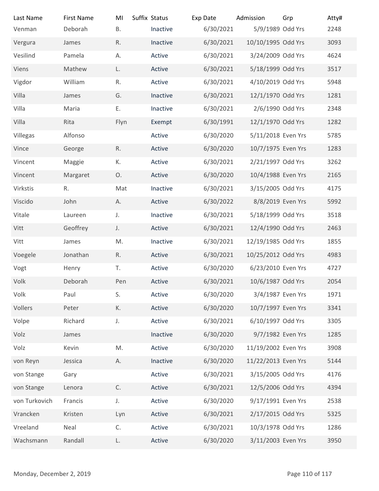| Last Name                | <b>First Name</b> | MI           | Suffix Status      | Exp Date               | Admission                               | Grp             | Atty#        |
|--------------------------|-------------------|--------------|--------------------|------------------------|-----------------------------------------|-----------------|--------------|
| Venman                   | Deborah           | <b>B.</b>    | Inactive           | 6/30/2021              | 5/9/1989 Odd Yrs                        |                 | 2248         |
| Vergura<br>Vesilind      | James<br>Pamela   | R.<br>А.     | Inactive<br>Active | 6/30/2021<br>6/30/2021 | 10/10/1995 Odd Yrs<br>3/24/2009 Odd Yrs |                 | 3093<br>4624 |
| Viens                    | Mathew            | L.           | Active             | 6/30/2021              | 5/18/1999 Odd Yrs                       |                 | 3517         |
| Vigdor                   | William           | R.           | Active             | 6/30/2021              | 4/10/2019 Odd Yrs                       |                 | 5948         |
| Villa                    | James             | G.           | Inactive           | 6/30/2021              | 12/1/1970 Odd Yrs                       |                 | 1281         |
| Villa                    | Maria             | Ε.           | Inactive           | 6/30/2021              | 2/6/1990 Odd Yrs                        |                 | 2348         |
| Villa                    | Rita              | Flyn         | Exempt             | 6/30/1991              | 12/1/1970 Odd Yrs                       |                 | 1282         |
| Villegas                 | Alfonso           |              | Active             | 6/30/2020              | 5/11/2018 Even Yrs                      |                 | 5785         |
| Vince                    | George            | R.           | Active             | 6/30/2020              | 10/7/1975 Even Yrs                      |                 | 1283         |
| Vincent                  | Maggie            | К.           | Active             | 6/30/2021              | 2/21/1997 Odd Yrs                       |                 | 3262         |
| Vincent                  | Margaret          | 0.           | Active             | 6/30/2020              | 10/4/1988 Even Yrs                      |                 | 2165         |
| Virkstis                 | R.                | Mat          | Inactive           | 6/30/2021              | 3/15/2005 Odd Yrs                       |                 | 4175         |
| Viscido                  | John              | Α.           | Active             | 6/30/2022              | 8/8/2019 Even Yrs                       |                 | 5992         |
| Vitale                   | Laureen           | J.           | Inactive           | 6/30/2021              | 5/18/1999 Odd Yrs                       |                 | 3518         |
| Vitt                     | Geoffrey          | J.           | Active             | 6/30/2021              | 12/4/1990 Odd Yrs                       |                 | 2463         |
| Vitt                     | James             | M.           | Inactive           | 6/30/2021              | 12/19/1985 Odd Yrs                      |                 | 1855         |
| Voegele                  | Jonathan          | $R_{\cdot}$  | Active             | 6/30/2021              | 10/25/2012 Odd Yrs                      |                 | 4983         |
| Vogt                     | Henry             | T.           | Active             | 6/30/2020              | 6/23/2010 Even Yrs                      |                 | 4727         |
| Volk                     | Deborah           | Pen          | Active             | 6/30/2021              | 10/6/1987 Odd Yrs                       |                 | 2054         |
| Volk                     | Paul              | S.           | Active             | 6/30/2020              | 3/4/1987 Even Yrs                       |                 | 1971         |
| Vollers                  | Peter             | К.           | Active             | 6/30/2020              | 10/7/1997 Even Yrs                      |                 | 3341         |
| Volpe                    | Richard           | J.           | Active             | 6/30/2021              | 6/10/1997 Odd Yrs                       |                 | 3305         |
| Volz                     | James             |              | Inactive           | 6/30/2020              | 9/7/1982 Even Yrs                       |                 | 1285         |
| Volz                     | Kevin             | M.           | Active             | 6/30/2020              | 11/19/2002 Even Yrs                     |                 | 3908         |
| von Reyn                 | Jessica           | А.           | Inactive           | 6/30/2020              | 11/22/2013 Even Yrs                     |                 | 5144         |
| von Stange               | Gary              |              | Active             | 6/30/2021              | 3/15/2005 Odd Yrs                       |                 | 4176         |
| von Stange               | Lenora            | $\mathsf C.$ | Active             | 6/30/2021              | 12/5/2006 Odd Yrs                       |                 | 4394         |
| von Turkovich            | Francis           | J.           | Active             | 6/30/2020              | 9/17/1991 Even Yrs                      |                 | 2538         |
| Vrancken                 | Kristen           | Lyn          | Active             | 6/30/2021              | 2/17/2015 Odd Yrs                       |                 | 5325         |
| Vreeland                 | Neal              | C.           | Active             | 6/30/2021              | 10/3/1978 Odd Yrs                       |                 | 1286         |
| Wachsmann                | Randall           | L.           | Active             | 6/30/2020              | 3/11/2003 Even Yrs                      |                 | 3950         |
|                          |                   |              |                    |                        |                                         |                 |              |
| Monday, December 2, 2019 |                   |              |                    |                        |                                         | Page 110 of 117 |              |
|                          |                   |              |                    |                        |                                         |                 |              |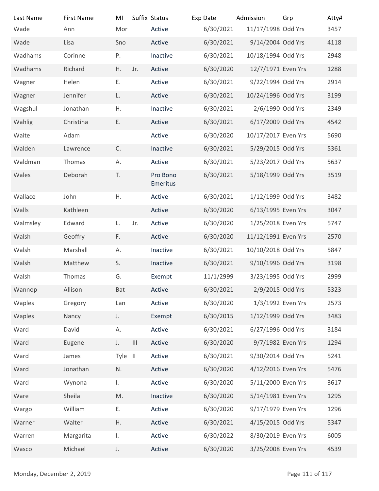| Last Name                | <b>First Name</b>    | MI            |                                    | Suffix Status        | Exp Date               | Admission                               | Grp             | Atty#        |
|--------------------------|----------------------|---------------|------------------------------------|----------------------|------------------------|-----------------------------------------|-----------------|--------------|
| Wade                     | Ann                  | Mor           |                                    | Active               | 6/30/2021              | 11/17/1998 Odd Yrs                      |                 | 3457         |
| Wade                     | Lisa                 | Sno           |                                    | Active               | 6/30/2021              | 9/14/2004 Odd Yrs                       |                 | 4118         |
| Wadhams                  | Corinne              | P.            |                                    | Inactive             | 6/30/2021              | 10/18/1994 Odd Yrs                      |                 | 2948         |
| Wadhams                  | Richard              | H.            | Jr.                                | Active               | 6/30/2020              | 12/7/1971 Even Yrs                      |                 | 1288         |
| Wagner                   | Helen                | Ε.            |                                    | Active               | 6/30/2021              | 9/22/1994 Odd Yrs                       |                 | 2914         |
| Wagner                   | Jennifer<br>Jonathan | L.            |                                    | Active               | 6/30/2021              | 10/24/1996 Odd Yrs<br>2/6/1990 Odd Yrs  |                 | 3199<br>2349 |
| Wagshul<br>Wahlig        | Christina            | Η.<br>Ε.      |                                    | Inactive<br>Active   | 6/30/2021<br>6/30/2021 | 6/17/2009 Odd Yrs                       |                 | 4542         |
| Waite                    | Adam                 |               |                                    | Active               | 6/30/2020              | 10/17/2017 Even Yrs                     |                 | 5690         |
| Walden                   | Lawrence             | C.            |                                    | Inactive             | 6/30/2021              | 5/29/2015 Odd Yrs                       |                 | 5361         |
| Waldman                  | Thomas               | А.            |                                    | Active               | 6/30/2021              | 5/23/2017 Odd Yrs                       |                 | 5637         |
| Wales                    | Deborah              | T.            |                                    | Pro Bono<br>Emeritus | 6/30/2021              | 5/18/1999 Odd Yrs                       |                 | 3519         |
| Wallace                  | John                 | ${\sf H}.$    |                                    | Active               | 6/30/2021              | 1/12/1999 Odd Yrs                       |                 | 3482         |
| Walls                    | Kathleen             |               |                                    | Active               | 6/30/2020              | 6/13/1995 Even Yrs                      |                 | 3047         |
| Walmsley                 | Edward               | L.            | Jr.                                | Active               | 6/30/2020              | 1/25/2018 Even Yrs                      |                 | 5747         |
| Walsh                    | Geoffry              | F.            |                                    | Active               | 6/30/2020              | 11/12/1991 Even Yrs                     |                 | 2570         |
| Walsh                    | Marshall             | Α.            |                                    | Inactive             | 6/30/2021              | 10/10/2018 Odd Yrs                      |                 | 5847         |
| Walsh                    | Matthew              | S.            |                                    | Inactive             | 6/30/2021              | 9/10/1996 Odd Yrs                       |                 | 3198         |
| Walsh                    | Thomas               | G.            |                                    | Exempt               | 11/1/2999              | 3/23/1995 Odd Yrs                       |                 | 2999         |
| Wannop                   | Allison              | Bat           |                                    | Active               | 6/30/2021              | 2/9/2015 Odd Yrs                        |                 | 5323         |
| Waples                   | Gregory              | Lan           |                                    | Active               | 6/30/2020              | 1/3/1992 Even Yrs                       |                 | 2573         |
| Waples                   | Nancy                | J.            |                                    | Exempt               | 6/30/2015              | 1/12/1999 Odd Yrs                       |                 | 3483         |
| Ward                     | David                | А.            |                                    | Active               | 6/30/2021              | 6/27/1996 Odd Yrs                       |                 | 3184         |
| Ward                     | Eugene               | J.            | $\ensuremath{\mathsf{III}}\xspace$ | Active               | 6/30/2020              | 9/7/1982 Even Yrs                       |                 | 1294         |
| Ward                     | James                | Tyle II       |                                    | Active               | 6/30/2021              | 9/30/2014 Odd Yrs                       |                 | 5241         |
| Ward                     | Jonathan             | N.            |                                    | Active               | 6/30/2020              | 4/12/2016 Even Yrs                      |                 | 5476         |
| Ward                     | Wynona               | $\mathbf{L}$  |                                    | Active               | 6/30/2020              | 5/11/2000 Even Yrs                      |                 | 3617         |
| Ware                     | Sheila               | $\mathsf{M}.$ |                                    | Inactive             | 6/30/2020              | 5/14/1981 Even Yrs                      |                 | 1295         |
| Wargo                    | William              | Ε.            |                                    | Active               | 6/30/2020              | 9/17/1979 Even Yrs                      |                 | 1296         |
| Warner<br>Warren         | Walter<br>Margarita  | Η.            |                                    | Active<br>Active     | 6/30/2021<br>6/30/2022 | 4/15/2015 Odd Yrs<br>8/30/2019 Even Yrs |                 | 5347<br>6005 |
| Wasco                    | Michael              | L.<br>J.      |                                    | Active               | 6/30/2020              | 3/25/2008 Even Yrs                      |                 | 4539         |
|                          |                      |               |                                    |                      |                        |                                         |                 |              |
| Monday, December 2, 2019 |                      |               |                                    |                      |                        |                                         | Page 111 of 117 |              |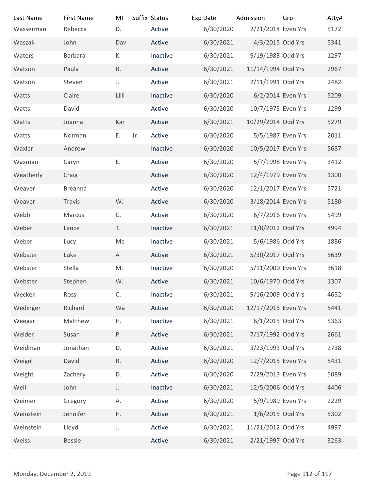| Last Name                | <b>First Name</b> | MI           | Suffix Status      | Exp Date               | Admission                             | Grp             | Atty#        |
|--------------------------|-------------------|--------------|--------------------|------------------------|---------------------------------------|-----------------|--------------|
| Wasserman                | Rebecca           | D.           | Active             | 6/30/2020              | 2/21/2014 Even Yrs                    |                 | 5172         |
| Waszak                   | John              | Dav          | Active             | 6/30/2021              | 4/3/2015 Odd Yrs<br>9/19/1983 Odd Yrs |                 | 5341         |
| Waters<br>Watson         | Barbara<br>Paula  | К.<br>R.     | Inactive<br>Active | 6/30/2021<br>6/30/2021 | 11/14/1994 Odd Yrs                    |                 | 1297<br>2967 |
| Watson                   | Steven            | J.           | Active             | 6/30/2021              | 2/11/1991 Odd Yrs                     |                 | 2482         |
| Watts                    | Claire            | Lilli        | Inactive           | 6/30/2020              | 6/2/2014 Even Yrs                     |                 | 5209         |
| Watts                    | David             |              | Active             | 6/30/2020              | 10/7/1975 Even Yrs                    |                 | 1299         |
| Watts                    | Joanna            | Kar          | Active             | 6/30/2021              | 10/29/2014 Odd Yrs                    |                 | 5279         |
| Watts                    | Norman            | Е.           | Jr.<br>Active      | 6/30/2020              | 5/5/1987 Even Yrs                     |                 | 2011         |
| Waxler                   | Andrew            |              | Inactive           | 6/30/2020              | 10/5/2017 Even Yrs                    |                 | 5687         |
| Waxman                   | Caryn             | Ε.           | Active             | 6/30/2020              | 5/7/1998 Even Yrs                     |                 | 3412         |
| Weatherly                | Craig             |              | Active             | 6/30/2020              | 12/4/1979 Even Yrs                    |                 | 1300         |
| Weaver                   | <b>Breanna</b>    |              | Active             | 6/30/2020              | 12/1/2017 Even Yrs                    |                 | 5721         |
| Weaver                   | Travis            | W.           | Active             | 6/30/2020              | 3/18/2014 Even Yrs                    |                 | 5180         |
| Webb                     | Marcus            | C.           | Active             | 6/30/2020              | 6/7/2016 Even Yrs                     |                 | 5499         |
| Weber                    | Lance             | T.           | Inactive           | 6/30/2021              | 11/8/2012 Odd Yrs                     |                 | 4994         |
| Weber                    | Lucy              | Mc           | Inactive           | 6/30/2021              | 5/6/1986 Odd Yrs                      |                 | 1886         |
| Webster                  | Luke              | $\mathsf{A}$ | Active             | 6/30/2021              | 5/30/2017 Odd Yrs                     |                 | 5639         |
| Webster                  | Stella            | M.           | Inactive           | 6/30/2020              | 5/11/2000 Even Yrs                    |                 | 3618         |
| Webster                  | Stephen           | W.           | Active             | 6/30/2021              | 10/6/1970 Odd Yrs                     |                 | 1307         |
| Wecker                   | Ross              | C.           | Inactive           | 6/30/2021              | 9/16/2009 Odd Yrs                     |                 | 4652         |
| Wedinger                 | Richard           | Wa           | Active             | 6/30/2020              | 12/17/2015 Even Yrs                   |                 | 5441         |
| Weegar                   | Matthew           | H.           | Inactive           | 6/30/2021              | 6/1/2015 Odd Yrs                      |                 | 5363         |
| Weider                   | Susan             | Ρ.           | Active             | 6/30/2021              | 7/17/1992 Odd Yrs                     |                 | 2661         |
| Weidman                  | Jonathan          | D.           | Active             | 6/30/2021              | 3/23/1993 Odd Yrs                     |                 | 2738         |
| Weigel                   | David             | R.           | Active             | 6/30/2020              | 12/7/2015 Even Yrs                    |                 | 5431         |
| Weight                   | Zachery           | D.           | Active             | 6/30/2020              | 7/29/2013 Even Yrs                    |                 | 5089         |
| Weil                     | John              | J.           | Inactive           | 6/30/2021              | 12/5/2006 Odd Yrs                     |                 | 4406         |
| Weimer                   | Gregory           | Α.           | Active             | 6/30/2020              | 5/9/1989 Even Yrs                     |                 | 2229         |
| Weinstein                | Jennifer          | Η.           | Active             | 6/30/2021              | 1/6/2015 Odd Yrs                      |                 | 5302         |
| Weinstein                | Lloyd             | J.           | Active             | 6/30/2021              | 11/21/2012 Odd Yrs                    |                 | 4997         |
| Weiss                    | Bessie            |              | Active             | 6/30/2021              | 2/21/1997 Odd Yrs                     |                 | 3263         |
|                          |                   |              |                    |                        |                                       |                 |              |
| Monday, December 2, 2019 |                   |              |                    |                        |                                       | Page 112 of 117 |              |
|                          |                   |              |                    |                        |                                       |                 |              |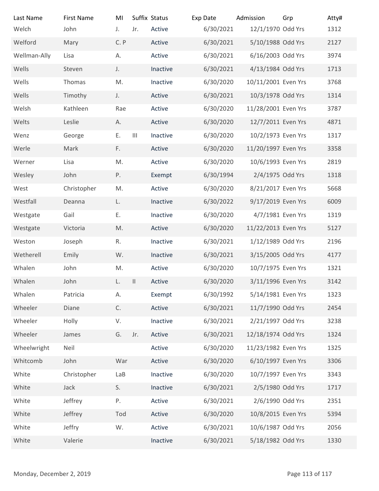| Last Name                | <b>First Name</b> | MI            |                   | Suffix Status | Exp Date  | Admission           | Grp             | Atty# |
|--------------------------|-------------------|---------------|-------------------|---------------|-----------|---------------------|-----------------|-------|
| Welch                    | John              | J.            | Jr.               | Active        | 6/30/2021 | 12/1/1970 Odd Yrs   |                 | 1312  |
| Welford                  | Mary              | C. P          |                   | Active        | 6/30/2021 | 5/10/1988 Odd Yrs   |                 | 2127  |
| Wellman-Ally             | Lisa              | А.            |                   | Active        | 6/30/2021 | 6/16/2003 Odd Yrs   |                 | 3974  |
| Wells                    | Steven            | J.            |                   | Inactive      | 6/30/2021 | 4/13/1984 Odd Yrs   |                 | 1713  |
| Wells                    | Thomas            | M.            |                   | Inactive      | 6/30/2020 | 10/11/2001 Even Yrs |                 | 3768  |
| Wells                    | Timothy           | J.            |                   | Active        | 6/30/2021 | 10/3/1978 Odd Yrs   |                 | 1314  |
| Welsh                    | Kathleen          | Rae           |                   | Active        | 6/30/2020 | 11/28/2001 Even Yrs |                 | 3787  |
| Welts                    | Leslie            | А.            |                   | Active        | 6/30/2020 | 12/7/2011 Even Yrs  |                 | 4871  |
| Wenz                     | George            | Е.            | $\vert\vert\vert$ | Inactive      | 6/30/2020 | 10/2/1973 Even Yrs  |                 | 1317  |
| Werle                    | Mark              | F.            |                   | Active        | 6/30/2020 | 11/20/1997 Even Yrs |                 | 3358  |
| Werner                   | Lisa              | M.            |                   | Active        | 6/30/2020 | 10/6/1993 Even Yrs  |                 | 2819  |
| Wesley                   | John              | Ρ.            |                   | Exempt        | 6/30/1994 | 2/4/1975 Odd Yrs    |                 | 1318  |
| West                     | Christopher       | M.            |                   | Active        | 6/30/2020 | 8/21/2017 Even Yrs  |                 | 5668  |
| Westfall                 | Deanna            | L.            |                   | Inactive      | 6/30/2022 | 9/17/2019 Even Yrs  |                 | 6009  |
| Westgate                 | Gail              | Ε.            |                   | Inactive      | 6/30/2020 | 4/7/1981 Even Yrs   |                 | 1319  |
| Westgate                 | Victoria          | M.            |                   | Active        | 6/30/2020 | 11/22/2013 Even Yrs |                 | 5127  |
| Weston                   | Joseph            | R.            |                   | Inactive      | 6/30/2021 | 1/12/1989 Odd Yrs   |                 | 2196  |
| Wetherell                | Emily             | W.            |                   | Inactive      | 6/30/2021 | 3/15/2005 Odd Yrs   |                 | 4177  |
| Whalen                   | John              | M.            |                   | Active        | 6/30/2020 | 10/7/1975 Even Yrs  |                 | 1321  |
| Whalen                   | John              | L.            | $\mathbf{II}$     | Active        | 6/30/2020 | 3/11/1996 Even Yrs  |                 | 3142  |
| Whalen                   | Patricia          | Α.            |                   | Exempt        | 6/30/1992 | 5/14/1981 Even Yrs  |                 | 1323  |
| Wheeler                  | Diane             | $\mathsf{C}.$ |                   | Active        | 6/30/2021 | 11/7/1990 Odd Yrs   |                 | 2454  |
| Wheeler                  | Holly             | V.            |                   | Inactive      | 6/30/2021 | 2/21/1997 Odd Yrs   |                 | 3238  |
| Wheeler                  | James             | G.            | Jr.               | Active        | 6/30/2021 | 12/18/1974 Odd Yrs  |                 | 1324  |
| Wheelwright              | Neil              |               |                   | Active        | 6/30/2020 | 11/23/1982 Even Yrs |                 | 1325  |
| Whitcomb                 | John              | War           |                   | Active        | 6/30/2020 | 6/10/1997 Even Yrs  |                 | 3306  |
| White                    | Christopher       | LaB           |                   | Inactive      | 6/30/2020 | 10/7/1997 Even Yrs  |                 | 3343  |
| White                    | Jack              | S.            |                   | Inactive      | 6/30/2021 | 2/5/1980 Odd Yrs    |                 | 1717  |
| White                    | Jeffrey           | Ρ.            |                   | Active        | 6/30/2021 | 2/6/1990 Odd Yrs    |                 | 2351  |
| White                    | Jeffrey           | Tod           |                   | Active        | 6/30/2020 | 10/8/2015 Even Yrs  |                 | 5394  |
| White                    | Jeffry            | W.            |                   | Active        | 6/30/2021 | 10/6/1987 Odd Yrs   |                 | 2056  |
| White                    | Valerie           |               |                   | Inactive      | 6/30/2021 | 5/18/1982 Odd Yrs   |                 | 1330  |
|                          |                   |               |                   |               |           |                     |                 |       |
|                          |                   |               |                   |               |           |                     |                 |       |
| Monday, December 2, 2019 |                   |               |                   |               |           |                     | Page 113 of 117 |       |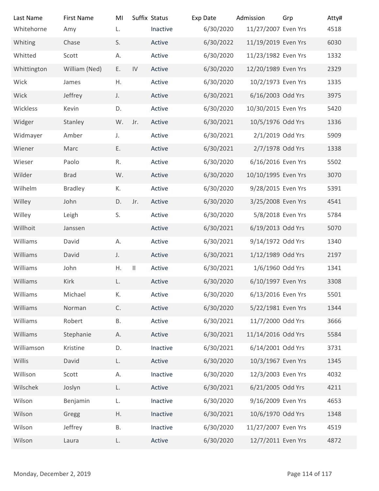| Last Name                | <b>First Name</b> | MI            | Suffix Status                         |          | Exp Date  | Admission           | Grp             | Atty# |
|--------------------------|-------------------|---------------|---------------------------------------|----------|-----------|---------------------|-----------------|-------|
| Whitehorne               | Amy               | L.            |                                       | Inactive | 6/30/2020 | 11/27/2007 Even Yrs |                 | 4518  |
| Whiting                  | Chase             | S.            |                                       | Active   | 6/30/2022 | 11/19/2019 Even Yrs |                 | 6030  |
| Whitted                  | Scott             | А.            |                                       | Active   | 6/30/2020 | 11/23/1982 Even Yrs |                 | 1332  |
| Whittington              | William (Ned)     | E.            | IV                                    | Active   | 6/30/2020 | 12/20/1989 Even Yrs |                 | 2329  |
| Wick                     | James             | Η.            |                                       | Active   | 6/30/2020 | 10/2/1973 Even Yrs  |                 | 1335  |
| Wick                     | Jeffrey           | J.            |                                       | Active   | 6/30/2021 | 6/16/2003 Odd Yrs   |                 | 3975  |
| Wickless                 | Kevin             | D.            |                                       | Active   | 6/30/2020 | 10/30/2015 Even Yrs |                 | 5420  |
| Widger                   | Stanley           | W.            | Jr.                                   | Active   | 6/30/2021 | 10/5/1976 Odd Yrs   |                 | 1336  |
| Widmayer                 | Amber             | J.            |                                       | Active   | 6/30/2021 | 2/1/2019 Odd Yrs    |                 | 5909  |
| Wiener                   | Marc              | Ε.            |                                       | Active   | 6/30/2021 | 2/7/1978 Odd Yrs    |                 | 1338  |
| Wieser                   | Paolo             | R.            |                                       | Active   | 6/30/2020 | 6/16/2016 Even Yrs  |                 | 5502  |
| Wilder                   | <b>Brad</b>       | W.            |                                       | Active   | 6/30/2020 | 10/10/1995 Even Yrs |                 | 3070  |
| Wilhelm                  | <b>Bradley</b>    | К.            |                                       | Active   | 6/30/2020 | 9/28/2015 Even Yrs  |                 | 5391  |
| Willey                   | John              | D.            | Jr.                                   | Active   | 6/30/2020 | 3/25/2008 Even Yrs  |                 | 4541  |
| Willey                   | Leigh             | S.            |                                       | Active   | 6/30/2020 | 5/8/2018 Even Yrs   |                 | 5784  |
| Willhoit                 | Janssen           |               |                                       | Active   | 6/30/2021 | 6/19/2013 Odd Yrs   |                 | 5070  |
| Williams                 | David             | А.            |                                       | Active   | 6/30/2021 | 9/14/1972 Odd Yrs   |                 | 1340  |
| Williams                 | David             | J.            |                                       | Active   | 6/30/2021 | 1/12/1989 Odd Yrs   |                 | 2197  |
| Williams                 | John              | Η.            | $\begin{array}{c} \hline \end{array}$ | Active   | 6/30/2021 | 1/6/1960 Odd Yrs    |                 | 1341  |
| Williams                 | Kirk              | L.            |                                       | Active   | 6/30/2020 | 6/10/1997 Even Yrs  |                 | 3308  |
| Williams                 | Michael           | К.            |                                       | Active   | 6/30/2020 | 6/13/2016 Even Yrs  |                 | 5501  |
| Williams                 | Norman            | $\mathsf{C}.$ |                                       | Active   | 6/30/2020 | 5/22/1981 Even Yrs  |                 | 1344  |
| Williams                 | Robert            | Β.            |                                       | Active   | 6/30/2021 | 11/7/2000 Odd Yrs   |                 | 3666  |
| Williams                 | Stephanie         | А.            |                                       | Active   | 6/30/2021 | 11/14/2016 Odd Yrs  |                 | 5584  |
| Williamson               | Kristine          | D.            |                                       | Inactive | 6/30/2021 | 6/14/2001 Odd Yrs   |                 | 3731  |
| Willis                   | David             | L.            |                                       | Active   | 6/30/2020 | 10/3/1967 Even Yrs  |                 | 1345  |
| Willison                 | Scott             | А.            |                                       | Inactive | 6/30/2020 | 12/3/2003 Even Yrs  |                 | 4032  |
| Wilschek                 | Joslyn            | L.            |                                       | Active   | 6/30/2021 | 6/21/2005 Odd Yrs   |                 | 4211  |
| Wilson                   | Benjamin          | L.            |                                       | Inactive | 6/30/2020 | 9/16/2009 Even Yrs  |                 | 4653  |
| Wilson                   | Gregg             | Η.            |                                       | Inactive | 6/30/2021 | 10/6/1970 Odd Yrs   |                 | 1348  |
| Wilson                   | Jeffrey           | В.            |                                       | Inactive | 6/30/2020 | 11/27/2007 Even Yrs |                 | 4519  |
| Wilson                   | Laura             | L.            |                                       | Active   | 6/30/2020 | 12/7/2011 Even Yrs  |                 | 4872  |
|                          |                   |               |                                       |          |           |                     |                 |       |
| Monday, December 2, 2019 |                   |               |                                       |          |           |                     | Page 114 of 117 |       |
|                          |                   |               |                                       |          |           |                     |                 |       |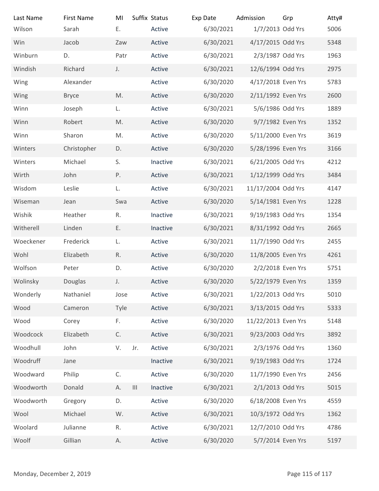| Last Name                | <b>First Name</b> | MI                                       | Suffix Status | Exp Date  | Admission           | Grp             | Atty# |
|--------------------------|-------------------|------------------------------------------|---------------|-----------|---------------------|-----------------|-------|
| Wilson                   | Sarah             | E.                                       | Active        | 6/30/2021 | 1/7/2013 Odd Yrs    |                 | 5006  |
| Win                      | Jacob             | Zaw                                      | Active        | 6/30/2021 | 4/17/2015 Odd Yrs   |                 | 5348  |
| Winburn                  | D.                | Patr                                     | Active        | 6/30/2021 | 2/3/1987 Odd Yrs    |                 | 1963  |
| Windish                  | Richard           | J.                                       | Active        | 6/30/2021 | 12/6/1994 Odd Yrs   |                 | 2975  |
| Wing                     | Alexander         |                                          | Active        | 6/30/2020 | 4/17/2018 Even Yrs  |                 | 5783  |
| Wing                     | <b>Bryce</b>      | M.                                       | Active        | 6/30/2020 | 2/11/1992 Even Yrs  |                 | 2600  |
| Winn                     | Joseph            | L.                                       | Active        | 6/30/2021 | 5/6/1986 Odd Yrs    |                 | 1889  |
| Winn                     | Robert            | M.                                       | Active        | 6/30/2020 | 9/7/1982 Even Yrs   |                 | 1352  |
| Winn                     | Sharon            | M.                                       | Active        | 6/30/2020 | 5/11/2000 Even Yrs  |                 | 3619  |
| Winters                  | Christopher       | D.                                       | Active        | 6/30/2020 | 5/28/1996 Even Yrs  |                 | 3166  |
| Winters                  | Michael           | S.                                       | Inactive      | 6/30/2021 | 6/21/2005 Odd Yrs   |                 | 4212  |
| Wirth                    | John              | P.                                       | Active        | 6/30/2021 | 1/12/1999 Odd Yrs   |                 | 3484  |
| Wisdom                   | Leslie            | L.                                       | Active        | 6/30/2021 | 11/17/2004 Odd Yrs  |                 | 4147  |
| Wiseman                  | Jean              | Swa                                      | Active        | 6/30/2020 | 5/14/1981 Even Yrs  |                 | 1228  |
| Wishik                   | Heather           | R.                                       | Inactive      | 6/30/2021 | 9/19/1983 Odd Yrs   |                 | 1354  |
| Witherell                | Linden            | Ε.                                       | Inactive      | 6/30/2021 | 8/31/1992 Odd Yrs   |                 | 2665  |
| Woeckener                | Frederick         | L.                                       | Active        | 6/30/2021 | 11/7/1990 Odd Yrs   |                 | 2455  |
| Wohl                     | Elizabeth         | R.                                       | Active        | 6/30/2020 | 11/8/2005 Even Yrs  |                 | 4261  |
| Wolfson                  | Peter             | D.                                       | Active        | 6/30/2020 | 2/2/2018 Even Yrs   |                 | 5751  |
| Wolinsky                 | Douglas           | J.                                       | Active        | 6/30/2020 | 5/22/1979 Even Yrs  |                 | 1359  |
| Wonderly                 | Nathaniel         | Jose                                     | Active        | 6/30/2021 | 1/22/2013 Odd Yrs   |                 | 5010  |
| Wood                     | Cameron           | Tyle                                     | Active        | 6/30/2021 | 3/13/2015 Odd Yrs   |                 | 5333  |
| Wood                     | Corey             | F.                                       | Active        | 6/30/2020 | 11/22/2013 Even Yrs |                 | 5148  |
| Woodcock                 | Elizabeth         | C.                                       | Active        | 6/30/2021 | 9/23/2003 Odd Yrs   |                 | 3892  |
| Woodhull                 | John              | V.<br>Jr.                                | Active        | 6/30/2021 | 2/3/1976 Odd Yrs    |                 | 1360  |
| Woodruff                 | Jane              |                                          | Inactive      | 6/30/2021 | 9/19/1983 Odd Yrs   |                 | 1724  |
| Woodward                 | Philip            | $\mathsf C.$                             | Active        | 6/30/2020 | 11/7/1990 Even Yrs  |                 | 2456  |
| Woodworth                | Donald            | $\ensuremath{\mathsf{III}}\xspace$<br>А. | Inactive      | 6/30/2021 | 2/1/2013 Odd Yrs    |                 | 5015  |
| Woodworth                | Gregory           | D.                                       | Active        | 6/30/2020 | 6/18/2008 Even Yrs  |                 | 4559  |
| Wool                     | Michael           | W.                                       | Active        | 6/30/2021 | 10/3/1972 Odd Yrs   |                 | 1362  |
| Woolard                  | Julianne          | R.                                       | Active        | 6/30/2021 | 12/7/2010 Odd Yrs   |                 | 4786  |
| Woolf                    | Gillian           | А.                                       | Active        | 6/30/2020 | 5/7/2014 Even Yrs   |                 | 5197  |
|                          |                   |                                          |               |           |                     |                 |       |
|                          |                   |                                          |               |           |                     |                 |       |
| Monday, December 2, 2019 |                   |                                          |               |           |                     | Page 115 of 117 |       |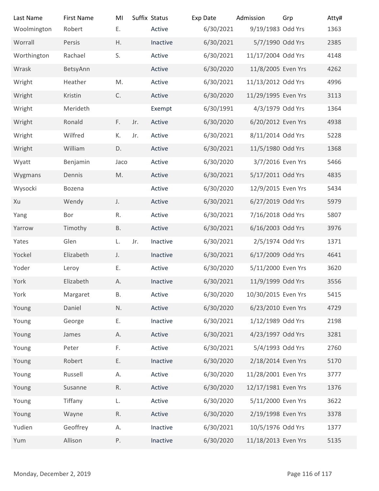| Last Name                | <b>First Name</b> | MI           |     | Suffix Status | Exp Date  | Admission           | Grp             | Atty# |
|--------------------------|-------------------|--------------|-----|---------------|-----------|---------------------|-----------------|-------|
| Woolmington              | Robert            | Ε.           |     | Active        | 6/30/2021 | 9/19/1983 Odd Yrs   |                 | 1363  |
| Worrall                  | Persis            | Η.           |     | Inactive      | 6/30/2021 | 5/7/1990 Odd Yrs    |                 | 2385  |
| Worthington              | Rachael           | S.           |     | Active        | 6/30/2021 | 11/17/2004 Odd Yrs  |                 | 4148  |
| Wrask                    | BetsyAnn          |              |     | Active        | 6/30/2020 | 11/8/2005 Even Yrs  |                 | 4262  |
| Wright                   | Heather           | M.           |     | Active        | 6/30/2021 | 11/13/2012 Odd Yrs  |                 | 4996  |
| Wright                   | Kristin           | C.           |     | Active        | 6/30/2020 | 11/29/1995 Even Yrs |                 | 3113  |
| Wright                   | Merideth          |              |     | Exempt        | 6/30/1991 | 4/3/1979 Odd Yrs    |                 | 1364  |
| Wright                   | Ronald            | F.           | Jr. | Active        | 6/30/2020 | 6/20/2012 Even Yrs  |                 | 4938  |
| Wright                   | Wilfred           | К.           | Jr. | Active        | 6/30/2021 | 8/11/2014 Odd Yrs   |                 | 5228  |
| Wright                   | William           | D.           |     | Active        | 6/30/2021 | 11/5/1980 Odd Yrs   |                 | 1368  |
| Wyatt                    | Benjamin          | Jaco         |     | Active        | 6/30/2020 | 3/7/2016 Even Yrs   |                 | 5466  |
| Wygmans                  | Dennis            | M.           |     | Active        | 6/30/2021 | 5/17/2011 Odd Yrs   |                 | 4835  |
| Wysocki                  | Bozena            |              |     | Active        | 6/30/2020 | 12/9/2015 Even Yrs  |                 | 5434  |
| Xu                       | Wendy             | J.           |     | Active        | 6/30/2021 | 6/27/2019 Odd Yrs   |                 | 5979  |
| Yang                     | Bor               | R.           |     | Active        | 6/30/2021 | 7/16/2018 Odd Yrs   |                 | 5807  |
| Yarrow                   | Timothy           | <b>B.</b>    |     | Active        | 6/30/2021 | 6/16/2003 Odd Yrs   |                 | 3976  |
| Yates                    | Glen              | L.           | Jr. | Inactive      | 6/30/2021 | 2/5/1974 Odd Yrs    |                 | 1371  |
| Yockel                   | Elizabeth         | J.           |     | Inactive      | 6/30/2021 | 6/17/2009 Odd Yrs   |                 | 4641  |
| Yoder                    | Leroy             | Ε.           |     | Active        | 6/30/2020 | 5/11/2000 Even Yrs  |                 | 3620  |
| York                     | Elizabeth         | А.           |     | Inactive      | 6/30/2021 | 11/9/1999 Odd Yrs   |                 | 3556  |
| York                     | Margaret          | Β.           |     | Active        | 6/30/2020 | 10/30/2015 Even Yrs |                 | 5415  |
| Young                    | Daniel            | N.           |     | Active        | 6/30/2020 | 6/23/2010 Even Yrs  |                 | 4729  |
| Young                    | George            | Ε.           |     | Inactive      | 6/30/2021 | 1/12/1989 Odd Yrs   |                 | 2198  |
| Young                    | James             | А.           |     | Active        | 6/30/2021 | 4/23/1997 Odd Yrs   |                 | 3281  |
| Young                    | Peter             | F.           |     | Active        | 6/30/2021 | 5/4/1993 Odd Yrs    |                 | 2760  |
| Young                    | Robert            | Ε.           |     | Inactive      | 6/30/2020 | 2/18/2014 Even Yrs  |                 | 5170  |
| Young                    | Russell           | А.           |     | Active        | 6/30/2020 | 11/28/2001 Even Yrs |                 | 3777  |
| Young                    | Susanne           | $\mathsf R.$ |     | Active        | 6/30/2020 | 12/17/1981 Even Yrs |                 | 1376  |
| Young                    | Tiffany           | L.           |     | Active        | 6/30/2020 | 5/11/2000 Even Yrs  |                 | 3622  |
| Young                    | Wayne             | R.           |     | Active        | 6/30/2020 | 2/19/1998 Even Yrs  |                 | 3378  |
| Yudien                   | Geoffrey          | А.           |     | Inactive      | 6/30/2021 | 10/5/1976 Odd Yrs   |                 | 1377  |
| Yum                      | Allison           | P.           |     | Inactive      | 6/30/2020 | 11/18/2013 Even Yrs |                 | 5135  |
|                          |                   |              |     |               |           |                     |                 |       |
| Monday, December 2, 2019 |                   |              |     |               |           |                     | Page 116 of 117 |       |
|                          |                   |              |     |               |           |                     |                 |       |